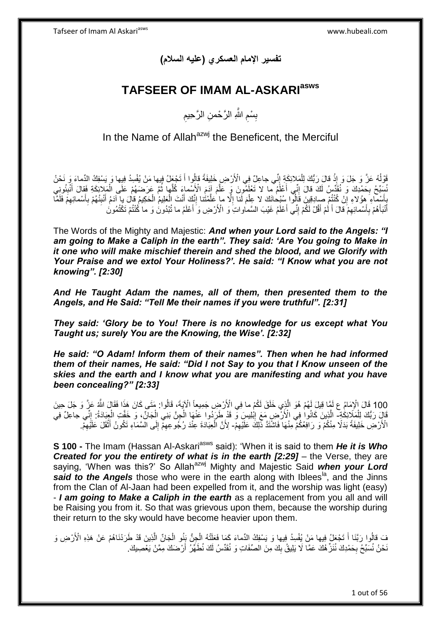**تفسير اإلمام العسكري )عليه السالم(**

# **TAFSEER OF IMAM AL-ASKARIasws**

ِ بِسْمِ اللَّهِ الرَّحْمنِ الرَّحِيمِ ِ ِ

In the Name of Allah<sup>azwj</sup> the Beneficent, the Merciful

وَقُوْلُهُ عَزَّ وَ جَلَ وَ إِذْ قَالَ رَبُّكَ لِلْمَلائِكَةِ إِنِّي جاعِلٌ فِي الْأَرْضِ خَلِيفَةً قَالُوا أَ تَجْعَلُ فِيها مَنْ يُفْسِدُ فِيها وَ يَسْفِكُ الدِّماءَ وَ نَحْنُ ا<br>ا ِ ْ **ٔ** َ َسِّبِّحُ بِحَمْدِكَ وَ نُقَدِّسُ لَكَ قالَ إِنِّي أَعْلَمُ ما لا تَعْلَمُونَ وِّ عَلَمَ آدَمَ الْأَسْماءَ كُلَّها ثُمَّ عَرَضَمُمْ عَلَى الْمَلائِكَةِ فَقالَ أُنْبِئُونِي ُ ه َ ِ **∶** ِ َ ْ يَأْسِماءِ مِؤُلاءِ إِنْ كُنْتُمْ صِبادِقِينَ قَالُوا بِسُبْحانَكَ لا عِلْمَ لَنا إِلَّا ما عَلَّمْتُنا إِنَّكَ أَنْتَ الْعَلِيمُ الْحَكِيمُ قالَ يا آدَمُ أَنْبِئُهُمْ بِأَسْمائِهِمْ فَلَمَّا َ ِ ْ ْ َ ∣l<br>∶ ه ِ ْ ِ ِ َ ِ ِ َ أَنْبَأَهُمْ بِأَسْمائِهِمْ قَالَ أَكُمْ أَقُلْ لَكُمْ إِنِّي أَعْلَمُ غَيْبَ السَّماواتِ وَ الْأَرْضِ وَ أَعْلَمُ ما تُبْدُونَ وَ ما كُنْتُمْ تَكْتُمُونَ َ ِ َ لَ َ ِ َ ِ َ َ

The Words of the Mighty and Majestic: *And when your Lord said to the Angels: "I am going to Make a Caliph in the earth". They said: 'Are You going to Make in it one who will make mischief therein and shed the blood, and we Glorify with Your Praise and we extol Your Holiness?'. He said: "I Know what you are not knowing". [2:30]*

*And He Taught Adam the names, all of them, then presented them to the Angels, and He Said: "Tell Me their names if you were truthful". [2:31]* 

*They said: 'Glory be to You! There is no knowledge for us except what You Taught us; surely You are the Knowing, the Wise'. [2:32]*

*He said: "O Adam! Inform them of their names". Then when he had informed them of their names, He said: "Did I not Say to you that I Know unseen of the skies and the earth and I know what you are manifesting and what you have been concealing?" [2:33]*

100 قَالَ الْإِمَامُ ع لَمَّا قِيلَ لَهُمْ هُوَ الَّذِي خَلَقَ لَكُمْ ما فِي الْأَرْضِ جَمِيعاً الْآيَةَ، قَالُوا: مَتَى كَانَ هَذَا فَقَالَ اللَّهُ عَزَّ وَ جَلَ حِينَ<br>200 أَيْسَ الْإِمَامُ ع لَمَّا قِيلَ لَهُمْ هُوَ الَّ ه قَالِ رَبُّكَ لِلْمَلَائِكَةِ- الَّذِينَ كَانُوا فِي الْأَرْضِ مَعَ إِبْلِيسَ وَّ قَدْ طَرَدُوا عَنْهَا الْجِنَّ بَنِي الْجَانِّ، وَ خَفَتِ الْجِبَادَةُ: إِنِّي جاعِلٌ فِي ْ ْ ِ  $\frac{1}{2}$ ْ الْأَرْضِ خَلِيفَةً بَدَلًا مِنْكُمْ وَ رَافِعُكُمْ مِنْهَا فَاشْتَدَّ ذَٰلِكَ عَلَيْهِمْ- لِأَنَّ الْعِبَادَة عِنْدَ رُجُو عِهِمْ إِلَى الْسَمَاءِ تَكُونُ أَثْقَلَ عَلَيْهِمْ. ِ ِ ْ َ ِ ِ ْ

**S 100 -** The Imam (Hassan Al-Askari<sup>asws</sup> said): 'When it is said to them He it is Who *Created for you the entirety of what is in the earth [2:29] – the Verse, they are* saying, 'When was this?' So Allah<sup>azwj</sup> Mighty and Majestic Said when your Lord **said to the Angels** those who were in the earth along with Iblees<sup>la</sup>, and the Jinns from the Clan of Al-Jaan had been expelled from it, and the worship was light (easy) - *I am going to Make a Caliph in the earth* as a replacement from you all and will be Raising you from it. So that was grievous upon them, because the worship during their return to the sky would have become heavier upon them.

ه فَ قَالُوا رَبَّنَا أَ تَجْعَلُ فِيها مَنْ يُفْسِدُ فِيها وَ يَسْفِكُ الدِّماءَ كَمَا فَعَلَّتْهُ الْجِنُّ بَنُو الْجَانِّ الَّذِينَ قَدْ طَرَدْنَاهُمْ عَنْ هَذِهِ الْأَرْضِ وَ ْ ْ َ نَحْنُ نُسَبِّحُ بِحَمْدِكَ نُنَرٌّ هُكَ عَمَّا لَا يَلِيقُ بِكَ مِنَ الصِّفَاتِ وَ نُقَدِّسُ لَكَ نُطَهِّرُ أَرْضَكَ مِمَّنْ يَعْصِيكَ. ِ ِ َ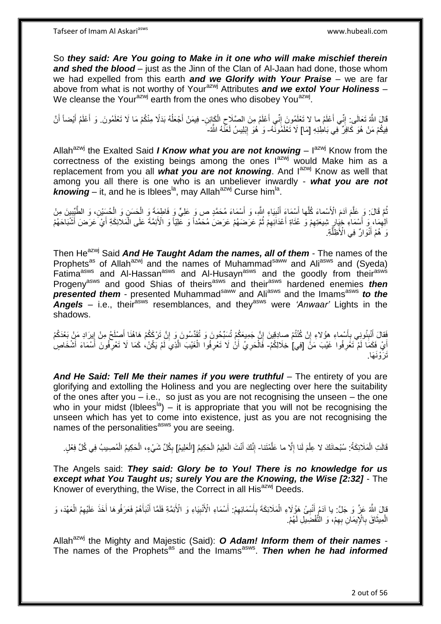So *they said: Are You going to Make in it one who will make mischief therein and shed the blood* – just as the Jinn of the Clan of Al-Jaan had done, those whom we had expelled from this earth *and we Glorify with Your Praise* – we are far above from what is not worthy of Your<sup>azwj</sup> Attributes **and we extol Your Holiness** – We cleanse the Your<sup>azwj</sup> earth from the ones who disobey You<sup>azwj</sup>.

قَالَ اللَّهُ تَعَالَى: إِنِّي أَعْلَمُ ما لا تَعْلَمُونَ إِنِّي أَعْلَمُ مِنَ الصَّلَاحِ الْكَائِنِ- فِيمَنْ أَجْعَلُهُ بَذَلًا مِنْكُمْ مَا لَا تَعْلَمُونَ. وَ أَعْلَمُ أَيْضاً أَنَّ اً<br>ا ֺ֧֧֧֧֦֧֧֧֧֧֧֦֧֦֧֧֦֧֧֧֧֧֦֧֧֧֧֧֧֚֚֚֚֚֚֚֚֚֚֚֚֝֝֬֓֡֡֡֡֡֬֓֓֡֡֡֡֡֬֓֟֓֡֟֓֡֟֓֡֡֡֬֓֩֓֓֓֓֓<br>֧֧֪֧֪֧֜֝֩֞ ْ ِ َ ِ ا<br>ا َ َ َ فِيكُمْ مَنْ هُوَ كَافِرٌ فِي بَاطِنِهِ [مَا] لَا تَعْلَمُونَّهُ- وَ هُوَ إِبْلِيسُ لَعَنَّهُ النَّهُ-ِ

Allah<sup>azwj</sup> the Exalted Said *I Know what you are not knowing* – l<sup>azwj</sup> Know from the correctness of the existing beings among the ones  $I^{azwj}$  would Make him as a replacement from you all *what you are not knowing*. And lazwj Know as well that among you all there is one who is an unbeliever inwardly - *what you are not*  knowing – it, and he is Iblees<sup>la</sup>, may Allah<sup>azwj</sup> Curse him<sup>la</sup>.

ُمَّ قَالَ: وَ عَلَّمَ آدَمَ الْأَسْماءَ كُلَّها أَسْمَاءَ أَنْبِيَاءِ النُّهِ، وَ أَسْمَاءَ مُحَمَّدٍ ص وَ عَلِيٍّ وَ فَاطِمَةَ وَ الْحَسَنِ وَ الْحُسَنِ، وَ الطَّيِّبِينَ مِنْ َ **!** َ َ ه ُ ِ ْ ْ الِهِمَا، وَ أَسْمَاءِ خِيَارٍ شِيعَتِهِمْ وَ عُتَاةِ أَعْدَائِهِمْ ثُمَّ عَرَضَهُمْ عَرَضَ مُحَمَّداً وَ عَلِيّاً وَ الْأَئِمَّةَ عَلَى الْمَلائِكَةِ أَيْ عَرَضَ أَشْبَاحَهُمْ ِ َ ِ ِ َ ِ َ َ ْ رَ هُمْ أَنْوَارٌ فِيَ الْأَظِلَّةِ. َ ه

Then He<sup>azwj</sup> Said *And He Taught Adam the names, all of them* - The names of the Prophets<sup>as</sup> of Allah<sup>azwj</sup> and the names of Muhammad<sup>saww</sup> and Ali<sup>asws</sup> and (Syeda) Fatima<sup>asws</sup> and Al-Hassan<sup>asws</sup> and Al-Husayn<sup>asws</sup> and the goodly from their<sup>asws</sup> Progeny<sup>asws</sup> and good Shias of theirs<sup>asws</sup> and their<sup>asws</sup> hardened enemies *then presented them* - presented Muhammad<sup>saww</sup> and Ali<sup>asws</sup> and the Imams<sup>asws</sup> *to the* **Angels** – i.e., their<sup>asws</sup> resemblances, and they<sup>asws</sup> were *'Anwaar'* Lights in the shadows.

فَقالَ أَنْبِئُونِي بِأَسْماءِ هؤُلاءِ إِنْ كُنْتُمْ صادِقِينَ إِنَّ جَمِيعَكُمْ تُسَبِّحُونَ وَ تُقَدِّسُونَ وَ إِنَّ تَرْكَكُمْ هَاهُذَا أَصْلَحُ مِنْ إِيرَادِ مَنْ بَعْدَكُمْ ِ َ ِ َ **∶** ِ َ ِ ِ أَيْ فَكَمَا لَمْ تَغْرِفُوا غَيْبَ مَنَّ [فِي] خِلَالِكُمْ- فَالْحَرِيُ أَنْْ لَا تَعْرِفُوا الْغَيْبَ الَّذِيَ لَمْ يَكُنْ، كَمَا لَا تَعْرِفُونَ أَسْمَاءَ أَشْخَاصٍ ِ ِ ْ ْ ِ َ َ ِ ه تَرَوْنَهَا.

And He Said: Tell Me their names if you were truthful - The entirety of you are glorifying and extolling the Holiness and you are neglecting over here the suitability of the ones after you  $-$  i.e., so just as you are not recognising the unseen  $-$  the one who in your midst (Iblees<sup>la</sup>) – it is appropriate that you will not be recognising the unseen which has yet to come into existence, just as you are not recognising the names of the personalities<sup>asws</sup> you are seeing.

قَالَتِ الْمَلَائِكَةُ: سُبْحانَكَ لا عِلْمَ لَنا إِلَّا ما عَلَّمْتَنا- إِنَّكَ أَنْتَ الْعَلِيمُ الْحَكِيمُ [الْعَلِيمُ] بِكُلِّ شَيْءٍ، الْحَكِيمُ الْمُصِيبُ فِي كُلِّ فِعْلٍ. ه ِ ْ ْ ْ ْ َ ِ ِ ْ ْ

The Angels said: *They said: Glory be to You! There is no knowledge for us except what You Taught us; surely You are the Knowing, the Wise [2:32]* - The Knower of everything, the Wise, the Correct in all His $^{azw}$  Deeds.

قالَ اللَّهُ عَنَّ وَ جَلَّ: يا آدَمُ أَنْبِئْ هَؤُلَاءِ الْمَلَائِكَةَ بِأَسْمَائِهِمْ: أَسْمَاءِ الْأَنْبِيَاءِ وَ الْأَئِمَّةِ فَلَمًا أَنْبَأَهُمْ فَعَرَفُوهَا أَخَذَ عَلَيْهِمُ الْعَهْدَ، وَ **∶** َ َ ِ َ ِ َ **∶** ِ َ ْ الْمِيثَاقَ بِالْإِيمَانِ بِهِمْ، وَ النَّفْضِيلِ لَهُمْ. ِ **∶** ة<br>أ ْ

Allah<sup>azwj</sup> the Mighty and Majestic (Said): O Adam! Inform them of their names -The names of the Prophets<sup>as</sup> and the Imams<sup>asws</sup>. Then when he had informed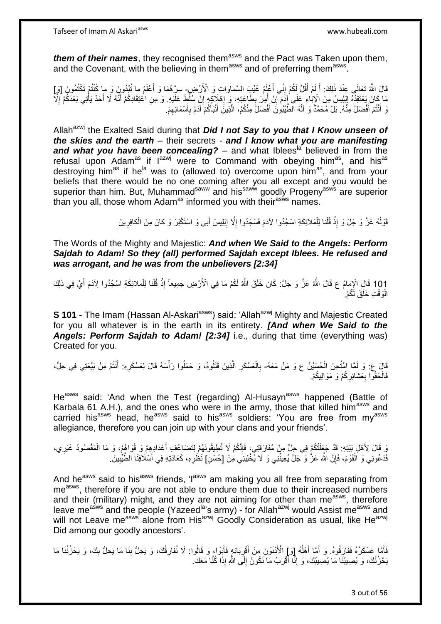*them of their names*, they recognised them<sup>asws</sup> and the Pact was Taken upon them, and the Covenant, with the believing in them<sup>asws</sup> and of preferring them<sup>asws</sup>.

قَالَ اللَّهُ تَعَالَى عِنْدَ ذَلِكَ: أَ لَمْ أَقُلْ لَكُمْ إِنِّي أَعْلَمُ غَيْبَ السَّماواتِ وَ الْأَرْضِ ٍ سِرَّهُمَا وَ أَعْلَمُ ما تُبْدُونَ وَ ما كُنْتُمْ تَكْتُمُونَ [وَ ] َ ِ َ لَ َ َ ِ مَا كَانَ يَخْتَقِدُهُ إِبْلِيسُ مِنَ الْإِبَاءِ عَلَى آدَمَ إِنْ أُمِرَ بِطَاعَتِهِ، وَ إِهْلَاكِهِ إِنْ سُلِطَ عَلَيْهِ. وَ مِنِ اعْتِقَادِكُمْ أَنَّهُ لَا أَحَدٌ يَأْتِي بَعْدَكُمْ إِلَا<br>وَأَمُرُ يَعْبُدُهُ إِبْرِيدِهِ ا<br>ا יֲ<br>י ِ ِ ِ ِ ْ َ َ وَ أَنْتُمْ أَفْضَلُ مِنَّهُ. بَلْ مُحَمَّدٌ وَ آلُهُ الْطَّيِّبُونَ أَفْضَلُ مِنْكُمُ، الَّذِينَ أَنْبَأَكُمْ آدَمُ بِأَسْمَائِهِمْ. َ ِ َ **∶** َ َ ه َ ُ

Allah<sup>azwj</sup> the Exalted Said during that **Did I not Say to you that I Know unseen of** *the skies and the earth* – their secrets - *and I know what you are manifesting*  and what you have been concealing? – and what Iblees<sup>la</sup> believed in from the refusal upon Adam<sup>as</sup> if  $I^{azwj}$  were to Command with obeying him<sup>as</sup>, and his<sup>as</sup> destroying him<sup>as</sup> if he<sup>la</sup> was to (allowed to) overcome upon him<sup>as</sup>, and from your beliefs that there would be no one coming after you all except and you would be superior than him. But, Muhammad<sup>saww</sup> and his<sup>saww</sup> goodly Progeny<sup>asws</sup> are superior than you all, those whom Adam<sup>as</sup> informed you with their<sup>asws</sup> names.

> قَوْلُهُ عَزَّ وَ جَلَ وَ إِذْ قُلْنا لِلْمَلائِكَةِ اسْجُدُوا لِأَدَمَ فَسَجَدُوا إِلَّا إِبْلِيسَ أَبِى وَ اسْتَكْبَرَ وَ كانَ مِنَ الْكافِرِينَ َ ِ ِ ْ ْ ْ ِ ْ

The Words of the Mighty and Majestic: *And when We Said to the Angels: Perform Sajdah to Adam! So they (all) performed Sajdah except Iblees. He refused and was arrogant, and he was from the unbelievers [2:34]*

101 قَالَ الْإِمَامُ ع قَالَ اللَّهُ عَزَّ وَ جَلَّ: كَانَ خَلَقَ اللَّهُ لَكُمْ مَا فِي الْأَرْضِ جَمِيعاً إِذْ قُلْنا لِلْمَلائِكَةِ اسْجُدُوا لِآدَمَ أَيْ فِي ذَلِكَ َ ْ **ٔ** ِ الْوَقْتِ خَلَقَ لَكُمْ. :<br>ا

**S 101 -** The Imam (Hassan Al-Askari<sup>asws</sup>) said: 'Allah<sup>azwj</sup> Mighty and Majestic Created for you all whatever is in the earth in its entirety. *[And when We Said to the Angels: Perform Sajdah to Adam! [2:34]* i.e., during that time (everything was) Created for you.

قَالَ ع: وَ لَمَّا ابْنُحِنَ الْحُسَيْنُ ع وَ مَنْ مَعَهُ- بِالْعَسْكَرِ الَّذِينَ قَتَلُوهُ، وَ حَمَلُوا رَأْسَهُ قَالَ لِعَسْكَرِهِ: أَنْتُمْ مِنْ بَيْعَتِي فِي حِلٍّ، ْ َ ِ **ٔ** ه **ٍ** ْ ِ فَالْحَقُّوا بِعَشَائِرِكُمْ وَ مَوَالِيكُمْ. ِ **∶** ْ

He<sup>asws</sup> said: 'And when the Test (regarding) Al-Husayn<sup>asws</sup> happened (Battle of Karbala 61 A.H.), and the ones who were in the army, those that killed him<sup>asws</sup> and carried his<sup>asws</sup> head, he<sup>asws</sup> said to his<sup>asws</sup> soldiers: 'You are free from my<sup>asws</sup> allegiance, therefore you can join up with your clans and your friends'.

وَ قَالَ لِأَهْلِ بَيْتِهِ. قَدْ جَعَلْتُكُمْ فِي حِلٍّ مِنْ مُفَارَقَتِي، فَإِنَّكُمْ لَا تُطِيقُونَهُمْ لِتَضَاعُفِ أَعْدَادِهِمْ وَ قُوَاهُمْ، وَ مَا الْمَقْصُودُ غَيْرِي، َ ∣اٍ ْ ๎๎๎๎ ِ ْ فَدَعُونِي وَ اَلْقَوْمَ، فَإِنَّ اللَّهَ عَزُّ وَ جَلَّ يُعِينُنِي وَ لَا يُخْلِينِي مِنْ [حُسْنِ] نَظَرِهِ، كَعَادَتِهِ فِي أَسْلَافِنَا الطَّيِّبِينَ ِ ْ ِ َ **∶** 

And he<sup>asws</sup> said to his<sup>asws</sup> friends, 'l<sup>asws</sup> am making you all free from separating from me<sup>asws</sup>, therefore if you are not able to endure them due to their increased numbers and their (military) might, and they are not aiming for other than me<sup>asws</sup>, therefore leave me<sup>asws</sup> and the people (Yazeed<sup>la</sup>'s army) - for Allah<sup>azwj</sup> would Assist me<sup>asws</sup> and will not Leave me<sup>asws</sup> alone from His<sup>azwj</sup> Goodly Consideration as usual, like He<sup>azwj</sup> Did among our goodly ancestors'.

فَأَمَّا عَسْكَرُهُ فَفَارَقُوهُ. وَ أَمَّا أَهْلُهُ [وَ] الْأَنْنَوْنَ مِنْ أَقْرِبَائِهٍ فَأَبَوْا، وَ قَالُوا: لَا نُفَارِقُكَ، وَ يَحِلُّ بِنَا مَا يَحِلُّ بِكَ، وَ يَحْزُنُنَا مَا ِ **ٍ** َ **∶** َ ا<br>ا َ َ ِ يَحْزُنُكَ، وَ يُصِيبُنَا مَا يُصِيبُكَ، وَ إِنَّا أَقْرَبُ مَا نَكُونُ إِلَى اللَّهِ إِذَا كُنَّا مَعَكَ. َ ِ ِ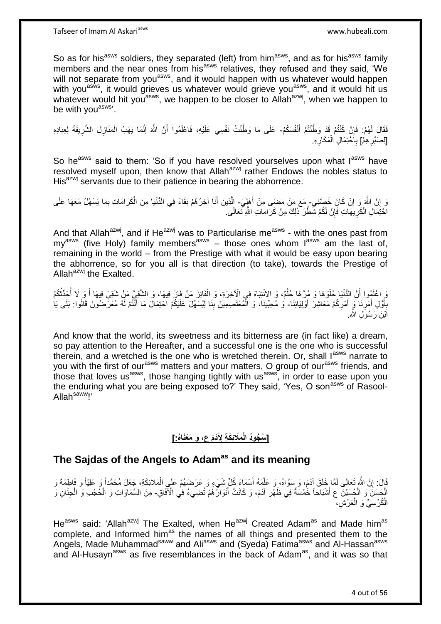So as for his<sup>asws</sup> soldiers, they separated (left) from him<sup>asws</sup>, and as for his<sup>asws</sup> family members and the near ones from his<sup>asws</sup> relatives, they refused and they said, 'We will not separate from you<sup>asws</sup>, and it would happen with us whatever would happen with you<sup>asws</sup>, it would grieves us whatever would grieve you<sup>asws</sup>, and it would hit us whatever would hit you<sup>asws</sup>, we happen to be closer to Allah<sup>azwj</sup>, when we happen to be with you<sup>asws</sup>'.

فَقَالَ لَهُمْ: فَإِنْ كُنْتُمْ قَدْ وَطَّنْتُمْ أَنْفُسَكُمْ- عَلَى مَا وَطَّنْتُ نَفْسِي عَلَيْهِ، فَاعْلَمُوا أَنَّ اللَّهَ إِنَّمَا يَهَبُ الْمَنَازِلَ الشَّرِيفَةَ لِعِبَادِهِ َ ِ ِ **ٍ** ْ ِ َ [لِصَبْرِ هِمْ] بِاحْتِمَالِ الْمَكَارِهِ. **ٍ ∶** ْ ِ

So he<sup>asws</sup> said to them: 'So if you have resolved yourselves upon what lasws have resolved myself upon, then know that Allah<sup>azwj</sup> rather Endows the nobles status to His<sup>azwj</sup> servants due to their patience in bearing the abhorrence.

نَ إِنَّ اللَّهَ وَ إِنْ كَانَ خَصَّنِي- مَعَ مَنْ مَضـَى مِنْ أَهْلِِيَ- إِلَّذِينَ أَنَا آخِرُهُمْ بَقَاءً فِي الدُّنْيَا مِنَ الْكَرَامَاتِ بِمَا يَسْهُلُ مَعَهَا عَلَى ِ יֲ<br>י ْ َ ِ اخْتِمَالِ الْكَرِيْهَاتِ فَإِنَّ لَكُمْ شَّطْرَ ذَٰلِكَ مِنْ كَرَامَاتِ اللَّهِ تَعَالَى ۚ **∶** ْ ِ

And that Allah<sup>azwj</sup>, and if He<sup>azwj</sup> was to Particularise me<sup>asws</sup> - with the ones past from my<sup>asws</sup> (five Holy) family members<sup>asws</sup> – those ones whom  $I^{asws}$  am the last of, remaining in the world – from the Prestige with what it would be easy upon bearing the abhorrence, so for you all is that direction (to take), towards the Prestige of Allah $a^{2xy}$  the Exalted.

وَ اعْلَمُوا أَنَّ الدُّنْيَا خُلُوَهَا وَ مُرَّهَا خُلُمٌ، وَ الِانْتِبَاهَ فِي الْآخِرَةِ، وَ الْفَائِزَ مَنْ فَازَ فِيهَا، وَ الشَّقِيَّ مَنْ شَقِيَ فِيهَا أَ وَ لَا أُحَدِّثُكُمْ ْ ان<br>ا ْ اً ُ ُ َ بِأَوَّلِ أَمْرِنَا وَ أَمْرِكُمْ مَعَاشِرَ أَوْلِيَائِنَا- وَ مُحِبِّينَا، وَ الْمُعْتَصِمِينَ بِنَا لِيُسَهِّلَ عَلَيْكُمْ احْتِمَالَ مَا أَنْتُمْ لَهُ مُعْرَضُونَ قَالُوا: بَلَى يَا َ **∶ ∶** َ ¦ َ َ **∣** ْ اَبْنَ رَسُوَلِ اللَّه<u>ِ</u>

And know that the world, its sweetness and its bitterness are (in fact like) a dream, so pay attention to the Hereafter, and a successful one is the one who is successful therein, and a wretched is the one who is wretched therein. Or, shall lasws narrate to you with the first of our<sup>asws</sup> matters and your matters, O group of our<sup>asws</sup> friends, and those that loves us<sup>asws</sup>, those hanging tightly with us<sup>asws</sup>, in order to ease upon you the enduring what you are being exposed to?' They said, 'Yes, O son<sup>asws</sup> of Rasool-Allah<sup>saww</sup>!'

### **َمَالئِ َك ِة ِِلَدَم ع، َو َم ْعَناه:ُ[ ] ُس ُجوُد الْ**

## **The Sajdas of the Angels to Adamas and its meaning**

قَالَ: إِنَّ اللَّهَ تَعَالَى لَمَّا خَلَقَ آدَمَ، وَ سَوَّاهُ، وَ عَلَّمَهُ أَسْمَاءَ كُلِّ شَيْءٍ وَ عَرَضَهُمْ عَلَي الْمَلائِكَةِ، جَعَلَ مُحَمَّداً وَ عَلِيَّاً وَ فَاطِمَةَ وَ اُ ه ِ ْ الْحَسَنَ وَ الْجُسَيْنَ ع أَشْبَاحاً خُمْسَةً فِي ظَهْرِ آدَمَ، وَ كَانَتْ أَنْوَارُهُمْ تُضِيءُ فِي الْأَفَاقِ- مِنَ السَّمَاوَاتِ وَ الْحُجُبِ وَ الْجِنَانِ وَ<br>الجَمَسَةُ وَ الْجُسَيْنَ ع أَشْبَاحاً خُمْسَةً فِي ظَهْرِ **∶** َ ْ َ ْ ْ الْمُرْسِيِّ وَ الْعَرْشِ، ْ

He<sup>asws</sup> said: 'Allah<sup>azwj</sup> The Exalted, when He<sup>azwj</sup> Created Adam<sup>as</sup> and Made him<sup>as</sup> complete, and Informed him<sup>as</sup> the names of all things and presented them to the Angels, Made Muhammad<sup>saww</sup> and Ali<sup>asws</sup> and (Syeda) Fatima<sup>asws</sup> and Al-Hassan<sup>asws</sup> and Al-Husayn<sup>asws</sup> as five resemblances in the back of Adam<sup>as</sup>, and it was so that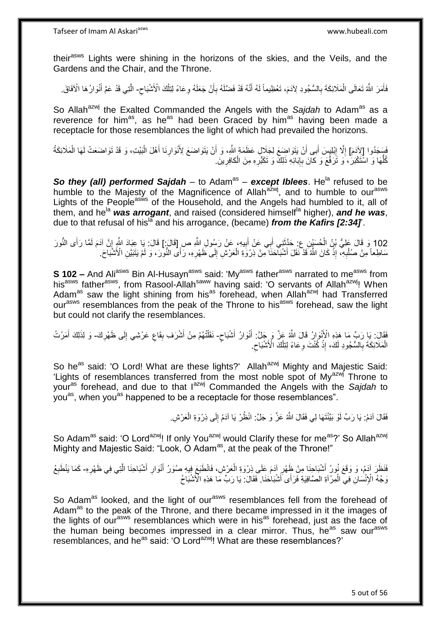their<sup>asws</sup> Lights were shining in the horizons of the skies, and the Veils, and the Gardens and the Chair, and the Throne.

فَأَمَرَ اللَّهُ تَعَالَى الْمَلَائِكَةَ بِالسُّجُودِ لِآدَمَ، تَعْظِيماً لَهُ أَنَّهُ قَدْ فَضَّلَهُ بِأَنْ جَعَلَهُ وِعَاءً لِنِلْكَ الْأَشْبَاحِ- الَّتِي قَدْ عَمَّ أَنْوَارُهَا الْأَفَاقَ ِ َ ِ َ لَ ِ ْ َ ْ ِ َ ه

So Allah<sup>azwj</sup> the Exalted Commanded the Angels with the Sajdah to Adam<sup>as</sup> as a reverence for him<sup>as</sup>, as he<sup>as</sup> had been Graced by him<sup>as</sup> having been made a receptacle for those resemblances the light of which had prevailed the horizons.

فَسَجَدُوا [لِأَدَمَ] إِلَّا إِبْلِيِسَ أَبِي أَنْ يَتَوَاضِعَ لِجَلَالٍ عَظَمَةٍ اللَّهِ، وَ أَنْ يَتَوَاضَعَ لِأَنْوَارِنَا أَهْلَ الْبَيْتِ، وَ قَدْ تَوَاضَعَتْ لَمَا الْمَلَائِكَةُ **ֽוּ** ِ ْ َ ِ اُ ْ كُلُّهَا وَ اسْتَكْبَرُ ۚ، وَ تَرَفَّعَ وَ كانَ بِإِبَائِهِ ذَلِكٌ وَ تَكَبُّرِهِ مِنَ الْكافِرِينَ ـ ُّ **∶** ∣اٍ ِ ِ ْ

**So they (all) performed Sajdah** – to Adam<sup>as</sup> – **except Iblees**. He<sup>la</sup> refused to be humble to the Majesty of the Magnificence of Allah<sup>azwj</sup>, and to humble to our<sup>asws</sup> Lights of the People<sup>asws</sup> of the Household, and the Angels had humbled to it, all of them, and he<sup>la</sup> was arrogant, and raised (considered himself<sup>la</sup> higher), and he was, due to that refusal of his<sup>la</sup> and his arrogance, (became) *from the Kafirs [2:34]*.

102 وَ قَالَ عَلِيُّ بْنُ الْحُسَيْنِ عِ حَدَّثَنِي أَبِي عَنْ أَبِيهِ، عَنْ رَسُولِ اللَّهِ ص [قَالَ:1] قَالَ: يَا عِبَادَ اللَّهِ إِنَّ آدَمَ لَمَّا رَأَى النُّورَ  $\frac{1}{2}$ **!** َ ِ َ ْ سَاطِعاً مِنْ صُلْدِيَّ، إِذْ كَانَ اللَّهُ قَدْ نَقَلَ أَشْبَآحَنَا مِنْ ذِرْوَةِ الْعَرْشِ إِلَى ظَهْرِهِ، رَأَى النُّورَ، وَ لَمْ يَتَبَيَّنِ الْأَشْبَآحَ. **∶** ∣∣<br>ِ ْ .<br>.<br>. ِ ْ

**S 102 –** And Ali<sup>asws</sup> Bin Al-Husayn<sup>asws</sup> said: 'My<sup>asws</sup> father<sup>asws</sup> narrated to me<sup>asws</sup> from his<sup>asws</sup> father<sup>asws</sup>, from Rasool-Allah<sup>saww</sup> having said: 'O servants of Allah<sup>azwj</sup>! When Adam<sup>as</sup> saw the light shining from his<sup>as</sup> forehead, when Allah<sup>azwj</sup> had Transferred our<sup>asws</sup> resemblances from the peak of the Throne to his<sup>asws</sup> forehead, saw the light but could not clarify the resemblances.

فَقَالَ: يَا رَبِّ مَا هَذِهِ الْأَنْوَالُ قَالَ اللَّهُ عَزَّ وَ جَلَّ: أَنْوَالُ أَشْبَاحٍ- نَقَلْتُهُمْ مِنْ أَشْرَف بِقَاعِ عَرْشِي إِلَى ظَهْرِكَ- وَ لِذَلِكَ أَمَرْتُ َ ٍ ِ ِ ِ ِ َ َ الْمَلَائِكَةَ بِالسُّجُودِ لَكَ، إِذْ كُنْتَ وِعَاءً لِتِلْكَ الْأَشْبَاحِ. ِ ْ ِ **ٔ** ِ ْ

So he<sup>as</sup> said: 'O Lord! What are these lights?' Allah<sup>azwj</sup> Mighty and Majestic Said: 'Lights of resemblances transferred from the most noble spot of My<sup>azwj</sup> Throne to your<sup>as</sup> forehead, and due to that lazwj Commanded the Angels with the Sajdah to you<sup>as</sup>, when you<sup>as</sup> happened to be a receptacle for those resemblances".

> فَقَالَ آدَمُ: يَا رَبِّ لَوْ بَيَّنْتَهَا لِي فَقَالَ اللَّهُ عَزَّ وَ جَلَّ: انْظُرْ يَا آدَمُ إِلَى ذِرْوَةِ الْعَرْشِ. ْ ِ

So Adam<sup>as</sup> said: 'O Lord<sup>azwj</sup>! If only You<sup>azwj</sup> would Clarify these for me<sup>as</sup>?' So Allah<sup>azwj</sup> Mighty and Majestic Said: "Look, O Adam<sup>as</sup>, at the peak of the Throne!"

فَنَظَرَ آدَمُ، وَ وَقَعَ نُورُ أَشْبَاحِنَا مِنْ ظَهْرِ آدَمَ عَلَى نِرْوَةِ الْعَرْشِ، فَانْطَبَعَ فِيهِ صُوَرُ أَنْوَارِ أَشْبَاحِنَا الَّتِي فِي ظَهْرِهِ- كَمَا يَنْطَبِعُ َ ِ ه َ ِ َ ْ ِ وَجْهُ الْإِنْسَانِ فِي الْمِرْآةِ الصَّافِيَةِ فَرَأَى َأَشْبَاحَنَا. فَقَالَ: يَا رَبِّ مَا هَذِهِ الْأَشْبَاحُ َ ْ

So Adam<sup>as</sup> looked, and the light of our<sup>asws</sup> resemblances fell from the forehead of Adam<sup>as</sup> to the peak of the Throne, and there became impressed in it the images of the lights of our<sup>asws</sup> resemblances which were in his<sup>as</sup> forehead, just as the face of the human being becomes impressed in a clear mirror. Thus, he<sup>as</sup> saw our<sup>asws</sup> resemblances, and he<sup>as</sup> said: 'O Lord<sup>azwj</sup>! What are these resemblances?'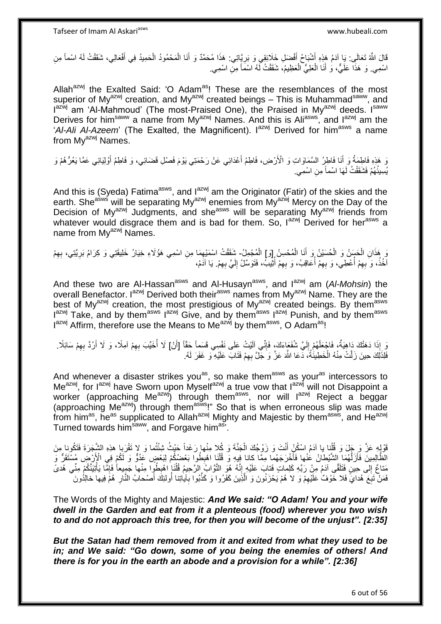قَالَ اللَّهُ تَعَالَى: يَا آدَمُ هَذِهِ أَشْبَاحُ أَفْضَلِ خَلَائِقِي وَ بَرِيَّاتِي. هَذَا مُحَمَّدٌ وَ أَنَا الْمَحْمُودُ الْحَمِيدُ فِي أَفْعَالِي، شَقَقْتُ لَهُ اسْماً مِنِ **∶** َ َ َ ْ ْ اسْمِي ۚ وَ هَذَا عَلَيٌّ، وَ أَنَا الْعَلِيُّ الْعَظِيمُ، شَقَقْتُ لَهُ اسْمَاً مِنْ اسْمِي ِ ْ ْ َ

Allah $a^{2}$  the Exalted Said: 'O Adam<sup>as</sup>! These are the resemblances of the most superior of My<sup>azwj</sup> creation, and My<sup>azwj</sup> created beings – This is Muhammad<sup>saww</sup>, and Iazwj am 'Al-Mahmoud' (The most-Praised One), the Praised in My<sup>azwj</sup> deeds. Isaww Derives for him<sup>saww</sup> a name from My<sup>azwj</sup> Names. And this is Ali<sup>asws</sup>, and l<sup>azwj</sup> am the '*Al-Ali Al-Azeem*' (The Exalted, the Magnificent). I<sup>azwj</sup> Derived for him<sup>asws</sup> a name from  $Mv^{azwj}$  Names.

وَ هَذِهِ فَاطِمَةُ وَ أَنَا فَاطِرُ السَّمَاوَاتِ وَ الْأَرْضِ، فَاطِمُ أَعْدَائِي عَنْ رَحْمَتِي يَوْمَ فَصْلِ قَضَائِي، وَ فَاطِمُ أَوْلِيَائِي عَمَّا يَعُرُّهُمْ وَ َ َ َ يُسِيئُهُمْ فَشَقَقْتُ لَمَهَا اسْماً مِنِ اسْمِي<sub>.</sub>

And this is (Syeda) Fatima<sup>asws</sup>, and  $I^{azmj}$  am the Originator (Fatir) of the skies and the earth. She<sup>asws</sup> will be separating My<sup>azwj</sup> enemies from My<sup>azwj</sup> Mercy on the Day of the Decision of My<sup>azwj</sup> Judgments, and she<sup>asws</sup> will be separating My<sup>azwj</sup> friends from whatever would disgrace them and is bad for them. So, lazwj Derived for herasws a name from My<sup>azwj</sup> Names.

وَ هَذَانِ الْحَسَنُ وَ الْحُسَيْنُ وَ أَنَا الْمُحْسِنُ إِوَ] الْمُجْمِلُ- شَقَقْتُ اسْمَيْهِمَا مِنِ اسْمِي هَؤُلَاءِ خِيَارُ خَلِيقَتِي وَ كِرَامُ بَرِيَّتِي، بِهِمْ ْ ْ ْ ْ ِ ِ ِ ِ اخُذُ، وَ بِهِمْ أُعْطِي، وَ بِهِمْ أُعَاقِبُ، وَ بِهِمْ أُثْيِبُ، فَتَوَسَّلْ إِلَيَّ بِهِمْ. يَا اَدَمُ، لَ ِ ُ ِ ا<br>ا ِ ا<br>أ ِ ِ

And these two are Al-Hassan<sup>asws</sup> and Al-Husayn<sup>asws</sup>, and l<sup>azwj</sup> am (Al-Mohsin) the overall Benefactor. I<sup>azwj</sup> Derived both their<sup>asws</sup> names from My<sup>azwj</sup> Name. They are the best of My<sup>azwj</sup> creation, the most prestigious of My<sup>azwj</sup> created beings. By them<sup>asws</sup> I<sup>azwj</sup> Take, and by them<sup>asws</sup> l<sup>azwj</sup> Give, and by them<sup>asws</sup> l<sup>azwj</sup> Punish, and by them<sup>asws</sup> l<sup>azwj</sup> Affirm, therefore use the Means to Me<sup>azwj</sup> by them<sup>asws</sup>, O Adam<sup>as</sup>!

يْ إِذَا دَهَٰتُكَ دَاهِيَةٌ، فَاجْعَلْهُمْ إِلَيَّ شُفَعَاءَكَ، فَإِنِّي آلَيْتُ عَلَى نَفْسِي قَسِماً حَقّاً [أَنْ] لَا أُخَيِّبَ بِهِمْ آمِلًا، وَ لَا أَرُدَّ بِهِمْ سَائِلًا. ِ لَ  $\frac{1}{2}$ ْ َ ِ َ ِ ا<br>أ فَلِذَلِكَ حِينَ زَلَّتْ مِنْهُ الْخَطِيئُةُ، دَّعَا اللَّهَ عَزَّ وَ جَلَّ بِهِمْ فَتَابَ عَلَيْهِ ۖ وَ غَفَرَ لَهُ. ِ ْ

And whenever a disaster strikes you<sup>as</sup>, so make them<sup>asws</sup> as your<sup>as</sup> intercessors to Me<sup>azwj</sup>, for I<sup>azwj</sup> have Sworn upon Myself<sup>azwj</sup> a true vow that I<sup>azwj</sup> will not Disappoint a worker (approaching Me<sup>azwj</sup>) through them<sup>asws</sup>, nor will l<sup>azwj</sup> Reject a beggar (approaching Me<sup>azwj</sup>) through them<sup>asws</sup>!" So that is when erroneous slip was made from him<sup>as</sup>, he<sup>as</sup> supplicated to Allah<sup>azwj</sup> Mighty and Majestic by them<sup>asws</sup>, and He<sup>azwj</sup> Turned towards him<sup>saww</sup>, and Forgave him<sup>as</sup>'.

قَوْلِهِ عَزَّ وَ جَِلَ وَ قُلْنِا يا آدَمُ اسْكُنْ أَنْتَ وَ زَوْجُكَ الْجَنَّةَ وَ كُلا مِنْها رَغَداً حَيْثُ شِئْتُما وَ لا تَقْرَبِا هذِهِ الشَّجَرَةَ فَتَكُونا مِنَ ْ َ ْ الْظَّالِمِينَ فَأَزَلَّهُمَا لِلشَّيْطانُ عُنْها فَأَخْرَجَهُما مِمَّا كانا فِيهِ وَ قُلْنَا اهْبِطُوا بَعْضِكُمْ لِبَعْضٍ عَدُوٌّ وَ لَكُمْ فِي الْإَرْضِ مُسْتَقَرٌّ وَ ِ ْ َ ه َ مَناعٌ إِلَى حِينٍ فَتَلَقَّى أَدَمُ مِنْ رَبِّهِ كَلِماتٍ فَتابٍ عَلَيْهِ إِنَّهُ هُوِّ التَّوَّابُ اِلرَّحِيمُ قُلْنَإٖ اهْبِطُوِا مِنْها جَمِيعاً فَإِمَّا يَأْتِنَنَّكُمْ مِنِّى هُدىً  $\frac{1}{2}$ ِ ْ ِ ْ  $\frac{1}{2}$ فَمَنْ تَبَعَ هُدايَّ فَلا خَوْفٌ عَلَيْهِمْ وَ لا هُمْ يَحْزَنُونَ وَ الَّذِينَ كَفَرُوا وَ كَذَّبُوا بِآياتِنا أُولئِكَ أَصْحابُ النَّارِ هُمَّ فِيها خالِدُونَ ه ِ ِ ِ َ اُ ِ

The Words of the Mighty and Majestic: *And We said: "O Adam! You and your wife dwell in the Garden and eat from it a plenteous (food) wherever you two wish to and do not approach this tree, for then you will become of the unjust". [2:35]*

*But the Satan had them removed from it and exited from what they used to be in; and We said: "Go down, some of you being the enemies of others! And there is for you in the earth an abode and a provision for a while". [2:36]*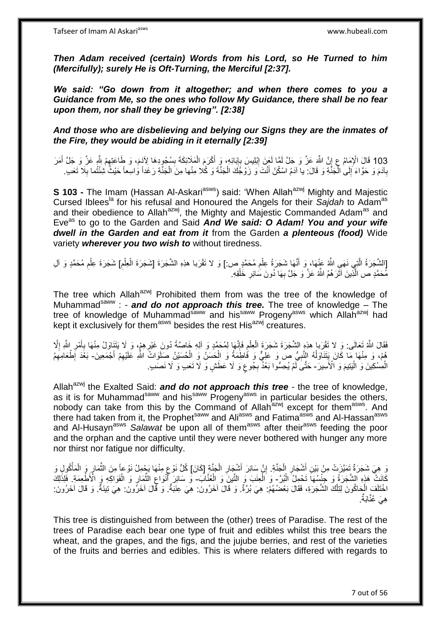Tafseer of Imam Al Askariasws www.hubeali.com

*Then Adam received (certain) Words from his Lord, so He Turned to him (Mercifully); surely He is Oft-Turning, the Merciful [2:37].* 

*We said: "Go down from it altogether; and when there comes to you a Guidance from Me, so the ones who follow My Guidance, there shall be no fear upon them, nor shall they be grieving". [2:38]* 

*And those who are disbelieving and belying our Signs they are the inmates of the Fire, they would be abiding in it eternally [2:39]*

103 قَالَ الْإِمَامُ عِ إِنَّ اللَّهَ عَزَّ وَ جَلَّ لَمَّا لَعَنَ إِبْلِيسَ بِإِبَائِهِ، وَ أَكْرَمَ الْمَلَائِكَةَ بِسُجُودِهَا لِآدَمَ، وَ طَاعَتِهِمْ شَرِّ عَزَّ وَ جَلَّ أَمَرَ<br>203 قَالَ الْإِمَامُ عَ يَّدَ سَبَّدَت أَ ة ِ ْ َ  $\frac{1}{2}$  ِ ِ ا<br>; بِآدَمَ وَ حَوَّاءَ إِلَىٰ الْمَجَنَّةِ وَ قَالَ: يا اَدَمُ اسْكُنْ أَنْتَ وَ زَوْجُكَ الْجَنَّةَ وَ كُلا مِنْها مِنَ الْجَنَّةِ رَغَداً وَاسِعاً حَيْثُ شِئْتُما بِلَا تَعَبِ ْ ْ َ ا<br>ا  $\frac{1}{2}$ ِ ِ

**S 103 -** The Imam (Hassan Al-Askari<sup>asws</sup>) said: 'When Allah<sup>azwj</sup> Mighty and Majestic Cursed Iblees<sup>la</sup> for his refusal and Honoured the Angels for their Saidah to Adam<sup>as</sup> and their obedience to Allah<sup>azwj</sup>, the Mighty and Majestic Commanded Adam<sup>as</sup> and Eve<sup>as</sup> to go to the Garden and Said And We said: O Adam! You and your wife *dwell in the Garden and eat from it* from the Garden *a plenteous (food)* Wide variety *wherever you two wish to* without tiredness.

[الشَّجَرَةُ الَّذِي نَهَىِ اللَّهُ عَنْهَا، وَ أَنَّهَا شَجَرَةُ عِلْمِ مُحَمَّدٍ ص:] وَ لا تَقْرَبا هذِهِ الشَّجَرَةَ [شَجَرَةَ عِلْمِ مُحَمَّدٍ وَ آلِ ِ ْ َ ه ْ ِ ْ ِ ْ مُحَمَّدٍ ص الَّذِّينَ آثَرَ هُمُ اللَّهُ عَزَّ وَ جَلَّ بِهَا دُونَ سَائِرِ خَلْقِهِ. ْ ِ **∶** ة<br>أ ه

The tree which Allah $a^{z}$ wj Prohibited them from was the tree of the knowledge of Muhammad<sup>saww</sup> : - **and do not approach this tree.** The tree of knowledge – The tree of knowledge of Muhammad<sup>saww</sup> and his<sup>saww</sup> Progeny<sup>asws</sup> which Allah<sup>azwj</sup> had kept it exclusively for them<sup>asws</sup> besides the rest His<sup>azwj</sup> creatures.

ِ فَقَالَ اللَّهُ تَعَالَى: وَ لا تَقْرَبا هذِهِ الشَّجَرَةَ شَجَرَةَ الْعِلْمِ فَإِنَّهَا لِمُحَمَّدٍ وَ آلِهِ خَاصَّةً دُونَ غَيْرِهِمْ، وَ لَا يَتَنَاوَلُ مِنْهَا بِأَمْرِ اللَّهِ إِلَّا ْ ْ ِ ِ َ **∶** ِ ِ هُمْ، وَ مِنْهَا مَا كَانَ يَتَنَاوَلُهُ النَّبِيُّ صَ وَ عَلِّيٌّ وَ فَاطِّمَةُ وَ الْحَسَنُ وَ الْحُسَيْنُ صَلَّوَاتُ اللهِ عَلَيْهِمْ أَجْمَعِينَ- بَعْدَ إِطْعَامِهِم ْ ْ **∶** ٔ<br>ا َ ِ ِ ِ الْمِسْكِينَ وَ الْيَتِيمَ وَ الْأَسِيرَ- حَتَّى لَّمْ يُحِسُّوا بَعْدٌ بِجُوعٍ وَ لَا عَطَشٍ وَ لَا تَعَبِ وَ لَا نَصَدٍ. ֦֦֖֦֖֦֖֧֦֦֧֦֦֦֧֦֧֦֧֦֧֦֧֦֧֦֧֦֧֦֧֦֧֦֧֝֟֟֓֕֝֟֓֓֝֓֓֝֟֓֓֞֟֓֓֞֟֓֡֟֓֓֞֓֓֞֟֓֓֞֟֓֡֟֓֓֞֓֟֓֝֬֓֞ ْ ٍ ِ

Allah<sup>azwj</sup> the Exalted Said: **and do not approach this tree** - the tree of knowledge, as it is for Muhammad<sup>saww</sup> and his<sup>saww</sup> Progeny<sup>asws</sup> in particular besides the others, nobody can take from this by the Command of Allah<sup>azwj</sup> except for them<sup>asws</sup>. And there had taken from it, the Prophet<sup>saww</sup> and Ali<sup>asws</sup> and Fatima<sup>asws</sup> and Al-Hassan<sup>asws</sup> and Al-Husayn<sup>asws</sup> Salawat be upon all of them<sup>asws</sup> after their<sup>asws</sup> feeding the poor and the orphan and the captive until they were never bothered with hunger any more nor thirst nor fatigue nor difficulty.

وَ هِيَ شَجَرَةٌ تَمَيَّزَتْ مِنْ بَيْنِ أَشْجَارِ الْجَنَّةِ. إِنَّ سَائِرَ أَشْجَارِ الْجَنَّةِ إِكَانَ] كُلُّ نَوْعٍ مِنْهَا يَجْمِلُ نَوْعاً مِنَ الثَّمَارِ وَ الْمَأْكُولِي وَ ْ ِ َ ِ ْ ِ َ ْ ْ ِ ِّ ٍ كَانَتْ هَذِهِ الشَّجَرَةُ وَ حِنْسُهَا تَحْمِلُ الْبُرَّ وَ الْعِنَبَ وَ النُّينَ وَ الْعُنَّابَ- وَ سَائِرَ أَنْوَاعِ الثُّمَارِ وَ الْفَوَاكَهِ وَ الْأَطْعِمَةِ فَلِذَلِكَ ْ ْ ْ ْ ِ ِّ ِ َ اخْتَلَفَ الْحَاكُونَ لِتِلْكَ الشَّجَرَةِ، فَقَالَ بَعْضُهُمْ: هِيَ بُرَّةٌ: وَ قَالَ آخَرُونَ: هِيَ عِنَبَةٌ وَ قَالَ آخَرُونَ: هِيَ تِبنَةٌ: وَ قَالَ آخَرُونَ: ْ ْ هِيَ عُذَّابَةٌ.

This tree is distinguished from between the (other) trees of Paradise. The rest of the trees of Paradise each bear one type of fruit and edibles whilst this tree bears the wheat, and the grapes, and the figs, and the jujube berries, and rest of the varieties of the fruits and berries and edibles. This is where relaters differed with regards to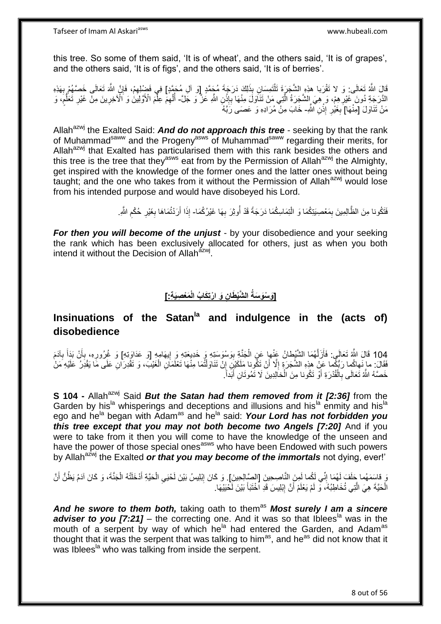Tafseer of Imam Al Askariasws www.hubeali.com

this tree. So some of them said, 'It is of wheat', and the others said, 'It is of grapes', and the others said, 'It is of figs', and the others said, 'It is of berries'.

قَالَ اللَّهُ تَعَالَى: وَ لا تَقْرَبا هذِهِ الشَّجَرَةَ تَلْتَمِسَانِ بِذَلِكَ دَرَجَةَ مُجَمَّدٍ إِوَ آلِ مُجَمَّدٍ]<br>يَقَالَ اللَّهُ تَعَالَى: وَ لا تَقْرَبا هذِهِ الشَّجَرَةَ تَلْتَمِسَانِ بِذَلِكَ دَرَجَةَ مُجَمَّدٍ إ ֺ֖֖֦֖֧֦֦֖֦֧֦֦֖֧֦֧֦֪֦֧֦֦֧֦֪֦֧֦֪֪֦֧֦֧֦֧֦֪֪֦֧֦֧֦֧֦֧֪֧֪֧֧֪֝֟֟֟֟֟֟֟֟֟֟֟֟֟֟֟֟֟֟֟֟֟֟֟֟֟֓֞֟֟֟֟֟֓֞֟֟֟֟֟֓֟֟֩֓֞֟֟֟֟֓֞֟֝֟֝<br>֧֜֜**֦֘**֖֖֝֞֘ ِ ∣ļ ِ الذَّرَجَةِ دُونَ غَيْرِ هِمْ، وَ هِيَ إِلْشَجَرَةُ الَّذِي مَنْ تَنَاوَلْ مِنْهَا بِإِنْنِ اللَّهِ عَزٌ وَ جَلَّ- أُلْهِمَ عِلْمَ الْأَوَلِيْيَنْ وَ الْآخِرِينَ مِنْ غَيْرِ تَعَلُّمُ، وَ **ٔ: ∶** ه **∶** ْ ֧֖֧֦֧֦֧֦֧֚֚֝֝֝֝֬֝֓֝֓֝֓**֓** ُّ ِ ِ ْ مَنْ تَنَاوَلَ [مِنْهَا] بِغَيْٰرِ إِذْنِ اللَّهِ- خَابَ مِنْ مُرَادِهِ وَ عَصَمَى رَّبَّهُ ْ ِ ِ

Allah<sup>azwj</sup> the Exalted Said: **And do not approach this tree** - seeking by that the rank of Muhammadsaww and the Progenyasws of Muhammadsaww regarding their merits, for Allah<sup>azwj</sup> that Exalted has particularised them with this rank besides the others and this tree is the tree that they<sup>asws</sup> eat from by the Permission of Allah<sup>azwj</sup> the Almighty, get inspired with the knowledge of the former ones and the latter ones without being taught; and the one who takes from it without the Permission of Allah $a^{2}$  would lose from his intended purpose and would have disobeyed his Lord.

> فَتَكُونا مِنَ الظَّالِمِينَ بِمَعْصِيَتِكُمَا وَ الْتِمَاسِكُمَا دَرَجَةً قَدْ أُوثِرَ بِهَا غَيْرُكُمَا- إِذَا أَرَدْتُمَاهَا بِغَيْرِ حُكْمِ اللَّهِ. ِ ِ ا<br>ا ْ ِ ِ ِ َ

*For then you will become of the unjust - by your disobedience and your seeking* the rank which has been exclusively allocated for others, just as when you both intend it without the Decision of Allah<sup>azwj</sup>.

# **َم ْع ِصَي ِة:[ ِن َو ا ْرتِ َكا ُب الْ ال َّشْي َطا ]َو ْسَو َسةُ**

## **Insinuations of the Satanla and indulgence in the (acts of) disobedience**

104 قَالَ اللَّهُ تَعَالَى: فَأَزَلَّهُمَا الشَّيْطانُ عَنْها عَنِ الْجَنَّةِ بِوَسْوَسَتِهِ وَ خَدِيعَتِهِ وَ إِيهَامِهِ [وَ عَذَاوَتِهِ] وَ غُرُورِهِ، بِأَنْ بَذَأَ بِآدَمَ ِ َ َ ِ ِ **!** ْ ه َ فَقَالَ: ما نَهاكُما رَبُّكُما عَنْ هذِهِ الشَّجَرَةِ إِلَّا أَنْ تَكُونا مَلَكَيْنِ إِنْ تَنَاوَلْتُمَا مِنْهَا تَعْلَمَانِ الْغَيْبَ، وَ تَقْدِرَانِ عَلَى مَا يَقْدِرُ عَلَيْهِ مَنْ َ ِ ْ ْ ِ خَصَّهُ اللَّهُ تَعَالَى بِالْقُدْرَةِ أَوْ تَكُونا مِنَ الْخَالِدِينَ لَا تَمُوتَانِ أَبَداًّ. َ ْ ِ َ

**S 104 -** Allah<sup>azwj</sup> Said *But the Satan had them removed from it [2:36]* from the Garden by his<sup>la</sup> whisperings and deceptions and illusions and his<sup>la</sup> enmity and his<sup>la</sup> ego and he<sup>la</sup> began with Adam<sup>as</sup> and he<sup>la</sup> said: **Your Lord has not forbidden you** *this tree except that you may not both become two Angels [7:20] And if you* were to take from it then you will come to have the knowledge of the unseen and have the power of those special ones<sup>asws</sup> who have been Endowed with such powers by Allah<sup>azwj</sup> the Exalted *or that you may become of the immortals* not dying, ever!'

دَ فَاسَمَهُما جَلَفَ لَهُمَا إِنِّي لَكُما لَمِنَ النَّاصِحِينَ [الصَّالِحِينَ]. وَ كَانَ إِبْلِيسُ بَيْنَ لَحْيَي الْحَيَّةِ أَدْخَلَتْهُ الْجَنَّةَ، وَ كَانَ آدَمُ يَظُنُّ أَنَّ ِ ِ ِ اُ ْ َ ْ الْحَيَّةَ هِيَ الَّتِي تُخَاطِبُهُ، وَ لَمْ يَعْلَمْ أَنَّ إِبْلِيسَ قَدِ الْخُتَبَأَ بَيْنَ لَحْيَيْهَا. ْ **∫** ِ اُ ه

And he swore to them both, taking oath to them<sup>as</sup> Most surely I am a sincere *adviser to you [7:21]* – the correcting one. And it was so that Iblees<sup>la</sup> was in the mouth of a serpent by way of which he<sup>la</sup> had entered the Garden, and Adam<sup>as</sup> thought that it was the serpent that was talking to him<sup>as</sup>, and he<sup>as</sup> did not know that it was Iblees<sup>la</sup> who was talking from inside the serpent.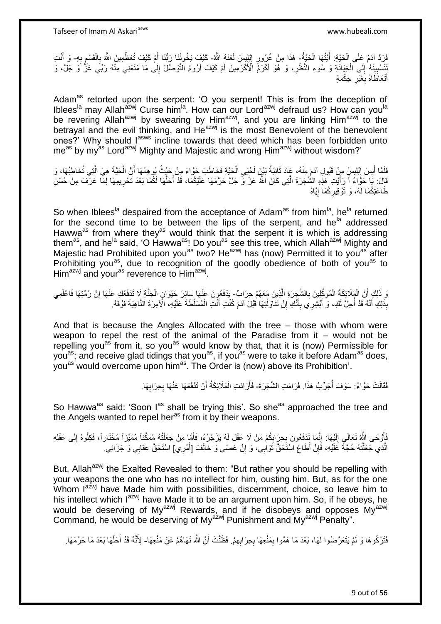فَرَدَّ آدَمُ عَلَى الْحَيَّةِ: أَيَّتُهَا الْحَيَّةُ- هَذَا مِنْ غُرُورِ إِبْلِيسَ لَعَنَهُ اللَّهُ- كَيْفٍ يَخُونُنَا رَبُّنَا أَمْ كَيْفَ تُعَظِّمِينَ اللَّهَ بِالْقَسَمِ بِهِ- وَ أَنْتِ ْ َ ْ ِ ِ َ **∶** ِ ْ ِ َ َنْتُسُبِينَهُ ٰ إِلَى الْخِيَانَةِ وَ سُوءِ النَّظَرِ ، وَ هُوَ أَكْرَمَ الْأَكْرَمِينَ أَمْ كَيْفَ أَرُومُ النَّوَصَّلَ إِلَى مَا مَنَعَنِي مِنّْهُ رَبِّي عَزَّ وَ جَلَّ، وَ ِ َ َ ِ ْ  $\frac{1}{2}$ **!** أَتَعَاطَاهُ بِغَيْرِ حِكْمَةٍ َ ِ **∶** 

Adam<sup>as</sup> retorted upon the serpent: 'O you serpent! This is from the deception of Iblees<sup>la</sup> may Allah<sup>azwj</sup> Curse him<sup>la</sup>. How can our Lord<sup>azwj</sup> defraud us? How can you<sup>la</sup> be revering Allah<sup>azwj</sup> by swearing by Him<sup>azwj</sup>, and you are linking Him<sup>azwj</sup> to the betrayal and the evil thinking, and He<sup>azwj</sup> is the most Benevolent of the benevolent ones?' Why should lasws incline towards that deed which has been forbidden unto meas by my<sup>as</sup> Lord<sup>azwj</sup> Mighty and Majestic and wrong Him<sup>azwj</sup> without wisdom?'

فَلَمَّا أَيِسَ إِبْلِيسٍ مِنْ قَبُولِ آدَمَ مِنْهُ، عَادَ ثَانِيَةً بَيْنَ لَحْيَي الْحَيَّةِ فَخَاطَبَ حَوَّاءَ مِنْ حَيْثُ يُوهِمُهَا أَنَّ الْحَيَّةَ هِيَ الَّتِي تُخَاطِبُهَا، وَ ْ ِ َ ِ **∶** ه ْ َ قَالَ: يَا حَوَّاءُ أَ رَأَيْتِ هَذِهِ الشَّجَرَةَ الَّتِي كَانَ اللَّهُ عَزَّ وَ جَلَّ حَرَّمَهَا عَلَيْكُمَا، قَدْ أَحَلَّهَا لَكُمَا بَعْدَ تَحْرِيمِهَا لِمَا عَرَفَ مِنْ حُسْنِ ه َ َ ِ ه َ طَاعَتِكُمَا لَهُ، وَ تَوْقِيرِكُمَا إِيَّاهُ <u>֖֖֚֚֚֚֓</u>֦֧֦֧֦֓֡֝ ِ

So when Iblees<sup>la</sup> despaired from the acceptance of Adam<sup>as</sup> from him<sup>la</sup>, he<sup>la</sup> returned for the second time to be between the lips of the serpent, and he<sup>la</sup> addressed Hawwa<sup>as</sup> from where they<sup>as</sup> would think that the serpent it is which is addressing them<sup>as</sup>, and he<sup>la</sup> said, 'O Hawwa<sup>as</sup>! Do you<sup>as</sup> see this tree, which Allah<sup>azwj</sup> Mighty and Majestic had Prohibited upon you<sup>as</sup> two? He<sup>azwj</sup> has (now) Permitted it to you<sup>as</sup> after Prohibiting you<sup>as</sup>, due to recognition of the goodly obedience of both of you<sup>as</sup> to Him<sup>azwj</sup> and your<sup>as</sup> reverence to Him<sup>azwj</sup>.

ِ ذَلِكِ أَنَّ الْمَلَائِكَةَ الْمُوَكَّلِينَ بِالشَّجِرَةِ الَّذِينَ مَعَهُمْ حِرَابٌ- يَذْفَعُونَ عَنْهَا اللَّذِينَ حَيَوَانٍ الْجَذَّةِ لَا تَذْفَعُكِ عَنْهَا إِنْ رُمْتِهَا فَاعْلَمِي<br>ِنَذِينَ وَيَدَفَعُكِ عَنْهَا إِن ه ِ ْ ْ ِ ْ بِذَلِكِ أَنَّهُ قَدْ أُحِلَّ لَكِ، وَ أَبْشِرِي بِأَنَّكِ إِنْ تَنَاوَلْتِهَا فَبْلَ آدَمَ كُنْتِ أَنْتِ الْمُسَلِّطَةَ عَلَيْهِ، الْأَمِرَةَ النَّاهِيَةَ فَوْقَهُ. ْ َ .<br>أ ِ َ **∶** َ .<br>ا َ

And that is because the Angles Allocated with the tree – those with whom were weapon to repel the rest of the animal of the Paradise from it – would not be repelling you<sup>as</sup> from it, so you<sup>as</sup> would know by that, that it is (now) Permissible for you<sup>as</sup>; and receive glad tidings that you<sup>as</sup>, if you<sup>as</sup> were to take it before Adam<sup>as</sup> does, you<sup>as'</sup> would overcome upon him<sup>as</sup>. The Order is (now) above its Prohibition'.

> فَقَالَتْ حَوَّاءُ: سَوْفَ أُجَرِّبُ هَذَا. فَرَامَتِ الشَّجَرَةَ- فَأَرَادَتِ الْمَلَائِكَةُ أَنْ تَذْفَعَهَا عَنْهَا بِحِرَابِهَا. .<br>ا اُ ِ **∶** َ ْ

So Hawwa<sup>as</sup> said: 'Soon I<sup>as</sup> shall be trying this'. So she<sup>as</sup> approached the tree and the Angels wanted to repel her<sup>as</sup> from it by their weapons.

فَأَوْحَى اللَّهُ تَعَالَىِ إِلَيْهَا: إِنَّمَا تَذْفَعُونَ بِحِرَابِكُمْ مَنْ لَا عَقْلَ لَهُ يَزْجُرُهُ، فَأَمَّا مَنْ جَعَلْتُهُ مُمَكَّناً مُمَيِّزاً مُخْتَاراً، فَكِلُوهُ إِلَى عَقْلِهِ ِ لَ  $\frac{1}{2}$ َ ِ ْ َ ِ **∶** الَّذِي جَعَلْتُهُ حُجَّةً عَلَيْهِ، فَإِنْ أَطَاعَ اسْتَحَقَّ ثَوَاٰبِي، وَ إِنْ عَصَى وَ خَاَفَ [أَمْرِي] اسْتَحَقَّ عِقَابِي وَ جَزَائِي. َ ِ َ ِ ֺ֦֧֦֦֧֦֧֦֦֧֦֧֦֪֦֧֦֪֦֪֦֪֦֪֦֪֦֧֦֪֦֪֪֦֪֪֦֝֟֟֟֟֟֟֟֟֟֟֟֟֟֟֟֟֟֟֟֟֟֓֟֟֟֓֟֓֟֓֕֟֓֟֓֟֓֟֓֟֓֟֟֓֟֟֓֟֟֟֟֟֟֟֟ **∶** 

But, Allah<sup>azwj</sup> the Exalted Revealed to them: "But rather you should be repelling with your weapons the one who has no intellect for him, ousting him. But, as for the one Whom Iazwj have Made him with possibilities, discernment, choice, so leave him to his intellect which I<sup>azwj</sup> have Made it to be an argument upon him. So, if he obeys, he would be deserving of My<sup>azwj</sup> Rewards, and if he disobeys and opposes My<sup>azwj</sup> Command, he would be deserving of My<sup>azwj</sup> Punishment and My<sup>azwj</sup> Penalty".

فَتَرَكُوهَا وَ لَمْ يَتَعَرَّضُوا لَهَا، بَعْدَ مَا هَمُّوا بِمَنْعِهَا بِحِرَابِهِمْ. فَظَنَّتْ أَنَّ اللَّهَ نَهَاهُمْ عَنْ مَنْعِهَا- لِأَنَّهُ قَدْ أَحَلَّهَا بَعْدَ مَا حَرَّمَهَا. ِ **∶** ِ í َ ه َ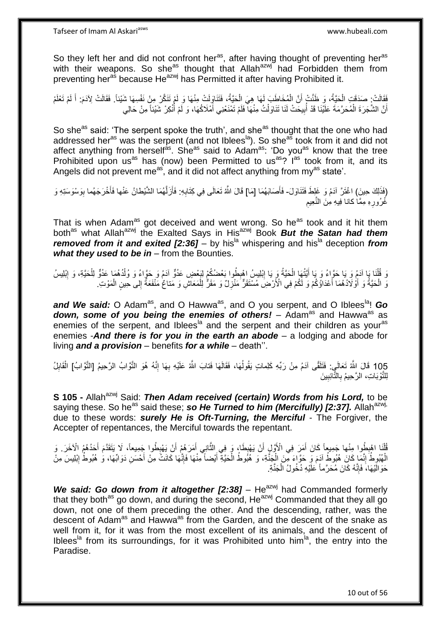So they left her and did not confront her<sup>as</sup>, after having thought of preventing her<sup>as</sup> with their weapons. So she<sup>as</sup> thought that Allah<sup>azwj</sup> had Forbidden them from preventing her<sup>as</sup> because He<sup>azwj</sup> has Permitted it after having Prohibited it.

َفَقَالَتْ: صَدَقَتِ الْحَيَّةُ، وَ ظَنَّتْ أَنَّ الْمُخَاطَبَ لَهَا هِيَ الْحَيَّةُ، فَتَنَاوِلَتْ مِنْهَا وَ لَمْ تَتَكَّرْ مِنْ نَفْسِهَا شَيْئاً. فَقَالَتْ لِآدَمَ: أَ لَمْ تَعْلَمْ ْ ْ اً ْ لَ َ أَنَّ الشَّجَرَةَ الْمُحَرَّمَةَ عَلَيْنَا قَدْ أُبِيحَتْ لَنَا تَنَاوَلْتُ مِنْهَا فَلَمْ تَمْنَعْنِي أَمْلَاكُهَا، وَ لَمْ أُنْكِرْ شَيْئاً مِنْ حَالِي َ ْ ِ ُ ْ ا<br>ا

So she<sup>as</sup> said: 'The serpent spoke the truth', and she<sup>as</sup> thought that the one who had addressed her<sup>as</sup> was the serpent (and not Iblees<sup>la</sup>). So she<sup>as</sup> took from it and did not affect anything from herself<sup>as</sup>. She<sup>as</sup> said to Adam<sup>as</sup>: 'Do you<sup>as</sup> know that the tree Prohibited upon us<sup>as</sup> has (now) been Permitted to us<sup>as</sup>? I<sup>as</sup> took from it, and its Angels did not prevent me<sup>as</sup>, and it did not affect anything from my<sup>as</sup> state'.

(فَذَلِكَ حِينَ) اغْتَرَّ آدَمُ وَ غَلِطَ فَتَذَاوَلَ- فَأَصَابَهُمَا [مَا] قَالَ اللَّهُ تَعَالَى فِي كِتَابِهِ: فَأَزَلَّهُمَا الشَّيْطانُ عَنْها فَأَخْرَجَهُما بِوَسْوَسَتِهِ وَ َ ِ ِ َ ه اُ غُرُورِهِ مِمَّا كانا فِيهِ مِنَ النَّعِيم ِ ِ

That is when Adam<sup>as</sup> got deceived and went wrong. So he<sup>as</sup> took and it hit them both<sup>as</sup> what Allah<sup>azwj</sup> the Exalted Says in His<sup>azwj</sup> Book **But the Satan had them** *removed from it and exited [2:36] – by his*<sup>la</sup> whispering and his<sup>la</sup> deception *from* what they used to be in – from the Bounties.

وَ قُلْنَا بَا آدَمُ وَ يَا حَوَّاءُ وَ يَا أَيَّتُهَا الْحَيَّةُ وَ يَا إِبْلِيسُ اهْبِطُوا بَعْضُكُمْ لِبَعْضٍ عَدُوٌّ آدَمُ وَ حَوَّاءُ وَ وُلْدُهُمَا عَدُوٌّ لِلْحَيَّةِ، وَ إِبْلِيسُ ِ ْ َ ْ ِ ِ ْ ْ وَ الْحَيَّةُ وَ أَوْلَادُهُمَا أَعْدَاؤُكُمْ وَ لَكُمْ فِي الْأَرْضِ مُسْتَقَرٌّ مَنْزِلٌ وَ مَقَرٌّ لِلْمَعَاشِ وَ مَتاعٌ مَنْفَعَةٌ إِلى حِينٍ الْمَوْتِ اً<br>ا ا<br>ا ْ ْ ِ ِ ْ

and We said: O Adam<sup>as</sup>, and O Hawwa<sup>as</sup>, and O you serpent, and O Iblees<sup>la</sup>! Go down, some of you being the enemies of others! – Adam<sup>as</sup> and Hawwa<sup>as</sup> as enemies of the serpent, and Iblees<sup>la</sup> and the serpent and their children as your<sup>as</sup> enemies -*And there is for you in the earth an abode* – a lodging and abode for living *and a provision* – benefits *for a while* – death''.

105 قَالَ الثَّهُ تَعَالَىٍ: فَتَلَقَّى آدَمُ مِنْ رَبِّهِ كَلِماتٍ يَقُولُهَا، فَقَالَهَا فَتابَ الثَّهُ عَلَيْهِ بِهَا إِنَّهُ هُوَ التَّوَّابُ الرَّحِيمُ [التَّوَّابُ] الْقَابِلُ ِ ْ ه ِ ِ ا<br>ا لِلتَّوْبَاتِ، الرَّحِيمُ بِالتَّائِبِينَ ِ **∶** 

**S 105 -** Allah<sup>azwj</sup> Said: *Then Adam received (certain) Words from his Lord*, to be saying these. So he<sup>as</sup> said these; **so He Turned to him (Mercifully) [2:37].** Allah<sup>azwj,</sup> due to these words: *surely He is Oft-Turning, the Merciful* - The Forgiver, the Accepter of repentances, the Merciful towards the repentant.

ُفَلَنَا اهْبِطُوا مِنْها جَمِيعاً كَانَ أَمَرَ فِي الْأَوَّلِ أَنْ يَهْبِطَا، وَ فِي الثَّانِي أَمَرَهُمْ أَنْ يَهْبِطُوا جَمِيعاً، لَا يَتَقَدَّمَ أَحَدُهُمُ الْآخَرَ. وَ َ َ ه ֦֧<u>֓</u> اً َ ِ ْ َ ِ الْهُبُوطُ إِنَّمَا كَانَ هُبُوطُ آدَمَ وَ حَوَّاءَ مِّنَ الْجَنَّةِ، وَ هُبُوطُ الْحَيَّةِ أَيْضاً مِنْهَا فَإِنَّهَا كَانَتْ مِنْ أَحْسَنِ دَوَابِّهَا، وَ هُبُوطُ إِبْلِيسَ مِنْ ِ ْ َ ∣اٍ َ ْ ْ ِ ِ حَوَالَيْهَا، فَإِنَّهُ كَانَ مُحَرَّماً عَلَيْهِ دُخُولُ الْجَنَّةِ. ْ

*We said: Go down from it altogether [2:38] – He<sup>azwj</sup> had Commanded formerly* that they both<sup>as</sup> go down, and during the second, He<sup>azwj</sup> Commanded that they all go down, not one of them preceding the other. And the descending, rather, was the descent of Adamas and Hawwaas from the Garden, and the descent of the snake as well from it, for it was from the most excellent of its animals, and the descent of Iblees<sup>la</sup> from its surroundings, for it was Prohibited unto him<sup>la</sup>, the entry into the Paradise.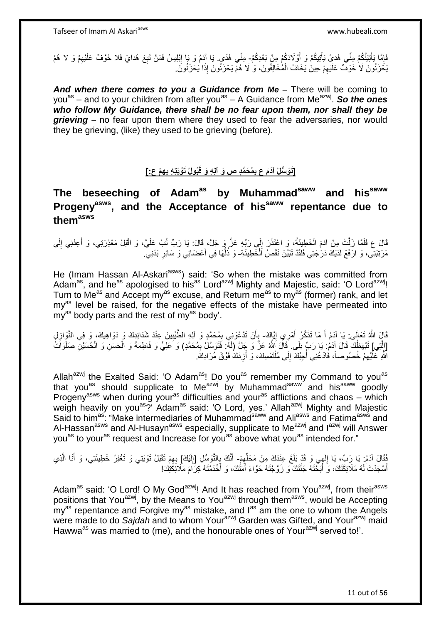فَإِمَّا بَأْتِيَنَّكُمْ مِنِّي هُديً يَأْتِيكُمْ وَ أَوْلَادَكُمْ مِنْ بَعْدِكُمْ- مِنِّي هُدًى. يَا آدَمُ وَ بَإ إِبْلِيسُ فَمَنْ تَبِعَ هُدايَ فَلا خَوْفٌ عَلَيْهِمْ وَ لا هُمْ ْ י<br>י ْ َ ِ ِ ِ يَحْزَنُونَ لَا خَوْفٌ عَلَيْهِمْ حِينَ يَخَافُ الْمُخَالِفُونَ، وَ لَا هُمْ يَحْزَنُونَ إِذَا يَحْزَنُونَ ْ ِ

And when there comes to you a Guidance from Me - There will be coming to you<sup>as</sup> – and to your children from after you<sup>as</sup> – A Guidance from Me<sup>azwj</sup>. So the ones who follow My Guidance, there shall be no fear upon them, nor shall they be *grieving* – no fear upon them where they used to fear the adversaries, nor would they be grieving, (like) they used to be grieving (before).

#### [تَوَسُّلُ آدَمَ ع بِمُحَمَّدٍ ص وَ آلِهِ وَ قَبُولُ تَوْبَتِهِ بِهِمْ عِ:] **ِ**

**The beseeching of Adamas by Muhammadsaww and hissaww Progenyasws, and the Acceptance of hissaww repentance due to themasws**

قَالَ ع فَلَمَّا زَلَّتْ مِنْ آدَمَ الْخَطِيِئَةُ، وَ اعْتَذَرَ إِلَى رَبِّهِ عَزَّ وَ جَلَّ، قَالَ: يَا رَبِّ تَبْ عَلَيَّ، وَ اقْبَلْ مَعْذِرَتِي، وَ أَعِدْنِي إِلَى ِ ْ ِ َ مَرْتِبَنِّي، وَ ارْفَعْ لَدَيْكَ دَرَجَتِي فَلَقَدْ تَبَيَّنَ نَقْصُ اَلْخَطِيئَةِ- وَ ذُلُّهَا فِي أَعْضَائِي وَ سَائِرِ بَدَنِيَّ. َ ُّ المباد المجال المجال المجال المجال المجال المجال المجال المجال المجال المجال المجال المجال المجال ا **∶** 

He (Imam Hassan Al-Askari<sup>asws</sup>) said: 'So when the mistake was committed from Adam<sup>as</sup>, and he<sup>as</sup> apologised to his<sup>as</sup> Lord<sup>azwj</sup> Mighty and Majestic, said: 'O Lord<sup>azwj</sup>! Turn to Me<sup>as</sup> and Accept my<sup>as</sup> excuse, and Return me<sup>as</sup> to my<sup>as</sup> (former) rank, and let my<sup>as</sup> level be raised, for the negative effects of the mistake have permeated into my<sup>as</sup> body parts and the rest of my<sup>as</sup> body'.

قَالَ اللَّهُ تَعَالَى: يَا آدَمُ أَ مَا تَذْكُرُ أَمْرِي إِيَّاكَ- بِأَنْ تَدْعُوَنِي بِمُحَمَّدٍ وَ آلِهِ الطَّيِّبِينَ عِنْدَ شَدَائِدِكَ وَ دَوَاهِيكَ، وَ فِي النَّوَازِلِ ِ َ <u>ٔ</u> َ ِ َ **∶** ِ ِ [إِنَّتِي] تَبْهَظُكَ قَالَ آدَمُ: يَا رَبِّ بَلَى ۚ قَالَ اللَّهُ عَزَّ وَ جَلَّ (لَهٌ ۖ فَتَوَسَّلُ بِمُحَمَّدٍ) وَ عَلِيٍّ وَ فَاطِمَةَ وَ الْحَسَنِ وَ الْحُسَيْنِ صَلَوَاتُ ْ ْ ِ اللَّهِ عَلَّيْهِمْ خُصُوصاً، فَادْعُنِي أُجِبْكَ إِلَى مُلْتَمَسِكَ، وَ أَزِدْكَ فَوْقَ مُرَادِكَ. ِ **∶** ْ  $\frac{1}{2}$ ابل<br>ا

Allah<sup>azwj</sup> the Exalted Said: 'O Adam<sup>as</sup>! Do you<sup>as</sup> remember my Command to you<sup>as</sup> that you<sup>as</sup> should supplicate to Me<sup>azwj</sup> by Muhammad<sup>saww</sup> and his<sup>saww</sup> goodly Progenyasws when during youras difficulties and youras afflictions and chaos – which weigh heavily on you<sup>as</sup>?' Adam<sup>as</sup> said: 'O Lord, yes.' Allah<sup>azwj</sup> Mighty and Majestic Said to him<sup>as</sup>: "Make intermediaries of Muhammad<sup>saww</sup> and Ali<sup>asws</sup> and Fatima<sup>asws</sup> and Al-Hassan<sup>asws</sup> and Al-Husayn<sup>asws</sup> especially, supplicate to Me<sup>azwj</sup> and I<sup>azwj</sup> will Answer you<sup>as</sup> to your<sup>as</sup> request and Increase for you<sup>as</sup> above what you<sup>as</sup> intended for."

فَقَالَ آدَمُ: يَا رَبِّ، يَا إِلَهِي وَ قَدْ بَلَغَ عِنْدَكَ مِنْ مَحَلِّهِمْ- أَنَّكَ بِالتَّوَسُّلِ [إِلَيْكَ] بِهِمْ تَقْبَلُ تَوْبَنِي وَ تَغْفِرُ خَطِيئَتِي، وَ أَنَا الَّذِي<br>نَهم مَا يَجْبَهُ بِأَنْ يَجِبَ بِهِ تَج ِ ِّ  $\frac{1}{2}$ ِ لَ ِ ه َ ِ أَسْجَدْتَ لَهُ مَلَائِكَتَكَ، وَ أَبَحْتَهُ جَنَّتَكَ وَ زَوَّجْتَهُ حَوَّاءَ أَمَثَكَ، وَ أَخْدَمْتَهُ كِرَاءَ مَلَائِكَثِكَ! َ َ َ َ

Adam<sup>as</sup> said: 'O Lord! O My God<sup>azwj</sup>! And It has reached from You<sup>azwj</sup>, from their<sup>asws</sup> positions that You<sup>azwj</sup>, by the Means to You<sup>azwj</sup> through them<sup>asws</sup>, would be Accepting  $m y^{as}$  repentance and Forgive my $a^s$  mistake, and  $1^{as}$  am the one to whom the Angels were made to do Sajdah and to whom Your<sup>azwj</sup> Garden was Gifted, and Your<sup>azwj</sup> maid Hawwa<sup>as</sup> was married to (me), and the honourable ones of Your<sup>azwj</sup> served to!'.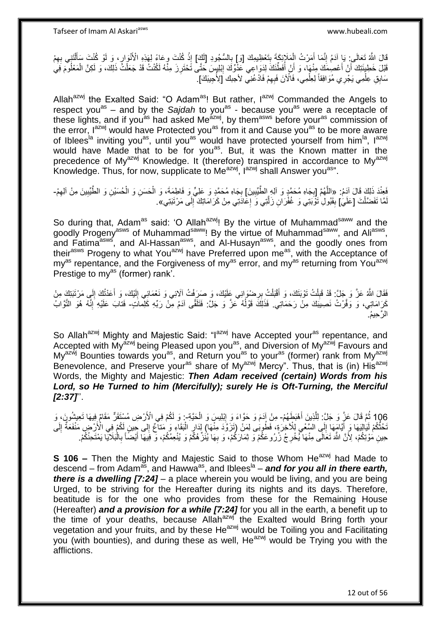قَالَ اللَّهُ تَعَالَى: يَا آدَمُ إِنَّمَا أَمَرْتُ الْمَلَإِيْكَةَ بِتَعْظِيمِكَ [وَ] بِالسُّجُودِ [لَكَ] إِذْ كُنْتَ وحَاءً لِهَذِهِ الْأَنْوَارِ ، وَ لَوْ كُنْتَ سَأَلْنَتِي بِهِمْ **∶ ِ** ْ َ ِ ِ **ٔ** ِ ْ َ <u>،</u> قَبْلَ خَطِيئَتِكَ أَنْ أَعْصِمَكَ مِنْهَا، وَ أَنْ أُفَطِّئِكَ لِذَوَاعِي عَذُوِّكَ إِبْلِبِسَ حَتَّى تَحْتَرِزَ مِنّْهُ لَكُنْتُ قَدْ جَعَلْتُ ذَلِكَ، وَ لَكِنَّ الْمَعْلُومَ فَي ِ ِ ُ َ ْ ْ سَابِقِ عِلْمِي يَجْرِي مُوَافِقاً لِعِلْمِي، فَاَلْأَنَ فَبِهِمْ فَادْعُنِي لأجبك إَلِأُجِيبَكَ]. ْ ِ ْ

Allah<sup>azwj</sup> the Exalted Said: "O Adam<sup>as</sup>! But rather, I<sup>azwj</sup> Commanded the Angels to respect you<sup>as</sup> – and by the Sajdah to you<sup>as</sup> - because you<sup>as</sup> were a receptacle of these lights, and if you<sup>as</sup> had asked Me<sup>azwj</sup>, by them<sup>asws</sup> before your<sup>as</sup> commission of the error, l<sup>azwj</sup> would have Protected you<sup>as</sup> from it and Cause you<sup>as</sup> to be more aware of Iblees<sup>la</sup> inviting you<sup>as</sup>, until you<sup>as</sup> would have protected yourself from him<sup>la</sup>, lazwi would have Made that to be for you<sup>as</sup>. But, it was the Known matter in the precedence of My<sup>azwj</sup> Knowledge. It (therefore) transpired in accordance to My<sup>azwj</sup> Knowledge. Thus, for now, supplicate to Me $a^{2}$ <sub>xwi</sub>,  $I^{2}$ <sub>azwi</sub> shall Answer you<sup>as</sup>".

فَعِنْدَ ذَلِكَ قَالَ آدَمُ: «اللَّهُمَّ [بِجَاهِ مُحَمَّدٍ وَ اللِهِ الطَّّبِّبِينَ] بِجَاهِ مُحَمَّدٍ وَ عَلِيٍّ وَ فَاطِمَةَ، وَ الْحَسَنِ وَ الْحُسَيْنِ وَ الطَّّبِّبِينَ مِنْ آلِهِمْ-**! ∶** ِ ِ ْ ْ ِ لَمَّا تَفَضَّلْتَ [عَلَيَ] بِقَبُولِ َثَوَّبَتِي وَ غُفْرَانِ زَلَّتِي وَ إِعَادَتِي مِنْ كَرَامَاتِكَ إِلَى مَرْتَبَتِي». ْ **∣** ه ِ ِ

So during that, Adam<sup>as</sup> said: 'O Allah<sup>azwj</sup>! By the virtue of Muhammad<sup>saww</sup> and the goodly Progeny<sup>asws</sup> of Muhammad<sup>saww</sup>! By the virtue of Muhammad<sup>saww</sup>, and Ali<sup>asws</sup>, and Fatima<sup>asws</sup>, and Al-Hassan<sup>asws</sup>, and Al-Husayn<sup>asws</sup>, and the goodly ones from their<sup>asws</sup> Progeny to what You<sup>azwj</sup> have Preferred upon me<sup>as</sup>, with the Acceptance of  $mv^{as}$  repentance, and the Forgiveness of my<sup>as</sup> error, and my<sup>as</sup> returning from You<sup>azwj</sup> Prestige to my<sup>as</sup> (former) rank<sup>7</sup>.

فَقَالَ اللَّهُ عَزَّ وَ جَلَّ: قَدْ قَبِلْتُ تَوْبَتَكَ، وَ أَقْبَلْتُ بِرِصْوَانِي عَلَيْكَ، وَ صَرَفْتُ آلائِي وَ نَعْمَائِي إِلَيْكَ، وَ أَعَدْتُكَ إِلَي مَرْتَبَتِكَ مِنْ ِ ْ َ ْ ِ ِ َ لَ ِ كَرَامَاتِي، وَ وَفَّرْتُ نَصِيبَكَ مِنْ رَحَمَاتِي. فَذَلِكَ قَوْلُهُ عَزَّ وَ جَلَّ: فَتَلَقَّى آدَمُ مِنْ رَبِّهِ كَلِماتٍ- فَتابَ عَلَيْهِ إِنَّهُ هُوَ التَّوَّابُ ا<br>ا ِ الرَّ حِيمُ.

So Allah<sup>azwj</sup> Mighty and Majestic Said: "I<sup>azwj</sup> have Accepted your<sup>as</sup> repentance, and Accepted with My<sup>azwj</sup> being Pleased upon you<sup>as</sup>, and Diversion of My<sup>azwj</sup> Favours and My<sup>azwj</sup> Bounties towards you<sup>as</sup>, and Return you<sup>as</sup> to your<sup>as</sup> (former) rank from My<sup>azwj</sup> Benevolence, and Preserve your<sup>as</sup> share of My<sup>azwj</sup> Mercy". Thus, that is (in) His<sup>azwj</sup> Words, the Mighty and Majestic: *Then Adam received (certain) Words from his Lord, so He Turned to him (Mercifully); surely He is Oft-Turning, the Merciful [2:37]*''.

106 ثُمَّ قَالَ عَزَّ وَ جَلَّ: لِلَّذِينَ أَهْبَطَهُمْ- مِنْ إَدَمَ وَ حَوَّاءَ وَ إِبْلِيسَ وَ الْحَيَّةِ-: وَ لَكُمْ فِي الْأَرْضِ مُسْتَقَرٌّ مَقَامٌ فِيهَا تَعِيشُونَ، وَ ْ ِ اً<br>ا ه تَخُذُكُمْ لَيَالِيَهَا وَ أَيَّامَهَا إِلَى الشَّعْيِ لِلْآخِرَةِ، فَطُوبَٰى لِمَنْ (تَزَوَّدَ مِنْهَا) لِدَارٍ الْبَقَاءِ وَ مَتَاتِّحُ إِلَى جِبَينٍ لَكُمْ فِى الْأَرْضِ مَنْفَعَةٌ إِلَى ْ ِ  $\frac{1}{1}$ ∣∣<br>∶ َ ِ لَ ِ حِينِ مُوْتِكُمْ، لِأَنَّ اللَّهَ تَعَالَى مِنْهَا كَيْخْرِجُ زُرُوعَكُمْ وَ ثِمَارَكُمْ، وَ بِهَا يُنْزِّهُكُمْ وَ يُنْعِمُكُمْ، وَ فَيهَا أَيْضًاً بِالْمَلَايَا يَمْتَحِنُكُمْ. ْ **∶** َ ِ ِ

**S 106 –** Then the Mighty and Majestic Said to those Whom He<sup>azwj</sup> had Made to descend – from Adam<sup>as</sup>, and Hawwa<sup>as</sup>, and Iblees<sup>la</sup> – and for you all in there earth, *there is a dwelling [7:24]* – a place wherein you would be living, and you are being Urged, to be striving for the Hereafter during its nights and its days. Therefore, beatitude is for the one who provides from these for the Remaining House (Hereafter) *and a provision for a while [7:24]* for you all in the earth, a benefit up to the time of your deaths, because Allah<sup>azwj</sup> the Exalted would Bring forth your vegetation and your fruits, and by these He<sup>azwj</sup> would be Toiling you and Facilitating you (with bounties), and during these as well, He<sup>azwj</sup> would be Trying you with the afflictions.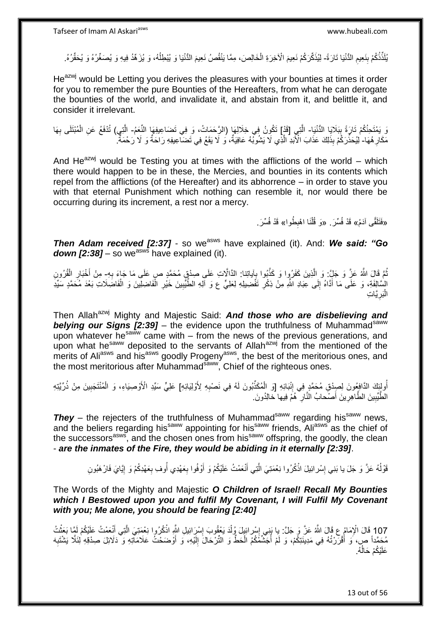يُلَذِّذُكُمْ بِنَعِيمِ الدُّنْيَا تَارَةً- لِيُذَكِّرَكُمْ نَعِيمَ الْأَخِرَةِ الْخَالِصَ، مِمَّا يَنْقُصُ نَعِيمَ الدُّنْيَا وَ يُبْطِلُهُ، وَ يُزَهِّدُ فِيهِ وَ يُصَغِّرُهُ وَ يُحَقِّرُهُ. ِ **∣** ْ ُ

He<sup>azwj</sup> would be Letting you derives the pleasures with your bounties at times it order for you to remember the pure Bounties of the Hereafters, from what he can derogate the bounties of the world, and invalidate it, and abstain from it, and belittle it, and consider it irrelevant.

لَا يَمْتَحِنُكُمْ تَارَةً بِبَلَايَا الدُّنْيَا- الَّذِي [قَدْل] تَكُونُ فِي خِلَالِهَا (الرَّحَمَاتُ، وَ فِي تَضاعِيفِهَا النِّعَمُ- الَّتِي) تُذْفَعُ عَنِ الْمُبْتَلَى بِهَا **∣** ْ ه ِ مَكَارِ هُهَا- لِيُحَذِّرَكُمْ بِذَٰلِكَ عَذَابَ الْأَبَدِ الَّذِي لَا يَشُوبُهُ عَافِيَةٌ، وَ لَا يَقَعُ فِي تَضَالِّعِيفِهِ رَاحَةٌ وَ لَا رَحْمَةٌ ۖ ِ ِّ ه

And He<sup>azwj</sup> would be Testing you at times with the afflictions of the world – which there would happen to be in these, the Mercies, and bounties in its contents which repel from the afflictions (of the Hereafter) and its abhorrence – in order to stave you with that eternal Punishment which nothing can resemble it, nor would there be occurring during its increment, a rest nor a mercy.

> «فَتَلَقَّى آدَمُ» قَدْ فُسِّرَ . «وَ قُلْنَا اهْبِطُوا» قَدْ فُسِّرَ <sub>-</sub> ِ

**Then Adam received [2:37] -** so we<sup>asws</sup> have explained (it). And: **We said: "Go**  $down$   $[2:38]$  – so we<sup>asws</sup> have explained (it).

نْمً قَالَ اللَّهُ عَزَّ وَ جَلٍّ: وَ الَّذِينَ كَفَرُوا وَ كَذَّبُوا بِآياتِنا: الدَّالَّاتِ عَلَى صِدْقٍ مُحَمَّدٍ صرٍ عَلَى مَا جَاءَ بِهِ- مِنْ أَخْبَارِ الْقُرُونِ .<br>ہ ه **∶** ْ ِ َ َ السَّالِفَةِ، وَ عَلَى مَا أَدَّاهُ إِلَى عِبَادِ اللَّهِ مِنْ ذِكْرِ تَفْضِيلِهِ لِعَلِيٍّ ع وَ الَّهِ الطُّيِّبِينَ خَيْرِ الْفَاضِلِينَ وَ الْفَاضِلَاتِ بَعْدَ مُحَمَّدٍ سَيِّدِ ْ ْ ِ ِ ِ  $\frac{1}{2}$ يَّاتِ ِ َبر :<br>ا ال

Then Allah<sup>azwj</sup> Mighty and Majestic Said: **And those who are disbelieving and belying our Signs [2:39]** – the evidence upon the truthfulness of Muhammad<sup>saww</sup> upon whatever he<sup>saww</sup> came with – from the news of the previous generations, and upon what he<sup>saww</sup> deposited to the servants of Allah<sup>azwj</sup> from the mentioned of the merits of Ali<sup>asws</sup> and his<sup>asws</sup> goodly Progeny<sup>asws</sup>, the best of the meritorious ones, and the most meritorious after Muhammad<sup>saww</sup>, Chief of the righteous ones.

أُولِئِكَ الدَّافِعُونَ لِصِدْقِ مُحَمَّدٍ فِي إِنْبَائِهِ [وَ الْمُكَذِّبُونَ لَهُ فِي نَصْبِهِ لِأَوْلِيَائِهِ] عَلِيٍّ سَيِّدِ الْأَوْصِيَاءِ، وَ الْمُنْتَجَبِينَ مِنْ ذُرِّيَّتِهِ ُ **∶** ْ ِ ِ ْ الطَّيِّبِينَ الطَّاهِرِينَ أَصْحَابُ الْذَّارِ ۖ هُمَّ فِيها خالِدُونَ ِ **∶ !** ِ َ

**They** – the rejecters of the truthfulness of Muhammad<sup>saww</sup> regarding his<sup>saww</sup> news, and the beliers regarding his<sup>saww</sup> appointing for his<sup>saww</sup> friends, Aliasws as the chief of the successors<sup>asws</sup>, and the chosen ones from his<sup>saww</sup> offspring, the goodly, the clean - *are the inmates of the Fire, they would be abiding in it eternally [2:39]*.

> قَوْلُهُ عَزَّ وَ جَلَ يا بَنِي إِسْرائِيلَ اذْكُرُوا نِعْمَتِيَ الَّتِي أَنْعَمْتُ عَلَيْكُمْ وَ أَوْفُوا بِعَهْدِي أُوفِ بِعَهْدِكُمْ وَ إِيَّايَ فَارْهَبُونِ ْ ׇ**֓** יִון<br>י ِ ُ ِ َ َ ه

The Words of the Mighty and Majestic *O Children of Israel! Recall My Bounties which I Bestowed upon you and fulfil My Covenant, I will Fulfil My Covenant with you; Me alone, you should be fearing [2:40]*

107 قَالَ الْإِمَامُ عِ قَالَ اللَّهُ عَنَّ وَ جَلَّ: يا بَنِي إِسْرائِيلَ وُلْدَ يَعْقُوبَ إِسْرَائِيلِ اللَّهِ اذْكُرُوا نِعْمَتِيَ الَّذِي أَنْعَمْتُ عَلَيْكُمْ لَمَّا يَعَنُّتُ<br>107 قَالَ الْإِمَامُ عَلَيْكُمْ لَمَّا سَ ْ َ ه **ٔ:** ِ ِ مُحَمَّداً ص، َوَ أَقْرَرْتُهُ فِي مَدِينَتِكُمْ، وَ لَمْ أُجَشَّفُكُمُ الْحَطَّ وَ التِّرْحَالَ إِلَيْهِ، وَ أَوْضَحْتُ عَلَامَاتِهِ وَ ذَلَائِلَ صِدْقِهِ لِلنَّلَّا يَشْتَبِهَ َ لَ ِ ْ ابل<br>ا َ ِ عَلَيْكُمْ حَالُهُ. ُ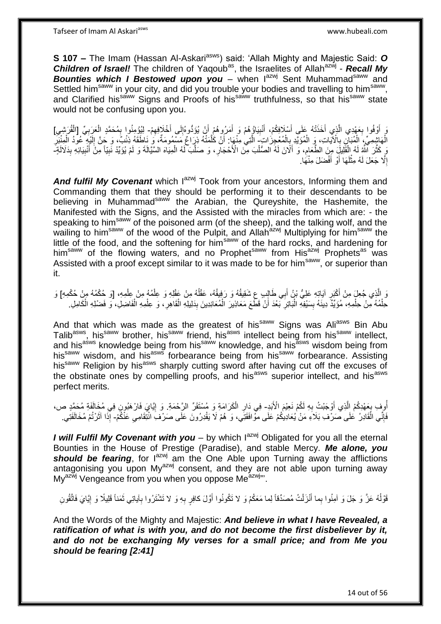**S 107 –** The Imam (Hassan Al-Askari<sup>asws</sup>) said: 'Allah Mighty and Majestic Said: O Children of Israel! The children of Yaqoub<sup>as</sup>, the Israelites of Allah<sup>azwj</sup> - Recall My Bounties which I Bestowed upon you - when lazwi Sent Muhammad<sup>saww</sup> and Settled him<sup>saww</sup> in your city, and did you trouble your bodies and travelling to him<sup>saww</sup>, and Clarified his<sup>saww</sup> Signs and Proofs of his<sup>saww</sup> truthfulness, so that his<sup>saww</sup> state would not be confusing upon you.

يَ أَوْفُوا بِعَهْدِي الَّذِي أَخَذَتْهُ عَلَى أَسْلَافِكُمْ، أَنْبِيَاؤُهُمْ وَ أَمَرُوهُمْ أَنْ يُؤَدُّوهُ أَخْلَافِهِمْ- لِيُؤْمِنُوا بِمُحَمَّدٍ الْعَرَبِيِّ [الْقُرَشِي] **∶** َ َ َ ِ َ َ :<br>نا ِ َ ِ ِ ْ **∶** ْ ِ الْهَاشِمِيِّ، الْمُبَانِ بِالْآيَاتِ، وَ الْمُؤَيَّدِ بِالْمُعْجِزَاتِ الَّتِي مِنْهَا: أَنْ كُلَّمَتْهُ ذِرَاعٌ مَسْمُومَةٌ، وَ نِاطَقَهُ ذِئْبٌ، وَ حَنَّ إِلَيْهِ ۖ عُودُ الْمِنْبَرِ ْ ِ ْ **∶** ْ ه َ ه ِ ْ لَ ِ رَ كَثَّلَ ٱللَّهُ لَهُ الْقَلِيلَ مِنَ الطَّعَامِ، وَ أَلَانَ لَهُ الصُّلْبَ مِنَ الْأَحْجَارِ ، وَ صَلَّبَ لَهُ الْمِيَاهَ السَّيَّالَةَ وَ لَمْ يُؤَيِّدْ نَبِيّاً مِنْ أَنْبِيَائِهِ بِذَلالَةٍ ْ َ ِ ْ ه َ ِ ْ ه ِ ِ ِ إِلَّا جَعَلَ لَهُ مِثْلَهَا أَوْ أَفْضَلَ مِنْهَا. َ َ لَ ْ ِ

And fulfil My Covenant which lazwj Took from your ancestors, Informing them and Commanding them that they should be performing it to their descendants to be believing in Muhammad<sup>saww</sup> the Arabian, the Qureyshite, the Hashemite, the Manifested with the Signs, and the Assisted with the miracles from which are: - the speaking to him<sup>saww</sup> of the poisoned arm (of the sheep), and the talking wolf, and the wailing to him<sup>saww</sup> of the wood of the Pulpit, and Allah<sup>azwj</sup> Multiplying for him<sup>saww</sup> the little of the food, and the softening for him<sup>saww</sup> of the hard rocks, and hardening for him<sup>saww</sup> of the flowing waters, and no Prophet<sup>saww</sup> from His<sup>azwj</sup> Prophets<sup>as</sup> was Assisted with a proof except similar to it was made to be for him<sup>saww</sup>, or superior than it.

وَ الَّذِي جُعِلَ مِنْ أَكْبَرٍ آيَاتِهِ عَلِيُّ بْنُ أَبِي طَالِبٍ عِ شَقِيقُهُ وَ رَفِيقُهُ، عَقْلُهُ مِنْ عَقْلِهِ وَ عِلْمُهُ مِنْ عِلْمِهِ، [وَ حُكْمُهُ مِنْ حُكْمِهِ] وَ ْ ا<br>ا َ ِ ْ حِلْمُهُ مِنْ حِلْمِهِ، مُؤَيِّدٌ دِينَهُ بِسَيْفِهِ الْبَاتِرِ بَعْدَ أَنْ قَطَّعَ مَعَاذِيرَ الْمُعَانِدِينَ بِدَلِيلِهِ الْقَاهِرِ، وَ عِلْمِهِ الْفَاضِلِ، وَ فَضْلِهِ الْكَامِلِ ِ ْ ِ :<br>ا **!** ْ .<br>ا ْ ْ ْ **∶** 

And that which was made as the greatest of his<sup>saww</sup> Signs was Ali<sup>asws</sup> Bin Abu Talib<sup>asws</sup>, his<sup>saww</sup> brother, his<sup>saww</sup> friend, his<sup>asws</sup> intellect being from his<sup>saww</sup> intellect, and his<sup>asws</sup> knowledge being from his<sup>saww</sup> knowledge, and his<sup>asws</sup> wisdom being from his<sup>saww</sup> wisdom, and his<sup>asws</sup> forbearance being from his<sup>saww</sup> forbearance. Assisting his<sup>saww</sup> Religion by his<sup>asws</sup> sharply cutting sword after having cut off the excuses of the obstinate ones by compelling proofs, and his<sup>asws</sup> superior intellect, and his<sup>asws</sup> perfect merits.

أُوفٍ بِعَهْدِكُمْ إِلَّذِي أَوْجَبْتُ بِهِ لَكُمْ نَعِيْمَ الْأَبَدِ- فِي دَارِ الْكَرَامَةِ وَ مُسْتَقَرِّ الرَّحْمَةِ وَ إِيَّايَ فَارْهَبُونِ فِي مُخَالَفَةٍ مُحَمَّدٍ ص، ِ َ **∶** ْ **∶** ِ فَإِنِّي الْقَادِرُ عَلَى صَرْفِ بَلاَءِ مَنْ يُعَادِيكُمْ عَلَى مَوُافَقَتِي، وَ هُمْ لَا يَقْدِرُونَ عَلَى صَرْفِ انْتِقَامِي عَنْكُمْ- إِذَا آثَرْتُمْ مُخَالَفَتِي. ْ ِ ِ َ

*I will Fulfil My Covenant with you* – by which l<sup>azwj</sup> Obligated for you all the eternal Bounties in the House of Prestige (Paradise), and stable Mercy. *Me alone, you*  **should be fearing**, for l<sup>azwj</sup> am the One Able upon Turning away the afflictions antagonising you upon  $My^{azwj}$  consent, and they are not able upon turning away My<sup>azwj</sup> Vengeance from you when you oppose Me<sup>azwj</sup>".

قَوْلُهُ عَزَّ وَ جَلَ وَ اَمِنُوا بِما أَنْزَلْتُ مُصَدِّقاً لِما مَعَكُمْ وَ لا تَكُونُوا أَوَّلَ كافِرٍ بِهِ وَ لا تَشْتَرُوا بِاْياتِي ثَمَناً قَلِيلًا وَ إِيَّايَ فَاتَّقُونِ اً.<br>ا ْ َ ِ َ ِ ِ َ

And the Words of the Mighty and Majestic: *And believe in what I have Revealed, a ratification of what is with you, and do not become the first disbeliever by it, and do not be exchanging My verses for a small price; and from Me you should be fearing [2:41]*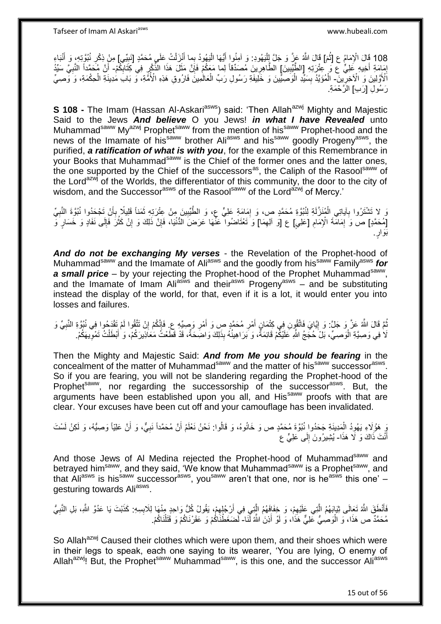Tafseer of Imam Al Askariasws www.hubeali.com

نَبا ِء نُبهوِت ِه، َو أ ِر ُ بِّيي[ ِم ْن ِذْك ل ُت َعلَى ُم َح همٍد ]َن ن َزْ بما أ لَي ُهوُد ُّي َها ا نوا أ لَي ُهوِد: َو آ ِمُ َم[ َقا َل هَّللاُ َع هز َو َج هل لِ ث َما ُم ع ] ْْلِ 108 َقا َل ا ْ َ ِ **ٔ** َ ِ اُ َ :<br>ا ٔ<br>ـ إِمَامَةِ أَخِيهِ عَلِيٍّ ع وَ عِتْرَتِهِ [الطَّيِّبِينَ] الطَّاهِرِينَ مُصَدِّقاً لِما مَعَكُمْ فَإِنَّ مَثَلَ هَذَا الذِّكْرِ فِي كِثَابِكُمْ- أَنَّ مُحَمَّداً النَّبِيَّ سَيِّدُ **!** َ ِ ِ ∣ٍ إا ِ ِ ِ أ اْلْأَوَّلِينَ وَ الْآخِرِينَ- الْمُؤَيَّدُ بِسَيِّدِ الْوَصِّيِّينَ وَ خَلِّيفَةٍ رَسُولِ رَبِّ الْعَالُمِينَّ فَارُوقِ هَذِهِ الْأُمُّةِ، وَ بَابَ مُدِينَةِ الْحِكْمَةِ، وَ وَصِيْ ِ ْ :<br>ا **∣** ْ رَ سُو لِ [رَ بِ] الْرَّ حُمَةِ.

**S 108 -** The Imam (Hassan Al-Askari<sup>asws</sup>) said: 'Then Allah<sup>azwj</sup> Mighty and Majestic Said to the Jews *And believe* O you Jews! *in what I have Revealed* unto Muhammad<sup>saww</sup> My<sup>azwj</sup> Prophet<sup>saww</sup> from the mention of his<sup>saww</sup> Prophet-hood and the news of the Imamate of his<sup>saww</sup> brother Ali<sup>asws</sup> and his<sup>saww</sup> goodly Progeny<sup>asws</sup>, the purified, *a ratification of what is with you*, for the example of this Remembrance in your Books that Muhammad<sup>saww</sup> is the Chief of the former ones and the latter ones, the one supported by the Chief of the successors<sup>as</sup>, the Caliph of the Rasool<sup>saww</sup> of the Lord<sup>azwj</sup> of the Worlds, the differentiator of this community, the door to the city of wisdom, and the Successor<sup>asws</sup> of the Rasool<sup>saww</sup> of the Lord<sup>azwj</sup> of Mercy.'

نَ لا تَشْتَرُوا بِآياتِي الْمُنَزَّلَةِ لِنُبُوَّةِ مُحَمَّدٍ ص، وَ إِمَامَةِ عَلِيٍّ ع، وَ الطَّيِّبِينَ مِنْ عِتْرَتِهِ ثَمَناً قَلِيلًا بِأَنْ تَجْحَدُوا نُبُوَّةَ النَّبِيِّ **∶** ِ ِ ِ َ **∶** َ [مُحَمَّدٍ] ص وَ لِمَامَّةَ الْإِمَامِ [عَلِيٍ] ع [وَ ألِهِمَا] وَ تَعْتَاضُوا عَنَّهَا عَرَضَ الدُّنْيَا، فَإِنَّ ذَلِكَ وَ إِنْ كَثُرَ فَإِلَى نَفَادٍ وَ خَسَارٍ وَ ِ **ُ** ِ  $\sum_{i=1}^{n}$ ا<br>المناسبة ا ِ ِ .<br>.<br>. َبَوا

*And do not be exchanging My verses* - the Revelation of the Prophet-hood of Muhammad<sup>saww</sup> and the Imamate of Ali<sup>asws</sup> and the goodly from his<sup>saww</sup> Family<sup>asws</sup> for a small price – by your rejecting the Prophet-hood of the Prophet Muhammad<sup>saww</sup>, and the Imamate of Imam Ali<sup>asws</sup> and their<sup>asws</sup> Progeny<sup>asws</sup> – and be substituting instead the display of the world, for that, even if it is a lot, it would enter you into losses and failures.

ثُمَّ قَالَ اللَّهُ عَزَّ وَ حَلَّ: وَ إِيَّايَ فَاتَّقُونِ فِي كِثْمَانٍ أَمْرِ مُحَمَّدٍ صِ وَ أَمْرِ وَصِيِّهِ عِ فَإِنَّكُمْ إِنْ تَتَّقُوا لَمْ تَقْدَمُوا فِي نُبُوَّةِ النَّبِيِّ وَ **ְן** ُ ِ َ ِ َ ِ ِ ِ لَا فِي وَصِيَّةِ الْوَصِيِّ، بَلْ حُجَجُ اللَّهِ عَلَيْكُمْ قَائِمَةٌ، وَ بَرَاهِينُهُ بِذَلِكَ وَاضَحَةٌ، قَدْ قَطَعْتُ مَعَاذِيرَكُمْ، وَ أَبْطَلْتُ تَمْوِّيهَكُمْ. ْ ِ ْ َ

Then the Mighty and Majestic Said: *And from Me you should be fearing* in the concealment of the matter of Muhammad<sup>saww</sup> and the matter of his<sup>saww</sup> successor<sup>asws</sup>. So if you are fearing, you will not be slandering regarding the Prophet-hood of the Prophet<sup>saww</sup>, nor regarding the successorship of the successor<sup>asws</sup>. But, the arguments have been established upon you all, and His<sup>saww</sup> proofs with that are clear. Your excuses have been cut off and your camouflage has been invalidated.

يَ هَؤُلِاءِ يَهُودُ الْمَدِينَةِ جَحَدُوا نُبُوَّةَ مُحَمَّدٍ ص وَ خَانُوهُ، وَ قَالُوا: نَحْنُ نَعْلَمُ أَنَّ مُحَمَّداً نَبِيٍّ، وَ أَنَّ عَلِيّاً وَصِيُّهُ، وَ لَكِنْ لَسْتَ ْ َ ِ َ أَنْتَ ذَاكَ وَ لَا هَذَا- يُثْبِيرُونَ إِلَى عَلِيٍّ ع لَ  $\frac{1}{2}$ 

And those Jews of Al Medina rejected the Prophet-hood of Muhammad<sup>saww</sup> and betrayed him<sup>saww</sup>, and they said, 'We know that Muhammad<sup>saww</sup> is a Prophet<sup>saww</sup>, and that Ali<sup>asws</sup> is his<sup>saww</sup> successor<sup>asws</sup>, you<sup>saww</sup> aren't that one, nor is he<sup>asws</sup> this one' – gesturing towards Ali<sup>asws</sup>.

فَأَنْطَقَ اللَّهُ تَعَالَى ثِيَابَهُمُ الَّتِي عَلَيْهِمْ، وَ خِفَافَهُمُ الَّذِي فِي أَرْجُلِهِمْ، يَقُولُ كُلُّ وَاحِدٍ مِنْهَا لِلَابِسِهِ: كَذَبْتَ يَا عَدُوَّ اللَّهِ، بَلِ النَّبِيُّ ِ ه َ **∶** ِ ِ اُ ه مُحَمَّدٌ ص هَذَا، ۖ وَ الْوَصِٰيُّ عَلِيٌّ هَذَا، وَ لَوْ أَذِنَ اللَّهُ لَّنَا- َلَصَغَطْنَاكُمْ وَ عَقَرْنَاكُمْ وَ قَتَلْنَاكُمْ. َ :<br>ا :<br>نا ْ

So Allah<sup>azwj</sup> Caused their clothes which were upon them, and their shoes which were in their legs to speak, each one saying to its wearer, 'You are lying, O enemy of Allah<sup>azwj</sup>! But, the Prophet<sup>saww</sup> Muhammad<sup>saww</sup>, is this one, and the successor Ali<sup>asws</sup>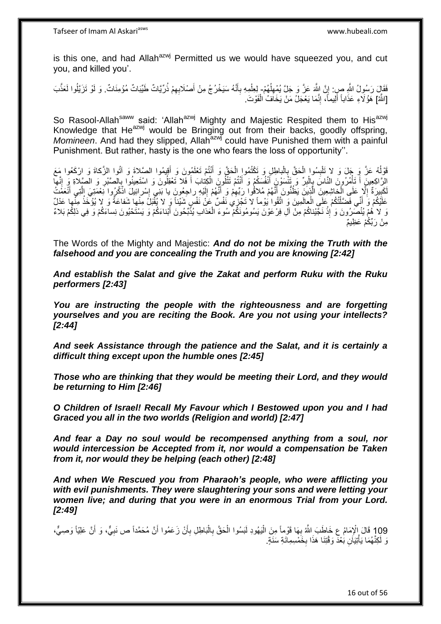is this one, and had Allah $a^{2x}$ <sup>yj</sup> Permitted us we would have squeezed you, and cut you, and killed you'.

فَقَالٍَ رَسُولُ اللَّهِ صِرٍ. إِنَّ اللَّهَ عَزَّ وَ جَلَّ يُمْهِلُهُمْ- لِعِلْمِهِ بِأَنَّهُ سَيَخْرُجُ مِنْ أَصْلَابِهِمْ ذُرِّيَّاتٌ طَيِّبَاتٌ مُؤْمِنَاتٌ. وَ لَوْ تَزَيَّلُوا لَعَذَّبَ ُ ِ ِ ِ َ َ ِ [اللَّهُ] هَؤُلَاءِ عَذَاباً أَلِيماً، إِنَّمَا يَعْجَلُ مَنْ يَخَافُ الْفَوْتَ. ْ יִי (ו َ

So Rasool-Allah<sup>saww</sup> said: 'Allah<sup>azwj</sup> Mighty and Majestic Respited them to His<sup>azwj</sup> Knowledge that He<sup>azwj</sup> would be Bringing out from their backs, goodly offspring, *Momineen*. And had they slipped, Allah<sup>azwj</sup> could have Punished them with a painful Punishment. But rather, hasty is the one who fears the loss of opportunity''.

قَوْلُهُ عَزَّ وَ جَلَ وَ لا تَلْبِسُوا الْحَقَّ بِالْباطِلِ وَ تَكْتُمُوا الْحَقَّ وَ أَنْتُمْ تَعْلَمُونَ وَ أَقِيمُوا الصَّلاةَ وَ اتُّوا الزَّكاةَ وَ ارْكَعُوا مَعَ ا<br>ا ْ ِ ْ **∣** َ َ ْ الرَّاكِعِينَِ أَ تَأْمُرُونَ النَّاسَ بِالْبِرِّ وَ تَنْسَوْنَِ أَنْفُسَكُمْ وَ أَنْتُمْ تَتْلُونَ الْكِتابَ أَ فَلا تَعْقِلُونَ وَ اسْتَعِينُوا بِالصَّبْرِ وَ الصَّلِاةِ وَ إِنَّها َ ْ َ َ ِ ْ ្ .<br>ا  $\frac{1}{2}$ ِ **∶** لَكَبِيرَةٌ إِلَّا عَلَى الْجَاشِعِينَ الَّذِينَ يَظُنُّونَ أَنَّهُمْ مُلاِقُوا رِبِّهِمْ وَ أَنَّهُمْ إِلَيْهِ راجِعُونَ يا بَنِّي إِسْرائِيلَ اذْكُرُوا نَعْمَتِيَ الَّتِي أَنَّعَفُتُ لَ  $\frac{1}{2}$ َ ِ َ ه ِ  $\frac{1}{2}$ َ ه ْ  $\frac{1}{2}$ عَلَيْكُمْ وَ أَنِّي فَضَّلْتُكُمْ عَلَي الْعالَمِينَ وَ اتَّقُوا يُوْماً لَا تَجْزِي نَفْسٌ عَنْ نَفْسٍ شَيْئاً وَ لا يُقْبَلُ مِنْها شَفاعَةٌ وَ لا يُؤْخَذُ مِنّْها عَدْلٌ ֦֧֦֦֦֦֧֦֦֧֦֦֧֦֦֧֦֧֦֧֦֧֦֧֦֧֦֧֦֧֦֪֦֧֦֪֦֧֦֧֦֪֦֧֦֧֦֧֦֧֦֧֦֧֦֧֦֧֦֪֦֧֦֧֘֝֟֟֟֟֟֟֟֟֟֘֟֟֟֘֟֟֟֟֟֟֟֟֘֟֓֕֟֓֞֟֟֓֞֟֟֓֟֓֟֓֟֟֟֟ َ ْ وَ لا هُمْ يُنْصَرُونَ وَ إِذْ نَجَّيْناكُمْ مِنْ آلِ فِرْعَوْنَ يَسُومُونَكُمْ سُوءَ الْعَذابِ يُذَّبِّحُونَ أَبْناءَكُمْ وَ يَسْتَحْيُونَ نِساءَكُمْ وَ فِي ذلِكُمْ بَلاءٌ َ ْ **ٔ** مِنْ رَ بِّكُمْ عَظِيمٌ

The Words of the Mighty and Majestic: *And do not be mixing the Truth with the falsehood and you are concealing the Truth and you are knowing [2:42]*

*And establish the Salat and give the Zakat and perform Ruku with the Ruku performers [2:43]*

*You are instructing the people with the righteousness and are forgetting yourselves and you are reciting the Book. Are you not using your intellects? [2:44]*

*And seek Assistance through the patience and the Salat, and it is certainly a difficult thing except upon the humble ones [2:45]*

*Those who are thinking that they would be meeting their Lord, and they would be returning to Him [2:46]*

*O Children of Israel! Recall My Favour which I Bestowed upon you and I had Graced you all in the two worlds (Religion and world) [2:47]*

*And fear a Day no soul would be recompensed anything from a soul, nor would intercession be Accepted from it, nor would a compensation be Taken from it, nor would they be helping (each other) [2:48]*

*And when We Rescued you from Pharaoh's people, who were afflicting you with evil punishments. They were slaughtering your sons and were letting your women live; and during that you were in an enormous Trial from your Lord. [2:49]*

109 قَالَ الْإِمَامُ عِ خَاطَبَ اللَّهُ بِهَا قَوْماً مِنَ الْيَهُودِ لَبَسُوا الْحَقَّ بِالْبَاطِلِ بِأَنْ زَعَمُوا أَنَّ مُحَمَّداً ص نَبِيٌّ، وَ أَنَّ عَلِيّاً وَصِيٍّ،<br>199 َ ِ َ أ ْ ِ ْ ْ **∶** نَ لَكِنَّهُمَا يَأْتِيَاَنِ بَعْدَ وَقْتِنَا هَذَا بِخَمْسِمِائَةِ سَنَةٍ. ِ ْ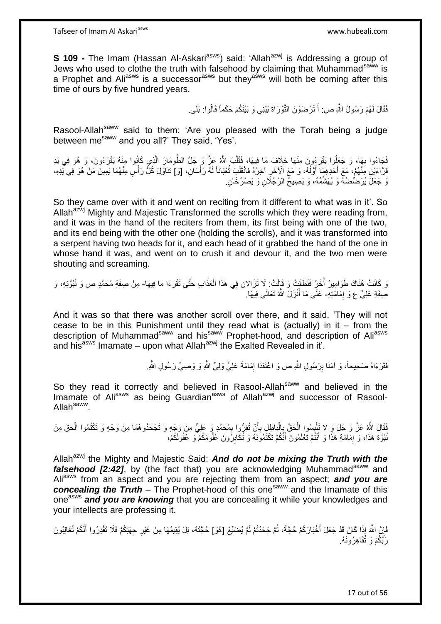**S 109 -** The Imam (Hassan Al-Askari<sup>asws</sup>) said: 'Allah<sup>azwj</sup> is Addressing a group of Jews who used to clothe the truth with falsehood by claiming that Muhammad<sup>saww</sup> is a Prophet and Ali<sup>asws</sup> is a successor<sup>asws</sup> but they<sup>asws</sup> will both be coming after this time of ours by five hundred years.

> فَقَالَ لَهُمْ رَسُولُ اللَّهِ ص: أَ تَرْضَوْنَ النَّوْرَاةَ بَيْنِي وَ بَيْنَكُمْ حَكَماً قَالُوا: بَلَى. َ

Rasool-Allah<sup>saww</sup> said to them: 'Are you pleased with the Torah being a judge between me<sup>saww</sup> and you all?' They said, 'Yes'.

فَجَاءُوا بِهَا، وَ جَعَلُوا يَقْرَءُونَ مِنْهَا خِلَافَ مَا فِيهَا، فَقَلَّبَ اللَّهُ عَزَّ وَ جَلَّ الطُّومَارَ الَّذِي كَانُوا مِنْهُ يَقْرَءُونَ، وَ هُوَ فِي يَدِ ه ه **∶** قَرَّاعَيْنِ مَِنْهُمْ، مَعَ أَحَدِهِمَا أَوَلُهُ، وَ مَعَ الْإِخَرِ آخِرُهُ فَانْقَلَبَ تُعْبَاناً لَهُ رَأْسَانِ، [وَ] تَذَاوَلَ كُلُّ رَأْسٍ مِنْهُمَا يَمِينَ مَنْ هُوَ فِي يَدِهِ، َ َ ْ ْ لَ ُ ِ وَ جَعَلَ يُرَضِّضُهُ وَ يُهَشَّمُهُ، وَ يَصِيحُ الرَّجُلَانِ وَ يَصْرُخَانِ.

So they came over with it and went on reciting from it different to what was in it'. So Allah<sup>azwj</sup> Mighty and Majestic Transformed the scrolls which they were reading from, and it was in the hand of the reciters from them, its first being with one of the two, and its end being with the other one (holding the scrolls), and it was transformed into a serpent having two heads for it, and each head of it grabbed the hand of the one in whose hand it was, and went on to crush it and devour it, and the two men were shouting and screaming.

وَ كَانَتْ هُنَاكَ طَوَامِيرُ أُخَرٍُ فَنَطَقَتْ وَ قَإِلَتْ: لَا تَزَالانِ فِي هَذَا الْعَذَابِ حَتَّى تَقْرَءَا مَا فِيهَا- مِنْ صِفَةِ مُحَمَّدٍ ص وَ نُبُوَّتِهِ، وَ ْ .<br>ا صِفَةِ عَلِيٍّ ع وَ إِمَامَتِهِ- عَلَى مَا أَنْزَلَ اللَّهُ تَعَالَى فِيهَا. ِ َ

And it was so that there was another scroll over there, and it said, 'They will not cease to be in this Punishment until they read what is (actually) in it – from the description of Muhammad<sup>saww</sup> and his<sup>saww</sup> Prophet-hood, and description of Ali<sup>asws</sup> and his<sup>asws</sup> Imamate – upon what Allah<sup>azwj</sup> the Exalted Revealed in it'.

> فَقَرَءَاهُ صَحِيحاً، وَ آمَنَا بِرَسُولِ اللَّهِ ص وَ اعْنَقَدَا إِمَامَةَ عَلِيٍّ وَلِيٍّ اللَّهِ وَ وَصِيٍّ رَسُولِ اللَّهِ. ِ **ِ**

So they read it correctly and believed in Rasool-Allah<sup>saww</sup> and believed in the Imamate of Aliasws as being Guardian<sup>asws</sup> of Allah<sup>azwj</sup> and successor of Rasool-Allah<sup>saww</sup>.

فَقَالَ اللَّهُ عَزَّ وَ جَلَ وَ لا تَلْبِسُوا الْحَقَّ بِالْباطِلِ بِأَنْ تُقِرُّوا بِمُحَمَّدٍ وَ عَلِيٍّ مِنْ وَجْهٍ وَ تَجْحَدُوهُمَا مِنْ وَجْهٍ وَ تَكْتُمُوا الْحَقَ مِنْ ْ ِ ْ **∣** ِ َ **∶** ْ نُبُوَّةِ هَذَا، وَ إِمَامَةِ هَذَا وَ أَنْثُمْ تَعْلَمُونَ أَنَّكُمْ تَكْتُمُونَهُ وَ تُكَابِرُونَ عُلُومَكُمْ وَ عُقُولَكُمْ، َ ِ ِ َ

Allah<sup>azwj</sup> the Mighty and Majestic Said: **And do not be mixing the Truth with the falsehood [2:42]**, by (the fact that) you are acknowledging Muhammad<sup>saww</sup> and Aliasws from an aspect and you are rejecting them from an aspect; *and you are*  **concealing the Truth** – The Prophet-hood of this one<sup>saww</sup> and the Imamate of this one<sup>asws</sup> and you are knowing that you are concealing it while your knowledges and your intellects are professing it.

فَإِنَّ اللَّهَ إِذَا كَانَ قَدْ جَعَلَ أَخْبَارَكُمْ حُجَّةً، ثُمَّ جَحَدْتُمْ لَمْ يُضَيِّعْ [هُوَ] حُجَّتَهُ، بَلْ يُقِيمُهَا مِنْ غَيْرِ جِهَتِكُمْ فَلَا تَقْدِرُوا أَنَّكُمْ تُغَالِبُونَ<br>يَزِي اللَّهُ إِذَا كَانَ قَد ُ ِ َ رَبَّكُمْ وَ تُقَاهِرُونَهُ.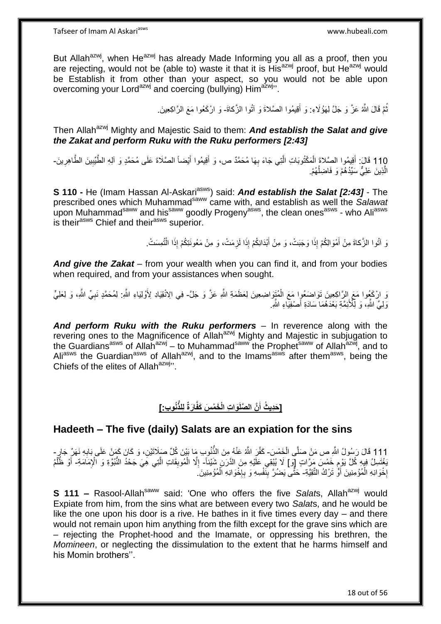But Allah<sup>azwj</sup>, when He<sup>azwj</sup> has already Made Informing you all as a proof, then you are rejecting, would not be (able to) waste it that it is  $His^{azwj}$  proof, but  $He^{azwj}$  would be Establish it from other than your aspect, so you would not be able upon overcoming your Lord<sup>azwj</sup> and coercing (bullying) Him<sup>azwj</sup>".

> نُّمَّ قَالَ اللَّهُ عَنَّ وَ جَلَّ لِهَؤُلَاءِ: وَ أَقِيمُوا الصَّلاةَ وَ آتُوا الزَّكاةَ- وَ ارْكَعُوا مَعَ الرَّاكِعِينَ. ُ

Then Allah<sup>azwj</sup> Mighty and Majestic Said to them: **And establish the Salat and give** *the Zakat and perform Ruku with the Ruku performers [2:43]*

110 قَالَ: أَقِيمُوا الصَّلاةَ الْمَكْتُوبَاتِ الَّتِي جَاءَ بِهَا مُحَمَّدٌ ص، وَ أَقِيمُوا أَيْضاً الصَّلَاةَ عَلَى مُحَمَّدٍ وَ آلِهِ الطَّيِّبِينَ الطَّاهِرِينَ-<br>وَبِينَ مِنْهُمْ تَقْلِمُوا الصَّلاةَ الْمَكْتُوبَاتِ ا ِ َ َ ِ ه ْ َ الَّذِينَ عَلِيٌّ سَيِّدُهُمْ وَ فَاضِلُهُمْ. ا<br>ا ه

**S 110 -** He (Imam Hassan Al-Askari<sup>asws</sup>) said: **And establish the Salat [2:43] -** The prescribed ones which Muhammad<sup>saww</sup> came with, and establish as well the Salawat upon Muhammad<sup>saww</sup> and his<sup>saww</sup> goodly Progeny<sup>asws</sup>, the clean ones<sup>asws</sup> - who Ali<sup>asws</sup> is their<sup>asws</sup> Chief and their<sup>asws</sup> superior.

> وَ آتُوا الزَّكاةَ مِنْ أَمْوَالِكُمْ إِذَا وَجَبَتْ، وَ مِنْ أَبْدَانِكُمْ إِذَا لَزِمَتْ، وَ مِنْ مَعُونَتِكُمْ إِذَا الْتُمِسَتْ. ْ ِ َ َ

*And give the Zakat* – from your wealth when you can find it, and from your bodies when required, and from your assistances when sought.

وَ ارْكَعُوا مَعَ اِلرَّاكِعِينَ تَوَاضَعُوا مَعَ الْمُتَوَاضِعِينَ لِعَظَمَةِ اللَّهِ عَزَّ وَ جَلَّ- فِي الِانْقِيَادِ لِأَوْلِيَاءِ اللَّهِ. لِمُحَمَّدٍ نَبِيِّ اللَّهِ، وَ لِعَلِيٍّ ْ ِ وَلِيِّ الثَّهِ، وَ لِلْأَئِمَّةِ بَعْدَهُمَا سَادَةِ أَصْفِيَاءِ الثَّهِ ۖ َ

*And perform Ruku with the Ruku performers* – In reverence along with the revering ones to the Magnificence of Allah<sup>azwj</sup> Mighty and Majestic in subjugation to the Guardians<sup>asws</sup> of Allan<sup>azwj</sup> – to Muhammad<sup>saww</sup> the Prophet<sup>saww</sup> of Allah<sup>azwj</sup>, and to Ali<sup>asws</sup> the Guardian<sup>asws</sup> of Allah<sup>azwj</sup>, and to the Imams<sup>asws</sup> after them<sup>asws</sup>, being the Chiefs of the elites of Allah<sup>azwj</sup>".

# **ُنو ِب:[ لِلذُّ ا َرةٌ َوا ِت الْ َخ ْم َس َكفَّ َّن ال َّصلَ ] َحِدي ُث أ**

## **Hadeeth – The five (daily) Salats are an expiation for the sins**

111 قَالَ رَسُولُ اللَّهِ ص مَنْ صَلَّى الْخَمْسَ- كَفَّرَ اللَّهُ عَنْهُ مِنَ الذَّنُوبِ مَا بَيْنَ كُلِّ صَلَاتَيْنِ، وَ كَانَ كَمَنْ عَلَى بَابِهِ نَهَرٌّ جَارٍ ـ **∶** ُّ ْ ْ فِتَسِلُ فِيهِ كُلَّ يَوْمٍ خَمْسَ مَرَّاتٍ إِلَهَا لَا يُثِقِي عَلَيْهِ مِنَ الدَّرَنِ شَيْئاً- إِلَّا الْمُوبِقَاتِ الَّتِي هِيَ جَحْدُ النُّبُوَّةِ وَ الْإِمَامَةِ- أَوْ ظُلَّمُ<br>. ڔ ه ِ ْ ِ ْ َ إِخْوَانِهِ الْمُؤْمِنِينَ أَوَّ تَرْكُ التَّقِيَّةِ- حَتَّى يَضْرَّ بِنَفْسِهِ وَ بِإِخْوَانِهِ الْمُؤْمِنِينَ ֺ֖֚֚֚֚֚֚֚֚֚֚֚֚֚֝֟֘֝֬֘֩֩֓֡֟֓֡֡֡֡֟֓֡֟֓֡֟֓֡֟֓֡֡֟֩֓֡֡֟֩֞֓֡֬ ْ ِ ْ יֲ. ِ **!** 

**S 111 –** Rasool-Allah<sup>saww</sup> said: 'One who offers the five *Salat*s, Allah<sup>azwj</sup> would Expiate from him, from the sins what are between every two *Salat*s, and he would be like the one upon his door is a rive. He bathes in it five times every day – and there would not remain upon him anything from the filth except for the grave sins which are – rejecting the Prophet-hood and the Imamate, or oppressing his brethren, the *Momineen*, or neglecting the dissimulation to the extent that he harms himself and his Momin brothers''.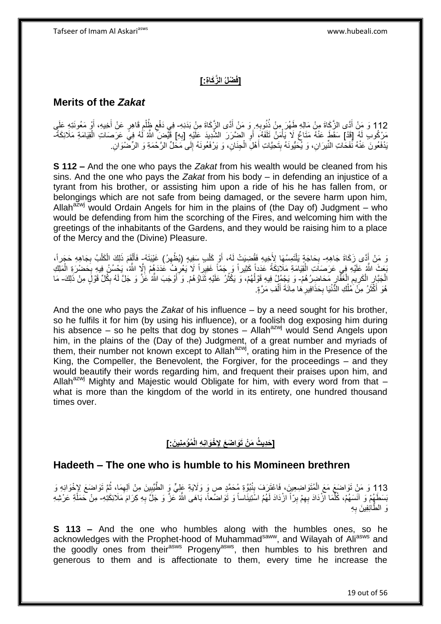## **ْضلُ ال َّز َكا ِة:[ ]فَ**

#### **Merits of the** *Zakat*

112 وَ مَنْ أَدَّى الزَّكَاةَ مِنْ مَالِهِ طَهُرَ مِنْ ذُنُوبِهِ. وَ مَنْ أَدَّى الزَّكَاةَ مِنْ بَدَنِهِ فِي دَفْعِ ظُلْمِ قَاهِرٍ عَنْ أَخِيهِ، أَوْ مَعُونَتِهِ عَلَى<br>مَا وَيُمْسِينَ مِنَّ مَعَ مَنْ مَنْ مَنْ أَوْ مَنَ َ **∶** َ ْ  $\zeta$ َ َ مَرْكُوبِ لَهُ [قَدْ] سَقَطَ عَنْهُ مَتَاعٌ لَا يَأْمَنُ تَلَفَهُۥٍ أَوِ الضَّرَرَ الشَّدِيدَ عَلَيْهِ [بِهِ] قَيَّضَ اللّهُ لَهُ فِيً عَرَصَاتِ الْقِيَامَةِ مَلَائِكَةً-ِ **∶** اُ ْ ْ يَدْفَعُونَ عَنْهُ نَفَحَاتِ النِّيرَانِ، وَ يُحَيُّونَهُ بِتَحِيَّاتِ أَهْلِ الْجِنَانِ، وَ يَرْفَعُونَهُ إِلَى مَحَلٍّ الرَّحْمَةِ وَ الرِّصْنُوَانِ ْ َ  $\frac{1}{2}$ ِ

**S 112 –** And the one who pays the *Zakat* from his wealth would be cleaned from his sins. And the one who pays the *Zakat* from his body – in defending an injustice of a tyrant from his brother, or assisting him upon a ride of his he has fallen from, or belongings which are not safe from being damaged, or the severe harm upon him, Allah<sup>azwj</sup> would Ordain Angels for him in the plains of (the Day of) Judgment – who would be defending from him the scorching of the Fires, and welcoming him with the greetings of the inhabitants of the Gardens, and they would be raising him to a place of the Mercy and the (Divine) Pleasure.

وَ مَنْ إَدًى زَكَاةَ جَاهِهِ- بِحَاجَةٍ يَلْتَمِسُهَا لِأَخِيهِ فَقُضِيَتْ لَهُ، أَوْ كَلْبِ سَفِيهٍ (يُظْهِرُ) غَيْبَتَهُ- فَأَلْقَمَ ذَلِكَ الْكَلْبُ بِجَاهِهِ حَجَراً، ِ ْ َ ْ ِ **∶** ْ ْ ْ ĺ بَعثَ اللَّهُ عَلَيْهِ فِي عَرَصَاَتِ الْقِيَامَةِ مَلَائِكَةً عَدَداً كَثِيراً وَ جَمّاً غَفِيراً لَا يَعْرُفُ عَدَدَهُمْ إِلَّا اللَّهُ، يَحْسُنُ فِيهِ بِحَضْرَةِ الْمَلِكِ ْ ِ ْ ِ ِ ِ الْجَبَّارِ الْكَرِيمِ الْغَفَّارِ مَحَاضِرُهُمْ- وَ يَجْمُلُ فِيهِ قَوْلُهُمْ، وَ يَكْثُرُ عَلَيْهِ ثَنَاؤُهُمْ. وَ َأَوْجَبَ اللَّهُ عَزَّ وَ جَلَّ لَهُ بِكُلِّ قَوْلٍَ مِنْ ذَلِكَ- مَا ْ ِ ِ ِ ِ َ  $\ddot{\phantom{0}}$ ان<br>سال ان<br>ا َ هُوَ أَكْثَرُ مِنْ مُلْكِ الدُّنْيَا بِحَذَافِيرِ هَا مِائَةَ أَلْفِ مَرَّةٍ ْ َ ِ **∶** ْ ة<br>ا َ

And the one who pays the *Zakat* of his influence – by a need sought for his brother, so he fulfils it for him (by using his influence), or a foolish dog exposing him during his absence – so he pelts that dog by stones – Allah<sup>azwj</sup> would Send Angels upon him, in the plains of the (Day of the) Judgment, of a great number and myriads of them, their number not known except to Allah<sup>azwj</sup>, orating him in the Presence of the King, the Compeller, the Benevolent, the Forgiver, for the proceedings – and they would beautify their words regarding him, and frequent their praises upon him, and Allah<sup>azwj</sup> Mighty and Majestic would Obligate for him, with every word from that  $$ what is more than the kingdom of the world in its entirety, one hundred thousand times over.

#### **ُمْؤ ِمنِي َن:[ ْخَوانِ ِه الْ ] َحِدي ُث َم ْن َتَوا َض َع ِإلِ**

#### **Hadeeth – The one who is humble to his Momineen brethren**

113 وَ مَنْ تَوَاضَعَ مَعَ الْمُتَوَاضِعِينَ، فَاعْتَرَفَ بِنُبُوَّةِ مُحَمَّدٍ ص وَ وَلَايَةٍ عَلِيٍّ وَ الطَّيِّبِينَ مِنْ آلِهِمَا، ثُمَّ تَوَاضَعَ لِإِخْوَانِهِ وَ<br>113 وَ مَنْ نَوَاضَعَ مَعَ الْمُتَوَاضِعِينَ ، وَيَدَ ُ ِ ِ ْ بَسَطَهُمْ وَ آنَسَهُمْ، كُلِّمَا آزْدَادَ بِهِمْ بِرّاً ازْدَادَ لَهُمُ اسْتِينَاساً وَ تَوَاضُعاً، بَاهَى اللَّهُ تَحزَّ وَ جَلَّ بِهِ كِرَامَ مَلَائِكَتِٰهِ- مِنْ حَمَلَةِ عَرْشِهِ ِ ِ ه ِ وَ الطَّائِفِينَ بِهِ ِ

**S 113 –** And the one who humbles along with the humbles ones, so he acknowledges with the Prophet-hood of Muhammad<sup>saww</sup>, and Wilayah of Ali<sup>asws</sup> and the goodly ones from their<sup>asws</sup> Progeny<sup>asws</sup>, then humbles to his brethren and generous to them and is affectionate to them, every time he increase the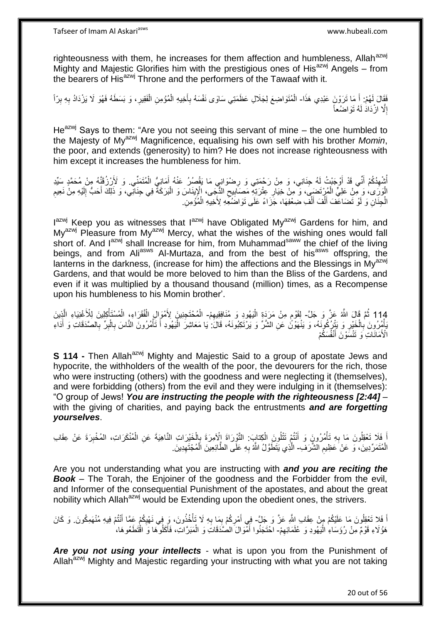righteousness with them, he increases for them affection and humbleness. Allah<sup>azwj</sup> Mighty and Majestic Glorifies him with the prestigious ones of His $^{a}$ zwj Angels – from the bearers of His<sup>azwj</sup> Throne and the performers of the Tawaaf with it.

فَقَالَ لَهُمْ: أَ مَا تَرَوْنَ عَبْدِي هَذَا- الْمُتَوَاضِعَ لِجَلَالِ عَظَمَتِي سَاوَى نَفْسَهُ بِأَخِيهِ الْمُؤْمِنِ الْفَقِيرِ، وَ بَسَطَهُ فَهُوَ لَا يَزْدَادُ بِهِ بِرّاً َ ْ ِ ِ ِ ِ ْ ْ َ إِلَّا ازْدَادَ لَهُ تَوَاضُعاً ِ

 $He^{azwj}$  Says to them: "Are you not seeing this servant of mine – the one humbled to the Majesty of Myazwj Magnificence, equalising his own self with his brother *Momin*, the poor, and extends (generosity) to him? He does not increase righteousness with him except it increases the humbleness for him.

أُسْهِدُكُمْ أَنِّي قَدْ أَوْجَيْتُ لَهُ جِنَانِي، وَ مِنْ رَحْمَتِي وَ رِضْوَانِي مَا يَقْصُرُ عَنْهُ إِمَانِيُّ الْمُتَمَنِّي. وَ لَأَرْزُقَنَّهُ مِنْ مُحَمَّدٍ سَيِّدِ ِ َ َ ِ ْ الْوَرَى، وَ مِنْ عَلِيٍّ الْمُزْتَضَبِيَ، وَ مِنْ خِيَارِ عِثْرَتِهِ مَصَابِيعِ الذُّجِي، الْإِينَاسَ وَ الْبَرَكَةُ فِي جِنَانِي، وَ ذَلِكَ أَحَبُّ إِلَيْهِ مِنْ نَعِيمِ ِ ِ **ٍ** ْ ْ ِ لَ ِ َ ْ الْجِنَانِ وَ لَوْ تَضَاعَّفَ أَلْفَ أَلْفَ ضَعِعْهَا، جَزَاءً عَلَى تَوَاضَعِهِ لِأَخِيهِ الْمُؤْمِنِ ْ ْ ْ َ ْ َ

I<sup>azwj</sup> Keep you as witnesses that l<sup>azwj</sup> have Obligated My<sup>azwj</sup> Gardens for him, and My<sup>azwj</sup> Pleasure from My<sup>azwj</sup> Mercy, what the wishes of the wishing ones would fall short of. And  $I^{azwj}$  shall Increase for him, from Muhammad<sup>saww</sup> the chief of the living beings, and from Aliasws Al-Murtaza, and from the best of hisasws offspring, the lanterns in the darkness, (increase for him) the affections and the Blessings in  $My^{azmj}$ Gardens, and that would be more beloved to him than the Bliss of the Gardens, and even if it was multiplied by a thousand thousand (million) times, as a Recompense upon his humbleness to his Momin brother'.

114 ثُمَّ قَالَ اللَّهُ عَنَّ وَ جَلَّ- لِقَوْمٍ مِنْ مَرَدَةِ الْيَهُودِ وَ مُنَافِقِيهِمْ- الْمُحْتَجِنِينَ لِأَمْوَالِ الْفُقَرَاءِ، الْمُسْتَأْكِلِينَ لِلْأَغْنِيَاءِ الَّذِينَ :<br>ا ْ ه ْ ْ ْ ُبَائُمِرُونَ بِالْخَيْرِ وَ يَتْزِرُكُونَهُ، وَ يَنْهَوْنَّ عَنِ الشَّرِّ وَ يَرْتَكِبُونَهُ، قَالَ: يَا مَعَاشِرَ الْيَهُودِ أَ تَأْمُرُونَ النَّاسَ بِالْبِرِّ بِالصَّدَقَاتِ وَ أَدَاءِ ِ ْ ِ ْ َ ِ ِ ْ ِ ْ َ ْ الْأَمَانَاتِ وَ تَنْسَوْنَ أَنْفُسَكُمْ َ

**S 114 -** Then Allah<sup>azwj</sup> Mighty and Majestic Said to a group of apostate Jews and hypocrite, the withholders of the wealth of the poor, the devourers for the rich, those who were instructing (others) with the goodness and were neglecting it (themselves), and were forbidding (others) from the evil and they were indulging in it (themselves): "O group of Jews! *You are instructing the people with the righteousness [2:44]* – with the giving of charities, and paying back the entrustments *and are forgetting yourselves*.

أَ فَلَا تَعْقِلُونَ مَا بِهِ تَأْمُرُونَ وَ أَنْتُمْ تَتْلُونَ الْكِتابَ: التَّوْرَاةَ إِلْآمِرَةَ بِإِلْخَيْرَاتِ النَّاهِيَةَ عَنِ الْمُنْكَرَاتِ، المُخْبِرَةَ عَنْ عِقَابِ **ٔ**  ِ ْ ِ ْ ْ ; الْمُتَمَرِّدِينَ، وَ عَنْ َعَظِيمِ الشَّرَفِ- الَّذِي يَتَطَوَّلُ اللَّهُ بِهِ عَلَى الطَّائِعِينَ الْمُجْتَهِدِينَ ِ **∶** ِ ْ

Are you not understanding what you are instructing with *and you are reciting the Book* – The Torah, the Enjoiner of the goodness and the Forbidder from the evil, and Informer of the consequential Punishment of the apostates, and about the great nobility which Allah<sup>azwj</sup> would be Extending upon the obedient ones, the strivers.

اً فَلا تَعْقِلُونَ مَا عَلَيْكُمْ مِنْ عِقَابِ اللَّهِ عَزَّ وَ جَلَّ- فِي أَمْرِكُمْ بِمَا بِهِ لَا تَأْخُذُونَ، وَ فِي نَهْيِكُمْ عَمَّا أَنْتُمْ فِيهِ مُنْهَمِكُونَ. وَ كَانَ َ ِ ْ **∶** ِ ِ هَؤُلَاءِ قَوْمٌ مِنْ رُؤَسَاءِ الْيَهُودِ وَ عُلَمَائِهِمْ- احْتَجَنُوا أَمْوَالَ الصَّدَقَاتِ وَ الْمَبَرَّاتِ، فَأَكَلُوهَا وَ اقْتَطَعُوهَا، ِ :<br>إ َ ْ َ

*Are you not using your intellects* - what is upon you from the Punishment of Allah<sup>azwj</sup> Mighty and Majestic regarding your instructing with what you are not taking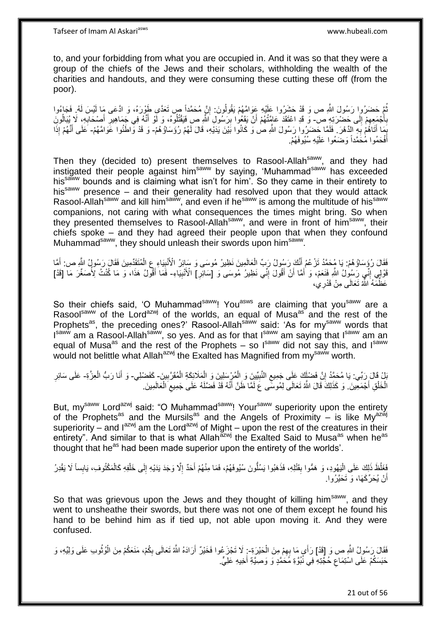Tafseer of Imam Al Askariasws www.hubeali.com

to, and your forbidding from what you are occupied in. And it was so that they were a group of the chiefs of the Jews and their scholars, withholding the wealth of the charities and handouts, and they were consuming these cutting these off (from the poor).

نُّعَ حَضَرُوا رَسُولَ اللَّهِ ص وَ قَدْ حَشَرُوا عَلَيْهِ عَوَامَّهُمْ يَقُولُونَ: إِنَّ مُحَمَّداً ص تَعَدَّى طَوْرَهُ، وَ ادَّعَى مَا لَيْسَ لَهُ. فَجَاءُوا ِ ُ لَ  $\frac{1}{2}$ بِأَجْمَعِهِمْ إِلَى حَضْرَتِهِ ص- وَ قَدِ اعْتَقَدَ عَامَتُهُمْ أَنْ يَقَعُوا بِرَسُولِ اللّهِ صِ فَيَقْتُلُوهُ، وَ لَوْ أَنَّهُ فِي جَمَاهِيرِ أَصْحَابِهِ، لَا يُبَالُونَ  $\ddot{\bm{z}}$ َ **∶** ِ َ ِ َ ِ اً ُ بَمَا أَتَاهُمْ بَهِ الدَّهْرَ . فَلَمَّا حَضَرُوا رَسُولَ الثَّهِ صٰ وَ كَانُوا بَيْنَ يَدَيْهِ، قَالَ لَهُمْ رُؤَسَاؤُهُمْ- وَ قَدْ وَاطَنُوا عَوَامَّهُمْ- عَلَى أَنَّهُمْ إِذَا **∶** َ ∫<br>≀ َ أَفْحَمُوا مُٰحََمَّداً وَضَعُوا عَلَيْهِ سُيُوفَهُمْ. َ

Then they (decided to) present themselves to Rasool-Allah<sup>saww</sup>, and they had instigated their people against him<sup>saww</sup> by saying, 'Muhammad<sup>saww</sup> has exceeded hissaww bounds and is claiming what isn't for him'. So they came in their entirety to his<sup>saww</sup> presence – and their generality had resolved upon that they would attack Rasool-Allah<sup>saww</sup> and kill him<sup>saww</sup>, and even if he<sup>saww</sup> is among the multitude of his<sup>saww</sup> companions, not caring with what consequences the times might bring. So when they presented themselves to Rasool-Allah<sup>saww</sup>, and were in front of him<sup>saww</sup>, their chiefs spoke – and they had agreed their people upon that when they confound Muhammad<sup>saww</sup>, they should unleash their swords upon him<sup>saww</sup>.

فَقَالَ رُؤَسَاؤُهُمْ: يَا مُحَمَّدُ تَزْعُمُ أَنَّكَ رَسُولُ رَبِّ الْعَالَمِينَ نَظِيرُ مُوسَى وَ سَائِرُ الْأُنْبِيَاءِ عِ الْمُتَقَدِّمِينَ فَقَالَ رَسُولُ الثَّهِ ص: أَمَّا ِ ْ َ أَ ْ قَالِي إِنِّي رَسُولُ اللَّهِ فَنَعَمْ، وَ أَمَّا أَنْ أَقُولَ إِنِّي نَظِيرُ مُوسَى وَ [سَائِرٍ] الْأَنْبِيَّاءِ- فَمَا أَقُولُ هَذَا، وَ مَا كُنْتُ لِأَصَغُرَ مَا [قَدْ] َ اُ َ ِ ِ ِ ِ َ عَظَّمَهُ اللَّهُ تَعَالَى مِنْ قَدْرِيِٰ،

So their chiefs said, 'O Muhammad<sup>saww</sup>! You<sup>asws</sup> are claiming that you<sup>saww</sup> are a Rasoolsaww of the Lordazwj of the worlds, an equal of Musa<sup>as</sup> and the rest of the Prophets<sup>as</sup>, the preceding ones?' Rasool-Allah<sup>saww</sup> said: 'As for my<sup>saww</sup> words that I<sup>saww</sup> am a Rasool-Allah<sup>saww</sup>, so yes. And as for that I<sup>saww</sup> am saying that I<sup>saww</sup> am an equal of Musa<sup>as</sup> and the rest of the Prophets – so  $I<sup>saww</sup>$  did not say this, and  $I<sup>saww</sup>$ would not belittle what Allah<sup>azwj</sup> the Exalted has Magnified from my<sup>saww</sup> worth.

َبْلْ قَالَ رَبِّي. يَا مُحَمَّدُ إِنَّ فَضْأَكَ عَلَى جَمِيع النَّبِيِّينَ وَ الْمُرْسِلِينَ وَ الْمَلَائِكَةِ الْمُقَرَّبِينَ- كَفَضْلِي- وَ أَنَا رَبُّ الْعِزَّةِ- عَلَى سَائِرِ ِ ِ ْ ْ ْ **!** ِ ْ َ ِ الْخَلْقِ أَجْمَعِينَ. وَ كَذَلِكَ قَالَ اللَّهُ تَعَالَى لِمُوسَّى عَ لَمَّا ظَنَّ أَنَّهُ قَدْ فَضَّلَهُ عَلَى جَمِيعِ الْعَالَمِينَ. ْ ِ َ ْ ْ لَ

But, my<sup>saww</sup> Lord<sup>azwj</sup> said: "O Muhammad<sup>saww</sup>! Your<sup>saww</sup> superiority upon the entirety of the Prophets<sup>as</sup> and the Mursils<sup>as</sup> and the Angels of Proximity – is like My<sup>azwij</sup> superiority – and  $I^{azwj}$  am the Lord<sup>azwj</sup> of Might – upon the rest of the creatures in their entirety". And similar to that is what Allah<sup>azwj</sup> the Exalted Said to Musa<sup>as</sup> when he<sup>as</sup> thought that he<sup>as</sup> had been made superior upon the entirety of the worlds'.

فَغَلُظَ ذَلِكَ عَلَى الْيَهُودِ، وَ هَمُّوا بِقَنْلِهِ، فَذَهَبُوا يَسُلُّونَ سُيُوفَهُمْ، فَمَا مِنْهُمْ أَحَدٌ إِلَّا وَجَدَ يَدَيْهِ إِلَى خَلْفِهِ كَالْمَكْتُوفِ، يَابِساً لَا يَقْدِرُ :<br>إ ْ ْ ِ ِ َ **ِ** أَنْ يُحَرِّكَهَا، وَ تَحَيَّرُوا. اً

So that was grievous upon the Jews and they thought of killing him<sup>saww</sup>, and they went to unsheathe their swords, but there was not one of them except he found his hand to be behind him as if tied up, not able upon moving it. And they were confused.

فَقَالَ رَسُولُ اللَّهِ ص وَ إِقَدْ] رَأَى مَا بِهِمْ مِنَ الْحَيْرَةِ-: لَا تَجْزَ عُوا فَخَيْرٌ أَرَادَهُ اللَّهُ تَعَالَى بِكُمْ، مَنَعَكُمْ مِنَ الْوُثُوبِ عَلَى وَلِيِّهِ، وَ ْ ِ ا<br>ماہم سالہ ْ ِ َ حَبَسَكُمْ عَلَى اسْتِمَاعِ حُجَّتِهِۗ فِي نُبُوَّةِ مُحَمَّدٍ وَ وَصِيَّةِ أَخِيهِ عَلِيٍّ. َ ِ

21 out of 56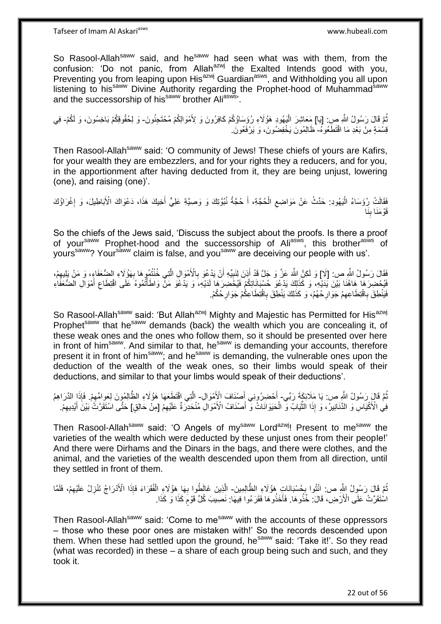Tafseer of Imam Al Askariasws www.hubeali.com

So Rasool-Allah<sup>saww</sup> said, and he<sup>saww</sup> had seen what was with them, from the confusion: 'Do not panic, from Allah $a^{2xy}$  the Exalted Intends good with you, Preventing you from leaping upon His<sup>azwj</sup> Guardian<sup>asws</sup>, and Withholding you all upon listening to his<sup>saww</sup> Divine Authority regarding the Prophet-hood of Muhammad<sup>saww</sup> and the successorship of his<sup>saww</sup> brother Aliasws<sup>1</sup>.

نُمَّ قَالَ رَسُولُ اللَّهِ صِ. [يَا] مَعَاشِرَ الْبَهُودِ هَؤُلَاءِ رُؤَسَاؤُكُمْ كَافِرُونَ وَ لِأَمْوَالِكُمْ مُحْتَجِنُونَ- وَ لِحُقُوقِكُمْ بَاخِسُونَ، وَ لَكُمْ- فِي :<br>ا قِسْمَةٍ مِنْ بَعْدِ مَا اقْتَطَعُوهُ- ظَالِمُونَ يَخْفِضُونَ، وَ يَرْفَعُونَ.

Then Rasool-Allah<sup>saww</sup> said: 'O community of Jews! These chiefs of yours are Kafirs, for your wealth they are embezzlers, and for your rights they a reducers, and for you, in the apportionment after having deducted from it, they are being unjust, lowering (one), and raising (one)'.

ْ فَقَالَتْ رُؤَسَاءُ الْيَهُودِ: حَدِّثْ عَنْ مَوَاضِعِ الْحُجَّةِ، أَ حُجَّةُ نُبُوَّتِكَ وَ وَصِيَّةِ عَلِيٍّ أَخِيكَ هَذَا، دَعْوَاكَ الْأَبَاطِيلَ، وَ إِغْرَاؤُكَ ِ :<br>ا ِ َ َ َنا َقْو َمَنا ب ِ

So the chiefs of the Jews said, 'Discuss the subject about the proofs. Is there a proof of your<sup>saww</sup> Prophet-hood and the successorship of Ali<sup>asws</sup>, this brother<sup>asws</sup> of yours<sup>saww</sup>? Your<sup>saww</sup> claim is false, and you<sup>saww</sup> are deceiving our people with us'.

فَقَالَ رَسُولُ اللَّهِ ص: [لَا] وَ لَكِنَّ اللَّهَ عَنَّ وَ جَلَّ قَدْ أَذِنَ لِنَبِيِّهِ أَنْ يَدْعُوَ بِالْأَمْوَالِ الَّتِي خُنْتُهُوها بِهَوُلَاءِ الضُّعَفَاءِ، وَ مَنْ يَلِيهِمْ، ه ِ اُ ِ َ ِ ِ فَيُحْضِرَ هَا هَاهُنَا بَيْنَ يَدَيْهِ، وَ كَذَلِكَ يَدْعُوَ حُسْبَانَاتِكُمْ فَيُخْضِرَهَا لَدَيْهِ، وَ يَدْعُوَ مَنْ وَاطَأْتُمُوهُ عَلَى اقْتِطَاعِ أَمْوَالِ الضُّعَفَاءِ َ ِ ْ فَيَنْطِقَ بِاقْتِطَاعِهِمْ جَوَارِحُهُمْ، وَ كَذَلِكَ يَنْطِقَ بِاقْتِطَاعِكُمْ جَوَارِحُكُمْ. ِ **∶ ∶** ِ ِ

So Rasool-Allah<sup>saww</sup> said: 'But Allah<sup>azwj</sup> Mighty and Majestic has Permitted for His<sup>azwj</sup> Prophet<sup>saww</sup> that he<sup>saww</sup> demands (back) the wealth which you are concealing it, of these weak ones and the ones who follow them, so it should be presented over here in front of him<sup>saww</sup>. And similar to that, he<sup>saww</sup> is demanding your accounts, therefore present it in front of him<sup>saww</sup>; and he<sup>saww</sup> is demanding, the vulnerable ones upon the deduction of the wealth of the weak ones, so their limbs would speak of their deductions, and similar to that your limbs would speak of their deductions'.

نُمَّ قَالٍ رَسُولُ النَّهِ ص: يَا مَلَائِكَةَ رَبِّي- أَحْضِرُونِي أَصنْنَافَ الْإِمْوَالِ- الَّتِي اقْتَطَعَهَا هَؤُلَاءِ الظَّالِمُونَ لِعَوِامِّهِمْ. فَإِذَا الدَّرَاهِمُ ُ َ َ ِ فِي الْأَكْيَاسِ وَ الدَّنَانِيرُ، وَ إِذَا الثَّيَابُ وَّ الْحَيَوَانَاتُ وَّ أَصْنَافُ الْأَمْوَالِ مُنْحَدِّرَةٌ عَلَيْهِمْ [مِنْ حَالِقٍ] حَتَّى اسْتَقَرَّتُ بَيْنَ أَيْدِيهِمْ. ِ َ ْ ِّ ِ َ

Then Rasool-Allah<sup>saww</sup> said: 'O Angels of my<sup>saww</sup> Lord<sup>azwj</sup>! Present to me<sup>saww</sup> the varieties of the wealth which were deducted by these unjust ones from their people!' And there were Dirhams and the Dinars in the bags, and there were clothes, and the animal, and the varieties of the wealth descended upon them from all direction, until they settled in front of them.

Then Rasool-Allah<sup>saww</sup> said: 'Come to me<sup>saww</sup> with the accounts of these oppressors – those who these poor ones are mistaken with!' So the records descended upon them. When these had settled upon the ground, he<sup>saww</sup> said: 'Take it!'. So they read (what was recorded) in these – a share of each group being such and such, and they took it.

نُّمَّ قَالَ رَسُولُ الثَّهِ ص: ائْتُوا بِحُسْبَانَاتٍ هُؤُلَاءِ الظَّالِمِينَ- الَّذِينَ غَالَطُوا بِهَا هَؤُلَاءِ الْفُقَرَاءَ فَإِذَا الْأَذْرَاجُ تَنْزِلُ عَلَيْهِمْ، فَلَمَّا ِ ْ **∶** ه ِ ِ اسْتَقَرَّتْ عَلَى الْأَرْضِ، قَالَ: خُذُوهَا. فَأَخَذُوهَا فَقَرَءُوا فِيهَا: نَصِيبَ كُلِّ قَوْمَ كَذَا وَ كَذَا. ֧֖֖֚֚֚֓֝֬֝ ا<br>است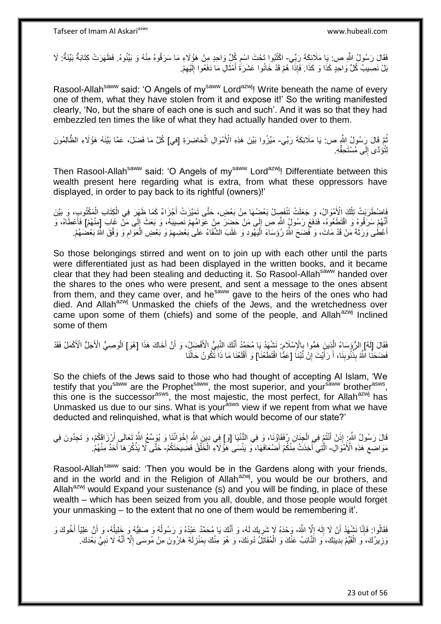فَقَالَ رَسُولُ اللَّهِ ص: يَا مَلَائِكَةَ رَبِّي- اكْتُبُوا تَحْتَ اسْمِ كُلِّ وَاحِدٍ مِنْ هَؤُلَاءِ مَا سَرَقُوهُ مِنْهُ وَ بَيِّنُوهُ. فَظَهَرَتْ كِتَابَةٌ بَيِّنَةٌ: لَا ِ بَلْ نَصِيبُ كُلِّ وَاحِدٍ كَذَا وَ كَذَا. فَإِذَا هُمْ قَدْ خَانُوا عَشَرَةَ أَمْثَالِ مَا دَفَعُوا إِلَيْهِمْ ِ لَ ِ َ َ

Rasool-Allah<sup>saww</sup> said: 'O Angels of my<sup>saww</sup> Lord<sup>azwj</sup>! Write beneath the name of every one of them, what they have stolen from it and expose it!' So the writing manifested clearly, 'No, but the share of each one is such and such'. And it was so that they had embezzled ten times the like of what they had actually handed over to them.

نُّمَّ قَالَ رَِسُولُ اللَّهِ ص: يَا مَلَائِكَةَ رَبِّي- مَيِّزُوا بَيْنَ هَذِهِ الْأَمْوَالِ الْحَاضِرَةِ [في] كُلَّ مَا فَضَلَ، عَمَّا بَيَّنَهُ هَؤُلَاءِ الظَّالِمُونَ ْ لِتُوَدَّى إِلَى مُسْتَحِقِّهِ.  $\frac{1}{2}$ 

Then Rasool-Allah<sup>saww</sup> said: 'O Angels of my<sup>saww</sup> Lord<sup>azwj</sup>! Differentiate between this wealth present here regarding what is extra, from what these oppressors have displayed, in order to pay back to its rightful (owners)!'

فَاضْطَرَبَتْ تِلْكَ الْأَمْوَالُ، وَ جَعَلَتْ تَنْفَصِِلُ بَعْضُهَا مِنْ بَعْضٍ، حَتَّى تَمَيَّرَتْ أَجْزَاءٌ كَمَا ظَهَرَ فِي الْكِتَابِ الْمَكْتُوبِ، وَ بَيَّنَ َ ْ ْ ْ لَ ِ أَنَّهُمْ سَرَقُوهُ وَ اقْتَطَعُوهُ، فَدَفَعَ رَسُولٍُ اللَّهِ ص إِلَى مَنْ حَضَرَ مِنْ عَوَامِّهِمْ نَصِيبَهُ، وَ بَعَثَ إِلَى مَنْ غَابَ [مِنْهُمْ] فَأَعْطَاهُ، وَ ِ ِ َ أَعْطَى وَرَثَةَ مَنْ قَدْ مَاتَ، وَ فَضَحَ اللَّهُ رُؤَسَاءَ الْمَيْهُودِ وَ غَلَبَ الشَّقَاءُ عَلَى بَعْضِهِمْ وَ بَعْضِ الْعَوَامِ وَ وَقَقَ اللَّهُ بَعْضَهُمْ. َ ِ ْ ِ

So those belongings stirred and went on to join up with each other until the parts were differentiated just as had been displayed in the written books, and it became clear that they had been stealing and deducting it. So Rasool-Allah<sup>saww</sup> handed over the shares to the ones who were present, and sent a message to the ones absent from them, and they came over, and he<sup>saww</sup> gave to the heirs of the ones who had died. And Allah<sup>azwj</sup> Unmasked the chiefs of the Jews, and the wretchedness over came upon some of them (chiefs) and some of the people, and Allah<sup>azwj</sup> Inclined some of them

فَقَالَ [لَهُ] الرُّؤَسَاءُ الَّذِينَ هَمُّوا بِالْإِسْلَامِ: نَشْهَدُ يَا مُحَمَّدُ أَنَّكَ النَّبِيُّ الْأَفْضَلُ، وَ أَنَّ أَخَاكَ هَذَا [هُوَ] الْوَصِبِيُّ الْأَجَلُّ الْأَكْمَلُ فَقَدْ ِ ِ ْ َ ِ َ فَضَحَنًّا اللَّهُ بِذُنُوبِنَا، أَ رَأَيْتَ إِنْ تُبْنَاَ [عَمُّا اقْتَطَعْنَا] وَ أَقْلَعْنَا مَا ذَاَ تَكُونُ حَالُنَا ُ<br>ا لَ َ **׀** َ َ **∣** 

So the chiefs of the Jews said to those who had thought of accepting Al Islam, 'We testify that you<sup>saww</sup> are the Prophet<sup>saww</sup>, the most superior, and your<sup>saww</sup> brother<sup>asws</sup>, this one is the successor<sup>asws</sup>, the most majestic, the most perfect, for Allah<sup>azwj</sup> has Unmasked us due to our sins. What is your<sup>asws</sup> view if we repent from what we have deducted and relinquished, what is that which would become of our state?'

قَالَ رَسُولُ اللَّهِ ۚ إِذَنْ أَنْتُمْ فِي الْجِنَانِ رُفَقَاؤُنَا، وَ فِي النُّنْيَا [وَ] فِي دِينِ اللَّهِ إِخْوَائُنَا وَ يُوَسِّعُ اللَّهُ تَعَالَى أَرْزَاقَكُمْ، وَ تَجِدُونَ فِي ْ َ َ **∶** مَوَاضِعِ ۚ هَذِهِ الْأَمْوَالِٓ- الَّتِي أَخِذَتْ مِّنْكُمْ أَضْعَافَهَا، ۖ وَ يَنْسَى هُؤُلاَءِ الْخَلْقُ فَضَيبَحَتَكُمْ- حَتَّى لَا يَذْكُرَ هَا أَحَدٌ مِنْهُمْ.  $\ddot{\zeta}$ ْ ْ ا<br>أ َ **ٔ** 

Rasool-Allah<sup>saww</sup> said: 'Then you would be in the Gardens along with your friends, and in the world and in the Religion of Allah $a$ <sup>2wj</sup>, you would be our brothers, and Allah<sup>azwj</sup> would Expand your sustenance (s) and you will be finding, in place of these wealth – which has been seized from you all, double, and those people would forget your unmasking – to the extent that no one of them would be remembering it'.

فَقَالُوا: فَإِنَّا نَشْهَدُ أَنْ لَا إِلَهَ إِلَّا اللَّهُ- وَحْدَهُ لَإِ شَرِيكَ لَهُ، وَ أَنَّكَ يَا مُحَمَّدُ عَبْدُهُ وَ رَسُولُهُ وَ صَفِيُّهُ وَ خَلِيلُهُ، وَ أَنَّ عَلِيّاً أَخُوكَ وَ  $\frac{1}{2}$ لَ ∣∣<br>∶ اً ِ َ ِ َ َ ُ ُ وَزِيرُكَ، َوَ الْقَيِّمُ بِدِينِكَ، َوَ الَذَّائِبُ عَنْكَ وَ الْمُقَاتِلُ دُونَكَ، وَ هُوَ مِنْكَ بِمَنْزِلَةِ هَارُونَ مِنْ مُوسَى إِلَّا أَنَّهُ لَا نَبِيَّ بَعْدَكَ. ْ **∣** ْ ِ ِ َ ا<br>ا لَ ِ ِ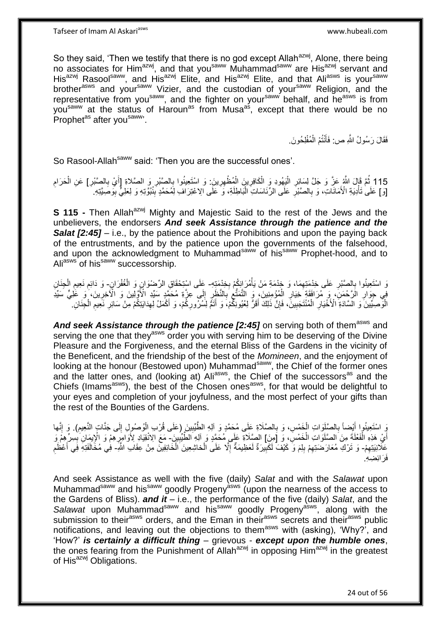So they said, 'Then we testify that there is no god except Allah<sup>azwj</sup>, Alone, there being no associates for Him<sup>azwj</sup>, and that you<sup>saww</sup> Muhammad<sup>saww</sup> are His<sup>azwj</sup> servant and His<sup>azwj</sup> Rasool<sup>saww</sup>, and His<sup>azwj</sup> Elite, and His<sup>azwj</sup> Elite, and that Ali<sup>asws</sup> is your<sup>saww</sup> brother<sup>asws</sup> and your<sup>saww</sup> Vizier, and the custodian of your<sup>saww</sup> Religion, and the representative from you<sup>saww</sup>, and the fighter on your<sup>saww</sup> behalf, and he<sup>asws</sup> is from you<sup>saww</sup> at the status of Haroun<sup>as</sup> from Musa<sup>as</sup>, except that there would be no Prophet<sup>as</sup> after you<sup>saww</sup>

> فَقَالَ رَسُولُ اللَّهِ ص فَأَنْتُمْ الْمُفْلِحُونَ َ ْ

So Rasool-Allah<sup>saww</sup> said: 'Then you are the successful ones'.

115 ثُمَّ قَالَ اللَّهُ عَنَّ وَ جَلَّ لِسَائِرِ الْيَهُودِ وَ الْكَافِرِينَ الْمُظْهِرِينَ: وَ اسْتَعِينُوا بِالصَّبْرِ وَ بِهِرْ الْعَرَامِ<br>25 كَمَّةٍ وَأَمَرَ نُبِّئَ مَنْ أَمِينَ اللَّهُ وَالْمَسْئِمِينَ إِنِّي إِنَّي ; ْ ْ :<br>ا ْ ِ **∶** َ [وَ] عَلَىٰ تَأْدِيَةِ الْأَمَانَاتِ، وَ بِالصَّبْرِ عَلَى الرِّئَاسَاتِ الْبَاطِلَةِ، وَ كَلَى الاعْتِرَافِ لِمُحَمَّدٍ بِنُبُوِّتِهِ وَ لِعَلِيٍّ بِوَصَبَّتِهِ. ِ :<br>ا **∶** ِ ْ ِ

**S 115 -** Then Allah<sup>azwj</sup> Mighty and Majestic Said to the rest of the Jews and the unbelievers, the endorsers *And seek Assistance through the patience and the Salat* **[2:45]** – i.e., by the patience about the Prohibitions and upon the paying back of the entrustments, and by the patience upon the governments of the falsehood, and upon the acknowledgment to Muhammad<sup>saww</sup> of his<sup>saww</sup> Prophet-hood, and to Ali<sup>asws</sup> of his<sup>saww</sup> successorship.

رَ اسْتَعِينُوا بِالصَّبْرِ عَلَى خِدْمَتِهِمَا، وَ خِدْمَةِ مَنْ يَأْمُرَ إِنِكُمْ بِخِدْمَتِهِ- عَلَى اسْتِحْقَاقِ الرِّضْوَانِ وَ الْغُفْرَانِ- وَ دَائِمِ نَعِيمِ الْجِنَانِ ْ ِ **∶ ∶ ∶** ْ ْ ِ ِ فِي جِوَالِ الْرَّحْمَنِّ، وَ مَرَافَقَةٍ خِيَالِ الْمُؤْمِنِينَ، وَ التَّمَتُّعُ بِالنَّظِّرِ إِلَى عِزَّةِ مُحَمَّدٍ سَيِّدِ الْأَوَّلِينَ وَ الْأَخِرِينَ، وَ عَلٰى ٞ سَيِّدِ ِ ِ **∶** ِ ْ **∶ ∶** ِ الْوَّصِيَّيْنَ ۚ وَ الْعَنَّادَةِ ۗ الْأُخْيَارِ ۗ الْمُنْتَجَبِينَۖ ، فَإِنَّ ذَلِكَ أَقَرُّ لِعُيُونِكُمْ ، وَ أَتَمَّ لِشُرُّورِكُمْ، وَ أَكْمَلُ لِهِدَابَتِكُمْ مِنْ سَائِرِ نَعِيمِ الْجِنَانِ :<br>ا ِ َ **ٍ** َ َ ِ **!** ْ **∶** ْ ِ ِ

And seek Assistance through the patience [2:45] on serving both of them<sup>asws</sup> and serving the one that they<sup>asws</sup> order you with serving him to be deserving of the Divine Pleasure and the Forgiveness, and the eternal Bliss of the Gardens in the vicinity of the Beneficent, and the friendship of the best of the *Momineen*, and the enjoyment of looking at the honour (Bestowed upon) Muhammad<sup>saww</sup>, the Chief of the former ones and the latter ones, and (looking at) Ali<sup>asws</sup>, the Chief of the successors<sup>as</sup> and the Chiefs (Imams<sup>asws</sup>), the best of the Chosen ones<sup>asws</sup>, for that would be delightful to your eyes and completion of your joyfulness, and the most perfect of your gifts than the rest of the Bounties of the Gardens.

ِّ اسْتَعِينُوا أَيْضاً بِالصَّلَوَاتِ الْخَمْسِ، وَ بِالصَّلَاةِ عَلَى مُحَمَّدٍ وَ آلِهِ الطَّّبِّيِينَ (عَلَى قُرْبِ الْوُصُولِ إِلَى جَنَّاتِ النَّعِيمِ). وَ إِنَّها<br>وَ سَيَعْيَنُوا أَيْضاً بِلا يَتَوَلِّنَ الْمَوْسُ، ْ ِ **∶** ْ ِ َ ِ ِ أَيْ هَذِهِ الْفَعْلَةَ مِنَ الصَّلَوَاتِ الْخَمْسِّ، وَ [مِنَ] الصَّلَاةِ عَلَى مُحَمَّدٍ وَ اَلِهِ الطَّيِّبِينَ ۖ مَعَ الِانْقِيَادِ لِأَوَامِرِّهِمْ وَ الْإِبِمَانِ بِسِرٌ هِمْ وَ ْ ْ ِ ِ ِ عَلَانِيَتِهِمْ- وَ تَرْكِ مُعَارَضنَتِهِمْ بِلِمَ وَ كَيْفَ لَكَبِيرَةٌ لَعَظِيمَةٌ إِلَّا عَلَى الْخاشِعِينَ الْخَائِفِينَ مِنْ عِقَابِ اللَّهِ- فِي مُخَالَفَتِهِ فِي أَعْظَمِ ِ ِ ِ ِ ِ ْ ِ َ فَرَ ائِضِهِ.

And seek Assistance as well with the five (daily) *Salat* and with the *Salawat* upon Muhammad<sup>saww</sup> and his<sup>saww</sup> goodly Progeny<sup>asws</sup> (upon the nearness of the access to the Gardens of Bliss). *and it* – i.e., the performance of the five (daily) *Salat*, and the Salawat upon Muhammad<sup>saww</sup> and his<sup>saww</sup> goodly Progeny<sup>asws</sup>, along with the submission to their<sup>asws</sup> orders, and the Eman in their<sup>asws</sup> secrets and their<sup>asws</sup> public notifications, and leaving out the objections to them<sup>asws</sup> with (asking), 'Why?<sup>'</sup>, and 'How?' *is certainly a difficult thing* – grievous - *except upon the humble ones*, the ones fearing from the Punishment of Allah<sup>azwj</sup> in opposing Him<sup>azwj</sup> in the greatest of His<sup>azwj</sup> Obligations.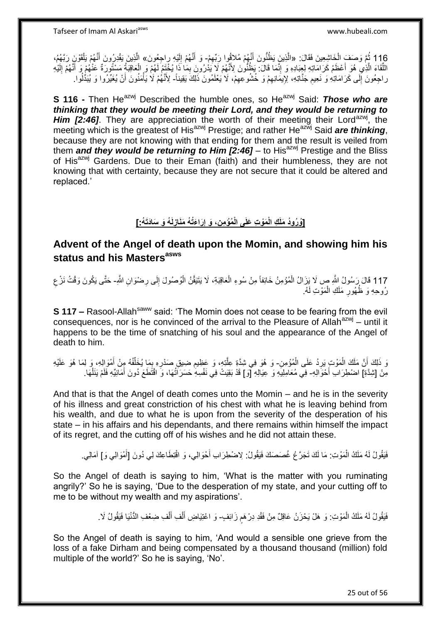116 ثُمَّ وَصَفَ الْخَاشِعِينَ فَقَالَ: «الَّذِينَ يَظُنُّونَ أَنَّهُمْ مُلاَثُوا رَبِّهِمْ- وَ أَنَّهُمْ إِلَيْهِ رِاحِعُونَ» الَّذِينَ يَقْدِرُونَ أَنَّهُمْ يَلْقَوْنَ رَبَّهُمُ، ْ ه َ ه لَ ِ ه َ ه َ اً ْ اللَّقَاءَ الَّذِي ۚ هُوَ أَعْظَمُ كَرَامَاتِهِ لِعِبَادِهِ وَ إِنَّمَا قَالَ: يَظُنُّونَ لِأَنَّهُمْ لَا يَذْرُوونَ بِمَا ذَا بِخُنَّومَ لَهُمْ وَ إِلَيْهِ الْفَلْمَ لَا يَذْرُوونَ بِمَا ذَا بِخُنَّوَمَ لَهُمْ وَ إِلَيْهِ ِ اً<br>ا ه ِ َ لَ ِ َ راجِعُونَ إِلَى كَرَامَاتِهِ وَ نَعِيمِ جَنَّاتِهِ، لِإِيمَانِهِمْ وَ خُشُوعِهِمْ، لَا يَعْلَمُونَ ذَلِكَ يَقِيناً- لِأَنَّهُمْ لَا يَأْمَنُونَ أَنْ يُغَيِّرُوا وَ يُبَدُّلُوا ِ  $\frac{1}{2}$ ِ ِ ُ َ ْ

**S 116 -** Then He<sup>azwj</sup> Described the humble ones, so He<sup>azwj</sup> Said: *Those who are thinking that they would be meeting their Lord, and they would be returning to*  Him [2:46]. They are appreciation the worth of their meeting their Lord<sup>azwj</sup>, the meeting which is the greatest of His<sup>azwj</sup> Prestige; and rather He<sup>azwj</sup> Said *are thinking*, because they are not knowing with that ending for them and the result is veiled from them **and they would be returning to Him [2:46]** – to His<sup>azwj</sup> Prestige and the Bliss of His<sup>azwj</sup> Gardens. Due to their Eman (faith) and their humbleness, they are not knowing that with certainty, because they are not secure that it could be altered and replaced.'

#### [وُرُودُ مَلَكِ الْمَوْتِ عَلَى الْمُؤْمِنِ، وَ إِرَاءَتُهُ مَنَازِلَهُ وَ سَادَتَهُ:] **ِ ِ**

#### **Advent of the Angel of death upon the Momin, and showing him his status and his Mastersasws**

117 قَالَ رَسُولُ النَّهِ ص لَا يَزَالُ الْمُؤْمِنُ خَائِفاً مِنْ سُوءِ الْعَاقِبَةِ، لَا يَتَيَقَّنُ الْوُصُولَ إِلَى رِضْوَانِ اللَّهِ- حَتَّى يَكُونَ وَقْتُ نَرْعِ ِ ْ ْ ْ رُوحِهِ وَ ظُهُورٍ مَلَكِ الْمَوَّتِ لَهُ ْ ِ

**S 117 –** Rasool-Allah<sup>saww</sup> said: 'The Momin does not cease to be fearing from the evil consequences, nor is he convinced of the arrival to the Pleasure of Allah<sup>azwj</sup> – until it happens to be the time of snatching of his soul and the appearance of the Angel of death to him.

َوَ ذَلِكَ أَنَّ مَلَكَ الْمَوْتِ بَرِدُ عَلَى الْمُؤْمِنِ- وَ هُوَ فِي شِدَّةٍ عِلَّذِهِ، وَ عَظِيمِ ضِيقٍ صَدْرِهِ بِمَا يُخَلِّفُهُ مِنْ أَمْوَالِهِ، وَ لِمَا هُوَ عَلَيْهِ ْ ِ ْ ِ َ ِّ ِ **∶** مِنْ [شِدَّةِ] اضْطِرَابِ أَحْوَالِهِ- فِي مُعَامِلِيَهِ وَ عِيَالِهِ [ٓوَ] قَدْ بَقِيَتْ فِي نَفْسِهِ ٰحَسَرَاتُهَا، وَ اقْتَطَعَ دُونَ أَمَانِيِّهِ فَلَمْ يَنَلْهَا. ْ َ

And that is that the Angel of death comes unto the Momin – and he is in the severity of his illness and great constriction of his chest with what he is leaving behind from his wealth, and due to what he is upon from the severity of the desperation of his state – in his affairs and his dependants, and there remains within himself the impact of its regret, and the cutting off of his wishes and he did not attain these.

فَيَقُولُ لَهُ مَلَكُ الْمَوْتِ ۚ مَا لَكَ تَجَرَّ عُ غُصَصَكَ فَيَقُولُ ۚ لِاضْطِرَابِ أَحْوَالِي، وَ اقْتِطَاعِكَ لِي دُونَ [أَمْوَالِي وَ] آمَالِي. ْ َ َ

So the Angel of death is saying to him, 'What is the matter with you ruminating angrily?' So he is saying, 'Due to the desperation of my state, and your cutting off to me to be without my wealth and my aspirations'.

> فَيَقُولُ لَهُ مَلَكُ الْمَوْتِ: وَ هَلْ يَحْزَنُ عَاقِلٌ مِنْ فَقْدِ دِرْهَم زَائِفٍ- وَ اعْتِيَاضِ أَلْفِ أَلْفِ ضِعْفِ الدُّنْيَا فَيَقُولُ لَا. ْ ֧֧֚֓֝֝֓֝ ْ َ ْ َ

So the Angel of death is saying to him, 'And would a sensible one grieve from the loss of a fake Dirham and being compensated by a thousand thousand (million) fold multiple of the world?' So he is saying, 'No'.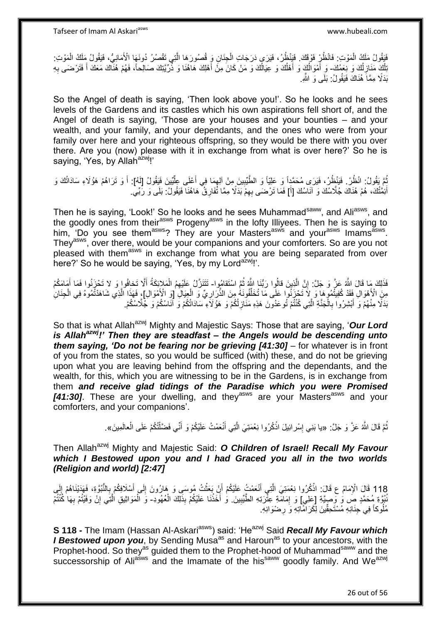فَيَقُولُ مَلَكُ الْمَوْتِ: فَانْظُرٍ فَوْقِكَ. فَيَنْظُرُ، فَيَرَي دَرَجَاتِ الْجِنَانِ وَ قُصُورَهَا الَّتِي تَقْصُرُ دُونَهَا الْأَمَانِيُّ، فَيَقُولُ مَلَكُ الْمَوْتِ: ه ْ ْ ْ َلْكٍ مَذَازِلُكَ وَ نِعَمُكَ- وَ أَمْوَالَكَ وَ أَهْلُكَ وَ عَيَالُكَ وَ مَنْ كَانَ مِنْ أَهْلِكَ هَاهُنَا وَ ذُّرِّيَّتِكَ صَالِحاً، فَهُمْ هُنَاكَ مَعَكَ أَ فَتَرْضَمَى بِهِ ُ **∶** اً ا<br>أ اُ ُ ِ َ بَدَلًا مِمَّاً هُذَاكَ فَبَقُولُ: بَلَى وَ الثَّهِ

So the Angel of death is saying, 'Then look above you!'. So he looks and he sees levels of the Gardens and its castles which his own aspirations fell short of, and the Angel of death is saying, 'Those are your houses and your bounties – and your wealth, and your family, and your dependants, and the ones who were from your family over here and your righteous offspring, so they would be there with you over there. Are you (now) please with it in exchange from what is over here?' So he is saying, 'Yes, by Allah<sup>azwj</sup>!'

ثُمَّ يَقُولُ: انْظُرْ. فَيَنْظُرُ، فَيَرَى مُحَمَّدِاً وَ عَلِيّاً وَ الطَّيِّبِينَ مِنْ أَلِهِمَا فِي أَعْلَى عِلِّيِّينَ فَيَقُولُ [لَهُ]. أَ وَ تَرَاهُمْ هَؤُلَاءِ سَادَاتُكَ وَ ِّ َ ِ **!** َ أَئِمَّتُكَ، هُمْ هُذَاكَ جُلَّاسُكَ وَ آنَاسُكَ [أَ] فَمَا تَرْضَى بِهِمْ بَدَلًا مِمَّا تُفَارِقُ ۖ هَاهُذَا فَيَقُولُ: بَلَى وَ رَبِّي. ِ ِ َ

Then he is saying, 'Look!' So he looks and he sees Muhammad<sup>saww</sup>, and Ali<sup>asws</sup>, and the goodly ones from their<sup>asws</sup> Progeny<sup>asws</sup> in the lofty Illiyees. Then he is saying to him, 'Do you see them<sup>asws</sup>? They are your Masters<sup>asws</sup> and your<sup>asws</sup> Imams<sup>asws</sup>. They<sup>asws</sup>, over there, would be your companions and your comforters. So are you not pleased with them<sup>asws</sup> in exchange from what you are being separated from over here?' So he would be saying, 'Yes, by my Lord<sup>azwj</sup>!'.

יִי, فَذَلِكَ مَا قَالَ اللَّهُ عَزَّ وَ جَلَّ: إِنَّ الَّذِينَ قالُوا رَبُّنَا اللَّهُ ثُمَّ اسْتَقامُوا – تَتَنَزَّلُ عَلَيْهِمُ الْمَلاِئِكَةُ أَلَّا تَخافُوا وَ لا تَحْزَنُوا فَمَا أَمَامَكُمْ :<br>ا .<br>• • • • َ ْ مِنَ الْأَهْوَالِ فَقَدْ كُفِيتُمُوهَا وَ لاَ تَحْزَنُوا عَلَى مَا تُخَلِّفُونَهُ مِنَ الذَّرَارِيِّ وَ الْجِيَالِ [وَ الْأَمْوَالِ]، فَهَذَا الَّذِي شَاهَدْتُمُوهُ فِي الْجِنَانِ ْ ِ ِّ ْ ه بَدَلًا مِنْهُمْ وَ أَبْشِرُوا بِالْجَنَّةِ الَّتِي كُنْتُمْ تُوعَدُونَ هَذِهِ مَذَازِلُكُمْ وَ هَؤُلَاءِ سَادَاتُكُمْ وَ أَنَاسُكُمْ وَ جَلَّاسُكُمْ. ه ْ **∶** ِ

So that is what Allah<sup>azwj</sup> Mighty and Majestic Says: Those that are saying, 'Our Lord *is Allahazwj!' Then they are steadfast – the Angels would be descending unto them saying, 'Do not be fearing nor be grieving [41:30]* – for whatever is in front of you from the states, so you would be sufficed (with) these, and do not be grieving upon what you are leaving behind from the offspring and the dependants, and the wealth, for this, which you are witnessing to be in the Gardens, is in exchange from them *and receive glad tidings of the Paradise which you were Promised*  **[41:30]**. These are your dwelling, and they<sup>asws</sup> are your Masters<sup>asws</sup> and your comforters, and your companions'.

> ثُمَّ قَالَ اللَّهُ عَزَّ وَ جَلَّ: «يا بَنِي إِسْرائِيلَ اذْكُرُوا نِعْمَتِيَ الَّتِي أَنْعَمْتُ عَلَيْكُمْ وَ أَنِّي فَضَّلْتُكُمْ عَلَى الْعالَمِينَ». َ ه **ٔ** ׇ**֓** ْ ْ َ

Then Allah<sup>azwj</sup> Mighty and Majestic Said: O Children of Israel! Recall My Favour *which I Bestowed upon you and I had Graced you all in the two worlds (Religion and world) [2:47]*

118 قَالَ الْإِمَامُ ع قَالَ: اذْكُرُوا نِعْمَتِيَ الَّتِي أَنْعَمْتُ عَلَيْكُمْ أَنْ بَعَثْتُ مُوسَىِي وَ هَارُونَ إِلَى أَسْلَافِكُمْ بِالنُّبُوَّةِ، فَهَدَيْنَاهُمْ إِلَى  $\frac{1}{2}$ ِ َ ِ َ **ٔ** َ ه **ٔ** يُبُوَّةِ مُحَمَّدٍ صِنَّ لِكَرِي إِعْلِي ] وَ إِمَامَّةِ عِثّْرَتِهِ الطَّيِّبِينَ. وَٰ أَخَذْنَا عَلَيْكُمْ بِذَلِكَ الْعُهُودِ- وَ الْمَوَاثِيقِ الْتَي إِنْ وَفَيْتُمْ بِهَا كُنْتُمْ **!** ِ **ٔ** ِ ِ ه ْ مُلُوكاً فِي جِنَانِهِ مُسْتَحِقِّينَ لِكَرَامَّاتِهِ وَ رِضْوَانِهِ. **∶** 

**S 118 -** The Imam (Hassan Al-Askari<sup>asws</sup>) said: 'He<sup>azwj</sup> Said *Recall My Favour which I Bestowed upon you*, by Sending Musa<sup>as</sup> and Haroun<sup>as</sup> to your ancestors, with the Prophet-hood. So they<sup>as</sup> guided them to the Prophet-hood of Muhammad<sup>saww</sup> and the successorship of Ali<sup>asws</sup> and the Imamate of the his<sup>saww</sup> goodly family. And We<sup>azwj</sup>

26 out of 56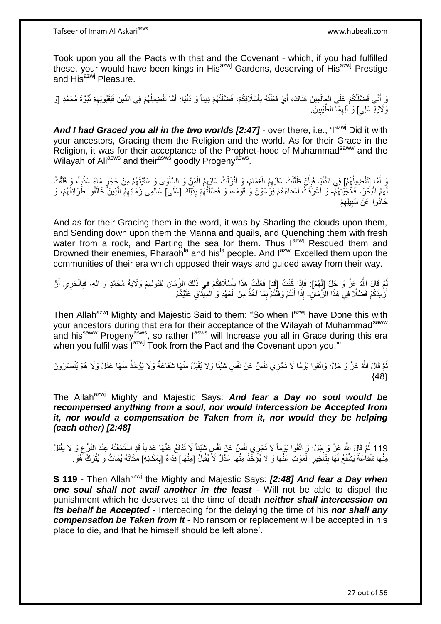Took upon you all the Pacts with that and the Covenant - which, if you had fulfilled these, your would have been kings in His<sup>azwj</sup> Gardens, deserving of His<sup>azwj</sup> Prestige and His<sup>azwj</sup> Pleasure.

وَ أَنِّي فَضَّلْتُكُمْ عَلَى الْعِالَمِينَ هُنَاكَ، أَيْ فَعَلْتُهُ بِأَسْلَافِكُمْ، فَضَّلْتُهُمْ دِيناً وَ دُنْيَا: أَمَّا تَفْضِيلُهُمْ فِي الدِّينِ فَلِقَبُولِهِمْ نُبُوَّةَ مُحَمَّدٍ [وَ ْ ֺ֦֖֦֧֦֦֧֦֧֦֪֦֧֦֧֦֧֦֪ׅ֧֦֧֦֧֦֧֦֧֝֟֟֓֕֟֓֕֝֓֟֓֡֟֓֡֟֓֡֟֓֡֟֓֡֟֓֟֓֡֟֓֓֞֟֓֞֓֞֟֓֡֟֩֓֓֟֓֞֟֟֓֟֓֟֓֟֓֝<br>֧֧֧֪֧֪֝֩֘֝֬֞֟׆<br>֧֪֘ ْ َ **∶** ْ َ ِ ُ َ وَ لَايَةٍ عَلِيٍ] وَ ٰ أَلِهِمَا ۖ الطَّيِّبِينَ **!** ِ

And I had Graced you all in the two worlds [2:47] - over there, i.e., 'l<sup>azwj</sup> Did it with your ancestors, Gracing them the Religion and the world. As for their Grace in the Religion, it was for their acceptance of the Prophet-hood of Muhammad<sup>saww</sup> and the Wilayah of Ali<sup>asws</sup> and their<sup>asws</sup> goodly Progeny<sup>asws</sup>.

يَ أَمَّا [تَفْضِيلُهُمْ] فِي الدُّنْيَا فَبِأَنْ ظَلَّلْتُ عَلَيْهِمُ الْغَمَامَ، وَ أَنْزَلْتُ عَلَيْهِمُ الْمَنَّ وَ السَّلْوَى وَ سَقَيْتُهُمْ مِنْ جَجَرٍ مَاءً عَذْبِاً، وَ فَلَقْتُ ُ َ ْ اُ ز<br>ا ¦ **ٔ** ْ ْ ْ َ ْ لَّهُمُ الْبَحْرَ، فَأَنْجَٰيْتُهُمّْ- وَ أَغْرَقْتُ أَعْدَاءَهُمْ فَرْعَوْنَ وَٰ قَوْمَهُ، وَ فَضَّلْتُهُمْ بِذَلِّكَ [عَلَى] عَالَمِي زَمَانِهِمْ الَّذِينَ ۖ خَالَفُوا طَرَائِقَهُمْ، وَ َ :<br>ا َ ْ ه حَادُوا عَنْ سَبِيلِهِمْ ِ **!** 

And as for their Gracing them in the word, it was by Shading the clouds upon them, and Sending down upon them the Manna and quails, and Quenching them with fresh water from a rock, and Parting the sea for them. Thus l<sup>azwj</sup> Rescued them and Drowned their enemies, Pharaoh<sup>la</sup> and his<sup>la</sup> people. And l<sup>azwj</sup> Excelled them upon the communities of their era which opposed their ways and guided away from their way.

ثُمَّ قَالَ اللَّهُ عَزَّ وَ جَلَّ [لَهُمْ]: فَإِذَا كُنْتُ [قَدْ] فَعَلْتُ هَذَا بِأَسْلَافِكُمْ فِي ذَلِكَ الزَّمَانِ لِقَبُولِهِمْ وَلَايَةَ مُحَمَّدٍ وَ أَلِهِ، فَبِالْحَرِي أَنْ ُ ِ ِ َ **∶** ْ  $\frac{1}{2}$ َ أَزِيدَكُمْ فَضْلًا فِي هَذَا الزَّمَالِّ- إِذَا أَنْتُمْ وَفَيْتُمْ بِمَا آخُذُ مِنَ اَلْعَهْدِ وَ الْمِيثَاقِ عَلَيْكُمْ. **∶** َ َ ْ ْ ِ َ

Then Allah<sup>azwj</sup> Mighty and Majestic Said to them: "So when I<sup>azwj</sup> have Done this with your ancestors during that era for their acceptance of the Wilayah of Muhammad<sup>saww</sup> and his<sup>saww</sup> Progeny<sup>asws</sup>, so rather l<sup>asws</sup> will Increase you all in Grace during this era when you fulfil was l<sup>azwj</sup> Took from the Pact and the Covenant upon you."

نُّمَّ قَالَ اللَّهُ عَنَّ وَ جَلَّ: وَاتَّقُوا يَوْمًا لَا تَجْزِي نَفْسٌ عَنْ نَفْسٍ شَيْئًا وَلَا يُقْبَلُ مِنْهَا شَفَاعَةٌ وَلَا يُؤْخَذُ مِنْهَا عَدْلٌ وَلَا هُمْ يُنْصَرُونَ ُ  ${48}$ 

The Allah<sup>azwj</sup> Mighty and Majestic Says: **And fear a Day no soul would be** *recompensed anything from a soul, nor would intercession be Accepted from it, nor would a compensation be Taken from it, nor would they be helping (each other) [2:48]*

119 ثُمَّ قَالَ اللَّهُ عَنَّ وَ جَلَّ: وَ اتَّقُوا يَوْماً لا تَجْزِي نَفْسٌ عَنْ نَفْسٍ شَيْئاً لَا تَذْفَعُ عَنْهَا عَذَاباً قَدِ السْتَحَقَّتُهُ عِنْدَ النَّزْعِ وَ لا يُقْبَلُ<br>ثمينك تعدد النه وي النه والنه والنه والن مِنْها شَفاٰعَةٌ يَشْفَعُ لَهَا بِتَأْخِيرِ الْمَوْتِ عَنْهَا وَ لا يُؤَخِّذُ مِنْها عَدْلٌ لَأَ يُقْبَلُ [مِنْهَا] فِدَاءٌ [بِمَكَانِهِ] مَكَانَهُ يُمَاتُ وَ يُتْرَكُ كَهُوَ ـ ْ **∶** ْ **∣** ِ

**S 119 -** Then Allah<sup>azwj</sup> the Mighty and Majestic Says: **[2:48] And fear a Day when** *one soul shall not avail another in the least* - Will not be able to dispel the punishment which he deserves at the time of death *neither shall intercession on its behalf be Accepted* - Interceding for the delaying the time of his *nor shall any compensation be Taken from it* - No ransom or replacement will be accepted in his place to die, and that he himself should be left alone'.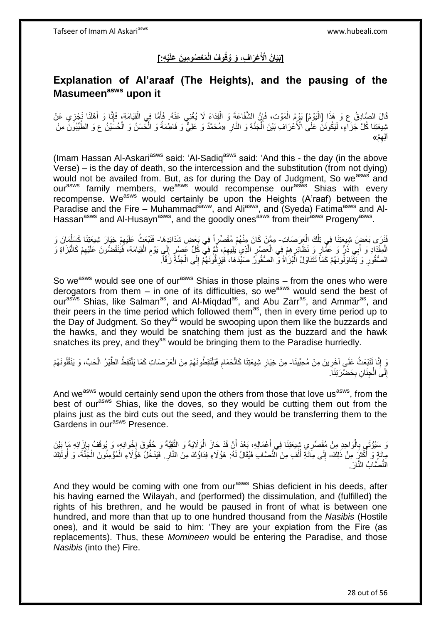#### **ْي ِه:[ َم ْع ُصو ِمي َن َعلَ ْع َرا ِف، َو ُوقُو ُف الْ ]َبَيا ُن اْْلَ**

## **Explanation of Al'araaf (The Heights), and the pausing of the Masumeen asws upon it**

قَالَ الصَّادِقُ ع وَ هَذَا [الْيَوْمُ] يَوْمُ الْمَوْتِ، فَإِنَّ الشَّفَاعَةَ وَ الْفِدَاءَ لَا يُغْنِي عَنْهُ. فَأَمَّا فِي الْقِيَامَةِ، فَإِنَّا وَ أَهْلَنَا نَجْزِي عَنْ ֦֧֖֧֦֧֦֧֦֧֦֧֦֧֦֧֦֧֦֧֧֦֧֦֧֡֝֟֟֓֕֝֟֟֓֓֟֓֓֡֟֓֟֓֡֟֓֟֓֡֟֓֓֞֟֓֟֓֡֟֓֓֞֓֞֟֓֡֟֓֓֞֟֓֟֓֓֞֟֓֟֓֝֓֝֬ ْ ∣lٍ ْ ِ َ ا∣<br>ِ∘ِ ْ َ ثِبيعَتِنَا كُلَّ جَزَاءٍ، لَيَكُونَنَّ عَلَىٰ الْأَعْرَافِ بَيْنَ اَلْجَنَّةِ وَ النَّارِ ۚ «مُحَمَّدٌ وَ عَلِيٌّ وَ فَاطِمَةُ وَ الْحَسَنُ وَ الْحُسَيْنُ ع وَ الطَّيِّبُونَ مِنْ **∶** ْ ْ آلِهِمْ» ِ

(Imam Hassan Al-Askari<sup>asws</sup> said: 'Al-Sadiq<sup>asws</sup> said: 'And this - the day (in the above Verse) – is the day of death, so the intercession and the substitution (from not dying) would not be availed from. But, as for during the Day of Judgment, So we<sup>asws</sup> and our<sup>asws</sup> family members, we<sup>asws</sup> would recompense our<sup>asws</sup> Shias with every recompense. We<sup>asws</sup> would certainly be upon the Heights (A'raaf) between the Paradise and the Fire – Muhammad<sup>saww</sup>, and Ali<sup>asws</sup>, and (Syeda) Fatima<sup>asws</sup> and Al-Hassan<sup>asws</sup> and Al-Husayn<sup>asws</sup>, and the goodly ones<sup>asws</sup> from their<sup>asws</sup> Progeny<sup>asws</sup>.

فَلَزِي بَعْضٍ شِيعَتِنَا فِي تِلْكَ الْعَرَصَاتِ- مِمَّنْ كَانَ مِنْهُمْ مُقَصِّرٍاً فِي بَعْضِ شَدَائِدِهَا- فَنَبْعَثُ عَلَيْهِمْ خِيَارَ شِيعَتِنَا كَسَلْمَانَ وَ ْ ْ الْمِقْدَادِ وَ أَبِي ذَرٍّ وَ عَمَّارٍ وَ نَظَائِرٍ هِمْ فِي الْعَصْرِ الَّذِي يَلِيهِمْ، ثُمَّ فِي كُلِّ عَصْرٍ إِلَي يَوْمِ الْقِيَامَةِ، فَيُنْقَضُونَ عَلَيْهِمْ كَالْبُزَاةِ وَ ِ َ ِ ْ ِ  $\frac{1}{2}$ ر<br>•<br>• ِ ه **∶** ْ الصُّقُورِ ۚ وَ يَتَّنَاوَلُونَهُمْ كَمَاً تَتَنَاوَلُ الْبُرَاٰةُ وَ الصُّقُورُ صَيْدَهَا، فَيَزِفُّونَهُمْ إِلَى الْجَنَّةِ زَفَّاً. ْ ِ ِ ْ ِ

So we<sup>asws</sup> would see one of our<sup>asws</sup> Shias in those plains – from the ones who were derogators from them – in one of its difficulties, so we<sup>asws</sup> would send the best of our<sup>asws</sup> Shias, like Salman<sup>as</sup>, and Al-Miqdad<sup>as</sup>, and Abu Zarr<sup>as</sup>, and Ammar<sup>as</sup>, and their peers in the time period which followed them<sup>as</sup>, then in every time period up to the Day of Judgment. So they<sup>as</sup> would be swooping upon them like the buzzards and the hawks, and they would be snatching them just as the buzzard and the hawk snatches its prey, and they<sup>as</sup> would be bringing them to the Paradise hurriedly.

نَ إِنَّا لَنَبْعَثُ عَلَى آخَرِينَ مِنْ مُحِبِّينَا- مِنْ خِيَارِ شِيعَتِنَا كَالْحَمَامِ فَيَلْتَقِطُونَهُمْ مِنَ الْعَرَصَاتِ كَمَا يَلْتَقِطُ الطَّيْرُ الْحَبَّ، وَ يَنْقُلُونَهُمْ ِ ِ **∶** ْ ِ ْ ْ ْ ْ إِلَى الْجِنَانِ بِحَضْرَتِنَاً. ِ ْ יִי<br>;

And we<sup>asws</sup> would certainly send upon the others from those that love us<sup>asws</sup>, from the best of our<sup>asws</sup> Shias, like the doves, so they would be cutting them out from the plains just as the bird cuts out the seed, and they would be transferring them to the Gardens in our<sup>asws</sup> Presence.

َوَ سَيُؤْتَى بِالْوَاحِدِ مِنْ مُقَصِّرِي شِيعَتِنَا فِي أَعْمَالِهِ، بَعْدَ أَنْ قَدْ حَازَ الْوَلَايَةَ وَ التَّقِيَّةَ وَ حُقُوقَ إِخْوَانِهِ، وَ يُوقَفُ بِإِزَائِهِ مَا بَيْنَ<br>يَتَوَفَّقُ الْجَمَعِينَ مَعَدَّبِ بِنَب َ ا.<br>ا **∶** اٍ ِ  $\frac{1}{2}$ ْ َ مِائَةٍ وَ أَكْثَرَ مِنْ ذَلِكَ- إِلَى مِاَئَةِ أَلْفٍ مِنَ النُّصَابِ فَيُقَالُ لَهُ: هَوُلَاءِ فِدَاوُكَ مِنَ النَّارِ . فَيَدْخُلُ هَوُلَاءِ الْمُوْمِنُونَ الْجَنَّةَ، وَ أُولَئِكَ ة<br>أ َ ِ ْ َ  $\frac{1}{2}$ ا<br>ا ْ ْ النُّصَّابُ النَّارَ ِ

And they would be coming with one from our<sup>asws</sup> Shias deficient in his deeds, after his having earned the Wilayah, and (performed) the dissimulation, and (fulfilled) the rights of his brethren, and he would be paused in front of what is between one hundred, and more than that up to one hundred thousand from the *Nasibis* (Hostile ones), and it would be said to him: 'They are your expiation from the Fire (as replacements). Thus, these *Momineen* would be entering the Paradise, and those *Nasibis* (into the) Fire.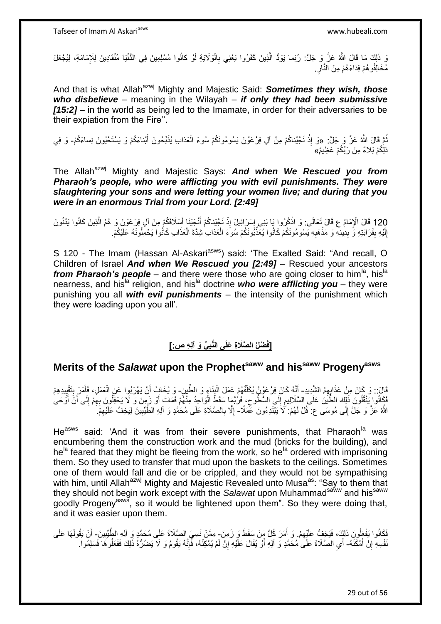وَ ذَلِكَ مَا قَالَ اللَّهُ عَنَّ وَ جَلَّ: رُبَما يَوَدُّ الَّذِينَ كَفَرُوا يَعْنِي بِالْوَلَايَةِ لَوْ كانُوا مُسْلِمِينَ فِي الدُّنْيَا مُنْقَادِينَ لِلْإِمَامَةِ، لِيُجْعَلَ<br>وَ ذَلِكَ مَا قَالَ اللَّهُ عَنَّ وَ جَلَّ ْ ِ مُخَالِفُو هُمْ فِدَاءَهُمْ مِنَ النَّارِ ِ ِ

And that is what Allah<sup>azwj</sup> Mighty and Majestic Said: **Sometimes they wish, those** *who disbelieve* – meaning in the Wilayah – *if only they had been submissive [15:2]* – in the world as being led to the Imamate, in order for their adversaries to be their expiation from the Fire''.

نُّمَّ قَالَ اللَّهُ عَزَّ وَ جَلَّ: «وَ إِذْ نَجَّيْناكُمْ مِنْ آلِ فِرْعَوْنَ يَسُومُونَكُمْ سُوءَ الْعَذابِ يُذَبِّحُونَ أَبْناءَكُمْ وَ يَسْتَحْيُونَ نِساءَكُمْ- وَ فِي **ٔ** َ ْ ذلِّكُمْ بَلاءٌ مِنْ رَبِّكُمْ عَظِيمٌ»

The Allah<sup>azwj</sup> Mighty and Majestic Says: **And when We Rescued you from** *Pharaoh's people, who were afflicting you with evil punishments. They were slaughtering your sons and were letting your women live; and during that you were in an enormous Trial from your Lord. [2:49]*

120 قَالَ الْإِمَامُ ع قَالَ تَعَالَى: وَ اذْكُرُوا يَا بَنِي إِسْرَائِيلَ إِذْ نَجَّيْنِاكُمْ أَنْجَيْنَا أَسْلَافَكُمْ مِنْ آلِ فِرْعَوْنَ وَ هُمُ الَّذِينَ كَانُوا يَدْنُونَ<br>120 آخر اللہ ه َ ْ َ **ٔ** ِ ֦֦֧֦֧֦֧֦֧֦֧ׅ֦֧֦֧ׅ֦֧ׅ֦֧ׅ֦֧֦֧֦֧֦֧֦֧֦֧֦֚֚֚֚֝֟֝֝֜֜֜֜ ْ إِلَيْهِ بِقَرَابَتِهِ وَّ بِدِينِهِ وَ مَذْهَبِهِ يَسُومُونَكُمْ كَانُوا يُعَذِّبُونَكُمْ سُوءَ الْعَذَابِ شِدَّةَ الْعَذَابِ كَانُوا يَحْمِلُونَهُ عَلَيْكُمْ. **∣** لَ ِ ِ **ٔ** ِ ْ ْ

S 120 - The Imam (Hassan Al-Askari<sup>asws</sup>) said: 'The Exalted Said: "And recall, O Children of Israel *And when We Rescued you [2:49]* – Rescued your ancestors *from Pharaoh's people* – and there were those who are going closer to him<sup>la</sup>, his<sup>la</sup> nearness, and his<sup>la</sup> religion, and his<sup>la</sup> doctrine **who were afflicting you** – they were punishing you all *with evil punishments* – the intensity of the punishment which they were loading upon you all'.

#### **ِّي َو آلِ ِه ص:[ ْضلُ ال َّصَال ِة َعلَى الَّنب ]فَ ِ**

# **Merits of the** *Salawat* **upon the Prophetsaww and hissaww Progenyasws**

قَالَ:: وَ كَانَ مِنْ عَذَابِهِمُ الشَّدِيدِ- أَنَّهُ كَانَ فِرْعَوْنُ يُكَلِّفُهُمْ عَمَلَ الْبِنَاءِ وَ الطُّينِ- وَ يُخَافُ أَنْ يَهْرَبُوا عَنِ الْعَمَلِ، فَأَمَرَ بِتَقْيِيدِهِمْ **↓** ْ ِّ ِ ِ َ ْ َ فَكَانُوا يَنْقُلُونَ ذَلِّكَ الطَّيَنُ عَلَى السَّلَالِيمِ إِلَى السُّطُوعِ، فَرُبَّمَا سَقَطِّ الْوَاحِدُ مِنْهُمْ فَمَاتَ أَوْ زَمِنَ وَ لَا يَحْفِلُونَ بِهِمْ إِلَى أَنْ أَوَْحَى َ ْ  $\zeta$ ِ ِ ِ َ َ ِ اللَّهُ عَزَّ وَ جَلَّ إِلَى مُوسَى ع: قُلْ لَهُمْ: َلَا َيَبْتَدِءُونَ عَمَدَّد- إِلَّا بِالصَّلَاةِ عَلَى مُحَمَّدٍ وَ آلِهِ الطَّيِّبِينَ لِيَخِفَّ عَلَيْهِمْ.  $\frac{1}{2}$ ِ ِ ِ ِ

He<sup>asws</sup> said: 'And it was from their severe punishments, that Pharaoh<sup>la</sup> was encumbering them the construction work and the mud (bricks for the building), and he<sup>la</sup> feared that they might be fleeing from the work, so he<sup>la</sup> ordered with imprisoning them. So they used to transfer that mud upon the baskets to the ceilings. Sometimes one of them would fall and die or be crippled, and they would not be sympathising with him, until Allah<sup>azwj</sup> Mighty and Majestic Revealed unto Musa<sup>as</sup>: "Say to them that they should not begin work except with the Salawat upon Muhammad<sup>saww</sup> and his<sup>saww</sup> goodly Progeny<sup>asws</sup>, so it would be lightened upon them". So they were doing that, and it was easier upon them.

فَكَانُوا يَفْعَلُونَ ذَلِكَ، فَيَخِفُّ عَلَيْهِمْ. وَ أَمَرَ كُلَّ مَِنْ سَقَطَ وَ زَمِنَ- مِمَّنْ نَسِيَ الصَّلَاةَ عَلَى مُحَمَّدٍ وَ آلِهِ الطَّيِّبِينَ- أَنْ يَقُولَهَا عَلَى ِ ِ َ َفْسِهِ إِنْ أَمْكَنَّهُ- أَي الْصَّلَاةَ عَلَى مُحَمَّدٍ وَ آلِهِ أَوْ يُقَالَ عَلَّيْهِ إِنْ لَمْ يُمْكِنْهُ، فَّإِنَّهُ يَقُومُ وَ لاَ يَصْدُرُهُ ذَلِكَ فَفَعَلُوهَا فَسَلِمُوا ـ َ <u>֖֚֚֚֚֚֚֚֓</u>  $\ddot{\cdot}$ ∣اٍ ِ اُ ُ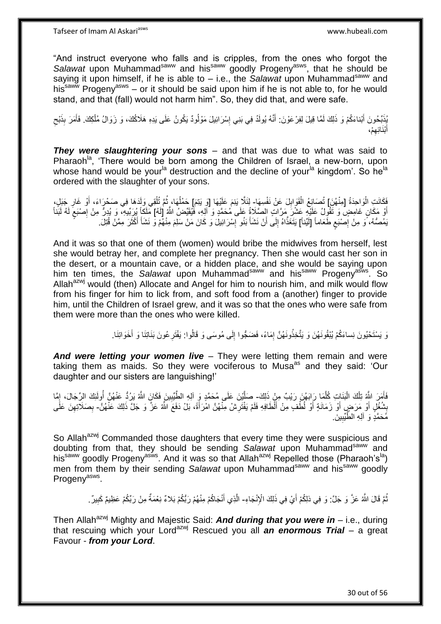"And instruct everyone who falls and is cripples, from the ones who forgot the Salawat upon Muhammad<sup>saww</sup> and his<sup>saww</sup> goodly Progeny<sup>asws</sup>, that he should be saying it upon himself, if he is able to – i.e., the *Salawat* upon Muhammad<sup>saww</sup> and his<sup>saww</sup> Progeny<sup>asws</sup> – or it should be said upon him if he is not able to, for he would stand, and that (fall) would not harm him". So, they did that, and were safe.

بُذِّبِدُونَ أَبْناءَكُمْ وَ ذَلِكَ لَمَّا قِيلَ لِفِرْ عَوْنَ: أَنَّهُ يُولَدُ فِي بَنِي إِسْرَائِيلَ مَوْلُودٌ يَكُونُ عَلَى يَدِهِ هَلَاكُكَ، وَ زَوَالُ مُلْكِكَ. فَأَمَرَ بِذَبْحِ َ ُ ِ َ ْ ِ َ أَبْذَائِهِمْ**،** ِ َ

*They were slaughtering your sons* – and that was due to what was said to Pharaoh<sup>la</sup>, 'There would be born among the Children of Israel, a new-born, upon whose hand would be your<sup>la</sup> destruction and the decline of your<sup>la</sup> kingdom'. So he<sup>la</sup> ordered with the slaughter of your sons.

فَكَانَتِ الْوَاحِدَةُ [مِنْهُنَ] تُصَانِعُ الْقَوَابِلَ عَنْ نَفْسِهَا- لِئَلَّا يَنِمَ عَلَيْهَا [وَ يَتِمَ] حَمْلُهَا، ثُمَّ تُلْقِي وَلَدَهَا فِي صَحْرَاءَ، أَوْ غَارِ جَبَلٍ، ْ ِ ْ ا دیکھیے ِ َ أَوْ مَكَانٍ غَامِضٍ وَ تَقُولُ عَلَيْهِ عَشْرَ مَرَّاتٍ الصَّلَاةُ عَلَى مُحَمَّدٍ وَ آلِهِ، فَيُقَيِّضُ اللَّهُ إِلَهُ] مِلَكاً يُرَبِّيهِ، وَ يُدِرُّ مِنْ إِصْبَعَ لَهُ لَبَنَاً َ لَ ٍ ِ يَمُصُّهُ، وَ مِنْ إِصْبَعِ طَعَاماً [لَيِّناً] يَتَغَذَّاهُ إِلَى أَنْ نَشَأَ بَنُو إِسْرَائِيلَ وَ كَانَ مَنْ سَلِمَ مِنْهُمْ وَ نَشَأَ أَكْثَرَ مِمَّنْ قُتِلَ. ٍ ِ َ َ َ ِ **∫** َ ∣∣<br>∶

And it was so that one of them (women) would bribe the midwives from herself, lest she would betray her, and complete her pregnancy. Then she would cast her son in the desert, or a mountain cave, or a hidden place, and she would be saying upon him ten times, the *Salawat* upon Muhammad<sup>saww</sup> and his<sup>saww</sup> Progeny<sup>asws</sup>, So Allah<sup>azwj</sup> would (then) Allocate and Angel for him to nourish him, and milk would flow from his finger for him to lick from, and soft food from a (another) finger to provide him, until the Children of Israel grew, and it was so that the ones who were safe from them were more than the ones who were killed.

> وَ يَسْتَحْيُونَ نِساءَكُمْ يُبْقُونَهُنَ وَ يَتَّخِذُونَهُنَّ إِمَاءً، فَضَجُّوا إِلَى مُوسَى وَ قَالُوا: يَفْتَرِ عُونَ بَذَاتِنَا وَ أَخَوَاتِنَا. ِ ِ َ

*And were letting your women live* – They were letting them remain and were taking them as maids. So they were vociferous to Musa<sup>as</sup> and they said: 'Our daughter and our sisters are languishing!'

فَأَمَرَ اللَّهُ تِلْكَ الْبَنَاتِ كُلَّمَا رَابَهُنَ رَيْبٌ مِنْ ذَلِكَ- صَلَّيْنَ عَلَى مُحَمَّدٍ وَ آلِهِ الطَّيِّبِينَ فَكَانَ اللَّهُ يَرُدُّ عَنْهُنَّ أُولَئِكَ الرِّجَالَ، إِمَّا ه :<br>ا ْ َ اُ ِ ه  $\frac{1}{2}$ بِشُغْلِ أَوْ مَرَضٍ أَوْ زَمَانَةٍ أَوْ لُطَّفٍ مِنْ أَلْطَافِهِ فَلَمْ يَفْتَرِشْ مِنْهُنَّ امْرَأَةً، بَلْ دَفَعَ الشَّهُ عَزَّ وَ جَلَّ ذَلِكَ عَنْهُنَّ- بِصَلاَتِهِنَ عَلَى َ **∶** َ َ َ َ ׇׇ֧֧֦֧֦֧֦֧֦֧֦֧ׅ֧֦֧ׅׅ֦֧ׅ֦֧ׅ֧֝֝֜֓֓֜֡֜֓֡֜֓֡֜֓ ِ ِ مُحَمَّدٍ وَ آلِهِ الطَّيِّبِينَ **!** 

So Allah<sup>azwj</sup> Commanded those daughters that every time they were suspicious and doubting from that, they should be sending Salawat upon Muhammad<sup>saww</sup> and his<sup>saww</sup> goodly Progeny<sup>asws</sup>. And it was so that Allah<sup>azwj</sup> Repelled those (Pharaoh's<sup>la</sup>) men from them by their sending *Salawat* upon Muhammad<sup>saww</sup> and his<sup>saww</sup> goodly Progeny<sup>asws</sup>.

> نُّمَّ قَالَ اللَّهُ عَزَّ وَ جَلَّ: وَ فِي ذلِكُمْ أَيْ فِي ذَلِكَ الْإِنْجَاءِ- الَّذِي أَنْجَاكُمْ مِنْهُمْ رَبُّكُمْ بَلاءٌ نِعْمَةٌ مِنْ رَبِّكُمْ عَظِيمٌ كَبِيرٌ . َ ِ

Then Allah<sup>azwj</sup> Mighty and Majestic Said: **And during that you were in** – i.e., during that rescuing which your Lordazwj Rescued you all *an enormous Trial –* a great Favour - *from your Lord*.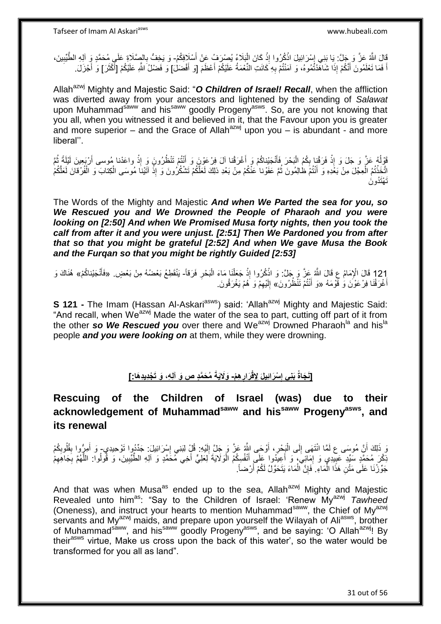قَالَ اللَّهُ عَنَّ وَ جَلَّ: يَا بَنِي إِسْرَائِيلَ اذْكُرُوا إِذْ كَانَ الْبَلَاءُ يُصِرُفُ عَنْ أَسْلَافِكُمْ- وَ يَخِفُّ بِالصِّلَاةِ عَلَى مُحَمَّدٍ وَ آلِهِ الطَّيِّيِينَ،<br>أَيَنِ مَنْ أَسْرَةٍ مِن أَلِّهِ الطَّيِّبِ :<br>ا **ٔ ٔ** ֓֕׀ׇ֜ ِ ِ اً فَمَا تَعْلَمُونَ أَنَّكُمْ إِذَا شَاهَّدْتُمُوهُ، وَ آمَنْتُمْ بِهِ كَانَتِ النِّعْمَةُ عَلَيْكُمْ أَعْظَمَ [قَ أَفْضَلْ) وَ فَضْلُ اللَّهِ عَلَيْكُمْ [أَكْثَرَ] وَ أَجْزَلَ. َ َ ِ َ َ َ َ

Allah<sup>azwj</sup> Mighty and Majestic Said: "O **Children of Israel! Recall**, when the affliction was diverted away from your ancestors and lightened by the sending of *Salawat* upon Muhammad<sup>saww</sup> and his<sup>saww</sup> goodly Progeny<sup>asws</sup>. So, are you not knowing that you all, when you witnessed it and believed in it, that the Favour upon you is greater and more superior – and the Grace of Allah<sup>azwj</sup> upon you – is abundant - and more liberal''.

فَقْوَلُهُ عَنَّ وَ جَلَ وَ إِذْ فَرَقْنِا بِكُمُ الْبَحْرَ فَأَنْجَنْنِاكُمْ وَ أَغْرَقْنا آلَ فِرْعَوْنَ وَ أَنْتُمْ تَنْظُرُونَ وَ إِذْ واعَدْنا مُوسى أَرْبَعِينَ لَيْلَةً ثُمَّ ا<br>ا ِ **ٔ ٔ** َ َ َ ا<br>ا َ تَّخَذْتُمُ الْعِجْلَ مِنْ بَعَْدِهِ وَ أَنْتُمْ ظٰالِمُونَ ثُمَّ عَفَوْنا عَنْكُمْ مِنْ بَعْدِ ذلِكَ لَعَلَّكُمْ<br>نِيَنَا مُوسَى الْكِتابَ وَ الْفُرْقانَ لَعَلَّكُمْ الْمُونَ فُمَّ عَفَوْنا عَنْكُمْ مِنْ بَعْدِ ذلِكَ لَعَ ُ َ ْ ْ ْ ْ ْ َت ْهَتُدو َن

The Words of the Mighty and Majestic *And when We Parted the sea for you, so We Rescued you and We Drowned the People of Pharaoh and you were looking on [2:50] And when We Promised Musa forty nights, then you took the calf from after it and you were unjust. [2:51] Then We Pardoned you from after that so that you might be grateful [2:52] And when We gave Musa the Book and the Furqan so that you might be rightly Guided [2:53]*

121 قَالَ الْإِمَامُ عِ قَالَ اللَّهُ عَزَّ وَ جَلَّ: وَ اذْكُرُوا إِذْ جَعَلْنَا مَاءَ الْبَحْرِ فَرَقاً- يَنْقَطِعُ بَعْضُهُ مِنْ بَعْضٍ. «فَأَنْجَيْناكُمْ» هُنَاكَ وَ<br>أ ْ َ ْ **ٔ** ِ **ٔ** أَغْرَقْنَا فِرْعَوْنَ وَٰ قَوْمَهُ «وَ أَنْتُمْ تَنْظُرُونَ» إِلَيْهِمْ وَ َهُمْ يَغْرَقُونَ. َ ِ لَ ∣∣<br>∶

**S 121 -** The Imam (Hassan Al-Askari<sup>asws</sup>) said: 'Allah<sup>azwj</sup> Mighty and Majestic Said: "And recall, when We<sup>azwj</sup> Made the water of the sea to part, cutting off part of it from the other **so We Rescued you** over there and We<sup>azwj</sup> Drowned Pharaoh<sup>la</sup> and his<sup>la</sup> people *and you were looking on* at them, while they were drowning.

#### [نَجَاةُ بَنِى إِسْرَائِيلَ لِإِقْرَارِهِمْ- وَلَايَةً مُحَمَّدٍ ص وَ آلِهِ، وَ تَجْدِيدِهَا:] **ِ ِ**

## **Rescuing of the Children of Israel (was) due to their acknowledgement of Muhammadsaww and hissaww Progenyasws, and its renewal**

نَ مُوسَى ع لَمَّا انْتَهَى إِلَى الْبَِحْرِ، أَوْحَى اللَّهُ عَزَّ وَ جَلَّ إِلَيْهِ: قُلْ لِبَنِي إِسْرَائِيلَ: جَدِّدُوا تَوْحِيدِي- وَ أَمِرُّوا بِقُلُوبِكُمْ لَ ِ َ ¦ ْ ∣∣<br>∶ َ ِ ِ ِ َ َ َنِكْرَ مُحَمَّدٍ سَبِّدِ عَبِيدِي وَ إِمَانِيَ، وَ أَعِيدُوا عَلَى أَنْفُسِكُمُ الْوَلَايَةَ لِعَلِيٍّ أَخِي مُحَمَّدٍ وَ آلِهِ الطَّيِّبِينَ، وَ قُولُوا: اللَّهُمَّ بِجَاهِهِمْ ِ ِ ُ ِ ْ َ ِ ِ ه جَوِّزْنَا عَلَى مَثْنِ هَذَا الْمَاءِ ۚ فَإِنَّ الْمَاءَ يَتَحَوَّلُ لَكُمْ أَرْضاً. َ ْ ِ ْ

And that was when Musa<sup>as</sup> ended up to the sea, Allah<sup>azwj</sup> Mighty and Majestic Revealed unto him<sup>as</sup>: "Say to the Children of Israel: 'Renew My<sup>azwj</sup> Tawheed (Oneness), and instruct your hearts to mention Muhammad<sup>saww</sup>, the Chief of My<sup>azwj</sup> servants and My<sup>azwj</sup> maids, and prepare upon yourself the Wilayah of Ali<sup>asws</sup>, brother of Muhammad<sup>saww</sup>, and his<sup>saww</sup> goodly Progeny<sup>asws</sup>, and be saying: 'O Allah<sup>azwj</sup>! By their<sup>asws</sup> virtue, Make us cross upon the back of this water', so the water would be transformed for you all as land".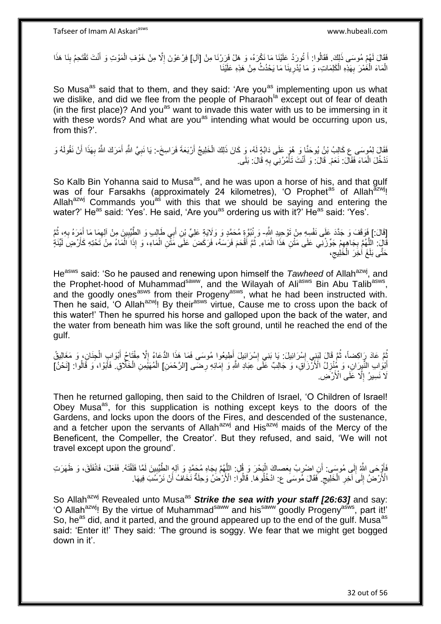فَقَالَ لَهُمْ مُوسَى ذَلِكَ. فَقَالُوا: أَ تُورَدُ عَلَيْنَا مَا نَكْرَهُ، وَ هَلْ فَرَرْنَا مِنْ [آلِ] فِرْعَوْنَ إِلّا مِنْ خَوْفِ الْمَوْتِ وَ أَنْتَ تَقْتَحِمُ بِنَا هَذَا َ :<br>ن ِ **ٔ** َ ْ ِ الْمَاءَ الْغَمْرَ بِهَذِهِ الْكَلِمَاتِ، وَ مَا يُدْرِينَا مَا يَحْدُثُ مِنْ هَذِهِ عَلَيْنَا **∶** ْ **∶** ْ ْ

So Musa<sup>as</sup> said that to them, and they said: 'Are you<sup>as</sup> implementing upon us what we dislike, and did we flee from the people of Pharaoh<sup>la</sup> except out of fear of death (in the first place)? And you<sup>as</sup> want to invade this water with us to be immersing in it with these words? And what are you<sup>as</sup> intending what would be occurring upon us, from this?'.

فَقَالٍَ لِمُوسَى ع كَالِبُ بْنُ يُوحَنَّا وَ هُوَ عَلَى دَابَّةٍ لَهُ، وَ كَانَ ذَلِكَ الْخَلِيجُ أَرْبَعَةَ فَرَاسِخَ-: يَا نَبِيَّ اللَّهِ أَمَرَكَ اللَّهُ بِهَذَا أَنْ نَقُولَهُ وَ ْ اُ َ **∶** َ **∶** نَدْخُلَ الْمَاءَ فَقَالَ: نَعَمْ. قَالَ: وَ أَنْتَ تَأْمُرُنِي بِهِ قَالَ: بَلَى. ْ ِ ا<br>ا َ

So Kalb Bin Yohanna said to Musa<sup>as</sup>, and he was upon a horse of his, and that gulf was of four Farsakhs (approximately 24 kilometres), 'O Prophet<sup>as</sup> of Allah<sup>azwj</sup>! Allah<sup>azwj</sup> Commands you<sup>as</sup> with this that we should be saying and entering the water?' He<sup>as</sup> said: 'Yes'. He said, 'Are you<sup>as</sup> ordering us with it?' He<sup>as</sup> said: 'Yes'.

[قَالَ:] فَوَقَفَ وَ جَدَّدَ عَلَى نَفْسِهِ مِنْ تَوْحِيدِ اللَّهِ- وَ نُبُوَّةٍ مُحَمَّدٍ وَ وَلَايَةٍ عَلِيٍّ بْنِ أَبِي طَإِلـبِ وَ الطِّّيِّبِينَ مِنْ أَلِهِمَا مَا أَمَرَهُ بِهِ، ثُمَّ ا<br>ا ِ َ ِ ِ َ قَالَ: اللَّهُمَّ بِجَاهِهِمْ جَوِّزْنِي عَلَى مَثْنِ هَذَا الْمَاءِ. ثُمَّ أَقْحَمَ فَرَسَهُ، فَرَكَضَ ۖ عَلَى مَثْنِ الْمَاءِ، وَ إِذَا الْمَاءُ مِنْ تَحْتِهِ كَأَرْضٍ لَيَّنَةٍ ْ ِ ِ ْ ْ َ َ حَتَّى بَلَغَ أَخِرَ الْخَلِيج،  $\zeta$ ْ

He<sup>asws</sup> said: 'So he paused and renewing upon himself the *Tawheed* of Allah<sup>azwj</sup>, and the Prophet-hood of Muhammad<sup>saww</sup>, and the Wilayah of Ali<sup>asws</sup> Bin Abu Talib<sup>asws</sup>, and the goodly ones<sup>asws</sup> from their Progeny<sup>asws</sup>, what he had been instructed with. Then he said, 'O Allah<sup>azwj</sup>! By their<sup>asws</sup> virtue, Cause me to cross upon the back of this water!' Then he spurred his horse and galloped upon the back of the water, and the water from beneath him was like the soft ground, until he reached the end of the gulf.

ثُمَّ عَادَ رِاكِضاً، ثُمَّ قَالَ لِبَنِي إِسْرَائِيلَ: يَا بَنِي إِسْرَائِيلَ أَطِيعُوا مُوسَى فَمَا هَذَا الدُّعَاءُ إِلَّا مِفْتَاحُ أَبْوَابِ الْجِنَانِ، وَ مَغَالِيقُ ∣l<br>∶ ا ماہ<br>سال ْ َ  $\frac{1}{2}$ َ ∣∣<br>∶ أَبْوَابِ النَّبِرَانِ، وَ مُنْزِلُ الْأَزْزَاقِ، وَ جَالِبٌ عَلَى عِبَادِ اللَّهِ وَ إِمَائِهِ رِضَى [الرَّحْمَنِ] الْمُهَنِّمِنِ الْخَلَّاقِ ۖ فَأَبَوْا، وَ قَالُوا: [نَحْنُ] ِ ِ ِ ْ ُ َ لَا نَسِيرُ إِلَّا عَلَى الْأَرْضَى. ِ

Then he returned galloping, then said to the Children of Israel, 'O Children of Israel! Obey Musa<sup>as</sup>, for this supplication is nothing except keys to the doors of the Gardens, and locks upon the doors of the Fires, and descended of the sustenance, and a fetcher upon the servants of Allah<sup>azwj</sup> and His<sup>azwj</sup> maids of the Mercy of the Beneficent, the Compeller, the Creator'. But they refused, and said, 'We will not travel except upon the ground'.

فَأَوْجَى اللَّهُ إِلَى مُوسَى: أَنِ اضْرِبْ بِعَصاكَ الْبَحْرَ وَ قُلِ: اللَّهُمَّ بِجَاهِ مُجَمَّدٍ وَ آلِهٍ الطَّيِّبِينَ لَمَّا فَلَقْتَهُ. فَفَعَلَ، فَانْفَلَقَ، وَ ظَهَرَتِ ْ ِ ِ اً  $\frac{1}{2}$ َ **∶**  ِ الْأَرْضُ إِلَى آخِرِ الْخَلِّيجِ. فَقَالَ مِّوسَى ع: ادْخُلُوهَا. قَالُوا: الْأَرْضُلُ وَحِلَةٌ نَخَافُ أَنْ نَرْسُبَ فِيهَا. ِ ْ ِ ∣∣<br>∶ اُ

So Allah<sup>azwj</sup> Revealed unto Musa<sup>as</sup> Strike the sea with your staff [26:63] and say: 'O Allah<sup>azwj</sup>! By the virtue of Muhammad<sup>saww</sup> and his<sup>saww</sup> goodly Progeny<sup>asws</sup>, part it!' So, he<sup>as</sup> did, and it parted, and the ground appeared up to the end of the gulf. Musa<sup>as</sup> said: 'Enter it!' They said: 'The ground is soggy. We fear that we might get bogged down in it'.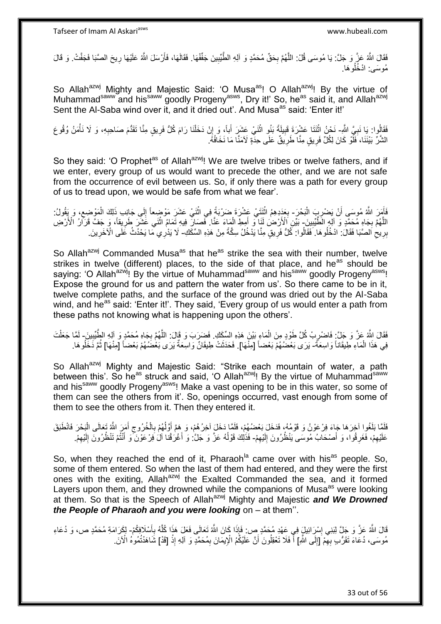فَقَالَ اللَّهُ عَزَّ وَ جَلَّ: يَا مُوسَى قُلْ: اللَّهُمَّ بِحَقِّ مُحَمَّدٍ وَ آلِهِ الطَّيِّبِينَ جَفِّفْهَا. فَقَالَهَا، فَأَرْسَلَ اللَّهُ عَلَيْهَا رِيحَ الصَّبَا فَجَفَّتْ. وَ قَالَ ِ ِ ه ِ اُ مُوسَى ادْخُلُوهَا.

So Allah<sup>azwj</sup> Mighty and Majestic Said: 'O Musa<sup>as</sup>! O Allah<sup>azwj</sup>! By the virtue of Muhammad<sup>saww</sup> and his<sup>saww</sup> goodly Progeny<sup>asws</sup>, Dry it!' So, he<sup>as</sup> said it, and Allah<sup>azwj</sup> Sent the Al-Saba wind over it, and it dried out'. And Musa<sup>as</sup> said: 'Enter it!'

فَقَالُوا: يَا نَبِيَّ اللَّهِ- نَحْنُ اثْنَتَا عَشْرَةَ قَبِيلَةً بَنُو اثْنَيْ عَشَرَ أَباً، وَ إِنْ دَخَلْنا رَامَ كُلُّ فَرِيقٍ مِنَّا تَقَدُّمَ صَاحِبِهِ، وَ لَا نَأْمَنُ وُقُوعَ<br>فَقَالُوا: يَا نَبِيَّ اللَّهِ- نَحْن **∶** ِ ْ ِ َ **ٔ ! ٔ** ْ الشَّرِّ بَيْنَنَا، فَلَّوْ كَانَ لِكُلِّ فَرِيقٍ مِنَّا طَرِيقٌ عَلَى حِدَّةٍ لَأمَنَّا مَا نَخَافُهُ. ِ ِ

So they said: 'O Prophet<sup>as</sup> of Allah<sup>azwj</sup>! We are twelve tribes or twelve fathers, and if we enter, every group of us would want to precede the other, and we are not safe from the occurrence of evil between us. So, if only there was a path for every group of us to tread upon, we would be safe from what we fear'.

فَأَمَرَ اللَّهُ مُوسَى أَنْ يَضْرِبَ الْبَحْرَ- بِعَدِدِهِمُ اثْنَتَيْ عَشْرَةَ ضَرْبَةً فِي اثْنَيْ عَشَرَ مَوْضِعاً إِلَى جَانِب ذَلِكَ الْمَوْضِعِ، وَ يَقُولُ: :<br>ا ِ اً َ ِ ْ ِ **ٔ** ْ **∶** اللَّهُمَّ بِجَاهِ مُحَمَّدٍ وَ آلِهِ الْطَّيِّبِينَ- بَيِّنِ الْأَرْضُ لَنَا فَى أَمِطِ الْمَاءَ عَنَّا. فَصَالِّ فِيهِ تَمَامُ اثْنَى غَشَّرَ طَرِيقاً، وَ جَفَّ قَرَانُ الْأَرْضِ **∶ !** ِ **ٔ** ْ َ بِرِيعِ الصَّبَا فَقَالَ: ادْخُلُوهَا. فَقَالُوا: كُلُّ فَرِيقٍ مِنَّا يَدْخُلُ سِكَّةً مِنْ هَذِهِ السِّكَكِ- لَا يَدْرِي مَا يَحْدُثُ عَلَى الْأَخَرِينَ. **ٍ**  $\zeta$ ِ ِ

So Allah<sup>azwj</sup> Commanded Musa<sup>as</sup> that he<sup>as</sup> strike the sea with their number, twelve strikes in twelve (different) places, to the side of that place, and he<sup>as</sup> should be saying: 'O Allah<sup>azwj</sup>! By the virtue of Muhammad<sup>saww</sup> and his<sup>saww</sup> goodly Progeny<sup>asws</sup>! Expose the ground for us and pattern the water from us'. So there came to be in it, twelve complete paths, and the surface of the ground was dried out by the Al-Saba wind, and he<sup>as</sup> said: 'Enter it!'. They said, 'Every group of us would enter a path from these paths not knowing what is happening upon the others'.

فَقَالَ اللَّهُ عَزَّ وَ جَلَّ: فَاصْرِبْ كُلَّ طَوْدٍ مِنَ الْمَاءِ بَيْنَ هَذِهِ السِّكَكِ. فَضَرَبَ وَ قَالَ: اللَّهُمَّ بِجَاهِ مُحَمَّدٍ وَ آلِهِ الطِّّيِّبِينَ ـ لَمَّا جَعَلْتَ ْ ِ ِ ِ ْ لَ فِي هَذَا الْمَاءِ طِيقَاناً وَاسِعَةً- يَرَى بَعْضُهُمْ بَعْضاً [مِنْهَا]. فَحَذَثَتْ طِيقَانٌ وَاسِعَةٌ يَرَى بَعْضُهُمْ بَعْضًا [مِنْهَا] ثُمَّ دَخَلُوهَا. ْ ُ ُ

So Allah<sup>azwj</sup> Mighty and Majestic Said: "Strike each mountain of water, a path between this'. So he<sup>as</sup> struck and said, 'O Allah<sup>azwj</sup>! By the virtue of Muhammad<sup>saww</sup> and his<sup>saww</sup> goodly Progeny<sup>asws</sup>! Make a vast opening to be in this water, so some of them can see the others from it'. So, openings occurred, vast enough from some of them to see the others from it. Then they entered it.

فَلَّمَا بَلَغُوا آخِرَهَا جَاءَ فِرْعَوْنُ وَ قَوْمُهُ، فَدَخَلَ بَعْضُهُمْ، فَلَمَّا دَخَلَ آخِرُهُمْ، وَ هَمَّ أَوَلَٰهُمْ بِالْخُرُوجِ أَمَيْ اللَّهُ تَعَالَى الْبَحْرَ فَانْطَبَقَ  $\overline{a}$ َ َ ِ ِ ْ عَلَيْهِمْ، فَغَرِ قُوا، وَ أَصْحَابُ مُوسَى يَنْظُرُونَ إِلَيْهِمْ- فَذَلِكَ قَوْلُهُ عَزَّ وَ جَلَّ: وَ أَغْرَقْنا آلْ َفِرْعَوْنَ ۖ وَ أَنْتُمْ تَنْظُرُونَ إِلَيْهِمْ. ِ لَ  $\frac{1}{2}$ َ ِ ِ َ َ ا<br>ا ِ لَ ِ

So, when they reached the end of it, Pharaoh<sup>la</sup> came over with his<sup>as</sup> people. So, some of them entered. So when the last of them had entered, and they were the first ones with the exiting, Allah<sup>azwj</sup> the Exalted Commanded the sea, and it formed Layers upon them, and they drowned while the companions of Musa<sup>as</sup> were looking at them. So that is the Speech of Allahazwj Mighty and Majestic *and We Drowned the People of Pharaoh and you were looking* on – at them''.

قَالَ اللَّهُ عَزَّ وَ جَلَّ لِبَنِي إِسْرَائِيلٍ فِي عَهْدِ مُحَمَّدٍ ص: فَإِذَا كَانَ اللَّهُ تَعَالَى فَعَلَ هَذَا كُلَّهُ بِأَسْلَافِكُمْ- لِكَرَامَةِ مُحَمَّدٍ ص، وَ دُعَاءِ ِ َ ِ ه مُوسَى، دُعَاءَ نَقَرُّبِ بِهِمْ [إِلَى اللَّهِ] أَ فَلَا تَعْقِلُونَ أَنَّ عَلَيْكُمُ الْإِيمَانَ بِمُحَمَّدٍ وَ أَلِهِ إِذْ [قَدْ] شَاهَدْتُمُوهُ الْأنَ  $\frac{1}{2}$ ِ **ٔ** ِ َ

33 out of 56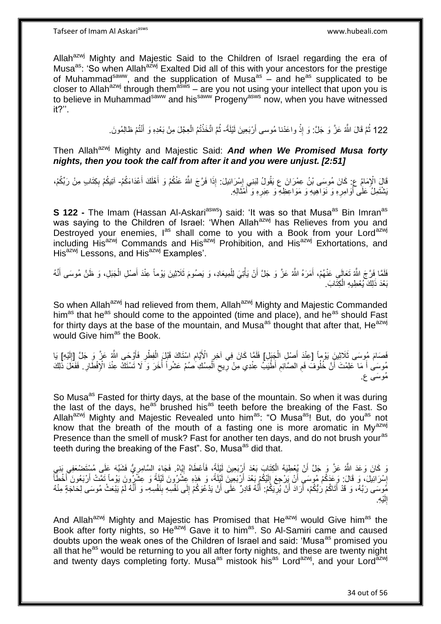Allah<sup>azwj</sup> Mighty and Majestic Said to the Children of Israel regarding the era of Musa<sup>as</sup>: 'So when Allah<sup>az'wj</sup> Exalted Did all of this with your ancestors for the prestige of Muhammad<sup>saww</sup>, and the supplication of Musa<sup>as</sup> – and he<sup>as</sup> supplicated to be closer to Allah<sup>azwj</sup> through them<sup>asws</sup> – are you not using your intellect that upon you is to believe in Muhammad<sup>saww</sup> and his<sup>saww</sup> Progeny<sup>asws</sup> now, when you have witnessed it?''.

> 122 ثُمَّ قَالَ اللَّهُ عَزَّ وَ جَلَّ: وَ إِذْ واعَدْنا مُوسى أَرْبَعِينَ لَيْلَةً- ثُمَّ اتَّخَذْتُمُ الْعِجْلَ مِنْ بَعْدِهِ وَ أَنْتُمْ ظالِمُونَ ْ َ ْ ا پایا<br>سال ْ ِ

Then Allah<sup>azwj</sup> Mighty and Majestic Said: **And when We Promised Musa forty** *nights, then you took the calf from after it and you were unjust. [2:51]*

قَالَ الْإِمَامُ عِ: كَانَ مُوسَى بْنُ عِمْرَانَ ع يَقُولُ لِبَنِي إِسْرَائِيلَ: إِذَا فَرَّجَ اللَّهُ عَنْكُمْ وَ أَهْلَكَ أَعْدَاءَكُمْ- آتِيكُمْ بِكِتَابٍ مِنْ رَبِّكُمْ،<br>-َ َ ِ ِ َبَشْنَمِلُ عَلَى أَوَامِرِهِ وَ نَوَاهِيهِ وَ مَوَاعِظِهِ وَ عِبَرِهِ وَ أَمْثَالِهِ. َ َ **∶** ِ َ

**S 122 -** The Imam (Hassan Al-Askari<sup>asws</sup>) said: 'It was so that Musa<sup>as</sup> Bin Imran<sup>as</sup> was saying to the Children of Israel: 'When Allah<sup>azwj</sup> has Relieves from you and Destroyed your enemies, las shall come to you with a Book from your Lord<sup>azwj</sup> including His<sup>azwj</sup> Commands and His<sup>azwj</sup> Prohibition, and His<sup>azwj</sup> Exhortations, and His<sup>azwj</sup> Lessons, and His<sup>azwj</sup> Examples'.

فَلَمَّا فَرَّجَ اللَّهُ تَعَالَمِي عَنْهُمْ، أَمَرَهُ اللَّهُ عَزَّ وَ جَلَّ أَنْ يَأْتِيَ لِلْمِيعَادِ، وَ يَصُومَ ثَلَاثِينَ يَوْماً عِنْدَ أَصْلِ الْجَبَلِ، وَ ظَنَّ مُوسَى أَنَّهُ ْ ْ َ َ َ ْ َ بَعْدَ ذَلِكَ بُعْطِيهِ الْكِتَابَ. ْ

So when Allah<sup>azwj</sup> had relieved from them, Allah<sup>azwj</sup> Mighty and Majestic Commanded him<sup>as</sup> that he<sup>as</sup> should come to the appointed (time and place), and he<sup>as</sup> should Fast for thirty days at the base of the mountain, and Musa<sup>as</sup> thought that after that, He<sup>azwj</sup> would Give him<sup>as</sup> the Book.

فَصَامَ مُوسَى ثَلَاثِينَِ يَوْماً [عِنْدَ أَصْلِ الْجَنَلِ] فَلَمَّا كَانَ فِي آخِرِ الْأَيَّامِ اسْتَاكَ قَبْلَ الْفِطْرِ فَأَوْحَى اللَّهُ عَنَّ وَ جَلَّ [إِلَيْهِ] يَا ْ ِ ِ لَ ِ َ **ٍ** ْ مُوسَىٰ أَ مَا كَلِمْتَ أَنَّ خُلُوفٌ فَمِ الصَّائِمِ أَطْيَبُ عِنْدِي مِنْ رِيحِ الْمِسْكِ صُمْ عَشْراً أُخَرَ وَ لَا تَسْتَكَ عِنْدَ الْإِفْطَارِ . فَفَعَّلَ ذَٰلِكَ ا<br>أ ْ ِ **∶** ِ **ُ** ِ مُوسَى ع.

So Musa<sup>as</sup> Fasted for thirty days, at the base of the mountain. So when it was during the last of the days, he<sup>as'</sup> brushed his<sup>as</sup> teeth before the breaking of the Fast. So Allah<sup>azwj</sup> Mighty and Majestic Revealed unto him<sup>as</sup>: "O Musa<sup>as</sup>! But, do you<sup>as</sup> not know that the breath of the mouth of a fasting one is more aromatic in My<sup>azwj</sup> Presence than the smell of musk? Fast for another ten days, and do not brush your<sup>as</sup> teeth during the breaking of the Fast". So, Musa<sup>as</sup> did that.

رَ كَانَ وَعَدَ اللَّهُ عَزَّ وَ جَلَّ أَنْ يُعْطِيَهُ الْكِتَابَ بَعْدَ أَرْبَعِينَ لَيْلَةً، فَأَعْطَاهُ إِيَّاهُ. فَجَاءَ السَّامِرِيُّ فَشَبَّهَ عَلَى مُسْتَضْعَفِي بَنِي ِ َ َ ْ ِ إِسْرَائِيلَ، وَ قَالَ: وَعَدَكُمْ مُوسَىِ أَنْ يَرْجِعَ إِلَيْكُمْ بَعْدَ أَرْبَعِينَ لَيْلَةً، وَ هَذِهِ عِشْرُونَ لَيْلَةً وَ عِشْرُونَ يَوْماً تَمَّتْ أَرْبَعُونَ أَخْطَأَ ِ َ لَ ِ اُ َ َ َ مُوسَى رَبَّهُ، وَ قَدْ أَتَاكُمْ رَبُّكُمْ، أَرَادَ أَنْ يُرِّيَكُمْ: أَنَّهُ قَادِرٌ عَلَى أَنْ يَدْعُوكُمْ إِلَى نَفْسِهِ بِنَفْسِهِ- وَ أَنَّهُ لَمْ يَبْعَثْ مُوسَى لِحَاجَةٍ مِنْهُ ِ َ َ **∶** َ َ ِ َ ِ اِلَيْهِ. لَ

And Allah<sup>azwj</sup> Mighty and Majestic has Promised that He<sup>azwj</sup> would Give him<sup>as</sup> the Book after forty nights, so  $He^{azwj}$  Gave it to him<sup>as</sup>. So Al-Samiri came and caused doubts upon the weak ones of the Children of Israel and said: 'Musa<sup>as</sup> promised you all that he<sup>as</sup> would be returning to you all after forty nights, and these are twenty night and twenty days completing forty. Musa<sup>as</sup> mistook his<sup>as</sup> Lord<sup>azwj</sup>, and your Lord<sup>azwj</sup>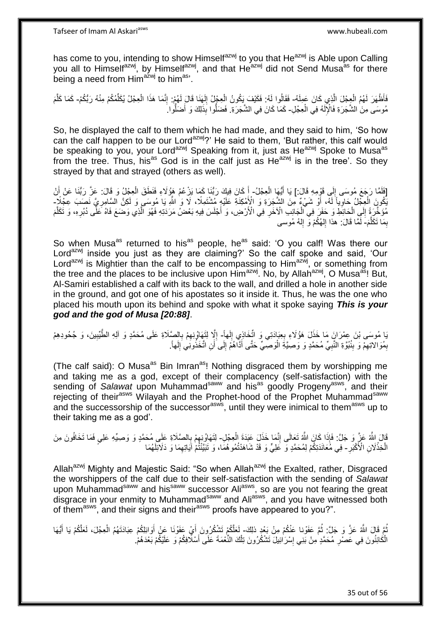has come to you, intending to show Himselfazwj to you that He<sup>azwj</sup> is Able upon Calling you all to Himselfazwj, by Himselfazwj, and that He<sup>azwj</sup> did not Send Musa<sup>as</sup> for there being a need from Him<sup>azwj</sup> to him<sup>as</sup>'.

فَأَظْهَرَ لَهُمُ الْعِجْلَ الَّذِي كَانَ عَمِلَهُ- فَقَالُوا لَهُ: فَكَيْفَ يَكُونُ الْعِجْلُ إِلَهَنَا قَالَ لَهُمْ: إِنَّمَا هَذَا الْعِجْلُ يُكَلِّمُكُمْ مِنْهُ رَبُّكُمْ- كَمَا كَلَّمَ ه ْ ِ لَ ِ ْ ْ ِّ ْ ه مُوسَى مِنَ الشَّجَرَةِ فَالْإِلَهُ فِي الْعِجْلِ- كَمَا كَانَ فِي الشَّجَرَةِ. فَضَلُّوا بِذَلِكَ وَ أَضَلُّوا َ لَ ْ ُّ َ

So, he displayed the calf to them which he had made, and they said to him, 'So how can the calf happen to be our Lord<sup>azwj</sup>?' He said to them, 'But rather, this calf would be speaking to you, your Lord<sup>azwj</sup> Speaking from it, just as He<sup>azwj</sup> Spoke to Musa<sup>as</sup> from the tree. Thus, his<sup>as</sup> God is in the calf just as  $He^{22Wj}$  is in the tree'. So they strayed by that and strayed (others as well).

[فَلَمَّا رَجَعَ مُوسَى إِلَى قَوْمِهِ قَالَ:] يَا أَيُّهَا الْعِجْلُ- أَ كَانَ فِيكَ رَبُّنَا كَمَا يَزْعُمُ هَؤُلَاءِ فَنَطَقَ الْعِجْلُ وَ قَالَ: عَزَّ رَبُّنَا عَنْ أَنْ ْ َ  $\frac{1}{2}$ َ ْ َ يَكُونَ الْعِجْلُ حَاوِيّاً لَمَّه أَوْ شَيْءٌ مِنَ الشَّجَرَةِ وَ الْأَمْكِنَةِ عَلَيْهِ مُشْتَمِلًا، لَا وَ اشَّهِ يَا مُوسَى وَ لَكِنَّ السَّامِرِيَّ نَصَبَ عِجْلًاٍ ۖ َ لَ ِ ْ ِ ه مُؤَخَّرَةً إِلَي الْحَائِطِ وَ حَفَرَ فِي الْجَانِبِ الْآخَرِ فِي الْأَرْضِ، وَ أَجْلَسَ فِيهِ بَعْضُ مَرَدَتِهِ فَهُوَ الَّذِي وَصَعَ فَاهُ عَلَّى دُبُرِهِ، وَ تَكَلَّمَ َ ِ ْ ْ ِ ه ِ بِمَا تَكَلَّمَ- لَمَّا قَالَ: هذا إِلْهُكُمْ وَ إِلهُ مُوسى ه ِ ِ יִי (ו لَ

So when Musa<sup>as</sup> returned to his<sup>as</sup> people, he<sup>as</sup> said: 'O you calf! Was there our Lord<sup>azwj</sup> inside you just as they are claiming?' So the calf spoke and said, 'Our Lord<sup>azwj</sup> is Mightier than the calf to be encompassing to Him<sup>azwj</sup>, or something from the tree and the places to be inclusive upon Him<sup>azwj</sup>. No, by Allah<sup>azwj</sup>, O Musa<sup>as</sup>! But, Al-Samiri established a calf with its back to the wall, and drilled a hole in another side in the ground, and got one of his apostates so it inside it. Thus, he was the one who placed his mouth upon its behind and spoke with what it spoke saying *This is your god and the god of Musa [20:88]*.

بَا مُوسَى بْنَ عِمْرَانَِ مَا خَذَلَ هَؤُلَاءِ بِعِبَادَتِي وَ اتِّخَاذِي إِلَهاً- إِلَّا لِتَهَاوُنِهِمْ بِالصَّلَاةِ عَلَى مُحَمَّدٍ وَ أَلِهِ الطَّيِّبِينَ، وَ جُحُودِهِمْ  $\frac{1}{2}$ **∶** ِ ِ ِ ِ بِمُوَالاتِهِمْ وَ بِنُبُوَّةِ النَّبِيِّ مُحَمَّدٍ وَ وَصِيَّةَ الْوَصِّيِّ حَتَّى أَذَّاهُمْ إِلَى أَنِ اتَّخَذُونَنِي َإِلَهاً. ِ ِ ِ ِ َ ْ **∶ ∣** 

(The calf said): O Musa<sup>as</sup> Bin Imran<sup>as</sup>! Nothing disgraced them by worshipping me and taking me as a god, except of their complacency (self-satisfaction) with the sending of *Salawat* upon Muhammad<sup>saww</sup> and his<sup>as</sup> goodly Progeny<sup>asws</sup>, and their rejecting of their<sup>asws</sup> Wilayah and the Prophet-hood of the Prophet Muhammad<sup>saww</sup> and the successorship of the successor<sup>asws</sup>, until they were inimical to them<sup>asws</sup> up to their taking me as a god'.

قَالَ اللَّهُ عَلَيَّ وَ جَلَّ: فَإِذَا كَانَ اللَّهُ تَعَالَى إِنَّمَا خَذَلَ عَبَدَةَ الْعِجْلِ- لِتَهَاوُنِوهِمْ بِالصَّلَاةِ عَلَى مُحَمَّدٍ وَ وَصِيِّهِ عَلِي فَمَا تَخَافُونَ مِنَ<br>نَفْسُ نَفْسُ نَفْسُ الْمَسْرَة الْ ِ ِ ِ **∶** الْخِذْلَانِ الْأَكْبَرِ - فِي مُّعَانَدَتِكُمْ لِمُحَمَّدٍ وَ ۖ عَلِيٍّ وَ قَدْ شَاهَدْتُمُوهُمَا، وَ تَبَيَّنْتُمْ آيَاتِهِمَا وَ دَلَائِلَهُمَا **ٔ** ِ

Allah<sup>azwj</sup> Mighty and Majestic Said: "So when Allah<sup>azwj</sup> the Exalted, rather, Disgraced the worshippers of the calf due to their self-satisfaction with the sending of *Salawat* upon Muhammad<sup>saww</sup> and his<sup>saww</sup> successor Ali<sup>asws</sup>, so are you not fearing the great disgrace in your enmity to Muhammad<sup>saww</sup> and Ali<sup>asws</sup>, and you have witnessed both of them<sup>asws</sup>, and their signs and their<sup>asws</sup> proofs have appeared to you?".

نُّمَّ قَالَ اللَّهُ عَزَّ وَ جَلَّ: ثُمَّ عَفَوْنا عَنْكُمْ مِنْ بَعْدٍ ذلِكَ- لَعَلَّكُمْ تَشْكُرُونَ أَيْ عَفَوْنَا عَنْ أَو الْلِكُمْ عِبَادَتَهُمُ الْعِجْلَ، لَعَلَّكُمْ يَا أَيُّهَا .<br>• • • • َ َ ْ َ الْكَائِنُونَ فِي عَصْرِ مُحَمَّدٍ مِنْ بَنِي إِسْرَائِيلَ تَشْكُرُونَ تِلْكَ النِّعْمَةَ عَلَى أَسْلَافِكُمْ وَ عَلَيْكُمْ بَعْدَهُمْ. َ ْ ِ ِ ْ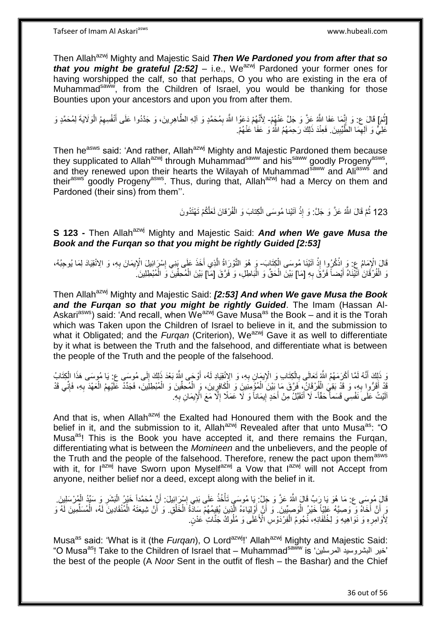Then Allah<sup>azwj</sup> Mighty and Majestic Said *Then We Pardoned you from after that so that you might be grateful [2:52] – i.e., We<sup>azwj</sup> Pardoned your former ones for* having worshipped the calf, so that perhaps, O you who are existing in the era of Muhammadsaww, from the Children of Israel, you would be thanking for those Bounties upon your ancestors and upon you from after them.

[ثُمَ] قَالَ ع: وَ إِنَّمَا عَفَا اللَّهُ عَنَّ وَ جَلَّ عَنْهُمْ- لِأَنَّهُمْ دَعَوُا اللَّهَ بِمُحَمَّدٍ وَ آلِهِ الطَّاهِرِينَ، وَ جَدَّدُوا عَلَى أَنْفُسِهِمُ الْوَلَايَةَ لِمُحَمَّدٍ وَ **∶** ْ َ ِ ِ عَلِيٌّ وَ آلِمِهَا الطَّيِّبِينَ. فَعِنْدَ ذَلِكَ رَحِمَهُمُ اللَّهُ وَ عَفَا عَنْهُمْ. **!** ِ

Then he<sup>asws</sup> said: 'And rather, Allah<sup>azwj</sup> Mighty and Majestic Pardoned them because they supplicated to Allah<sup>azwj</sup> through Muhammad<sup>saww</sup> and his<sup>saww</sup> goodly Progeny<sup>asws</sup>, and they renewed upon their hearts the Wilayah of Muhammad<sup>saww</sup> and Ali<sup>asws</sup> and their<sup>asws</sup> goodly Progeny<sup>asws</sup>. Thus, during that, Allah<sup>azwj</sup> had a Mercy on them and Pardoned (their sins) from them''.

> 123 ثُمَّ قَالَ اللَّهُ عَزَّ وَ جَلَّ: وَ إِذْ آتَيْنا مُوسَى الْكِتابَ وَ الْفُرْقانَ لَعَلَّكُمْ تَهْتَدُونَ ْ ْ ْ ِ

**S 123 -** Then Allah<sup>azwj</sup> Mighty and Majestic Said: *And when We gave Musa the Book and the Furqan so that you might be rightly Guided [2:53]*

قَالَ الْإِمَامُ عِ: وَ اِذْكُرُوا إِذْ آتَيْنَا مُوسَى الْكِتَابَ- وَ هُوَ التَّوْرَاةُ الَّذِي أَخَذَ عَلَى نَنِي إِسْرَائِيلَ الْإِيمَانَ بِهِ، وَ الِانْقِيَادَ لِمَا يُوجِبُهُ،<br>فَالْمُرْمَنِينَ مِنْ الْأَنْقِيَادَ لِم **ٔ ٔ** ِ ∣∣<br>∶ َ ه وَ الْفُرْقَانَ آتَيْنَاهُ أَيْضاً فَرَّقَ بِهِ [مَا] بَيْنَ الْحَقِّ وَ الْبَاطِلِ، وَ فَرَّقَ [مَا] بَيْنَ الْمُحِقِّينَ وَ الْمُبْطِلِينَ ـ ْ ا.<br>ا ْ **∶** َ ْ ْ

Then Allah<sup>azwj</sup> Mighty and Majestic Said: *[2:53] And when We gave Musa the Book and the Furqan so that you might be rightly Guided*. The Imam (Hassan Al-Askari<sup>asws</sup>) said: 'And recall, when We<sup>azwj</sup> Gave Musa<sup>as</sup> the Book – and it is the Torah which was Taken upon the Children of Israel to believe in it, and the submission to what it Obligated; and the *Furgan* (Criterion), We<sup>azwj</sup> Gave it as well to differentiate by it what is between the Truth and the falsehood, and differentiate what is between the people of the Truth and the people of the falsehood.

رَ ذَلِكَ أَنَّهُ لَمَّا أَكْرَمَهُمُ اللَّهُ تَعَالَى بِالْكِتَابِ وَ الْإِيمَانِ بِهِ، وَ الإِنْقِيَادِ لَهُ، أَوْجَى اللَّهُ بَعْدَ ذَلِكَ إِلَى مُوسَى عَ: يَا مُوسَى هَذَا الْكِتَاب<br>وَفَيَّةُ أَنَّهُ لَمَّا أَكْرَمَهُ ْ ِ َ َ لَ ِ َ ِ ْ ْ يْدْ أَقَرُّوا بِهِ، وَ قَدْ بَقِيَ الْفُرْقَانُ، فَرَّقَ مَا بَيْنَ الْمُؤْمِنِينَ وَ الْكَافِرِينَ، وَ الْمُحقَّينَ وَ الْمُبْطِلِينَ، فَجَدِّدْ عَلَيْهِمُ الْعَهْدَ بِهِ، فَإِنِّي قَدْ ْ ِ ْ ْ ْ ِ َ  $\frac{1}{2}$ ِ ْ لَ اَلَيْتُ عَلَى َنَفْسِي قَسَماً حَقّاً- لَا أَتَقَبَّلُ مِنْ أَحَدٍ إِيمَاناً وَ لَا عَمَلًا إِلَّا مَعَ الْإِيمَانِ بِهِ. **∶** ِ ֖֧֧֚֚<u>֚֓</u>֚֓֡ َ َ

And that is, when Allah<sup>azwj</sup> the Exalted had Honoured them with the Book and the belief in it, and the submission to it, Allah $a$ <sup>zwj</sup> Revealed after that unto Musa<sup>as</sup>: "O Musa<sup>as</sup>! This is the Book you have accepted it, and there remains the Furgan, differentiating what is between the *Momineen* and the unbelievers, and the people of the Truth and the people of the falsehood. Therefore, renew the pact upon them<sup>asws</sup> with it, for lazwj have Sworn upon Myselfazwj a Vow that lazwj will not Accept from anyone, neither belief nor a deed, except along with the belief in it.

قَالَِ مُوسَى ع: مَا هُوَ يَا رَبِّ قَالَ اللَّهُ عَزَّ وَ جَلَّ: بِمَا مُوسَى تَأْخُذُ عَلَى بَنِي إِسْرَائِيلَ: أَنَّ مُحَمَّداً خَيْرُ الْبَشَرِ وَ سَيِّدُ الْمُرْسَلِينَ. ِ ْ ْ ِ ْ َ وَ أَنَّ أَخَاهُ وَ وَصِيَّهُ عَلِيَّاً خَيْرُ الْوَصِيِّينَ. وَ أَنَّ أَوْلِيَاءَهُ الَّذِينَ يُقِيمُهُمْ سَادَةُ الْخَلْقِ. وَ أَنَّ شِيعَتَهُ الْمُنْقَادِينَ لَهُ، الْمُسَلِّمِينَ لَهُ وَ ْ ْ ْ ه ِّ ْ ْ َ لِأَوَامِرِهِ وَ نَوَاهِيهِ وَ لِخُلَفَائِهِ، نُجُومُ الْفِرْدَوْسِ الْأَعْلَى وَ مُلُوكٌ جَنَّاتٍ عَدْنٍ. ْ ِ

Musa<sup>as</sup> said: 'What is it (the *Furgan*), O Lord<sup>azwj</sup>!' Allah<sup>azwj</sup> Mighty and Majestic Said: "O Musaas! Take to the Children of Israel that – Muhammadsaww is 'المرسلين البتروسيد خير ' the best of the people (A *Noor* Sent in the outfit of flesh – the Bashar) and the Chief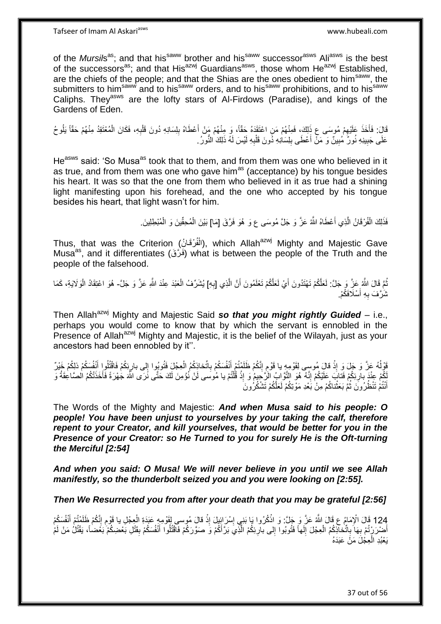of the *Mursil*s<sup>as</sup>; and that his<sup>saww</sup> brother and his<sup>saww</sup> successor<sup>asws</sup> Ali<sup>asws</sup> is the best of the successors<sup>as</sup>; and that His<sup>azwj</sup> Guardians<sup>asws</sup>, those whom He<sup>azwj</sup> Established, are the chiefs of the people; and that the Shias are the ones obedient to him<sup>saww</sup>, the submitters to him<sup>saww</sup> and to his<sup>saww</sup> orders, and to his<sup>saww</sup> prohibitions, and to his<sup>saww</sup> Caliphs. They<sup>asws</sup> are the lofty stars of Al-Firdows (Paradise), and kings of the Gardens of Eden.

قَالَ: فَأَخَذَ عَلَيْهِمْ مُوسَى عِ ذَلِكَ، فَمِنْهُمْ مَنِ اعْتَقَدَهُ حَقًّا، وَ مِنْهُمْ مَنْ أَعْطَاهُ بِلِسَانِهِ دُونَ قَلْبِهِ، فَكَانَ الْمُعْتَقِدُ مِنْهُمْ حَقّاً يَلُوحُ ِ َ ِ َ ِ ُ ْ عَلَى جَبِينِهِ نُورٌ مُبِينٌ وَ مَنْ أَعْطَى بِلِسَانِهِ ذُونَ قَلْبِهِ لَيْسَ لَهُ ذَلِكَ النُّورُ ِ ِ ْ ِ َ **! !** 

He<sup>asws</sup> said: 'So Musa<sup>as</sup> took that to them, and from them was one who believed in it as true, and from them was one who gave him<sup>as</sup> (acceptance) by his tongue besides his heart. It was so that the one from them who believed in it as true had a shining light manifesting upon his forehead, and the one who accepted by his tongue besides his heart, that light wasn't for him.

> فَذَلِكَ الْفُرْقَانُ الَّذِي أَعْطَاهُ اللَّهُ عَزَّ وَ جَلَّ مُوسَى ع وَ هُوَ فَرَّقَ [مَا] بَيْنَ الْمُحِقِّينَ وَ الْمُبْطِلِينَ ْ ْ اً<br>ا ه ْ

Thus, that was the Criterion (الْفُرْقَانُ), which Allah<sup>azwj</sup> Mighty and Majestic Gave ْ Musa<sup>as</sup>, and it differentiates (فَرُقَ) what is between the people of the Truth and the people of the falsehood.

نُّهَ قَالَ اللَّهُ عَنِّ وَ جَلَّ: لَعَلَّكُمْ تَهْتَدُونَ أَيْ لَعَلَّكُمْ تَعْلَمُونَ أَنَّ الَّذِي [بِهِ] يُشَرِّفُ الْعَبْدَ عِنْدَ اللَّهِ عَنَّ وَ جَلَّ- هُوَ اعْتِقَادُ الْوَلَايَةِ، كَمَا ُ ِ ه ْ ْ ثَلَّفَ بِهِ أَسْلَافَكُمْ. َ **∶** 

Then Allah<sup>azwj</sup> Mighty and Majestic Said **so that you might rightly Guided** – i.e., perhaps you would come to know that by which the servant is ennobled in the Presence of Allah<sup>azwj</sup> Mighty and Majestic, it is the belief of the Wilayah, just as your ancestors had been ennobled by it''.

قَوْلُهُ عَزَّ وَ بِذْ قَالَ مُوسى لِقَوْمِهِ يا قَوْمِ إِنَّكُمْ ظَلَمْتُمْ أَنْفُسَكُمْ بِاتِّخاذِكُمُ الْعِجْلَ فَثُوبُوا إِلى بارِئِكُمْ فَاقْتُلُوا زَنَّفُسَكُمْ ذلِكُمْ خَيْرٌ **ٔ** ِ ِ  $\frac{1}{2}$ ْ ِ َ ِ ِّكُمْ عِنْدَ بِارِئِكُمْ فَتابَ عَلَيْكُمْ إِنَّهُ ۖ هُوَ النَّوَّابُ الزَّجِيمُ وَ إِذْ قُلْتُمْ يا مُوسَى لَنْ نُؤْمِنَ لَكَ حَتَّى نَرَى اللَّهَ جُهْرَةً فَأَخَذَتْكُمُ الْصَّاعِقَةُ وَ<br>تَشُمُّ عَنْدَ بِارِئِكُمْ فَتا ْ **ٔ** יִי (ו ; َ أَنْتُمْ تَنْظُرُونَ ثُمَّ بَعَثْناكُمْ مِنْ بَعْدِ مَوْتِكُمْ لَعَلَّكُمْ تَشْكُرُونَ **ٔ** ُ َ

The Words of the Mighty and Majestic: *And when Musa said to his people: O people! You have been unjust to yourselves by your taking the calf, therefore repent to your Creator, and kill yourselves, that would be better for you in the Presence of your Creator: so He Turned to you for surely He is the Oft-turning the Merciful [2:54]*

*And when you said: O Musa! We will never believe in you until we see Allah manifestly, so the thunderbolt seized you and you were looking on [2:55].*

*Then We Resurrected you from after your death that you may be grateful [2:56]*

124 قَالَ الْإِمَامُ عِ قَالَ اللَّهُ عَنَّ وَ حَلَّ: وَ اذْكُرُوا يَا بَنِي إِسْرَائِيلَ إِذْ قَالَ مُوسى لِقَوْمِهِ عَبَدَةِ الْعِجْلِ يا قَوْمِ إِنَّكُمْ ظَلَمْتُمْ أَنْفُسَكُمْ<br>أَمُّهُ مَنْ يَوْمَ أَنْ يَوْمُوا أَنْ ي **ٔ** َ ه  $\frac{1}{2}$ ْ **ٔ** ِ ِ **ٔ** َفْ بِهَاَ بِاتِّخَاذِكُمُ الْعِجْلَ إِلَهاً فَتُوبُوا إِلى بارِئِكُمْ الَّذِيَ بَرَّ أَكُمْ وَ صَوَّرَكُمْ فَأَقْتُلُوا أَنْفُسَكُمْ بِقَتْلِ بَعْضِكُمْ بَعَضْاً، يَقْتُلُ مَنْ لَمْ ْ **∶ ∶**  $\frac{1}{2}$  $\frac{1}{2}$ ِ َ ه ُ يَعْبُدِ الْعِجْلَ مَنْ عَبَدَهُ ْ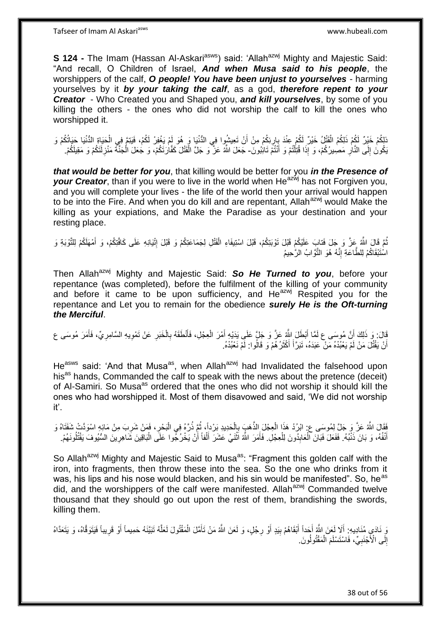**S 124 -** The Imam (Hassan Al-Askari<sup>asws</sup>) said: 'Allah<sup>azwj</sup> Mighty and Majestic Said: "And recall, O Children of Israel, *And when Musa said to his people*, the worshippers of the calf, *O people! You have been unjust to yourselves* - harming yourselves by it *by your taking the calf*, as a god, *therefore repent to your Creator* - Who Created you and Shaped you, *and kill yourselves*, by some of you killing the others - the ones who did not worship the calf to kill the ones who worshipped it.

َبْلِكُمْ خَيْرٌ لَكُمْ الْقَتْلُ خَيْرٌ لَكُمْ عِنْدَ بِارِئِكُمْ مِنْ أَنْ تَعِيشُوا فِي الدُّنْيَا وَ هُوَ لَمْ يَغْفِرْ لَكُمْ، فَيَتِمَّ فِي الْحَيَاةِ الدُّنْيَا حَيَاتُكُمْ وَ ْ **∶** َبْكُونَ إِلَى النَّالِ مَصِيرُكُمْ، وَ إِذَا قُتِلْتُمْ وَ أَنْتُمْ تَائِبُونَ- جَعَلَ اللَّهُ عَزَّ وَ جَلَّ الْقَتْلَ كَفَّارَتَكُمْ، وَ جُعَلَ الْجَنَّةَ مَنْزِلَتَكُمْ وَ مَقِيلَكُمْ. َ ֺ֧֦֦֧֦֦֖֦֦֦֖֦֧֦֪֦֧֦֪֪֦֧֦֪֦֪֦֪֦֧֦֪֦֧֦֪֦֧֦֧֦֪֪֦֧֦֪֪֦֧֦֧֦֧֪֝֟֟֟֟֟֟֟֟֟֟֟֟֟֟֟֟֟֟֟֟֟֬֟֟֓֟֟֟֓֞֟֟֟֓֞֟֟֟֟֩֓֞֟֟֓֞֟֟֟֟֟֟֟֟֝ **∶**  $\frac{1}{2}$ ِ ْ ْ

*that would be better for you*, that killing would be better for you *in the Presence of your Creator*, than if you were to live in the world when He<sup>azwj</sup> has not Forgiven you, and you will complete your lives - the life of the world then your arrival would happen to be into the Fire. And when you do kill and are repentant, Allah<sup>azwj</sup> would Make the killing as your expiations, and Make the Paradise as your destination and your resting place.

ثُمَّ قَالَ اللَّهُ عَزَّ وَ جَلَ فَتابَ عَلَيْكُمْ قَبْلَ تَوْبَتِكُمْ، قَبْلَ اسْتِيفَاءِ الْقَتْلِ لِجَمَاعَتِكُمْ وَ قَبْلَ إِنْيَانِهِ عَلَى كَافَّتِكُمْ، وَ أَمْهَلَكُمْ لِلتَّوْبَةِ وَ َ ِ ْ اسْتَبْقَاكُمْ لِلطَّاعَةِ إِنَّهُ هُوَ النَّوَّابُ الرَّحِيمُ ِ

Then Allah<sup>azwj</sup> Mighty and Majestic Said: So He Turned to you, before your repentance (was completed), before the fulfilment of the killing of your community and before it came to be upon sufficiency, and  $He^{azwj}$  Respited you for the repentance and Let you to remain for the obedience *surely He is the Oft-turning the Merciful*.

قَالَ: وَ ذَلِكَ أَنَّ مُوسَى ع لَمَّا أَبْطَلَ النَّهُ عَزَّ وَ جَلَّ عَلَى يَدَيْهِ أَمْرَ الْعِجْلِ، فَأَنْطَقَهُ بِالْخَبَرِ عَنْ تَمْوِيهِ السَّامِرِيِّ، فَأَمَرَ مُوسَى ع ِ ْ ِ َ ْ َ َ اً َ ِ ِ أَنْ يَقْتُلَ مَنْ لَمْ يَعْبُدْهُ مَنْ عَبَدَهُ، تَبَرَّأَ أَكْثَرُ هُمْ وَ قَالُوا: لَمْ نَعْبُدْهُ. َ َ َ اً

He<sup>asws</sup> said: 'And that Musa<sup>as</sup>, when Allah<sup>azwj</sup> had Invalidated the falsehood upon his<sup>as</sup> hands, Commanded the calf to speak with the news about the pretence (deceit) of Al-Samiri. So Musa<sup>as</sup> ordered that the ones who did not worship it should kill the ones who had worshipped it. Most of them disavowed and said, 'We did not worship it'.

ِ فَقَالَ اللَّهُ عَزَّ وَ جَلَّ لِمُوسَى ع: ابْرُدْ هَذَا الْعِجْلَ الذَّهَبَ بِالْحَدِيدِ بَرْداً، ثُمَّ ذُرَّهُ فِي الْبَحْرِ ، فَمَنْ شَرِبَ مِنْ مَائِهِ اسْوَدَّتْ شَفَتَاهُ وَ ْ ان<br>المقام ْ ِ ْ ِ أَنْفُهُ، وَ بَانَ ذَنْبُهُ. فَفَعَلَ فَبَانَ الْعَابِدُونَ لِلْعِجْلِ. فَأَمَرَ اللَّهُ اَثْنَيْ عَشَرَ أَلْفاً أَنْ يَخْرُجُوا عَلَى الْبَاقِينَ شَاهِرِينَ السُّيُوفَ يَقْتُلُونَهُمْ. ْ **∣** ْ َ ا<br>ا ِ ْ أ ْ َ **ٔ** َ

So Allah<sup>azwj</sup> Mighty and Majestic Said to Musa<sup>as</sup>: "Fragment this golden calf with the iron, into fragments, then throw these into the sea. So the one who drinks from it was, his lips and his nose would blacken, and his sin would be manifested". So, he<sup>as</sup> did, and the worshippers of the calf were manifested. Allah<sup>azwj</sup> Commanded twelve thousand that they should go out upon the rest of them, brandishing the swords, killing them.

وَ ذَادَي مُنَادِيهِ: أَلَا لَعَنَ اللَّهُ أَجَداً أَبْقَاهُمْ بِيَدٍ أَوْ رِجْلٍ، وَ لَعَنَ اللَّهُ مَنْ تَأَمَّلَ الْمَقْتُولَ لَعَلَّهُ تَبَيَّنَهُ حَمِيماً أَوْ قَرِيباً فَيَتَوَقَّاهُ، وَ يَتَعَدَّاهُ ْ َ ِ اُ ِ َ َ َ ه َ إِلَى الْأَجْنَبِيِّ، فَاسْتَسْلَمَ الْمَقْتُولُونَ ْ ِ ِ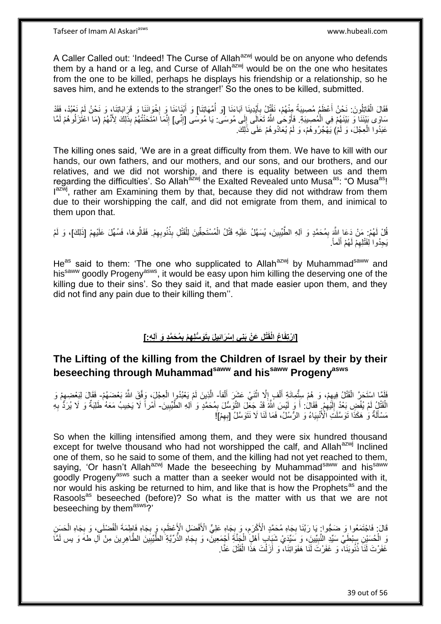A Caller Called out: 'Indeed! The Curse of Allah<sup>azwj</sup> would be on anyone who defends them by a hand or a leg, and Curse of Allah $a$ <sup>2wj</sup> would be on the one who hesitates from the one to be killed, perhaps he displays his friendship or a relationship, so he saves him, and he extends to the stranger!' So the ones to be killed, submitted.

فَقَالَ الْقَاتِلُونَ: نَحْنُ أَعْظَمُ مُصِيبَةً مِنْهُمْ، نَقْتُلُ بِأَيْدِينَا آبَاءَنَا [وَ أُمَّهَاتِنَا] وَ أَبْنَاءَنَا وَ إِخْوَانَنَا وَ قَرِابَاتِنَا، وَ نَحْنُ لَمْ نَعْبُدْ، فَقَدْ َ ْ َ ُ َ **∶ ∶** سَاوَى بَيْنَنَا وَ بَيْنَهُمْ فِي الْمُصِيبَةِ. فَأَوْحَى اللَّهُ تَعَالَى إِلَى مُوسَى. يَا مُوسَى [إِنِّي] إِنَّمَا امْتَحَنْتُهُمْ بِذَلِكَ لِأَنَّهُمْ (مَا اعْتُرَلُوهُمْ لَمَّا ْ ِ ِ َ ِ عَبَدُوا الْعِجْلَ، وَ لَمْ) يَهْجُرُوهُمْ، وَ لَمْ يُعَادُوهُمْ عَلَى ذَٰلِكَ. ْ

The killing ones said, 'We are in a great difficulty from them. We have to kill with our hands, our own fathers, and our mothers, and our sons, and our brothers, and our relatives, and we did not worship, and there is equality between us and them regarding the difficulties'. So Allah<sup>azwj</sup> the Exalted Revealed unto Musa<sup>as</sup>: "O Musa<sup>as</sup>! Iazw<sup>j</sup>, rather am Examining them by that, because they did not withdraw from them due to their worshipping the calf, and did not emigrate from them, and inimical to them upon that.

قُلْ لَهُمْ: مَنْ دَعَا اللَّهَ بِمُحَمَّدٍ وَ آلِهِ الطَّيِّبِينَ، يُسَهَّلُ عَلَيْهِ قَتْلُ الْمُسْتَحِقِّينَ لِلْقَتْلِ بِذُنُوبِهِمْ. فَقَالُوهَا، فَسُهِّلَ عَلَيْهِمْ [ذَلِكَ]، وَ لَمْ ْ **!** ِ ِ ْ ِ يَجِدُوا لِقَتْلِهِمْ لَـهُمْ أَلَماً. َ ِ

He<sup>as</sup> said to them: 'The one who supplicated to Allah<sup>azwj</sup> by Muhammad<sup>saww</sup> and his<sup>saww</sup> goodly Progeny<sup>asws</sup>, it would be easy upon him killing the deserving one of the killing due to their sins'. So they said it, and that made easier upon them, and they did not find any pain due to their killing them''.

#### [ارْتِفَاعُ الْقَتْلِ عَنْ بَنِى إِسْرَائِيلَ بِتَوَسِّلِهِمْ بِمُحَمَّدٍ وَ آلِهِ:] **ِ ِ ِ**

## **The Lifting of the killing from the Children of Israel by their by their beseeching through Muhammadsaww and hissaww Progenyasws**

فَلَمًا اسْتَحَرَّ الْقَتْلُ فِيهِمْ، وَ هُمْ سِتُّمِائَةِ أَلْفٍ إِلَّا اثْنَيْ عَشَرَ أَلْفاً- الَّذِينَ لَمْ يَعْبُدُواٍ الْعِجْلِ، وَفَقَ اللّهُ بَعْضَهُمْ- فَقَالَ لِبَعْضِهِمْ وَ ْ َ **ٔ** ِ ْ َ  $\ddot{\bm{z}}$ ْ ْ ِ الْقَتْلُِ لَمْ يُفْضِ بَعْدُ إِلَيْهِمْ. فَقَالُ: أَ وَ لَيْسَ اللَّهُ قَدْ جَعَّلَ التَّوَسُّلَ بِمُحَمَّدٍ وَ اللهِ الطَّيِّبِينَ- أَمْراً لَا يَخِيبُ مَعَهُ طَلِبَةٌ وَ لَا يُرَدَّ بِهِ ِ لَ ِ ِ ِ َ **∶** َ مَسْأَلَةٌ وَ هَكَذَا تَوَسَّلَتُ الْأُنْبِيَاءُ وَ الرِّسُلُ، فَمَا لَنَا لَا نَتَوَسَّلُ [بِهِمْ]! ِ **!** Í

So when the killing intensified among them, and they were six hundred thousand except for twelve thousand who had not worshipped the calf, and Allah<sup>azwj</sup> Inclined one of them, so he said to some of them, and the killing had not yet reached to them, saying, 'Or hasn't Allah<sup>azwj</sup> Made the beseeching by Muhammad<sup>saww</sup> and his<sup>saww</sup> goodly Progeny<sup>asws</sup> such a matter than a seeker would not be disappointed with it, nor would his asking be returned to him, and like that is how the Prophets<sup>as</sup> and the Rasools<sup>as</sup> beseeched (before)? So what is the matter with us that we are not beseeching by them<sup>asws</sup>?'

ِ قَالَ: فَاجْتَمَعُوا وَ ضَجُّوا: يَا رَبَّنَا بِجَاهِ مُحَمَّدٍ الْأَكْرَمِ، وَ بِجَاهِ عَلِيٍّ الْأَفْضَلِ الْإَعْظَمِ، وَ بِجَاهِ فَإِطِمَةَ الْفُضْلَى، وَ بِجَاهِ الْحَسِنِ ِ **∶** ِ **∶** ْ ِ ْ وَ الْحُسَيْنِ سِنْطَـيْ سَيِّدِ النَّبِيِّينَ، وَ سَيِّدَى شَيَابٍ أَهْلِ الْجَنَّةِ أَجْمَعِينَ ، وَ بِجَاهِ الذَّرِيَّةِ الطَّيْبِينَ الطَّاهِرِينَ مِنْ آلِ طهَ وَ يس لَمَّا ِ َ ْ َ !<br>∶ ِ ِ ْ غَفَرْتَ أَنَاً ذُنُوبَنَاً، وَ غَفَرْتَ لَّنَا هَفَوَاتِنَا، وَ أَزَلْتَ هَذَا الْقَتْلَ عَنَّا. ْ َ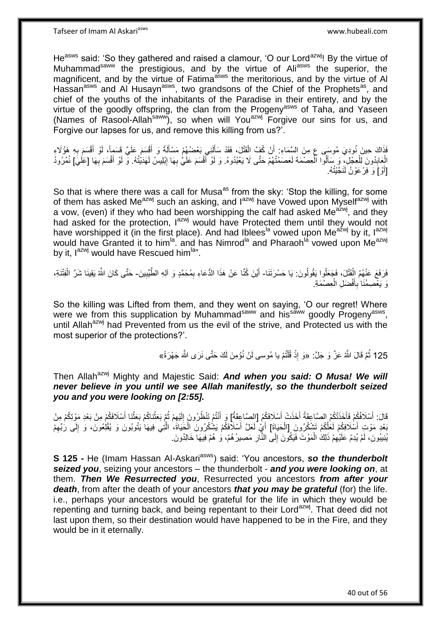He<sup>asws</sup> said: 'So they gathered and raised a clamour, 'O our Lord<sup>azwj</sup>! By the virtue of Muhammad<sup>saww</sup> the prestigious, and by the virtue of Ali<sup>asws</sup> the superior, the magnificent, and by the virtue of Fatima<sup>asws</sup> the meritorious, and by the virtue of Al Hassan<sup>asws</sup> and Al Husayn<sup>asws</sup>, two grandsons of the Chief of the Prophets<sup>as</sup>, and chief of the youths of the inhabitants of the Paradise in their entirety, and by the virtue of the goodly offspring, the clan from the Progeny<sup>asws</sup> of Taha, and Yaseen (Names of Rasool-Allah<sup>saww</sup>), so when will You<sup>azwj</sup> Forgive our sins for us, and Forgive our lapses for us, and remove this killing from us?'.

فَذَاكَ حِينَ نُودِيَ مُوسَى عِ مِنَ السَّمَاءِ. أَنْ كُفَّ الْقَتْلَ، فَقَدْ سَأَلَنِي بَعْضُهُمْ مَسْأَلَةً وَ أَقْسَمَ عَلَيَّ قَسَمِاً، لَوْ أَقْسَمَ بِهِ هَؤُلَاءِ Í لَ Í ْ **∶** َ َ الْعِابِدُونَ لِلْعِجْلِ، وَ سَأَلُوا الْعِصْمَةَ لَعَصَمْتُهُمْ حَتَّى لَا يَعْبُدُوهُ. وَ لَوْ أَقْسَمَ عَلَيُّ بِهَا إِبْلِيسُ لَهَدَيْتُهُ. وَ لَوْ أَقْسَمَ بِهَا [عَلَيَ] نُمْرُودُ ا<br>ا َ ْ **∣** ْ ِ ِ َ ِ َ [أَوْ]َ وَ فِرْ عَوْنُ لَنَجَّنْتُهُ.

So that is where there was a call for Musa<sup>as</sup> from the sky: 'Stop the killing, for some of them has asked Me<sup>azwj</sup> such an asking, and l<sup>azwj</sup> have Vowed upon Myself<sup>azwj</sup> with a vow, (even) if they who had been worshipping the calf had asked Me<sup>azwj</sup>, and they had asked for the protection,  $1^{a}$ <sup>2wj</sup> would have Protected them until they would not have worshipped it (in the first place). And had Iblees<sup>la</sup> vowed upon Me<sup>azwj</sup> by it, lazwj would have Granted it to him<sup>la</sup>. and has Nimrod<sup>la</sup> and Pharaoh<sup>la</sup> vowed upon Me<sup>azwj</sup> by it,  $I^{azwj}$  would have Rescued him<sup>la</sup>".

فَرَفَعَ عَنْهُمُ الْقَتْلَ، فَجَعَلُوا يَقُولُونَ: يَا حَسْرَتَنَا- أَيْنَ كُنَّا عَنْ هَذَا الدُّعَاءِ بِمُحَمَّدٍ وَ آلِهِ الطَّيِّبِينَ- حَتَّى كَانَ اللَّهُ يَقِينَا شَرَّ الْفِتْنَةِ، ْ ِ ِ َ ْ وَ يَعْصِمُنَا بِأَفْضَلِ الْعِصْمَةِ. ْ َ ِ

So the killing was Lifted from them, and they went on saying, 'O our regret! Where were we from this supplication by Muhammad<sup>saww</sup> and his<sup>saww</sup> goodly Progeny<sup>asws</sup>, until Allah<sup>azwj</sup> had Prevented from us the evil of the strive, and Protected us with the most superior of the protections?'.

> 125 ثُمَّ قَالَ اللَّهُ عَزَّ وَ جَلَّ: «وَ إِذْ قُلْتُمْ يا مُوسى لَنْ نُؤْمِنَ لَكَ حَتَّى نَرَى اللَّهَ جَهْرَةً» **ٔ** ِ

Then Allah<sup>azwj</sup> Mighty and Majestic Said: **And when you said: O Musa! We will** *never believe in you until we see Allah manifestly, so the thunderbolt seized you and you were looking on [2:55].*

قَالَ: أَسْلَافُكُمْ فَأَخَذَتْكُمُ الصَّاعِقَةُ أَخَذَتْ أَسْلَافَكُمُ [الصَّاعِقَةُ] وَ أَنْتُمْ تَنْظُرُونَ إِلَيْهِمْ ثُمَّ بَعَثْناكُمْ بَعَثْنَا أَسْلَافَكُمْ مِنْ بَعْدِ مَوْتِكُمْ مِنْ َ َ اُ، َ َ ِ لَ ِ ْ َ **ٔ** بَعْدِ مَوْتِ أَسْلَافِكُمْ لَعَلِّكُمْ تَشْكُرُونَ [الْحَيَاةَ] أَيْ لَعَلَّ أَسْلَافَكُمْ يَشْكُرُونَ الْحَيَاةَ، الَّتِي فِيهَا يَتُوبُونَ وَ يُقْلِعُونَ، وَ إِلَى رُبِّهِمْ ِ ِ ه ْ َ اً.<br>ا ْ يُنِيبُونَ، لَمْ يُدِمْ عَلَيْهِمْ ذَلِكَ الْمَوْتَ فَيَكُونَ إِلَى النَّارِ مَصِيرُ هُمْ، وَ هُمْ فِيهَا خَالِدُونَ ِ ∣∣<br>∶ ْ ِ

**S 125 -** He (Imam Hassan Al-Askari<sup>asws</sup>) said: 'You ancestors, so the thunderbolt *seized you*, seizing your ancestors – the thunderbolt - *and you were looking on*, at them. *Then We Resurrected you*, Resurrected you ancestors *from after your death*, from after the death of your ancestors *that you may be grateful* (for) the life. i.e., perhaps your ancestors would be grateful for the life in which they would be repenting and turning back, and being repentant to their Lord<sup>azwj</sup>. That deed did not last upon them, so their destination would have happened to be in the Fire, and they would be in it eternally.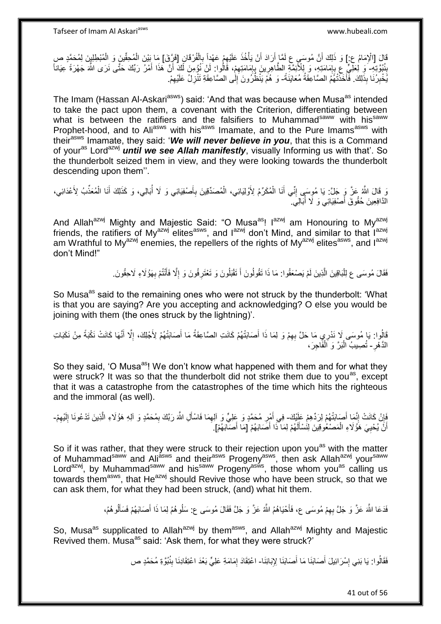قَالَ [الْإِمَامُ ع:] وَ ذَلِكَ أَنَّ مُوسَى عِ لَمَّا أَرَادَ أَنْ يَأْخُذَ عَلَيْهِمْ عَهْداً بِالْفُرْقَانِ [فَرَّقَ] مَا بَيْنَ الْمُحِقِّينَ وَ الْمُبْطِلِينَ لِمُحَمَّدٍ صِ<br>وَيَنْ الْمُحَمَّدِ عَلَيْهِ الْمَسْمَعِ ا اُ اُ ْ ِ ِ ْ ْ بِذُبُوَّتِهِ ۖ وَ لِعَلِّيٍّ عِ بِإِمَامَتِهِ، وَ لِلْأَئِمَّةِ الطَّاهِرِينَ بِإِمَامَتِهِمْ، قَالُوا: لَنْ نُؤُمِنَ لَكَ لَّأَ هَذَا أَمْرُ رَبِّكَ حَتَّى نَرَى اللَّهَ جَهْرَةً عِيَاناً **ِ** ا<br>ا ِ ِ **U** ِ ∣<br>∶ ֢֚ َ يَُخْبِرُنَا بِذَلِكَ. فَأَخَذْتُهُمُ الصَّاعِقَةُ مُعَايَنَةً- وَ هُمْ يَنْظُرُونَ إِلَٰى الصَّاعِقَةِ تَتْزِلُ عَلَيْهِمْ. ِ َ ِ ِ ِ

The Imam (Hassan Al-Askari<sup>asws</sup>) said: 'And that was because when Musa<sup>as</sup> intended to take the pact upon them, a covenant with the Criterion, differentiating between what is between the ratifiers and the falsifiers to Muhammad<sup>saww</sup> with his<sup>saww</sup> Prophet-hood, and to Aliasws with hisasws Imamate, and to the Pure Imamsasws with their<sup>asws</sup> Imamate, they said: 'We will never believe in you, that this is a Command of your<sup>as</sup> Lord<sup>azwj</sup> *until we see Allah manifestly*, visually Informing us with that'. So the thunderbolt seized them in view, and they were looking towards the thunderbolt descending upon them''.

ُ وَ قَالَ اللَّهُ عَنَّ وَ جَلَّ: يَا مُوِسَى إِنِّي أَنَا الْمُكَرِّمُ لِأَوْلِيَائِي، الْمُصَدِّقِينَ بِأَصْفِيَائِي وَ لَا أُبَالِي، وَ كَذَلِكَ أَنَا الْمُعَذِّبُ لِأَعْدَائِي، َ ِ ْ ْ َ ِ ْ َ الدَّافِعِينَ حُقُوقَ أَصْفِيَائِي وَ لَا أَبَالِيَ. ِ<br>ا َ

And Allah<sup>azwj</sup> Mighty and Majestic Said: "O Musa<sup>as</sup>! I<sup>azwj</sup> am Honouring to My<sup>azwj</sup> friends, the ratifiers of My<sup>azwj</sup> elites<sup>asws</sup>, and l<sup>azwj</sup> don't Mind, and similar to that l<sup>azwj</sup> am Wrathful to My<sup>azwj</sup> enemies, the repellers of the rights of My<sup>azwj</sup> elites<sup>asws</sup>, and l<sup>azwj</sup> don't Mind!"

> فَقَالَ مُوسَى عِ لِلْبَاقِينَ الَّذِينَ لَمْ يَصْعَقُوا: مَا ذَا تَقُولُونَ أَ تَقْبَلُونَ وَ تَعْتَرِفُونَ وَ إِلَّا فَأَنْتُمْ بِهَؤُلَاءِ لَاحِقُونَ. َ ِ **∶** َ ه :<br>ا **∶**

So Musa<sup>as</sup> said to the remaining ones who were not struck by the thunderbolt: 'What is that you are saying? Are you accepting and acknowledging? O else you would be joining with them (the ones struck by the lightning)'.

ِ اَأُوا: يَا مُوسَى لَا نَدْرِيِ مَا حَلَّ بِهِمْ وَ لِمَا ذَا أَصَابَتْهُمْ كَانَتِ الصَّاعِقَةُ مَا أَصَابَتْهُمْ لِأَجْلِكَ، إِلَّا أَنَّهَا كَانَتْ نَكْبَةً مِنْ نَكَبَاتِ<br>أَوْلَا أَنَّهَا كَانَتْ نَكْبَةً مِنْ نَكَبَا َ ِ َ َ الدَّهْرِ - تُصِيبُ الْبَرَّ وَ اَلْفَاجِرَ، **∶** ْ ْ

So they said, 'O Musa<sup>as</sup>! We don't know what happened with them and for what they were struck? It was so that the thunderbolt did not strike them due to you<sup>as</sup>, except that it was a catastrophe from the catastrophes of the time which hits the righteous and the immoral (as well).

َفِإِنْ كَانَتْ إِنَّمَا أَصَابَتْهُمْ لِرَدِّهِمْ عَلَيْكَ- فِي أَمْرِ مُحَمَّدٍ وَ عِلِيٍّ وَ الْعِمَا فَاسْأَلِ اللَّهَ رَبَّكَ بِمُحَمَّدٍ وَ الْلِهِ هَؤُلَاءِ الَّذِينَ تَدْعُونَا إِلَيْهِمْ-َ יִי<br>י ֝׀֧֧<br>ׇ֪֚֝֝ ِ ه ِ َ ِ ِ ِ أَنَّ يُحْيِيَ هَؤُلَاءِ الْمَصْعُوقِينَ لِلَسْأَلَهُمْ لِمَا ذَا أَصَابَهُمْ [مَا أَصَابَهُمْ]. َ َ لَ َ ْ ِ اً

So if it was rather, that they were struck to their rejection upon you<sup>as</sup> with the matter of Muhammad<sup>saww</sup> and Ali<sup>asws</sup> and their<sup>asws</sup> Progeny<sup>asws</sup>, then ask Allah<sup>azwj</sup> your<sup>saww</sup> Lord<sup>azwj</sup>, by Muhammad<sup>saww</sup> and his<sup>saww</sup> Progeny<sup>asws</sup>, those whom you<sup>as</sup> calling us towards them<sup>asws</sup>, that He<sup>azwj</sup> should Revive those who have been struck, so that we can ask them, for what they had been struck, (and) what hit them.

> َ فَدَعَا اللَّهَ عَزَّ وَ جَلَّ بِهِمْ مُوسَى ع، فَأَحْيَاهُمُ اللَّهُ عَزَّ وَ جَلَّ فَقَالَ مُوسَى ع: سَلُوهُمُ لِمَا ذَا أَصَابَهُمْ فَسَأَلُوهُمُ، َ ِ ا<br>ا َ

So, Musa<sup>as</sup> supplicated to Allah<sup>azwj</sup> by them<sup>asws</sup>, and Allah<sup>azwj</sup> Mighty and Majestic Revived them. Musa<sup>as</sup> said: 'Ask them, for what they were struck?'

> فَقَالُوا: يَا بَنِي إِسْرَائِيلَ أَصَابَنَا مَا أَصَابَنَا لِإِبَائِنَا- اعْتِقَادَ إِمَامَةِ عَلِيٍّ بَعْدَ اعْتِقَادِنَا بِنُبُوَّةِ مُحَمَّدٍ ص َ ֘<u>֓</u> ِ ِ

> > 41 out of 56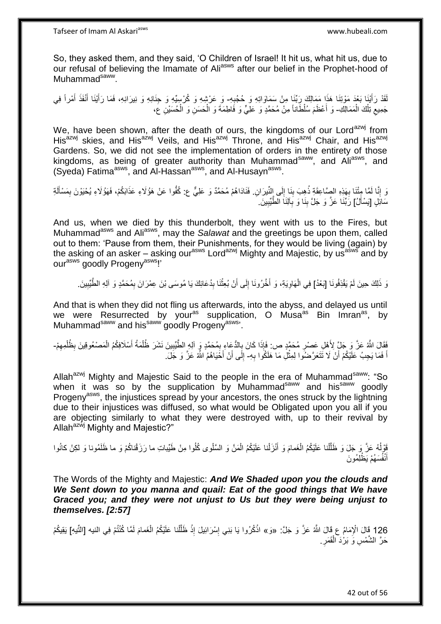So, they asked them, and they said, 'O Children of Israel! It hit us, what hit us, due to our refusal of believing the Imamate of Aliasws after our belief in the Prophet-hood of Muhammad<sup>saww</sup>.

لَقَدْ رَأَيْنَا بَعْدَ مَوْتِنَا هَذَا مَمَالِكَ رَبِّنَا مِنْ سَمَاوَاتِهِ وَ حُجُبِهِ- وَ عَرْشِهِ وَ كُرْسِيِّهِ وَ جِنَانِهِ وَ نِيرَانِهِ، فَمَا رَأَيْنَا أَنْفَذَ أَمْراً فِي ِ َ َ َ َ جَمِيعِ تِلْكَ الْمَمَالِكِ- وَ أَعْظَمَ سُلْطَاناً مِنْ مُحَمَّدٍ وَ عَلِيٍّ وَ فَاطِمَةَ وَ الْحَسَنِ وَ الْحُسَيْنِ عَ، ْ ֧֧<sup>֓</sup>  $\zeta$ ْ ْ َ

We, have been shown, after the death of ours, the kingdoms of our Lord<sup>azwj</sup> from His<sup>azwj</sup> skies, and His<sup>azwj</sup> Veils, and His<sup>azwj</sup> Throne, and His<sup>azwj</sup> Chair, and His<sup>azwj</sup> Gardens. So, we did not see the implementation of orders in the entirety of those kingdoms, as being of greater authority than Muhammad<sup>saww</sup>, and Aliasws, and (Syeda) Fatima<sup>asws</sup>, and Al-Hassan<sup>asws</sup>, and Al-Husayn<sup>asws</sup>.

وَ إِنَّا لَمَّا مِثْنَا بِهَذِهِ الصَّاعِقَةِ ذُهِبَ بِنَا إِلَى النِّيرَانِ. فَنَادَاهُمْ مُحَمَّدٌ وَ عَلِيٌّ ع: كُفُّوا عَنْ هَؤُلَاءِ عَذَابَكُمْ، فَهَؤُلَاءِ يُحْيَوْنَ بِمَسْأَلَةِ ِ **! ∶** ِ لَ َ ِ سَائِلٍ [يَسْأَلُ] رَبِّنَا عَزَّ وَ جَلَّ بِنَا وَ بِالَئِاَ الْطُّيِّبِينَ َ ِ **! !** 

And us, when we died by this thunderbolt, they went with us to the Fires, but Muhammad<sup>asws</sup> and Ali<sup>asws</sup>, may the *Salawat* and the greetings be upon them, called out to them: 'Pause from them, their Punishments, for they would be living (again) by the asking of an asker – asking our<sup>asws</sup> Lord<sup>azwj</sup> Mighty and Majestic, by us<sup>asws</sup> and by our<sup>asws</sup> goodly Progeny<sup>asws</sup>!'

وَ ذَلِكَ حِينَ لَمْ يَقْذِفُونَا [بَعْدُ] فِي الْهَاوِيَةِ، وَ أَخَّرُونَا إِلَى أَنْ بُعِثْنَا بِدُعَائِكَ يَا مُوسَى بْنَ عِمْرَانَ بِمُحَمَّدٍ وَ آلِهِ الطَّيِّبِينَ ـ ِ ِ ْ َ  $\frac{1}{2}$ َ ِ ْ ِ

And that is when they did not fling us afterwards, into the abyss, and delayed us until we were Resurrected by your<sup>as</sup> supplication, O Musa<sup>as</sup> Bin Imran<sup>as</sup>, by Muhammad<sup>saww</sup> and his<sup>saww</sup> goodly Progeny<sup>asws</sup>.

فَقَالَ اللَّهُ عَنَّ وَ جَلٍّ لِأَهْلِ عَصْرٍ مُحَمَّدٍ ص: فَإِذَا كَانَ بِالدُّعَاءِ بِمُحَمَّدٍ وَ آلِهِ الطَّيِّبِينَ نَشَرَ ظُلْمَةُ أَسْلَافِكُمُ الْمَصْعُوقِينَ بِظُلْمِهِمْ-ِ ِ ֢֧֦֧֚<u>֓</u> **∶** َ ْ ِ ْ ِ اً فَمَا يَجِبُ عَلَّيْكُمْ أَنْ لَا تَتَعَرَّضُوا لِمِثْلَ مَا هَلَكُوا بِهِ- إِلَى أَنْ أَخَيَاهُمُ اللَّهُ عَزَّ وَ جَلَ ِ ْ اُ َ اُ ِ

Allah<sup>azwj</sup> Mighty and Majestic Said to the people in the era of Muhammad<sup>saww</sup>: "So when it was so by the supplication by Muhammad<sup>saww</sup> and his<sup>saww</sup> goodly Progeny<sup>asws</sup>, the injustices spread by your ancestors, the ones struck by the lightning due to their injustices was diffused, so what would be Obligated upon you all if you are objecting similarly to what they were destroyed with, up to their revival by Allah<sup>azwj</sup> Mighty and Majestic?"

فَوْلُهُ عَزَّ وَ جَلَ وَ ظَلَّلْنا عَلَيْكُمُ الْغَمامَ وَ أَنْزَلْنا عَلَيْكُمُ الْمَنَّ وَ السَّلْوى كُلُوا مِنْ طَيِّباتِ ما رَزَقْناكُمْ وَ ما ظَلَمُونا وَ لكِنْ كانُوا ْ ْ ْ َ ْ ْ ه أَنْفُسَهُمْ يَظْلِمُونَ َ

The Words of the Mighty and Majestic: *And We Shaded upon you the clouds and We Sent down to you manna and quail: Eat of the good things that We have Graced you; and they were not unjust to Us but they were being unjust to themselves. [2:57]*

126 قَالَ الْإِمَامُ ع قَالَ اللَّهُ عَزَّ وَ جَلَّ: «وَ» اذْكُرُوا يَا بَنِي إِسْرَائِيلَ إِذْ ظَلَّلْنا عَلَيْكُمُ الْغَمامَ لَمَّا كُنْتُمْ فِي النيه [النِّيهِ] يَقِيكُمْ ْ هْ **ٔ** ِ ِ **ٔ** حَرَّ الشَّمْسِ وَ بَرْدَ الْقَمَرِ <sub>.</sub> **ٍ** ْ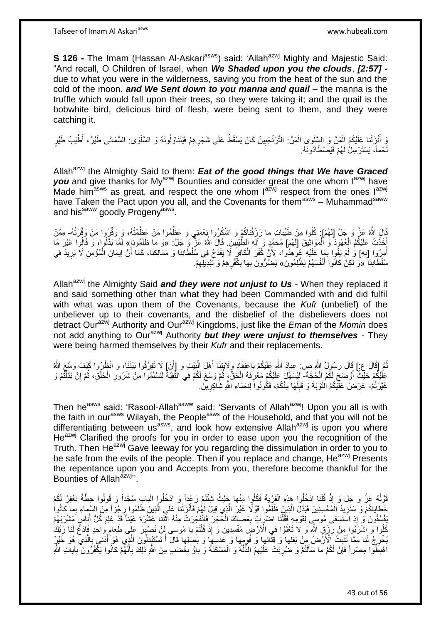**S 126 -** The Imam (Hassan Al-Askari<sup>asws</sup>) said: 'Allah<sup>azwj</sup> Mighty and Majestic Said: "And recall, O Children of Israel, when *We Shaded upon you the clouds*, *[2:57]*  due to what you were in the wilderness, saving you from the heat of the sun and the cold of the moon. *and We Sent down to you manna and quail* – the manna is the truffle which would fall upon their trees, so they were taking it; and the quail is the bobwhite bird, delicious bird of flesh, were being sent to them, and they were catching it.

وَ أَنْزَلْنا عَلَيْكُمُ الْمَنَّ وَ السَّلْوِي الْمَنُّ: التَّرَنْجَبِينُ كَانَ يَسْقُطُ عَلَى شَجَرِهِمْ فَيَتَنَاوَلُونَهُ وَ السَّلْوَى: السُّمَانَى طَيْرٌ، أَطْيَبُ طَيْرٍ ْ ْ ْ ْ **∶** ِ ْ حْماً، يَسْتَرْسِلُْ لَهُمْ فَيَصْطَادُونَهُ. لَ

Allah<sup>azwj</sup> the Almighty Said to them: **Eat of the good things that We have Graced** you and give thanks for My<sup>azwj</sup> Bounties and consider great the one whom l<sup>azwj</sup> have Made him<sup>asws</sup> as great, and respect the one whom  $I^{a\bar{z}wj}$  respect from the ones  $I^{a\bar{z}wj}$ have Taken the Pact upon you all, and the Covenants for them<sup>asws</sup> - Muhammad<sup>saww</sup> and his<sup>saww</sup> goodly Progeny<sup>asws</sup>.

َفَالَ اللَّهُ عَنَّ وَ جَلَّ [لَهُمْ]: كُلُوا مِنْ طَيِّباتِ ما رَزَقْناكُمْ وَ اسْكُرُوا نِعْمَنِي وَ عَظُمُوا مَنْ عَظَمْتُهُ، وَ وَقَرْرُوا مَنْ وَقَرْتُهُ- مِمَّنْ أَخَذْتُ عَلَيْكُمُ الْعُهُودَ وَ الْمَوَاثِيقَ [لَهُمْ] مُحَمَّدٍ وَ اللهِ الطُّيِّبِينَ. قَالَ اللَّهُ عَنْ و ْ ْ **ٔ !** لَ أُمِرُوا [بِهِ] وَ لَمْ يَفْوا بِمَا عَلَيْهِ عُوهِدُوا، لِأَنَّ كُفْرَ الْكَافِرِ لَا يَقْدَحُ فِي سُلْطَّانِنَا وَ مَمَالِكِنَا، كَمَا أَنَّ إِيمَانَ الْمُؤْمِنِ لَا يَزِيدُ فِي **∶** ا<br>ا َ ِ ْ ِ ِ ْ ֖֧֦֧֦֧֦֧֦֧֦֧֦֧֦֧ׅ֧֦֧֦֧ׅ֧֦֧ׅ֧֦֧ׅ֧֦֧֦֧֦֧֦֧֦֧֦֧֦֧֦֧֦֧֦֧֦֧֧֦֧֧֧ׅ֦֧֧֧֚֚֜֓֓֜֓֓֜֓֓֜֓֓֓֡֓֡֓֞֡֡֡֡֡֡֡֓ َ سُلْطَانِنَا ۖ «وَ لَكِنْ كَانُوا َأَنْفُسَهُمْ يَظْلِمُونَۚ » يَضُرَّرُونَ بِهَا بِكُّفْرِ هِمْ وَ تَبْدِيلِّهِمْ. َ **∶** ِ ِ ِ

Allah<sup>azwj</sup> the Almighty Said *and they were not unjust to Us* - When they replaced it and said something other than what they had been Commanded with and did fulfil with what was upon them of the Covenants, because the *Kufr* (unbelief) of the unbeliever up to their covenants, and the disbelief of the disbelievers does not detract Ourazwj Authority and Ourazwj Kingdoms, just like the *Eman* of the *Momin* does not add anything to Ourazwj Authority *but they were unjust to themselves* - They were being harmed themselves by their *Kufr* and their replacements.

نُّمَّ [قَالَ ع:] قَالَ رَسُولُ اللَّهِ ص: عِبَادَ اللَّهِ عَلَيْكُمْ بِاعْتِقَادٍ وَلَابَتِنَا أَهْلَ الْبَيْتِ وَ [أَنْ] لَا تُفِرِّقُوا بَيْنَنَا، وَ انْظُرُوا كَيْفَ وَسَعَ اللَّهُ َ ْ َ ِ عَلَيْكُمْ حَيْثٌ أَوْضَحَ لَكُمُ الْحُجَّةَ- لِيُسَهِّلَ عَلَيْكُمْ مَعْٰرِفَةَ الْحَقِّ، ثُمَّ وَسَّعَ لَكُمْ فِي التَّقِيَّةِ لِتَسْلَمُوا مِنْ شُرُورِ الْخَلْقِ، ثُمَّ إِنْ بَذَلَّتُمْ وَ ْ َ ْ ِ ْ ِ ا<br>المقام ْ ْ ِ ا<br>ا غَيَّرْتُمْ- عَرَضَ عَلَيْكُمُ الْتَّوْبَةَ وَ قَبِلَهَا مِنْكُمْ، فَكُونُواَ لِنَعْمَاءِ اللَّهِ شَاكِرِينَ ِ ِ لَ ِ

Then he<sup>asws</sup> said: 'Rasool-Allah<sup>saww</sup> said: 'Servants of Allah<sup>azwj</sup>! Upon you all is with the faith in our<sup>asws</sup> Wilayah, the People<sup>asws</sup> of the Household, and that you will not be differentiating between us<sup>asws</sup>, and look how extensive Allah<sup>azwj</sup> is upon you where He<sup>azwj</sup> Clarified the proofs for you in order to ease upon you the recognition of the Truth. Then He<sup>azwj</sup> Gave leeway for you regarding the dissimulation in order to you to be safe from the evils of the people. Then if you replace and change. He<sup>azwj</sup> Presents the repentance upon you and Accepts from you, therefore become thankful for the Bounties of Allah<sup>azwj</sup>".

قَوْلُهُ عَزَّ وَ جَلَ وَ إِذْ قُلْنَا ادْخُلُوا هِذِهِ الْقَرْيَةَ فَكُلُوا مِنْها جَيْثُ شِنْتُمْ رَعَداً وَ ادْخُلُوا الْبابَ سُجَّداً وَ قُولُوا حِطَّةٌ نَغْفِرْ لَكُمْ اً.<br>ا ُ ْ ْ ْ ْ خُطاياكُمْ وَ سَنَزِيدُ الْمُحْسِنِينَ فَبَدَّلَ الَّذِينَ ظَلَمُوا قَوْلًا غَيْرَ الَّذِي قِيلَ لَهُمْ فَأَنْزَلْنا عَلَي الَّذِينَ ظَلَمُوا رِجْزاً مِنَ السَّماءِ بِما كانُوا ه ْ َ ه ه ْ ِ **∶** ِّفْسُقُونَ وَ إِذِ اسْتَسْقى مُوسىٍ لِقَوْمِهِ فَقُلْنَا اضْرِبْ بِعَصبِاكَ الْحَجَرَ فَانْفَجَرَتْ مِنْهُ اثْنَنَا عَشْرَةَ عَيْناً قَدْ عَلِمَ كُلُّ أَناسٍ مَشْرَبَهُمْ ∣l<br>∶ ْ **∶** ِ ْ ُ ا<br>ا ةُ أُوا وَ اشْرَبُوا مِنْ رِزْقٍ الثَّهِ وَ لَا تَعْثَوْا فِي الْأَرْضَ مُفْسِدِينَ وَ إِذْ قُلْتُمْ يَا مُوسى لَنْ نَصْبِرَ عَلَى طَعامٍ واحدٍ فَادْعُ لَذا رَبَّكَ ْ **ٔ** َ ِ ِ يُخْرِجْ لَنا مِمَّا تُنْبِتُ ٱلْأَرَضُ مِنْ بَقْلِها ۚ وَ قَلْبِهِها وَ عَدَسِهَا وَ بَصَلِها قالَ أَ تَسْتَبْدِلُونَ الَّذِي هُوَ أَنْنَى بِالَّذِي هُوَ خَيْرٌ **∶** ه َ ه **∣** ه ِ اْهْبِطُوا مِصْراً فَإِنَّ لَكُمْ ما سَأَلْتُمْ وَ ضُرِبَتْ عَلَيْهِمُ الذِّلَّةُ وَ الْمَسْكَنَةُ وَ باؤُ بِغَضَبِ مِنَ اللَّهِ ذَلِكَ بِأَنَّهُمْ كَانُوا يَكْفُرُونَ بِآياتِ اللَّهِ ْ ه ِ ْ َ ِ ِ ِ َ ِ ِ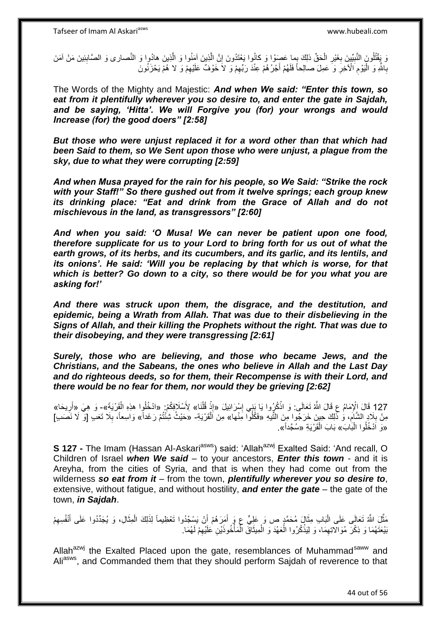وَ يَقْتُلُونَ النَّبِيِّينَ بِغَيْرِ الْجَقِّ ذلِكَ بِما عَصَوْا وَ كانُوا يَعْتَدُونَ إِنَّ الَّذِينَ آمَنُوا وَ الْذِينَ هادُوا وَ النَّصارى وَ الصَّابِئِينَ مَنْ آمَنَ ه ه ِ ْ **∶** ِ ِ بِاللَّهِ وَ الْنَوْمِ الْأَخِرِّ وَ عَمِلَ صالِحاً فَلَهُمْ أُجْرُهُمْ عِنْدَ رَبِّهِمْ وَ لاَ خَوْفٌ عَلَيْهِمْ وَ لا هُمْ يَحْزَنُونَ ِ ِ َ **∶** ِ ا<br>ا **∶** 

The Words of the Mighty and Majestic: *And when We said: "Enter this town, so eat from it plentifully wherever you so desire to, and enter the gate in Sajdah, and be saying, 'Hitta'. We will Forgive you (for) your wrongs and would Increase (for) the good doers" [2:58]*

*But those who were unjust replaced it for a word other than that which had been Said to them, so We Sent upon those who were unjust, a plague from the sky, due to what they were corrupting [2:59]*

*And when Musa prayed for the rain for his people, so We Said: "Strike the rock with your Staff!" So there gushed out from it twelve springs; each group knew its drinking place: "Eat and drink from the Grace of Allah and do not mischievous in the land, as transgressors" [2:60]*

*And when you said: 'O Musa! We can never be patient upon one food, therefore supplicate for us to your Lord to bring forth for us out of what the earth grows, of its herbs, and its cucumbers, and its garlic, and its lentils, and its onions'. He said: 'Will you be replacing by that which is worse, for that which is better? Go down to a city, so there would be for you what you are asking for!'*

*And there was struck upon them, the disgrace, and the destitution, and epidemic, being a Wrath from Allah. That was due to their disbelieving in the Signs of Allah, and their killing the Prophets without the right. That was due to their disobeying, and they were transgressing [2:61]*

*Surely, those who are believing, and those who became Jews, and the Christians, and the Sabeans, the ones who believe in Allah and the Last Day and do righteous deeds, so for them, their Recompense is with their Lord, and there would be no fear for them, nor would they be grieving [2:62]*

127 قَالَ إِلَٰإِمَامُ عِ قَالَ اللَّهُ تَعَالَى: وَ اذْكُرُوا يَا بَنِي إِسْرَائِيلَ «إِذْ قُلْنَا» لِأَسْلَافِكُمْ: «ادْخُلُوا هذِهِ الْقَرْيَةَ»- وَ هِيَ «أَرِيحَا» َ ْ **ٔ** ِ ِ **ٔ** مِنْ بِلَادِ الشَّامَ، وَ ذَّلِكَ حِينَ خَرَجُوا مِنَ الثِّيهِ «فَكُلُوا مَِنْها» مِنَ اَلْقَرْيَةِ- «حَيْثُ شِئْتُمْ رَغَداً» وَاسِعاً، بِلَا تَعَبِ [وَ لَا نَصَدِ] **ُ** ِ ِ «وَ اَدْخُلُوا الْبَابَ» بَابَ الْقَرْيَةِ «سُجَّداً». ْ ْ

**S 127 -** The Imam (Hassan Al-Askari<sup>asws</sup>) said: 'Allah<sup>azwj</sup> Exalted Said: 'And recall, O Children of Israel *when We said* – to your ancestors, *Enter this town* - and it is Areyha, from the cities of Syria, and that is when they had come out from the wilderness *so eat from it* – from the town, *plentifully wherever you so desire to*, extensive, without fatigue, and without hostility, *and enter the gate* – the gate of the town, *in Sajdah*.

ْ مَثَّلَ اللَّهُ تَعَالَى عَلَى الْبَابِ مِثَالٍ مُحَمَّدٍ ص وَ عَلِيٍّ عِ وَ أَمَرَهُمْ أَنْ يَسْجُدُوا تَعْظِيماً لِذَلِكَ الْمِثَالِ، وَ يُجَدِّدُوا عَلَى أَنْفُسِهِمْ اُ َ  $\ddot{\cdot}$ ْ ه ِ َ بَيْعَتَهُمَا وَ ذِكْرَ مُوَالاتِهِمَا، وَ لِيَذْكُرُوا الْعَهْدَ وَ الْمِيثَاقَ الْمَأْخُوذَيْنِ عَلَيْهِمْ لَهُمَا. ِ **ٔ** ْ َ ْ ْ **ٔ** ِ

Allah<sup>azwj</sup> the Exalted Placed upon the gate, resemblances of Muhammad<sup>saww</sup> and Ali<sup>asws</sup>, and Commanded them that they should perform Sajdah of reverence to that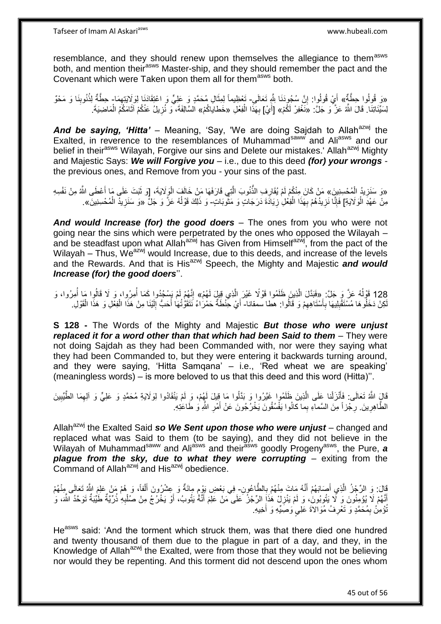resemblance, and they should renew upon themselves the allegiance to them<sup>asws</sup> both, and mention their<sup>asws</sup> Master-ship, and they should remember the pact and the Covenant which were Taken upon them all for themasws both.

«وَ قُولُوا حِطَّةٌ» أَيْ قُولُوا: إِنَّ سُجُودَنَا شَّهِ تَعَالَى- تَعْظِيماً لِمِثَالِ مُحَمَّدٍ وَ عَلِيٍّ وَ اعْتِقَادَنا لِوَلَايَتِهِمَا- حِطَّةٌ لِذُنُوبِنَا وَ مَحْوٌ ِ ا<br>-<br>-ه יֲ<br>י َ لِسَيِّئَاتِنَا. قَالَ اللَّهُ عَزَّ وَ جَلَّ: «نَغْفِرْ لَكُمْ» [أَيْ] بِهَذَا الْفِعْلِ «خَطاياكُمْ» السَّالِفَةَ، وَ نُزِيلُ عَنْكُمْ آثَامَكُمُ الْمَاضِيَةَ. َ ْ ِ ْ َ ِ

And be saying, 'Hitta' – Meaning, 'Say, 'We are doing Sajdah to Allah<sup>azwj</sup> the Exalted, in reverence to the resemblances of Muhammad<sup>saww</sup> and Ali<sup>asws</sup> and our belief in their<sup>asws</sup> Wilayah, Forgive our sins and Delete our mistakes.' Allah<sup>azwj</sup> Mighty and Majestic Says: *We will Forgive you* – i.e., due to this deed *(for) your wrongs*  the previous ones, and Remove from you - your sins of the past.

«وَ سَنَزِيدُ الْمُحْسِنِينَ» مَنْ كَانَ مِنْكُمْ لَمْ يُقَارِفِ الذَّنُوبَ الَّتِي قَارَفَهَا مَنْ خَالَفَ الْوَلَايَةَ، [وَ ثَبَتَ عَلَى مَا أَعْطَى اللَّهُ مِنْ نَفْسِهِ َ ْ ه ُّ ْ مِنْ عَهْدَِ الْوَلَايَةِ] فَإِنَّا نَزِيدُهُمْ بِهَذَا الْفِعْلِ زِيَادَةَ دَرَجَاتٍ وَ مَثْوَبَاتٍ- وَ ذَلِكَ قَوْلُهُ عَزَّ وَ جَلٍّ «وَ سَنَزِيدُ الْمُحْسِنِينَ». ់ ِ ْ ِ **∶** ِ ْ ُ ْ ِ

*And would Increase (for) the good doers* – The ones from you who were not going near the sins which were perpetrated by the ones who opposed the Wilayah – and be steadfast upon what Allah<sup>azwj</sup> has Given from Himself<sup>azwj</sup>, from the pact of the Wilayah – Thus,  $We^{azwj}$  would Increase, due to this deeds, and increase of the levels and the Rewards. And that is His<sup>azwj</sup> Speech, the Mighty and Majestic **and would** *Increase (for) the good doers*''.

128 قَوْلُهُ عَزَّ وَ جَلَّ: «فَبَدَّلَ الَّذِينَ ظَلَمُوا قَوْلًا غَيْرَ الَّذِي قِيلَ لَهُمْ» إِنَّهُمْ لَمْ يَسْجُدُوا كَمَا أُمِرُوا، وَ لَا قَالُوا مَا أُمِرُوا، وَ ه ه ا<br>ا ؚ<br>ا ا<br>ا ِ لَكِنْ دَخَلُوها مُسْتَقْبِلِيهَا بِأَسْتَاهِهِمْ وَ قَالُوا: هَطا سمقاناً- أَيْ حِّنْطَةٌ حَمْرُاءُ نَتَقَوُّتُهَا أَحَبُّ إِلَيْنَا مِنْ هَذَا الْفَوْلِ وَ هَذَا الْقَوْلِ ِ ِ َ ِ ِ ْ ْ لَ ِ َ

**S 128 -** The Words of the Mighty and Majestic *But those who were unjust replaced it for a word other than that which had been Said to them* – They were not doing Sajdah as they had been Commanded with, nor were they saying what they had been Commanded to, but they were entering it backwards turning around, and they were saying, 'Hitta Samqana' – i.e., 'Red wheat we are speaking' (meaningless words) – is more beloved to us that this deed and this word (Hitta)''.

قَالٍَ اللَّهُ تَعَالَى: فَأَنْزَلْنا عَلَى الَّذِينَ ظَلَمُوا غَيَّرُوا وَ بَدَّلُوا مَا قِيلَ لَهُمْ، وَ لَمْ يَنْقَادُوا لِوَلَايَةِ مُحَمَّدٍ وَ عَلِيٍّ وَ الْهِمَا الطَّيِّبِينَ ه ْ َ ِ ِ الطَّاهِرِينَ. رِجْزاً مِنَ السَّماءِ بِما كانُوا يَفْسُقُونَ يَخْرُجُونَ عَنْ أَمْرِ اللَّهِ وَ طَاعَٰتِهِ. **∶ ∶** َ

Allah<sup>azwj</sup> the Exalted Said so We Sent upon those who were unjust – changed and replaced what was Said to them (to be saying), and they did not believe in the Wilayah of Muhammadsaww and Aliasws and theirasws goodly Progenyasws, the Pure, *a*  **plague from the sky, due to what they were corrupting –** exiting from the Command of Allah<sup>azwj</sup> and His<sup>azwj</sup> obedience.

قَالَ: وَ الرِّجْزُ الَّذِي أَصَابَهُمْ أَنَّهُ مَاتَ مِنْهُمْ بِالطَّاعُونِ- فِي بَعْضِ يَوْمٍ مِائَةٌ وَ عِشْرُونَ أَلْفاً، وَ هُمْ مَنْ عَلِيَ اللَّهُ تَعَالَى مِنْهُمْ<br>\* َ ه ِ ْ َ ֧֖֚֚֓֝֝֬֝֝ أَنَّهُمْ لَا يُؤْمِنُونَ وَ لَا يَتُوبُونَ وَ لَمْ يَنْزِلْ هُذَا۪ الرِّجْزُ عَلَى مَنْ عَلِّمَ أَنَّهُ يَتُوبُ، أَوْ يَخْرُجُ مِنْ صَلْبِهِ ذُرِّيَّةٌ طَيِّبَةٌ تَوَحَّدُ الشَّه وَ َ َ ِ ِ ْ تُؤْمِنُ بِمُحَمَّدٍ وَ تَعْرِفُ مُوَالاَةَ عَلِيٍ وَصِّيِّهِ وَ أَخِيهِ. ِ ِ

He<sup>asws</sup> said: 'And the torment which struck them, was that there died one hundred and twenty thousand of them due to the plague in part of a day, and they, in the Knowledge of Allah<sup>azwj</sup> the Exalted, were from those that they would not be believing nor would they be repenting. And this torment did not descend upon the ones whom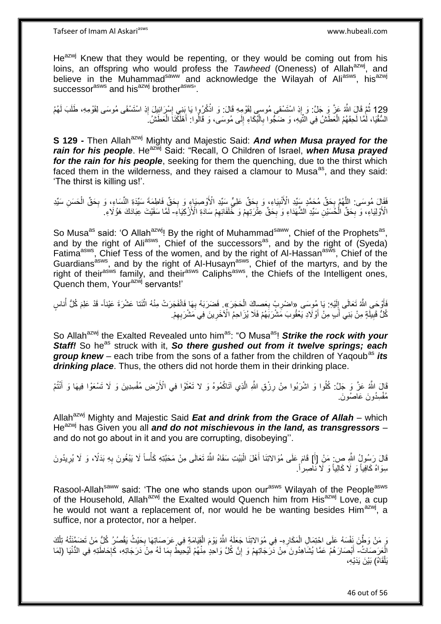$He^{azwj}$  Knew that they would be repenting, or they would be coming out from his loins, an offspring who would profess the *Tawheed* (Oneness) of Allah<sup>azwj</sup>, and believe in the Muhammad<sup>saww</sup> and acknowledge the Wilayah of Ali<sup>asws</sup>, his<sup>azwj</sup> successor<sup>asws</sup> and his<sup>azwj</sup> brother<sup>asws</sup>'.

129 ثُمَّ قَالَ اللَّهُ عَنَّ وَ جَلَّ: وَ إِذِ اسْتَسْقى مُوسى لِقَوْمِهِ قَالَ: وَ اذْكُرُوا يَا بَنِي إِسْرَائِيلَ إِذِ اسْتَسْقَى مُوسَى لِقَوْمِهِ، طَلَبَ لَهُمُ ِ ِ ْ ְנוֹ ْ السُّقْيَا، لَمَّا لَحِقَهُمُ الْعَطَشُ فِي النَّيَهِ، وَ ضَجُّوا بِالْبُكَاءِ إِلَى مُوسَى، وَ قَالُوا: أَهْلَكَنَاَ الْعَطَشُ. َ ِ ْ **∶** ْ

**S 129 -** Then Allah<sup>azwj</sup> Mighty and Majestic Said: **And when Musa prayed for the** *rain for his people.* He<sup>azwj</sup> Said: "Recall, O Children of Israel, *when Musa prayed for the rain for his people*, seeking for them the quenching, due to the thirst which faced them in the wilderness, and they raised a clamour to Musa<sup>as</sup>, and they said: 'The thirst is killing us!'.

ْفَقَالَ مُوسَى: اللَّهُمَّ بِحَقٍّ مُحَمَّدٍ سَيِّدِ الْأَنْبِيَاءِ، وَ بِحَقٍّ عَلِيٍّ سَيِّدِ الْأَوْصِيَاءِ وَ بِحَقٍّ فَاطِمَةَ سَيِّدَةِ النِّسَاءِ، وَ بِحَقٍّ الْحَسَنِ سَيِّدِ ِ ِ ِ **∶** ه ْ ِ الْأَوْلِيَاءِ، وَ بِحَقِّ الْحُسَيْنِ سَيِّدِ الشُّهَدَاءِ وَ بِحَقِّ عِثْرَتِهِمْ وَ خُُلَفَائِهِمْ سَادَةِ الْأَزْكِيَاءِ- لَمَّا سَقَيْتَ عِبَادَكَ هَؤُلَاءِ ِ ِ ِ ْ ِ لَ

So Musa<sup>as</sup> said: 'O Allah<sup>azwj</sup>! By the right of Muhammad<sup>saww</sup>, Chief of the Prophets<sup>as</sup>, and by the right of Ali<sup>asws</sup>, Chief of the successors<sup>as</sup>, and by the right of  $(Syeda)$ Fatima<sup>asws</sup>, Chief Tess of the women, and by the right of Al-Hassan<sup>asws</sup>, Chief of the Guardians<sup>asws</sup>, and by the right of Al-Husayn<sup>asws</sup>, Chief of the martyrs, and by the right of their<sup>asws</sup> family, and their<sup>asws</sup> Caliphs<sup>asws</sup>, the Chiefs of the Intelligent ones, Quench them, Your<sup>azwj</sup> servants!'

فَأَوْحَىِ اللَّهُ تَعَالَى إِلَيْهِ: يَا مُوِسَى «اضْرِبْ بِعَصِاكَ الْحَجَرَ». فَضَرَبَهُ بِهَا فَانْفَجَرَت<br>فَأَوْحَىِ اللَّهُ تَعَالَى إِلَيْهِ: يَا مُوِسَى «اضْرِبْ بِعَصِاكَ الْحَجَرَ». فَضَرَبَهُ بِهَا فَانْفَجَرَت لَ ِ ْ **∶** ِ **∶** ْ ر<br>اُ كُلُّ قَبِيلَةٍ مِنْ بَنِيِّ أَبِ مِنْ أَوْلَادِ يَعْقُوبَ مَشْرَبَهُمْ فَلَا يُزَاحِمُ الْأَخَرِينَ فِي مَشْرَبِهِمْ. َ اُ **!** ِ **∶** 

So Allah<sup>azwj</sup> the Exalted Revealed unto him<sup>as</sup>: "O Musa<sup>as</sup>! Strike the rock with your **Staff!** So he<sup>as</sup> struck with it, **So there gushed out from it twelve springs; each group knew** – each tribe from the sons of a father from the children of Yaqoub<sup>as</sup> *its drinking place*. Thus, the others did not horde them in their drinking place.

قَالَ اللَّهُ عَزَّ وَ جَلَّ: كُلُوا وَ اشْرَبُوا مِنْ رِزْقِ اللَّهِ الَّذِي آتَاكُمُوهُ وَ لا تَعْثَوْا فِي الْأَرْضِ مُفْسِدِينَ وَ لَا تَسْعَوْا فِيهَا وَ أَنْتُمْ **∶** َ مُفْسِدُونَ عَاصُونَ.

Allah<sup>azwj</sup> Mighty and Majestic Said *Eat and drink from the Grace of Allah* – which He<sup>azwj</sup> has Given you all and do not mischievous in the land, as transgressors – and do not go about in it and you are corrupting, disobeying''.

قَالَ رَسُولٍُ النَّهِ صِ: مَنْ [أَ] قَامَ عَلَى مُوَالاتِنَا أَهْلَ الْبَيْتِ سَقَاهُ اللَّهُ تَعَالَى مِنْ مَحَبَّتِهِ كَأْساً لَا يَبْغُونَ بِهِ بَدَلًا، وَ لَا يُرِيدُونَ ْ َ َ ِ ِ ْ سِوَاهُ كَافِياً وَ لَا كَالِياً وَ لَا نَـٰاَصِـراً.

Rasool-Allah<sup>saww</sup> said: 'The one who stands upon our<sup>asws</sup> Wilayah of the People<sup>asws</sup> of the Household, Allah<sup>azwj</sup> the Exalted would Quench him from His<sup>azwj</sup> Love, a cup he would not want a replacement of, nor would he be wanting besides Him<sup>azwj</sup>, a suffice, nor a protector, nor a helper.

رَ مَنْ وَطَّنَ نَفْسَهُ عَلَى احْتِمَالِ الْمَكَارِهِ- فِي مُوَالاتِنَا جَعَلَهُ اللَّهُ يَوْمَ الْقِيَامَةِ فِي عَرَصَاتِهَا بِحَيْثُ يَقْصُرُ كُلُّ مَنْ تَضَمَّنَتْهُ تِلْكَ **ٍ** ْ ْ ْ ِ الْعَرَصَاتُ- أَبْصَارَ هُمْ عَمَّا يُشَاهِدُونَ مِنْ دَرَّجَاتِهِمْ وَ إِنَّ كُلَّ وَاحِدٍ مِنْهُمْ لَيُحِيطُ بِمَا لَهُ مِنْ دَرَجَاتِهِ، كَإِحَاطَتِهِ فِي الدُّنْيَا (لِمَا ِ َ  $\frac{1}{2}$ ِ ِ يَلْقَاهُ) بَيْنَ يَدَيْهِ،

46 out of 56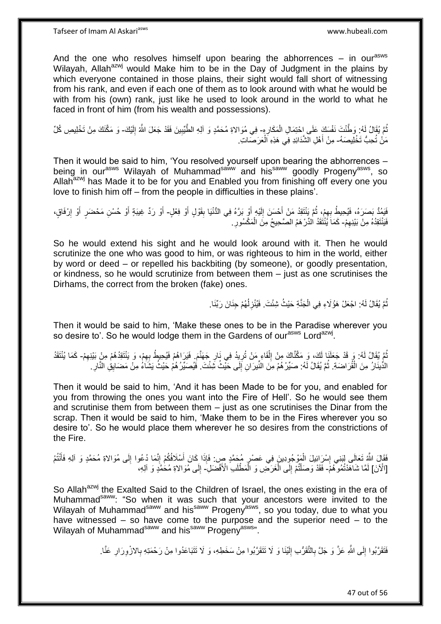And the one who resolves himself upon bearing the abhorrences  $-$  in our<sup>asws</sup> Wilayah, Allah<sup>azwj</sup> would Make him to be in the Day of Judgment in the plains by which everyone contained in those plains, their sight would fall short of witnessing from his rank, and even if each one of them as to look around with what he would be with from his (own) rank, just like he used to look around in the world to what he faced in front of him (from his wealth and possessions).

نُّمَّ يُقَالُ لَهُ: وَطَّنْتَ نَفْسَكَ عَلَى إِحْتِمَالِ الْمَكَارِهِ- فِي مُوَالاةِ مُحَمَّدٍ وَ آلِهِ الطَّيِّبِينَ فَقَدْ جَعَلَ اللَّهُ إِلَيْكَ- وَ مَكَّنَكَ مِنْ تَخْلِيصِ كُلِّ ِ ْ لَ ِ ِ مَنْ تُحِبُّ تَخْلِيصَهُ- مِنْ أَهْلِ الشَّدَائِدِ فِي هَذِهِ اَلْعَرَصَاتِ. ْ َ

Then it would be said to him, 'You resolved yourself upon bearing the abhorrences – being in our<sup>asws</sup> Wilayah of Muhammad<sup>saww</sup> and his<sup>saww</sup> goodly Progeny<sup>asws</sup>, so Allah<sup>azwj</sup> has Made it to be for you and Enabled you from finishing off every one you love to finish him off – from the people in difficulties in these plains'.

يَمُدُّ بَصَرَهُ، فَيُحِيطُ بِهِمْ، ثُمَّ يَنْتَقِدُ مَنْ أَحْسَنَ إِلَيْهِ أَوْ بَرَّهُ فِي الدُّنْيَا بِقَوْلٍ أَوْ فِعْلٍ- أَوْ رَدِّ غِيبَةٍ أَوْ حُسْنِ مَحْضَبٍ أَوْ إِرْفَاقٍ،<br>. َ لَ ِ َ .<br>• • • •  $\frac{1}{2}$ َ ِ ِ َ َ َ فَيَنْتَقِدُهُ مِنْ بَيْنِهِمْ- كَمَاً يُنْتَقَدُ الدِّرْ هَمُ الصَّحِيحُ مِنَ الْمَكْسُورِ . ِ **∶** ْ

So he would extend his sight and he would look around with it. Then he would scrutinize the one who was good to him, or was righteous to him in the world, either by word or deed – or repelled his backbiting (by someone), or goodly presentation, or kindness, so he would scrutinize from between them – just as one scrutinises the Dirhams, the correct from the broken (fake) ones.

> نُّمَّ يُقَالُ لَهُ: اجْعَلْ هَؤُلَاءِ فِي الْجَذَّةِ حَيْثُ شِئْتَ. فَيُنْزِلُهُمْ جِنَانَ رَبِّنَا. ٔ<br>ا **∶** ْ ُ

Then it would be said to him, 'Make these ones to be in the Paradise wherever you so desire to'. So he would lodge them in the Gardens of our<sup>asws</sup> Lord<sup>azwj</sup>.

نُّمَ يُقَالُ لَهُ: وَرِ قَدْ جَعَلَنَا لَكَ، وَ مَكَّنَّاكَ مِنْ إِلْقَاءِ مَنْ تُرِيِدُ فِي نَارِ جَهَنَّمَ. فَيَرَاهُمْ فَيُحِبِطُ بِهِمْ، وَ يَنْتَوَدُهُمْ مِنْ بَيْنِهِمْ- كَمَا يُنْتَقُدُ ِ ِ ْ ِ ِ ِ الدُّينَارُ مِنَ الْقُرَاضَةِ. ثُمَّ يُقَالُ لَهُ: صَبِّرْ هُمْ مِنَ النِّيرَانِ إِلَى حَيْثُ شَئْتَ. فَيُصَبِّرُ هُمْ حَيْثُ يَشَاءُ مِنْ مَضَايِقِ النَّارِ ْ ِ ِ ُ

Then it would be said to him, 'And it has been Made to be for you, and enabled for you from throwing the ones you want into the Fire of Hell'. So he would see them and scrutinise them from between them – just as one scrutinises the Dinar from the scrap. Then it would be said to him, 'Make them to be in the Fires wherever you so desire to'. So he would place them wherever he so desires from the constrictions of the Fire.

فَقَالَ اللَّهُ تَعَالَى لِبَنِي إِسْرَائِيلَ الْمَوْجُوِدِينَ فِي عَصْرٍ مُجَمَّدٍ ص: فَإِذَا كَانَ أَسْلَافُكُمْ إِنَّمَا دُعُوا إِلَى مُوَالاةِ مُحَمَّدٍ وَ آلِهِ فَأَنْتُمُ ِ َ ِ ْ ِ َ ِ [الْآنَ] لَمَّا شَاهَدْتُمُوهُمْ- فَقَدْ وَصَلْتُمْ إِلَى الْغَرَضِ وَ الْمَطْلَبِ الْأَفْضَلِ- إِلَى مُوَالاةِ مُحَمَّدٍ وَ آلِهِ، ْ ْ ِ ֦֧֦֧֦֧֦֧֦֧֦֧֦֧֦֧֦֪֦֪֪֦֧֦֪֦֪֪֦֧֦֧֟֟֟֓֕֟֓֕֝֟֓֟֓֡֟֓֟֓֡֟֓֟֓֡֟֟֓֡֟֟֓֟֓֡֟֟֓֡֟֓֡֟֓֡֟֓֞֟֟֓֟֓֟֓֟֓֟֟֟֟ لَ  $\frac{1}{2}$ 

So Allah<sup>azwj</sup> the Exalted Said to the Children of Israel, the ones existing in the era of Muhammad<sup>saww</sup>: "So when it was such that your ancestors were invited to the Wilayah of Muhammad<sup>saww</sup> and his<sup>saww</sup> Progeny<sup>asws</sup>, so you today, due to what you have witnessed – so have come to the purpose and the superior need – to the Wilayah of Muhammad<sup>saww</sup> and his<sup>saww</sup> Progeny<sup>asws</sup>".

> فَتَقَرَّبُوا إِلَى اللَّهِ عَزَّ وَ جَلَّ بِالنَّقَرُّبِ إِلَيْنَا وَ لَا نَتَقَرَّبُوا مِنْ سَخَطِهِ، وَ لَا نَتَبَاعَدُوا مِنْ رَحْمَتِهِ بِالازْوِرَارِ عَنَّا. لَ ِ ِ ِ ِ ِ ِ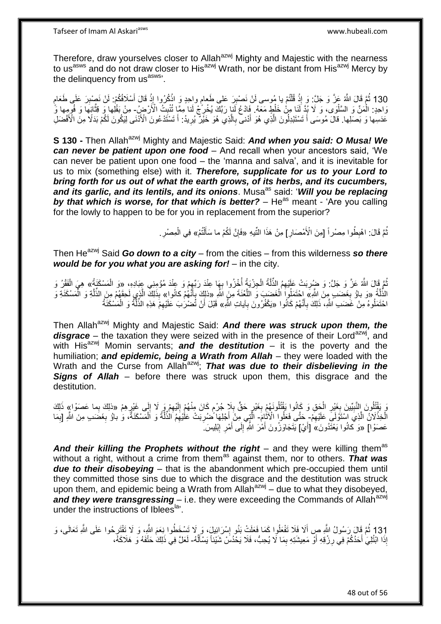Therefore, draw yourselves closer to Allah<sup>azwj</sup> Mighty and Majestic with the nearness to us<sup>asws</sup> and do not draw closer to His<sup>azwj</sup> Wrath, nor be distant from His<sup>azwj</sup> Mercy by the delinguency from us<sup>asws</sup>'.

130 ثُمَّ قَالَ اللَّهُ عَزَّ وَ جَلَّ: وَ إِذْ قُلْتُمْ يا مُوسى لَنْ نَصْبِرَ عَلى طَعامٍ واحِدٍ وَ اذْكُرُوا إِذْ قَالَ أَسْلَافُكُمْ: لَنْ نَصْبِرَ عَلَى طَعَامٍ<br>130 ثُمَّ سَيْنَ الْقَافُونَ مِنْ أَوْلَى الْمُؤْمِنِ و ْ ِ ِ َ **ٔ ٔ** وَاحِدٍ: الْمَنِّ وَ السَّلْوَى، وَ لَا بُدَّ لَذَا مِنْ خَلْطٍ مَعَهُ. فَادْعُ لَنا رَبَّكَ يُخْرِ ۖجْ لَنا مِمَّا تُنْبِتُ الْأَرْضِ ِ مِنْ بَقْلِها وَ قُتَّائِهَا وَ فُوِمِها وَّ ا<br>ا ْ ِ ِ ه عَدَسِها وَ بَصَلِها. قالَ مُوسَى أَ تَسْتَبْدِلُولَنَ الَّذِي هُوَ أَدْنى بِالَّذِي هُوَ خَيْرٌ يُرِيدُ: أَ تَسْتَدْعُونَ الْأَذَنَى لِيَكُونَ لَكُمْ بَدَلًا مِنَ الْأَفْضَلِ َ ه َ َ **∶** ه ِ

**S 130 -** Then Allah<sup>azwj</sup> Mighty and Majestic Said: **And when you said: O Musa! We** *can never be patient upon one food* – And recall when your ancestors said, 'We can never be patient upon one food – the 'manna and salva', and it is inevitable for us to mix (something else) with it. *Therefore, supplicate for us to your Lord to bring forth for us out of what the earth grows, of its herbs, and its cucumbers,*  and its garlic, and its lentils, and its onions. Musa<sup>as</sup> said: 'Will you be replacing **by that which is worse, for that which is better?** – He<sup>as</sup> meant - 'Are you calling for the lowly to happen to be for you in replacement from the superior?

> ّةً قَالَ: اهْبِطُوا مِصْراً [مِنَ الْأَمْصَارِ] مِنْ هَذَا النِّيهِ «فَإِنَّ لَكُمْ ما سَأَلْتُمْ» فِي الْمِصْرِ ِ ِ ْ اً<br>أ ِ ِ ْ

Then He<sup>azwj</sup> Said *Go down to a city* – from the cities – from this wilderness *so there would be for you what you are asking for!* – in the city.

ُمَّ قَالَ اللَّهُ عَزَّ وَ جَلَّ: وَ ضِبُرِبَتْ عَلَيْهِمُ الذِّلَّةُ الْجِزْيَةُ أُخِْزُوا بِهَا عِنْدَ رَبِّهِمْ وَ عِنْدَ مُؤْمِنِي عِبَادِهِ، «وَ الْمَسْكَنَةُ» هِيَ الْفَقْرُ وَ ِ ِ ْ ه ِ ْ الذِّلَّةُ «وَ باوُ بِغَضَبٍ مِنَ اللَّهِ» احْتَمَلُواَ الْغَضَبَ وَ اللَّغْنَةَ مِنَ اللَّهِ «ذلِكَ بِأَنَّهُمْ كانُواِ» بِذَلِكَ الَّذِي لَحِقَهُمْ مِنَ الذُّلَّةِ وَ الْمَسْكَنَةِ وَ ه ِّ **∶** ه ْ َ **∶** ْ ه ه احْتَمَلُوهُ مِنْ غَضَبِ الثَّهِ، ذَلِكَ بِأَنَّهُمْ كَانُوا «يَكْفُرُونَ بِآياتِ الثَّهِ» قَبْلَ أَنْ تُضْرَٰبَ عَلَيْهِمْ هَذِهِ الذِّلّْةُ وَ الْمَسْكَنَةُ َ ِ ِ ه ِ اُ ْ

Then Allah<sup>azwj</sup> Mighty and Majestic Said: **And there was struck upon them, the** disgrace – the taxation they were seized with in the presence of their Lord<sup>azwj</sup>, and with His<sup>azwj</sup> Momin servants; **and the destitution** – it is the poverty and the humiliation; *and epidemic, being a Wrath from Allah* – they were loaded with the Wrath and the Curse from Allah<sup>azwj</sup>; *That was due to their disbelieving in the* **Signs of Allah** – before there was struck upon them, this disgrace and the destitution.

َوَ يَقْتُلُونَ إِلنَّبِيِّينَ بِغَيْرِ الْجَقِ وَ كَانُوا بَقْتُلُونَهُمْ بِغَيْرٍ حَقٍّ بِلَا جُرْمٍ كَانَ مِنْهُمْ إِلَيْهِمْ وَرٍ لَا إِلَى غَيْرٍهِمْ «ذلِكَ بِما عَصَوْا» ذَلِكَ ْ **∶ ∶ !** ِ ِ ِ لَ ِ ֧֧֧֖֧֧֧֧֦֧֧֧֚֓֝֬֝֝֓֝֬֟֓֟֓֓֝֓֝֬֝֓֝֓֟֓֟֓֝֬ **∶** ِ ِ ِ الْخِذْلَانُ الَّذِي اسْتَوْلَى عَلَيْهِمْ- خَتَّى فَعَلُوا الْآثَامَ- الَّتِي مِنْ أَجْلِهَا ضُرِبَتْ عَلْيُهِمُ الذُّلَّةُ وَ الْمَسْكَنَةُ، و باوُ بِغَضَبِ مِنَ اللَّهِ [بِمَا ِ ه **ٔ** ֪֪֦֦֪֦֦֦֦֦֦֦֧֦֪֦֧֦֦֦֦֧֦֪֦֦֪֦֧֦֝֟֟֟֟֟֟֟֟֟֟֟֟֟֟֟֟֟֟֟֟֟֟֟֟֟֟֟֟֟֟֟֟֟֟֟֟֟֟֟֟֟֟֟֟֟֟֟֟ ه ِ ْ ه **∶** َ ِ عَصَوْا] «وَ كَانُوا يَعْثَّدُونَ» [أَيْ] يَتَجَاوَزُونَ أَمْٰرَ الثَّهِ إِلَى أَمْرِ إِبْلِيسَ ۖ ِ **∶** َ  $\frac{1}{2}$ َ

And their killing the Prophets without the right – and they were killing them<sup>as</sup> without a right, without a crime from them<sup>as</sup> against them, nor to others. **That was** *due to their disobeying* – that is the abandonment which pre-occupied them until they committed those sins due to which the disgrace and the destitution was struck upon them, and epidemic being a Wrath from Allah<sup>azwj</sup> – due to what they disobeyed, and they were transgressing – i.e. they were exceeding the Commands of Allah<sup>azwj</sup> under the instructions of Iblees<sup>la</sup>.

131 ثُمَّ قَالَ رَسُولُ اللَّهِ صِ أَلَا فَلَا تَفْعَلُوا كَمَا فَعَلَتْ بَنُو إِسْرَائِيلَ، وَ لَا تَسْخَطُوا نِعَمَ اللَّهِ، وَ لَا تَقْتَرِحُوا عَلَى اللَّهِ تَعَالَى، وَ<br>مَعْدَلِ ثَمَّ قَالَ رَسُولُ اللَّهِ صَبِّ اللَ ِ َ إِذَا ابْتُلِيَ أَحَدُكُمْ فِي رِزْقِهِ أَوْ مَعِيشَتِهِ بِمَا لَا يُحِبُّ، فَلَا يَحْدُسْ شَيْئاً يَسْأَلُهُ- لَعَلَّ فِي ذَلِكَ حَتْفَهُ وَ هَلَاكَهُ، ِ َ **∶** َ ُ َ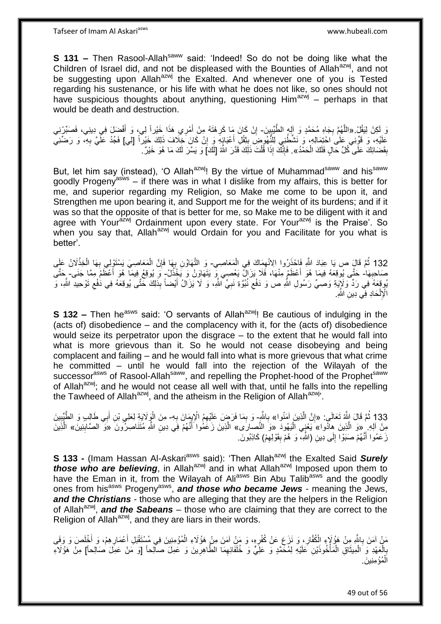Tafseer of Imam Al Askariasws www.hubeali.com

**S 131 –** Then Rasool-Allah<sup>saww</sup> said: 'Indeed! So do not be doing like what the Children of Israel did, and not be displeased with the Bounties of Allah<sup>azwj</sup>, and not be suggesting upon Allah<sup>azwj</sup> the Exalted. And whenever one of you is Tested regarding his sustenance, or his life with what he does not like, so ones should not have suspicious thoughts about anything, questioning  $H_0$ <sup>azwj</sup> – perhaps in that would be death and destruction.

دَ لَكِنْ لِنَقُلْ «اللَّهُمَّ بِجَاهِ مُحَمَّدٍ وَ إِلهٍ الطَّّيِّبِينَ- إِنْ كَانَ مَا كَرِهْتَهُ مِنْ أَمْرِي هَذَا خَيْراً لِي، وَ أَفْضِلَ فِي دِينِي، فَصَبِّرْنِي<br>وَ لَكِنْ لِنَقُلْ «اللَّهُمَّ بِجَاهِ مُحَمَّدٍ وَ ِ **∶** َ َ **∶** ِ عَلَيْهِ، ۚ وَ قَوِّنِي عَلَى احْتِمَالِهِ، وَ نَشَّطْنِي لِلنُّهُومِنِّ بِتْقُلِّ أَعْبَائِهِ ۚ وَ إِنْ كَانَ خِلَافَ ذَلِكَ خَيْراً [لِي] فَجُدْ عَلَّيَّ بِهِ، وَ رَضَّنِي ِ َ ِ ِ بِقَضَائِكَ عَلَى ۖ كُلِّ حَالٍ فَلَكَ الْحَمْدُ». فَإِنَّكَ إِذَا قُلْتَ ذَلِكَ قَدَّرَ اللَّهُ [لَكَ] وَ يَسَّرَ لَكَ مَا هُوَ خَيْرٌ. ْ **ِ** ْ ׀ו<br>ְי

But, let him say (instead), 'O Allah<sup>azwj</sup>! By the virtue of Muhammad<sup>saww</sup> and his<sup>saww</sup> goodly Progeny<sup>asws</sup> – if there was in what I dislike from my affairs, this is better for me, and superior regarding my Religion, so Make me come to be upon it, and Strengthen me upon bearing it, and Support me for the weight of its burdens; and if it was so that the opposite of that is better for me, so Make me to be diligent with it and agree with Your<sup>azwj</sup> Ordainment upon every state. For Your<sup>azwj</sup> is the Praise'. So when you say that, Allah<sup>azwj</sup> would Ordain for you and Facilitate for you what is better'.

132 ثُمَّ قَالٍَ صِ يَا عِبَادَ اللَّهِ فَاحْذَرُوا الِانْهِمَاكَ فِي الْمَعَاصِي- وَ التَّهَاوُنِ بِهَا فَإِنَّ الْمَعَاصِيَ يَسْتَوْلِي بِهَا الْخِذْلَانُ عَلَى ْ **∶** ْ ِ ْ صَاحِبِهَا ٰ حَتَّى يُوقِعَهُ فِيمَا هُوَ أَعْظَمٍ مِنْهَا، فَلَا يَزَالُ يَعْصِي مِّ يَتَهَاوَنُ وَ يَخْذُلُ ۖ وَ يُوقِعُ فِيمَا ۖ هُوَ أَعْظَمُ مِمَّا جَنَى ۖ بِحَتَّى **∶** َ ُيوقِعَهُ فِي رَدٍّ وَلَإِيَةِ وَصِيٍّ رَسُولِ اللَّهِ ص وَ دَفْعِ نُبُوَّةِ نَبِيٍّ اللَّهِ، وَ لَا يَزَالُ أَيْضاً بِذَلِكَ خَتَّى يُوقِعَهُ فِي دَٰفْعِ تَوْحِيدِ اللَّهِ، وَ َ ِ ِ ِ الْإِلْحَادِ فِ*ِّي* دِينِ الثَّهِ ِ ْ

**S 132 –** Then he<sup>asws</sup> said: 'O servants of Allah<sup>azwj</sup>! Be cautious of indulging in the (acts of) disobedience – and the complacency with it, for the (acts of) disobedience would seize its perpetrator upon the disgrace – to the extent that he would fall into what is more grievous than it. So he would not cease disobeying and being complacent and failing – and he would fall into what is more grievous that what crime he committed – until he would fall into the rejection of the Wilayah of the successor<sup>asws</sup> of Rasool-Allah<sup>saww</sup>, and repelling the Prophet-hood of the Prophet<sup>saww</sup> of Allah<sup>azwj</sup>; and he would not cease all well with that, until he falls into the repelling the Tawheed of Allah<sup>azwj</sup>, and the atheism in the Religion of Allah<sup>azwj</sup>'.

133 ثُمَّ قَالَ اللَّهُ تَعَالَى: «إِنَّ الَّذِينَ آمَنُوا» بِاللَّهِ- وَ بِمَا فَرَضٍ عَلَيْهِمُ الْإِيمَانَ بِهِ- مِنَ الْوَكَلاَيَةِ لِعَلِي بْنِ أَبِي طَالِبٍ وَ الطَّيِّبِينَ **∶** ِ ه ِ ه ِ ِ َ مِنْ آلِهِ ۚ «وَ الَّذِينَ هِادُوا»َ يَعْنِي الْيَهُودَ «وَ النَّصِبارَى» الَّذِينَ زَعَمُوا َأَنَّهُمْ فِي دِينِ اللَّهِ مُتَنَاصِرُونَ «وَ ۗ الصَّابِنِينَ» الَّذِينَ َ ِ ه زَعَمُوا أَنَّهُمْ صَبَوْا إِلَى دِينِ (الثَّهِ، ۖ وَ هُمْ بِقَوْلِهِمْ) كَاذِبُونَ. ِ ِ  $\frac{1}{2}$ َ

**S 133 -** (Imam Hassan Al-Askari<sup>asws</sup> said): 'Then Allah<sup>azwj</sup> the Exalted Said **Surely** *those who are believing*, in Allah<sup>azwj</sup> and in what Allah<sup>azwj</sup> Imposed upon them to have the Eman in it, from the Wilayah of Ali<sup>asws</sup> Bin Abu Talib<sup>asws</sup> and the goodly ones from his<sup>asws</sup> Progeny<sup>asws</sup>, and those who became Jews - meaning the Jews, *and the Christians* - those who are alleging that they are the helpers in the Religion of Allah<sup>azwj</sup>, **and the Sabeans** – those who are claiming that they are correct to the Religion of Allah<sup>azwj</sup>, and they are liars in their words.

مَنْ آمَنَ بِاللَّهِ مِنْ هَؤُلَاءٍ الْكُفَّارِ ، وَ نَزَعَ عَنْ كُفْرِهِ، وَ مَنْ آمَنَ مِنْ هَؤُلَاءِ الْمُؤْمِنِينَ فِي مُسْتَقْبَلِ أَعْمَارِهِمْ، وَ أَخْلَصَ وَ وَفَى ِ **∶** ِ َ ِ َ ْ ِبِالْعَهْدِ وَ الْمِيثَاقِ الْمَأْخُوذَيْنِ عَلَيْهِ لِمُحَمَّدٍ وَ عَلَيٍّ وَ خُلَفَائِهِمَا الطَّاهِرِينَ وَ عَمِلَ صالِحاً [وَ مَنْ عَمِلَ صَالِحاً] مِنْ هَؤُلَاءِ ِ ِ ْ ْ َ ْ ْ ِ الْمُؤْمِنِينَ. ْ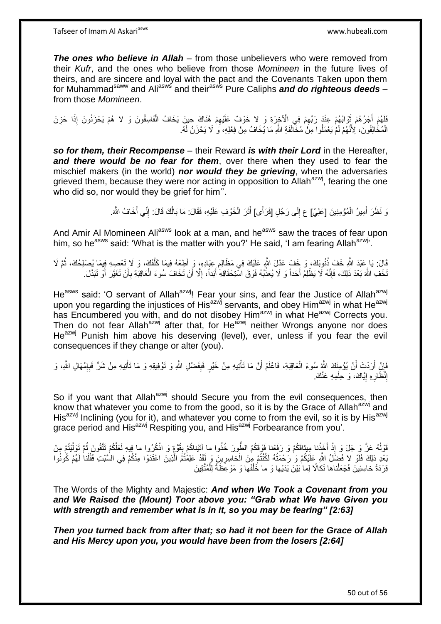*The ones who believe in Allah* – from those unbelievers who were removed from their *Kufr*, and the ones who believe from those *Momineen* in the future lives of theirs, and are sincere and loyal with the pact and the Covenants Taken upon them for Muhammad<sup>saww</sup> and Ali<sup>asws</sup> and their<sup>asws</sup> Pure Caliphs *and do righteous deeds* – from those *Momineen*.

فَلَهُمْ أَجْرُهُمْ ثَوَابُهُمْ عِنْدَ رَبّهِمْ فِي الْأَخِرَةِ وَ لا خَوْفٌ عَلَيْهِمْ هُنَاكَ حِينَ يَخَافُ الْفَاسِقُونَ وَ لا هُمْ يَحْزَنُونَ إِذَا حَزِنَ  $\ddot{\xi}$ ِ ْ ِ الْمُخَالِفُونَ، لِأَنَّهُمْ لَمْ يَعْمَلُوا مِنَ ٰ مُخَالَفَةِ اللَّهِ مَا يُخَافُ مِنْ فِعْلِهِ، وَ ٰ لَا يَحْزَنُ لََهُ ْ

*so for them, their Recompense* – their Reward *is with their Lord* in the Hereafter, *and there would be no fear for them*, over there when they used to fear the mischief makers (in the world) *nor would they be grieving*, when the adversaries grieved them, because they were nor acting in opposition to Allah<sup>azwj</sup>, fearing the one who did so, nor would they be grief for him''.

> وَ نَظَرَ أَمِيرُ الْمُؤْمِنِينَ [عَلِيٌ] ع إِلَى رَجُلٍ [فَرَأَى] أَثَرَ الْخَوْفِ عَلَيْهِ، فَقَالَ: مَا بَالُكَ قَالَ: إِنِّي أَخَافُ اللَّهَ. َ َ ِ ْ ة<br>أ َ َ ِ ُ

And Amir Al Momineen Ali<sup>asws</sup> look at a man, and he<sup>asws</sup> saw the traces of fear upon him, so he<sup>asws</sup> said: 'What is the matter with you?' He said, 'I am fearing Allah<sup>azwj</sup>'.

قَالَ: يَا عَبْدَ اللَّهِ خَفْ ذُنُوبَكَ، وَ خَفْ عَدْلَ اللَّهِ عَلَيْكَ فِي مَظَالِمِ عِبَادِهِ، وَ أَطِعْهُ فِيمَا كَلَّفَكَ، وَ لَا تَعْصِهِ فِيمَا يُصْلِحُكَ، ثُمَّ لَا ه َ ِ ُ تَخَفِ اللَّهَ بَعْدَ ذَلِكَ، فَإِنَّهُ لَا يَظْلِمْ أَحَداً وَ لَا يُعَذِّبُهُ فَوْقَ اسْتِحْقَاقِهِ أَبَداً، إِلَّا أَنْ تَخَافَ سُوءَ الْعَاقِبَةِ بِأَنْ تَغَيَّرَ أَوْ نَبَدَّلَ. ِ أ ِ ْ َ ِ َ َ َ

He<sup>asws</sup> said: 'O servant of Allah<sup>azwj</sup>! Fear your sins, and fear the Justice of Allah<sup>azwj</sup> upon you regarding the injustices of His<sup>azwj</sup> servants, and obey Him<sup>azwj</sup> in what He<sup>azwj</sup> has Encumbered you with, and do not disobey Him<sup>azwj</sup> in what He<sup>azwj</sup> Corrects you. Then do not fear Allah<sup>azwj</sup> after that, for He<sup>azwj</sup> neither Wrongs anyone nor does He<sup>azwj</sup> Punish him above his deserving (level), ever, unless if you fear the evil consequences if they change or alter (you).

فَإِنْ أَرَدْتَ أَنْ يُؤْمِنَكَ اللَّهُ سُوءَ الْعَاقِبَةِ، فَاعْلَمْ أَنَّ مَا تَأْتِيهِ مِنْ خَيْرٍ فَبِفَضْلِ اللَّهِ وَ تَوْفِيقِهِ وَ مَا تَأْتِيهِ مِنْ شَرٍّ فَبِإِمْهَالِ اللَّهِ، وَ **ٔ** ْ اُ َ ِ  $\frac{1}{2}$ ِ ة<br>أا إِنْظَارِهِ إِيَّاكَ، وَ حِلْمِهِ عَنْكَ ْ ِ **∶** ِ

So if you want that Allah<sup>azwj</sup> should Secure you from the evil consequences, then know that whatever you come to from the good, so it is by the Grace of Allah<sup>azwj</sup> and His<sup>azwj</sup> Inclining (you for it), and whatever you come to from the evil, so it is by His<sup>azwj</sup> grace period and His<sup>azwj</sup> Respiting you, and His<sup>azwj</sup> Forbearance from you'.

قَوْلُهُ عَزَّ وَ جَلَ وَ إِذْ أَخَذْنا مِيثاقَكُمْ وَ رَفَعْنا فَوْقَكُمُ الطُّورَ خُذُوا ما آَتَيْناكُمْ بِقُوَّةٍ وَ اذْكُرُوا ما فِيهِ لَعَلَّكُمْ تَتَّقُونَ ثُمَّ تَوَلَّيْتُمْ مِنْ ُ **ٔ ٔ** ه ُ **ٔ ∣** بَعْدِ ذلِكَ فَلَوْ لا فَضِّلُ اللَّهِ عَلَيْكُمْ وَ رَحْمَتُهُ لَكُنْتُمْ مِنَ الْخاسِرِينَ وَ لِقَدْ عَلِمْتُمُ الَّذِينَ اعْتَدَوْا مِنْكُمْ فِي السَّبْتِ فَقُلْنا لَهُمْ كُونُوا ه **∶** ْ قِرَدَةً خاسِئِينَ فَجَعَلْناها نَكالًا لِما ٰبَيْنَ يَدَيْها وَ ما خُلْفَها وَ مَوْ عِظَةً لِلْمُتَّقِينَ ْ ْ ْ

The Words of the Mighty and Majestic: *And when We Took a Covenant from you and We Raised the (Mount) Toor above you: "Grab what We have Given you with strength and remember what is in it, so you may be fearing" [2:63]*

*Then you turned back from after that; so had it not been for the Grace of Allah and His Mercy upon you, you would have been from the losers [2:64]*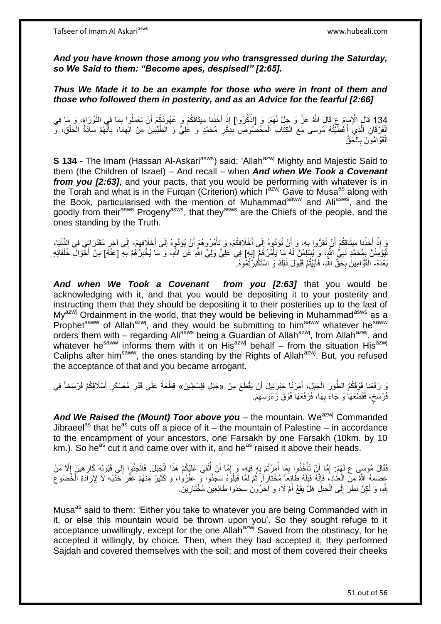*And you have known those among you who transgressed during the Saturday, so We Said to them: "Become apes, despised!" [2:65].* 

*Thus We Made it to be an example for those who were in front of them and those who followed them in posterity, and as an Advice for the fearful [2:66]*

134 قَالَ الْإِمَامُ عِ قَالَ اللَّهُ عَنَّ وَ جَلَّ لَهُمْ: وَ [اذْكُرُوا] إِذْ أَخَذْنا مِيثاقَكُمْ وَ عُهُودَكُمْ أَنْ تَعْمَلُوا بِمَا فِي التَّوْرَاةِ، وَ مَا فِي<br>المُمْرَةِ ِ َ َ **ٔ** ِ **ٔ** الْفُرْقَانِ الَّذِيَ أَعْطَّنْتُهُ مُوسَى مَعَ الْكِتَابِ الْمَخْصُوصِ بِذَكْرِ مُحَمَّدٍ وَ عَٰلِيٍّ وَ الطَّيِّبِينَ مِنْ آلِهِمَا، بِأَنَّهُمْ سَادَةُ الْخَلْقِ، وَ ْ ْ اً<br>ا ه ْ ْ َ ِ ِ ِ ِ ِ الْقَوَّامُونَ بِالْحَقِّ ْ **∶** ْ

**S 134 -** The Imam (Hassan Al-Askari<sup>asws</sup>) said: 'Allah<sup>azwj</sup> Mighty and Majestic Said to them (the Children of Israel) – And recall – when *And when We Took a Covenant from you [2:63]*, and your pacts, that you would be performing with whatever is in the Torah and what is in the Furgan (Criterion) which  $I^{azwj}$  Gave to Musa<sup>as</sup> along with the Book, particularised with the mention of Muhammad<sup>saww</sup> and Ali<sup>asws</sup>, and the goodly from their<sup>asws</sup> Progeny<sup>asws</sup>, that they<sup>asws</sup> are the Chiefs of the people, and the ones standing by the Truth.

يَ إِذْ أَخَذْنَا مِبِثَاقَكُمْ أَنْ تُقِرُّوا بِهِ، وَ أَنْ تُؤَدُّوهُ إِلَى أَخْلَافِكُمْ، وَ تَأْمُرُوهُمْ أَنْ يُؤَدُّوهُ إِلَى أَخْلَافِهِمْ- إِلَى آخِرِ مُقَدَّرَاتٍي فِي النُّنْيَا، **∶**  $\ddot{\phantom{0}}$ **ٔ ٔ ، ، ،** ِ َ ِ َ ْ َ  $\frac{1}{2}$ **∶** ِ لَيُؤُمِنُنَّ بِمُحَمَّدٍ نَبِيٍّ الثَّمِ، وَ يُسْلِمُنَّ لَهُ مَا يَأْمُرُ هُمْ إِبِهِمْ فِي ْعَلِيٍّ وَلِيِّ الثُّهِ عَنِ الثَّهِ، وَ مَا يُخْبِرُ هُمْ بِهِ [عَنْهُ] مِنْ أَخْوَالِ خُلَفَائِهِ ِ ا<br>المسلمان<br>المسلمان **∶** ِ ِ ِ َ بَعْدَهُ- الْقَوَّ امِينَ بِحَقِّ اللَّهِ، فَأَبَيْتُمْ قَبُولَ ذَلِكَ وَ اسْتَكْبَرْنَٰفُمْوهُ. ۖ ن<br>ا **∶** ْ

*And when We Took a Covenant from you [2:63]* that you would be acknowledging with it, and that you would be depositing it to your posterity and instructing them that they should be depositing it to their posterities up to the last of  $Mv^{a z w j}$  Ordainment in the world, that they would be believing in Muhammad $a s w s$  as a Prophet<sup>saww</sup> of Allah<sup>azwj</sup>, and they would be submitting to him<sup>saww</sup> whatever he<sup>saww</sup> orders them with – regarding Ali<sup>asws</sup> being a Guardian of Allah<sup>azwj</sup>, from Allah<sup>azwj</sup>, and whatever he<sup>saww</sup> informs them with it on His<sup>azwj</sup> behalf – from the situation His<sup>azwj</sup> Caliphs after him<sup>saww</sup>, the ones standing by the Rights of Allah<sup>azwj</sup>. But, you refused the acceptance of that and you became arrogant.

نَ رَفَعْنا فَوْقَكُمُ الطُّورَ الْجَبَلَ، أَمَرْنَا جَبْرَئِيلَ أَنْ يَقْطَعَ مِنْ «جَبَلِ فِلِسْطِينَ» قِطْعَةً عَلَى قَدْرِ مُعَسْكَرِ أَسْلَافِكُمْ فَرْسَخاً فِي َ َ ْ َ ِ ِ فَرْسَخ، فَقَطَعَهَا وَ جَاءَ بِهَا، فَرَفَعَهَا فَوْقَ رُءُوسِهِمْ. ِ ِ ٍ

And We Raised the *(Mount)* Toor above you – the mountain. We<sup>azwj</sup> Commanded Jibraeel<sup>as</sup> that he<sup>as</sup> cuts off a piece of it – the mountain of Palestine – in accordance to the encampment of your ancestors, one Farsakh by one Farsakh (10km. by 10  $km.$ ). So he<sup>as</sup> cut it and came over with it, and he<sup>as</sup> raised it above their heads.

فَقَالَ مُوسَى ع لَهُمْ: إِمَّا أَنْ تَأْخُذُوا بِمَا أُمِرْتُمْ بِهِ فِيهِ، وَ إِمَّا أَنْ أُلْقِيَ عَلَيْكُمْ هَذَا الْجَبَلَ. فَالْجِئُوا إِلَى قَبُولِهِ كَارِهِينَ إِلَّا مَنْ ْ اُ َ ِ ِ ان<br>ا ِ ْ ِ ْ ِ ِ ِ ْ عَصَمَهُ اللَّهُ مِنَّ الْعِنَادِ، فَإِنَّهُ قَلِلَهُ طَائِعاً مُخْتَاراً ۚ ثُمَّ لَمَّا قَبِلُوهُ سَجَدُوا تَ<br>وَجَمَعَتُ اللَّهُ مِنَّ الْعِنَادِ الْمُحْقَلِينَ عَبَيْدِ الْمُخْتَارِ أَنَّهُمْ فَلَا يَوْلُوهُ مَسَجَدُوا لَ  $\frac{1}{2}$ ∣اٍ<br>∶ ْ ِ ُ ِ بَنَّهِ، وَ لَكِنْ نَظَرَ إِلَى الْجَبَلِ هَلَّ يَقَعُ أَمْ لَا، وَ آخَرُونَ سَجَدُوا طَائِعِينَ مُخْتَارِينَ. ِ َ ْ  $\frac{1}{2}$ 

Musa<sup>as</sup> said to them: 'Either you take to whatever you are being Commanded with in it, or else this mountain would be thrown upon you'. So they sought refuge to it acceptance unwillingly, except for the one Allah<sup>azwj</sup> Saved from the obstinacy, for he accepted it willingly, by choice. Then, when they had accepted it, they performed Sajdah and covered themselves with the soil; and most of them covered their cheeks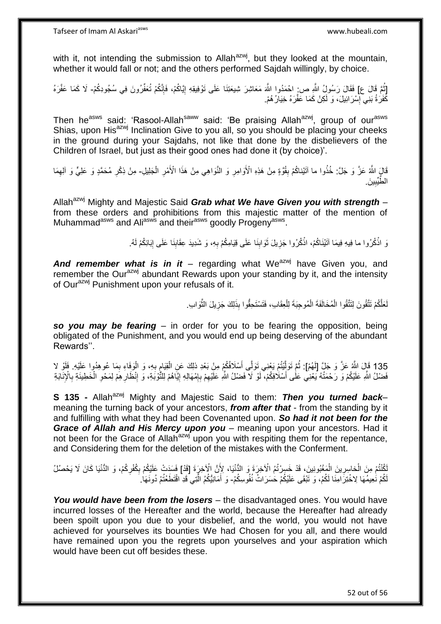with it, not intending the submission to Allah $^{axwj}$ , but they looked at the mountain, whether it would fall or not; and the others performed Sajdah willingly, by choice.

ٔ<br>ـ [ثُمَّ قَالَ ع] فَقَالَ رَسُولُ اللَّهِ ص: احْمَدُوا اللَّهَ مَعَاشِرَ شِيعَتِنَا عَلَى تَوْفِيقِهِ إِيَّاكُمْ، فَإِنَّكُمْ تُعَفِّرُونَ فِي سُجُودِكُمْ- لَا كَمَا عَفَّرَهُ ا∣<br>ِ∘ِ ׀ו<br>֞ كَّفَرَةُ بَنِي إِسْرَائِيلَ، وَ لَكِنْ كَمَا عَفَّرَهُ خِيَارُهُمْ. יִין<br>∶

Then he<sup>asws</sup> said: 'Rasool-Allah<sup>saww</sup> said: 'Be praising Allah<sup>azwj</sup>, group of our<sup>asws</sup> Shias, upon His<sup>azwj</sup> Inclination Give to you all, so you should be placing your cheeks in the ground during your Sajdahs, not like that done by the disbelievers of the Children of Israel, but just as their good ones had done it (by choice)'.

ْ قَالٍَ اللَّهُ عَزَّ وَ جَلَّ: خُذُوا ما آتَيْناكُمْ بِقُوَّةٍ مِنْ هَذِهِ الْأَوَامِرِ وَ النَّوَاهِي مِنْ هَذَا الْأَمْرِ الْجَلِيلِ۔ مِنْ ذِكْرِ مُحَمَّدٍ وَ عَلِيٍّ وَ آلِهِمَا ِ **∶ ِ** ِ ِ ي َن. **!** طُيِّيب ال

Allah<sup>azwj</sup> Mighty and Majestic Said *Grab what We have Given you with strength* – from these orders and prohibitions from this majestic matter of the mention of Muhammad<sup>asws</sup> and Ali<sup>asws</sup> and their<sup>asws</sup> goodly Progeny<sup>asws</sup>.

> رَ اذْكُرُوا ما فِيهِ فِيمَا آتَيْنَاكُمْ، اذْكُرُوا جَزِيلَ ثَوَابِنَا عَلَى قِيَامِكُمْ بِهِ، وَ شَدِيدَ عِقَابِنَا عَلَى إِبَائِكُمْ لَهُ. **ٔ** ِ ِ **∶ !** َ ِ **ٔ**

And remember what is in it - regarding what We<sup>azwj</sup> have Given you, and remember the Our<sup>azwj</sup> abundant Rewards upon your standing by it, and the intensity of Our<sup>azwj</sup> Punishment upon your refusals of it.

> لَعَلَّكُمْ تَتَّقُونَ لِتَتَّقُوا الْمُخَالَفَةَ الْمُوجِبَةَ لِلْعِقَابِ، فَتَسْتَحِقُّوا بِذَلِكَ جَزِيلَ الثَّوَابِ. ْ ْ ْ ه **∶**

*so you may be fearing* – in order for you to be fearing the opposition, being obligated of the Punishment, and you would end up being deserving of the abundant Rewards''.

135 قَالَ اللَّهُ عَنَّ وَ جَلَّ [لَهُمْ]: ثُمَّ تَوَلَّيْتُمْ يَعْنِي نَوَلَّي أَسْلَافُكُمْ مِنْ بَعْدِ ذلِكَ عَنِ الْقِيَامِ بِهِ، وَ الْوَفَاءِ بِمَا عُوهِدُوا عَلَيْهِ. فَلَوْ لا<br>وَمِنْهُ مَعَ يَقِيمُ مِن الْمَامِنِ ِ ْ َ ه ُ ْ فَضْلُ اللَّهِ عَلَيْكُمْ وَ رَحْمَتُهُ يَعْنِي عَلَٰى أَسْلَافِكُمْ، لَوْ لاَ فَضْلُ اللَّهِ عَلَيْهِمْ بِإِمْهَالِهِ إِيَّاهُمْ لِلثَّوْبَةِ، وَ إِنْظَارِهِمْ لِمَحْوِ الْخَطِيئَةِ بِالْإِنَابَةِ ِ ِ ِ ן<br>∶ **∶** ِ ْ ِ **∶** 

**S 135 -** Allah<sup>azwj</sup> Mighty and Majestic Said to them: **Then you turned back–** meaning the turning back of your ancestors, *from after that* - from the standing by it and fulfilling with what they had been Covenanted upon. *So had it not been for the Grace of Allah and His Mercy upon you* – meaning upon your ancestors. Had it not been for the Grace of Allah<sup>azwj</sup> upon you with respiting them for the repentance, and Considering them for the deletion of the mistakes with the Conferment.

لْكُنْتُمْ مِنَ الْخاسِرِينَ الْمَغْبُونِينَ، قَدْ خَسِرْتُمُ الْآخِرَةَ وَ الدُّنْيَا، لِأَنَّ الْآخِرَةَ [قَدْ] فَسَدَتْ عَلَيْكُمْ بِكُفْرِكُمْ، وَ الدُّنْيَا كَانَ لَا يَحْصُلُ ِ **∶** ِ لَكُمْ نُعِيمُهَا لِاخْتِرَ امِنَا لَكُمْ، وَ تَبْقَى عَلَيْكُمْ حَسَرَاتُ نُفُوسِكُمْ- وَ أَمَانِيُّكُمُ الَّتِي قَدِ اقْتَطَعْتُمْ دُونَهَا. ه َ

*You would have been from the losers* – the disadvantaged ones. You would have incurred losses of the Hereafter and the world, because the Hereafter had already been spoilt upon you due to your disbelief, and the world, you would not have achieved for yourselves its bounties We had Chosen for you all, and there would have remained upon you the regrets upon yourselves and your aspiration which would have been cut off besides these.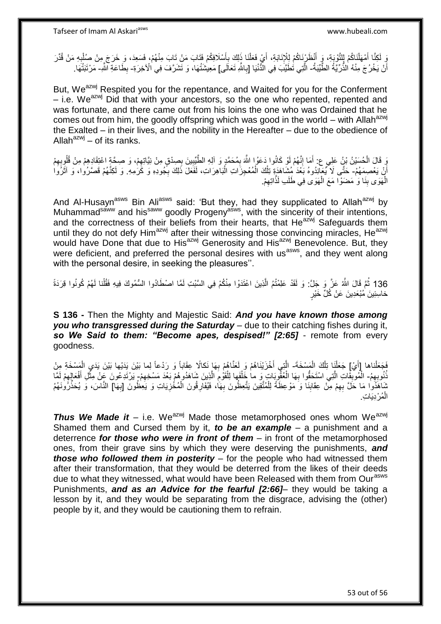ِ لَكِنَّا أَمْهَلْنَاكُمْ لِلتَّوْبَةِ، وَ أَنْظُرْنَاكُمْ لِلْإِنَابَةِ، أَيْ فَعَلْنَا ذَلِكَ بِأَسْلَافِكُم<br>وَ دَوْر ْ رَبِّيْ أَمْهَلْنَاكُمْ لِلتَّوْبِيِّةِ، فَيَمْ إِلَيْهِ بِمَنْ قُفْلَ ذَلِكَ بِأَسْلَافِكُمْ فَتَ َ اً ِ ْ َ ِ ْ أَنْ يَخْرُجَ مِنْهُ الذُّرِّيَّةُ الطَّيِّبَةُ- الَّتِي تُطَيَّبَ فِي الْذُّنْيَا [بِاللَّهِ تَعَالَى] مَعِيشَتُهَا، وَ تَشَرَّفَ فِي الْأَخِرَةِ- بِطَاعَةِ الشَّ- مَرْتَبَتُهَا. ۔<br>ا **∶** ان<br>ا ِ

But, We<sup>azwj</sup> Respited you for the repentance, and Waited for you for the Conferment  $-$  i.e. We<sup>azwj</sup> Did that with your ancestors, so the one who repented, repented and was fortunate, and there came out from his loins the one who was Ordained that he comes out from him, the goodly offspring which was good in the world – with Allah<sup>azwj</sup> the Exalted – in their lives, and the nobility in the Hereafter – due to the obedience of Allah<sup>azwj</sup> – of its ranks.

ِ قَالَ الْحُسَيْنُ بْنُ عَلِي عِ: أَمَا إِنَّهُمْ لَوْ كَانُوا دَعُوا اللَّهَ بِمُحَمَّدٍ وَ آلِهِ الطَّّيِّبِينَ بِصِدْقٍ مِنْ نِيَّاتِهِمْ، وَ صِحِّةٍ اعْتِقَادِهِمْ مِنْ قُلُوبِهِمْ<br>وَ قَالَ الْحُسَيْنُ بْنُ عَلِي عِ: ْ ِ ِ **!** ِ ֺ֧֖֦֧֦֧֦֧֦֧֖֦֧֦֧֦֧֦֧֧֧֧֧֦֧֦֧֦֧֦֧֧֦֧֦֧֦֧֦֧֦֧֦֧֦֧֦֧֦֧֧֧֦֚֚֚֚֚֝֟֓֝֬֝֝֝֓֞֟֓֡֝֓֞֟֓֡֟֓֡֟֓֡֟֓֡֓֓֞֟֓֓ ِ أَنْ يَعْصِمَهُمْ- حَتَّى لَا يُعَالِّدُوهُ بَعْدَ مُشَاهَدَةٍ تِلْكَ الْمُعْجِزَاتِ الْبَاهِرَاتِ، لَفَعَلَ ذَلِكَ بِجُودِهِ وَ كَرَٰمِهِ. وَ لَكِنَّهُمْ قَصَرُوا، وَ آثَرُوا ۔<br>ا ِ ْ ْ ْ َ الْهَوَى بِنَا وَ ٰ مَضَوْاً مَعَ الْهَوَى فِي طَلَبِ لَذَّاتِهِمْ. ْ **ِ** ِ

And Al-Husayn<sup>asws</sup> Bin Ali<sup>asws</sup> said: 'But they, had they supplicated to Allah<sup>azwj</sup> by Muhammad<sup>saww</sup> and his<sup>saww</sup> goodly Progeny<sup>asws</sup>, with the sincerity of their intentions, and the correctness of their beliefs from their hearts, that He<sup>azwj</sup> Safeguards them until they do not defy Him<sup>azwj</sup> after their witnessing those convincing miracles, He<sup>azwj</sup> would have Done that due to His<sup>azwj</sup> Generosity and His<sup>azwj</sup> Benevolence. But, they were deficient, and preferred the personal desires with us<sup>asws</sup>, and they went along with the personal desire, in seeking the pleasures''.

136 ثُمَّ قَالَ اللَّهُ عَنَّ وَ جَلَّ: وَ لَقَدْ عَلِمْتُمُ الَّذِينَ اعْتَدَوْا مِنْكُمْ فِي السَّبْتِ لَمَّا اصْطَادُوا السُّمُوكَ فِيهِ فَقُلْنا لَهُمْ كُونُوا قِرَدَةً ه خاسِئِينَ مُبْعَدِينَ عَنْ كُلِّ خَيْرٍ

**S 136 -** Then the Mighty and Majestic Said: *And you have known those among you who transgressed during the Saturday* – due to their catching fishes during it, *so We Said to them: "Become apes, despised!" [2:65]* - remote from every goodness.

فَجَعَلْناها [أَيْ] جَعَلْنَا تِلْكَ الْمَسْخَةَ- الَّتِي أَخْزَيْنَاهُمْ وَ لَعَنَّاهُمْ بِهَا نَكالًا عِقَاباً وَ رَدْعاً لِما بَيْنَ يَدَيْها بَيْنَ يَدَيِ الْمَسْخَةِ مِنْ َ ْ ْ ْ ْ  $\frac{1}{2}$ **∶** َ ه نُوبِهِمُ- الْمُوبِّقَاتِ الَّتِي اسْتَحَقُّوا بِهَا الْعُقْوِيَاتِ وَ ما خَلْفَها لِلْقَوْمِ الَّذِينَ شَاهَدُوهُمْ بَعْدَ مَسْخِهِمْ ٍ يَرْتَدِعُونَ عَنْ مِثَّلِ أَفْعَالِهِمْ لَمَّا ْ **∶** ه ِ ِ ه ِ ْ ْ ِ َ **ٔ** مُنَاهَذُوا مَا حَلَّ بِهِمْ مِنْ عِقَابِنَا وَ مَوْعِظَةً لِلْمُتَّقِينَ يَتَّعِظُونَ بِهَا، فَيُفَارِقُونَ الْمُخْزِيَاتِ وَ يَعِظُونَ [بِهَا] النَّاسَ، وَ يُحَذِّرُونَـهُمُ ْ ِ ِ ِ ْ **∶** ِ ِ المُرْدِيَاتِ. ْ

**Thus We Made it** – i.e. We<sup>azwj</sup> Made those metamorphosed ones whom We<sup>azwj</sup> Shamed them and Cursed them by it, *to be an example* – a punishment and a deterrence *for those who were in front of them* – in front of the metamorphosed ones, from their grave sins by which they were deserving the punishments, *and those who followed them in posterity* – for the people who had witnessed them after their transformation, that they would be deterred from the likes of their deeds due to what they witnessed, what would have been Released with them from Our<sup>asws</sup> Punishments, *and as an Advice for the fearful [2:66]*– they would be taking a lesson by it, and they would be separating from the disgrace, advising the (other) people by it, and they would be cautioning them to refrain.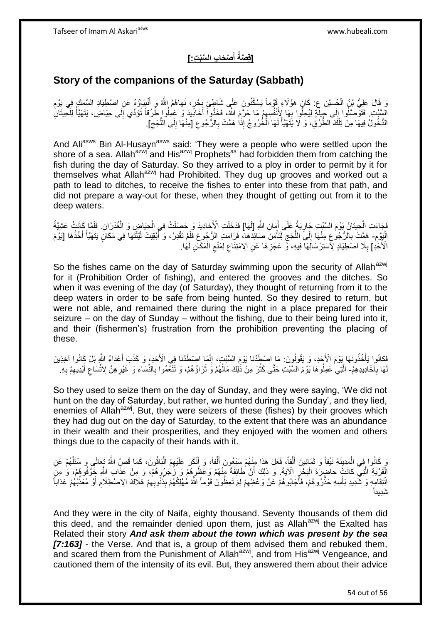#### **[قِصَةُ أَصْحَابِ السَّبْتِ:] َ**

### **Story of the companions of the Saturday (Sabbath)**

ِ قَالَ عَلِيُّ بْنُ الْجُسَيْنِ عِ: كَانَ هَؤُلاءِ قَوْماً يَسْكُنُونَ عَلَى شَاطِئٍ بَحْرٍ، نَهَاهُمُ اللَّهُ وَ أَنْبِيَاؤُهُ عَنِ اصْطِيَادِ السَّمَكِ فِي يَوْمِ<br>نَدَ يَقُلُّ عَلَيُّ بَنُ الْجُسَيْنِ عِ: كَانَ هَؤُلاء ْ ِ ِ َ الْسَّنْتِ. فَتَوَصَّلُوا إِلَى جِبِلَّةٍ لِيُحِلُّوا بِهَا لِأَنْفُسِهِمْ مَا حَرَّمَ اللَّهُ، فَخَذُوا أَخَادِّيدَ وَ عَمِلُوا طُرُقاً تُؤَدِّي إَلَى حِيَاضٍ، يَتَهَيَّأُ لِلْحِيتَانِ َ ِ ِ  $\frac{1}{2}$ ْ ُ ِ الدُّخُولُ فِيهَا مِنْ تِلْكَ الطُّرُوْ، وَ لَا يَتَهَيَّأُ لَهَا الْخُرُوجُ إِذَا هَمَّتْ بِالرُّجُوعِ [مِنْهَا إِلَى اللُّجَجِ]. ِ ُّ ِ ِ **∶** لَ ا<br>ا ْ

And Ali<sup>asws</sup> Bin Al-Husayn<sup>asws</sup> said: 'They were a people who were settled upon the shore of a sea. Allah<sup>azwj</sup> and His<sup>azwj</sup> Prophets<sup>as</sup> had forbidden them from catching the fish during the day of Saturday. So they arrived to a ploy in order to permit by it for themselves what Allah<sup>azwj</sup> had Prohibited. They dug up grooves and worked out a path to lead to ditches, to receive the fishes to enter into these from that path, and did not prepare a way-out for these, when they thought of getting out from it to the deep waters.

فَجَاءَتِ الْحِيتَانُ يَوْمَ السَّنْتِ جَارِيَةً عَلَى أَمَانِ اللَّهِ [لَهَا] فَدَخَلَتِ الْأَخَادِيدَ وَ حَصلَتْ فِي الْحِيَاضِ وَ الْغُدْرَانِ. فَلَمَّا كَانَتْ عَشِيَّةُ َ ِ ْ ْ ْ ِ الْبَوْمِ- هَمَّتْ بِالرُّجُوعِ مِنْهَا إِلَىَ اللُّجَجِ لِتَأْمَنَ صَائِدَهَا، فَرَامَتِ الرُّجُوعِ فَلَمْ تَقْدِرْ، وَ أَبْقِيَتْ لَيْلَتَهَا فِي مَكَانٍ يَتَهَيَّأُ أَخْذُهَا [يَوْمَ ُ ْ ِ ُّ  $\frac{1}{2}$ ِ ֘<u>֓</u> َ ُ الْأَخَدِ] بِلَا اصَطِّيَادٍ لِأَسْتِرْسَالَِهَا فِيهِ، وَّ عَجْزِهَا عَنِ الِامْتِنَاعِ لِمَنْعِ الْمَكَانِ لَهَا. ِ ْ ِ ِ **∶** 

So the fishes came on the day of Saturday swimming upon the security of Allah<sup>azwj</sup> for it (Prohibition Order of fishing), and entered the grooves and the ditches. So when it was evening of the day (of Saturday), they thought of returning from it to the deep waters in order to be safe from being hunted. So they desired to return, but were not able, and remained there during the night in a place prepared for their seizure – on the day of Sunday – without the fishing, due to their being lured into it, and their (fishermen's) frustration from the prohibition preventing the placing of these.

فَكَانُواٍ يَأْخُذُونَهَا بَوْمَ الْأَجَدِ، وَ يَقُولُونَ: مَا اصْطَدْنَا يَوْمَ السَّبْتِ، إِنَّمَا اصْطَدْنَا فِي الْأَحَدِ، وَ كَذَبَ أَعْدَاءُ اللَّهِ بَلْ كَانُوا آخِذِينَ ة<br>أ َ ِ لَهَا بِأَخَادِيدِهِمُ- الَّتِي عَمِلُوهَا يَوْمَ السَّبْتِ حَتَّى كَثُرَ مِنْ ذَٰلِكَ مَالُهُمْ وَ ثَرَاؤُهُمْ، وَ تَنَغَّمُوا بِالنِّسَاءِ وَ غَيْرِهِنَّ لِاتَّسَاعِ أَيْدِيهِمْ بِهِ ا<br>استعمال **∶** ِ **∶** َ ا<br>ا ان<br>سالات ه ِ ِ ِ َ

So they used to seize them on the day of Sunday, and they were saying, 'We did not hunt on the day of Saturday, but rather, we hunted during the Sunday', and they lied, enemies of Allah<sup>azwj</sup>. But, they were seizers of these (fishes) by their grooves which they had dug out on the day of Saturday, to the extent that there was an abundance in their wealth and their prosperities, and they enjoyed with the women and others things due to the capacity of their hands with it.

وَ كَانُوا فِي الْمَدِينَةِ نَيِّفاً وَ ثَمَانِينَ أَلْفاً، فَعَلَ هَذَا مِنْهُمْ سَنْعُونَ أَلْفاً، وَ أَنْكَرَ عَلَيْهِمُ الْبَاقُونَ، كَمَا قَصَّ اللَّهُ تَعَالَى وَ سُنَلْهُمْ عَنِ ْ َ ْ َ ْ َ ٌٔ فی ْ الْقَرْيَةِ الَّتِيِّ كانَتْ حاضِرَةَ الْبَحْرِ الْآيَةَ. وَ ذَلِكَ أَنَّ طَائِفَةً مِنْهُمْ وَعَظُوهُمْ وَ رَكَبُرُوهُمْ، وَ مِنْ عَذَابِ اللَّهِ خَوَّفُوهُمْ، وَ مِنَ ِ ْ ه ْ َ انْتِقَامِهِ وَ شَّدِيدِ بَأْسِهِ حَذَّرُوهُمْ، فَأَجَابُوهُمْ عَنْ وَعْظِهِمْ لِمَ تَعِظُونَ قَوْماً اللَّهُ مُهْلِكُهُمْ بِذُنُوبِهِمْ هَلَاكَ الِاصْطِلَامِ أَوْ مُعَذِّبُهُمْ عَذاباً ِ َ **ٔ** ِ ِ َ َتِديداً

And they were in the city of Naifa, eighty thousand. Seventy thousands of them did this deed, and the remainder denied upon them, just as Allah<sup>azwj</sup> the Exalted has Related their story *And ask them about the town which was present by the sea [7:163]* - the Verse. And that is, a group of them advised them and rebuked them, and scared them from the Punishment of Allah<sup>azwj</sup>, and from His<sup>azwj</sup> Vengeance, and cautioned them of the intensity of its evil. But, they answered them about their advice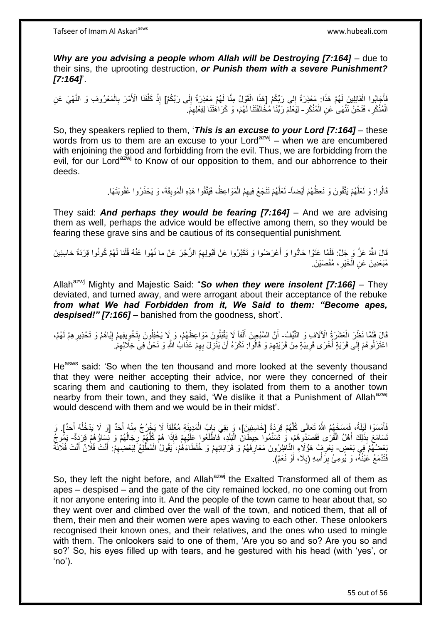*Why are you advising a people whom Allah will be Destroying [7:164] – due to* their sins, the uprooting destruction, *or Punish them with a severe Punishment? [7:164]*'.

فَأَجَابُوا الْقَائِلِينَ لَهُمْ هَذَا: مَعْذِرَةً إِلَي رَبِّكُمْ [هَذَا الْقَوْلُ مِنَّا لَهُمْ مَعْذِرَةٌ إِلَى رَبِّكُمْ] إِذْ كَلَّفَنَا الْأَمْرَ بِالْمَعْرُوفِ وَ النَّهْيَ عَنِ<br>فَإِنَّهُ وَاللَّهَ وَاللَّهُ عَنَا ∣∣<br>∶ ْ َ ْ ِ ْ ِ ه **ٔ** ِ الْمُنْكَرِ، فَنَحْنُ نَنْهَى عَنِ الْمُنْكَرِ - لِيَعْلَمَ رَبُّنَا مُخَالَفَتَنَا لَهُمْ، وَ كَرَاهَتَنَا لِفِعْلِهِمْ. ْ ِ ْ ِ

So, they speakers replied to them, '*This is an excuse to your Lord [7:164]* – these words from us to them are an excuse to your Lord<sup>azwj</sup> – when we are encumbered with enjoining the good and forbidding from the evil. Thus, we are forbidding from the evil, for our Lord<sup>azwj</sup> to Know of our opposition to them, and our abhorrence to their deeds.

> قَالُوا: وَ لَعَلَّهُمْ يَتَّقُونَ وَ نَعِظُهُمْ أَيْضاً- لَعَلَّهُمْ تَنْجَعُ فِيهِمُ الْمَوَاعِظُ، فَيَتَّقُوا هَذِهِ الْمُوبِقَةَ، وَ يَحْذَرُوا عُقُوبَتَهَا. ه َ ه ْ ْ

They said: *And perhaps they would be fearing [7:164]* – And we are advising them as well, perhaps the advice would be effective among them, so they would be fearing these grave sins and be cautious of its consequential punishment.

لَّا اللَّهُ عَزَّ وَ جَلَّ: فَلَمَّا عَتَوْا حَادُّوا وَ أَعْرَضُوا وَ تَكَبَّرُوا عَنْ قَبُولِهِمُ الزَّجْرَ عَنْ ما نُهُوا عَنْهُ قُلْنا لَهُمْ كُونُوا قِرَدَةً خاسِئِينَ َ ْ مُبْعَدِينَ عَنِ الْخَيْرِ ، مُقْصَيْنَ ِ ْ

Allah<sup>azwj</sup> Mighty and Majestic Said: "So when they were insolent [7:166] - They deviated, and turned away, and were arrogant about their acceptance of the rebuke *from what We had Forbidden from it, We Said to them: "Become apes, despised!" [7:166]* – banished from the goodness, short'.

قَالَ فَلَمَّا نَظَرَ الْعَشَرَةُ الْآلَافِ وَ النَّيِّفُ- أَنَّ السَّبْعِينَ أَلْفاً لَا يَقْبَلُونَ مَوَاعِظَهُمْ، وَ لِا يَحْفِلُونَ بِتَخْوِيفِهِمْ إِيَّاهُمْ وَ تَحْذِيرِهِمْ لَهُمْ، ْ ا<br>ا ْ َ َ ِ ון<br>≀ ِ ِ ِ اعْتَزَلُوهُمْ إِلَى قَرْيَةٍ أُخْرَى قَرِيبَةٍ مِنْ قَرْيَتِهِمْ وَ قَالُوا: نَكْرَهُ أَنْ يَنْزِلَ بِهِمْ عَذَابُ اللَّهِ وَ نَحْنُ فِيَ خِلَالِهِمْ. ِ **∶** ا<br>ا  $\frac{1}{2}$ ِ ِ اُ ِ

He<sup>asws</sup> said: 'So when the ten thousand and more looked at the seventy thousand that they were neither accepting their advice, nor were they concerned of their scaring them and cautioning to them, they isolated from them to a another town nearby from their town, and they said, 'We dislike it that a Punishment of Allah<sup>azwj</sup> would descend with them and we would be in their midst'.

فَأَمْسَوْا لَيْلَةً، فَمَسَخَهُمُ اللَّهُ تَعَالَى كُلَّهُمْ قِرَدَةً [خَاسِئِينَ]، وَ بَقِيَ بَإِبُ الْمَدِينَةِ مُغْلَقاً لَا يَخْرُجُ مِنْهُ أَحَدٌ [وَ لَا يَدْخُلُهُ أَحَدٌ]. وَ ه َ َ ُ َ ُّ َسَامَعَ بِذَلِكَ أَهْلُ الْقُرَى فَقَصَدُوهُمْ، وَ تَسَنَّمُوا حِيطَانَ الْبَلَدِ، فَاطْلَعُوا عَلَيْهِمْ فَإِذَا هُمْ كُلُّهُمْ رِجَالُهُمْ وَ تِسَاؤُهُمْ قِرَدَةٌ- يَمُوجُ ِ ْ ْ َ ُ **∶** بَعْضُهُمْ فِي بَعْضٍ- يَعْرِ فِ مُؤُلَاءِ النَّاطِرُونَ مَعَارِفَهُمْ وَ قَرَابَاتِهِمْ وَ خُلَطَاءَهُمْ، يَقُولُ الْمُطَّلِعُ لِبَعْضِهِمْ. أَنْتَ فُلَانٌ أَنْتَ فُلَانَةٌ َ ِ ْ ِ ِ ِ َ فَتَدْمَعُ عَيْنُهُ، وَ يُومِئُ بِرَأْسِهِ (بِلَا، أَوْ نَعَمْ). َ ِ ِ

So, they left the night before, and Allah<sup>azwj</sup> the Exalted Transformed all of them as apes – despised – and the gate of the city remained locked, no one coming out from it nor anyone entering into it. And the people of the town came to hear about that, so they went over and climbed over the wall of the town, and noticed them, that all of them, their men and their women were apes waving to each other. These onlookers recognised their known ones, and their relatives, and the ones who used to mingle with them. The onlookers said to one of them, 'Are you so and so? Are you so and so?' So, his eyes filled up with tears, and he gestured with his head (with 'yes', or 'no').